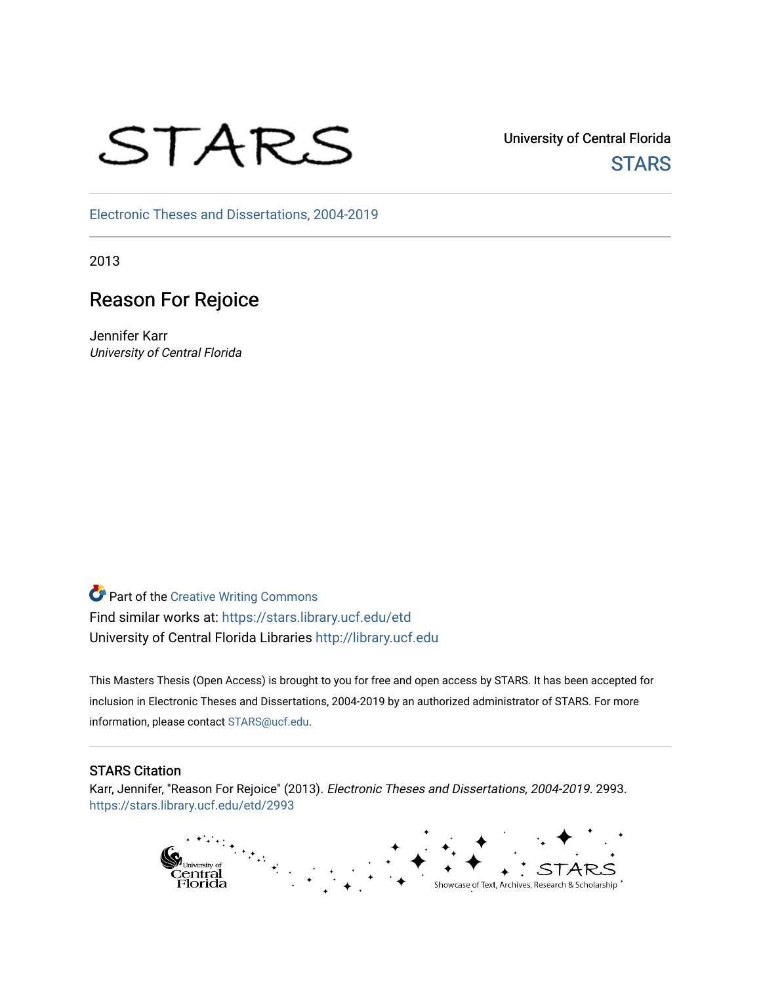

University of Central Florida **STARS** 

[Electronic Theses and Dissertations, 2004-2019](https://stars.library.ucf.edu/etd) 

2013

# Reason For Rejoice

Jennifer Karr University of Central Florida

**Part of the Creative Writing Commons** Find similar works at: <https://stars.library.ucf.edu/etd> University of Central Florida Libraries [http://library.ucf.edu](http://library.ucf.edu/) 

This Masters Thesis (Open Access) is brought to you for free and open access by STARS. It has been accepted for inclusion in Electronic Theses and Dissertations, 2004-2019 by an authorized administrator of STARS. For more information, please contact [STARS@ucf.edu.](mailto:STARS@ucf.edu)

#### STARS Citation

Karr, Jennifer, "Reason For Rejoice" (2013). Electronic Theses and Dissertations, 2004-2019. 2993. [https://stars.library.ucf.edu/etd/2993](https://stars.library.ucf.edu/etd/2993?utm_source=stars.library.ucf.edu%2Fetd%2F2993&utm_medium=PDF&utm_campaign=PDFCoverPages) 

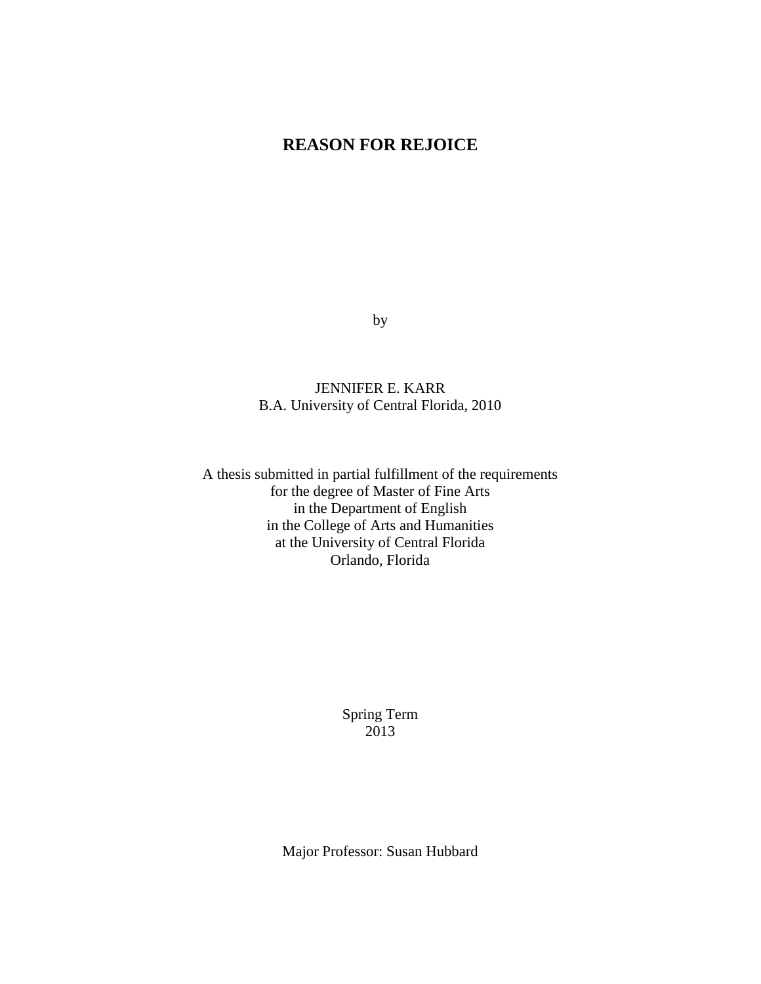# **REASON FOR REJOICE**

by

JENNIFER E. KARR B.A. University of Central Florida, 2010

A thesis submitted in partial fulfillment of the requirements for the degree of Master of Fine Arts in the Department of English in the College of Arts and Humanities at the University of Central Florida Orlando, Florida

> Spring Term 2013

Major Professor: Susan Hubbard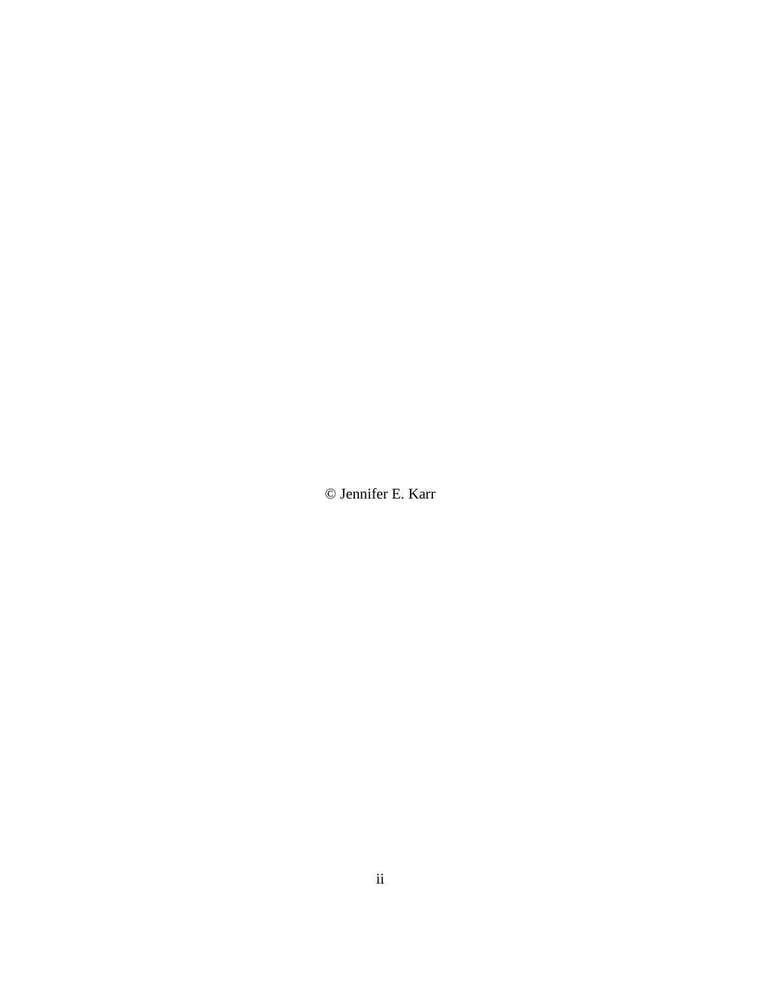© Jennifer E. Karr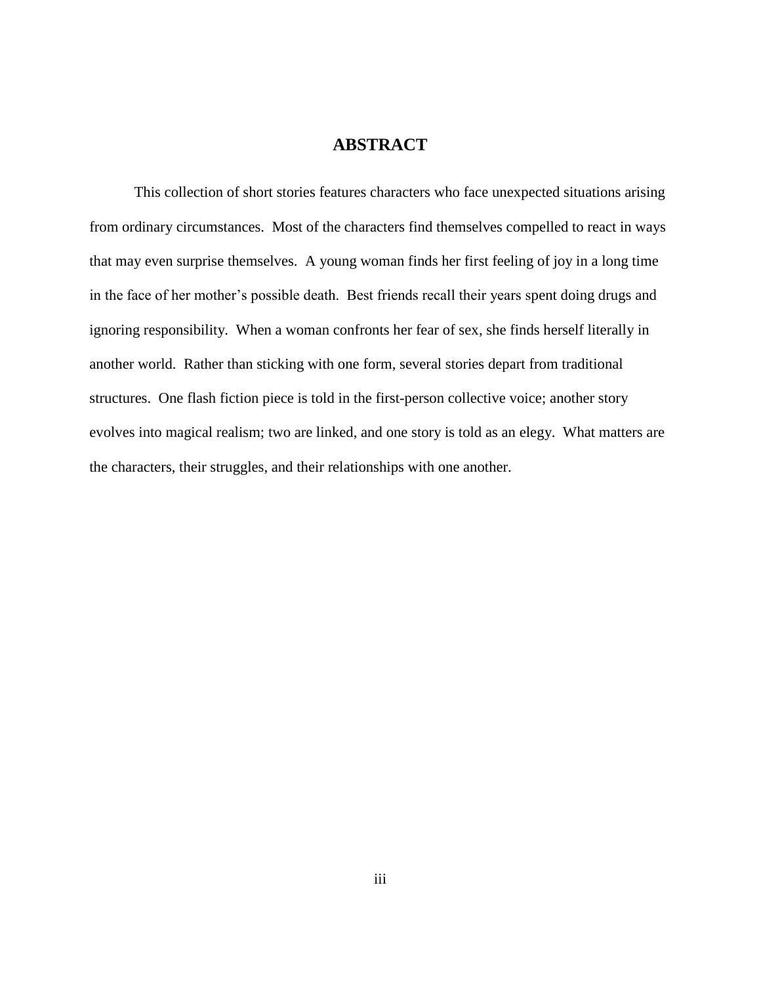# **ABSTRACT**

This collection of short stories features characters who face unexpected situations arising from ordinary circumstances. Most of the characters find themselves compelled to react in ways that may even surprise themselves. A young woman finds her first feeling of joy in a long time in the face of her mother's possible death. Best friends recall their years spent doing drugs and ignoring responsibility. When a woman confronts her fear of sex, she finds herself literally in another world. Rather than sticking with one form, several stories depart from traditional structures. One flash fiction piece is told in the first-person collective voice; another story evolves into magical realism; two are linked, and one story is told as an elegy. What matters are the characters, their struggles, and their relationships with one another.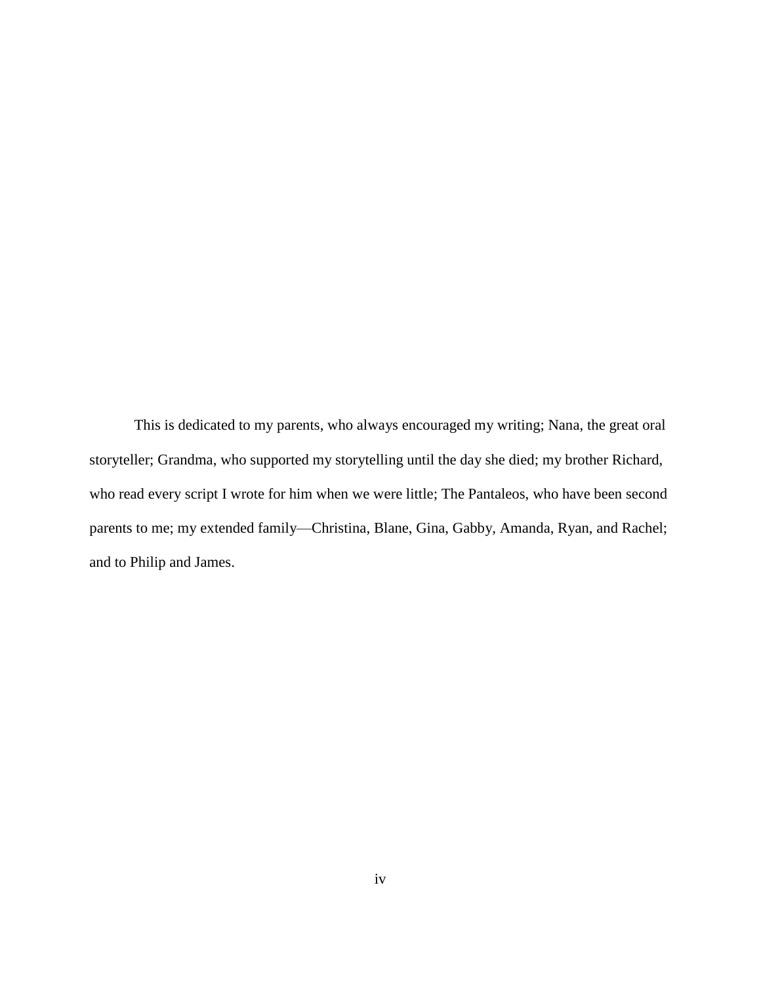This is dedicated to my parents, who always encouraged my writing; Nana, the great oral storyteller; Grandma, who supported my storytelling until the day she died; my brother Richard, who read every script I wrote for him when we were little; The Pantaleos, who have been second parents to me; my extended family—Christina, Blane, Gina, Gabby, Amanda, Ryan, and Rachel; and to Philip and James.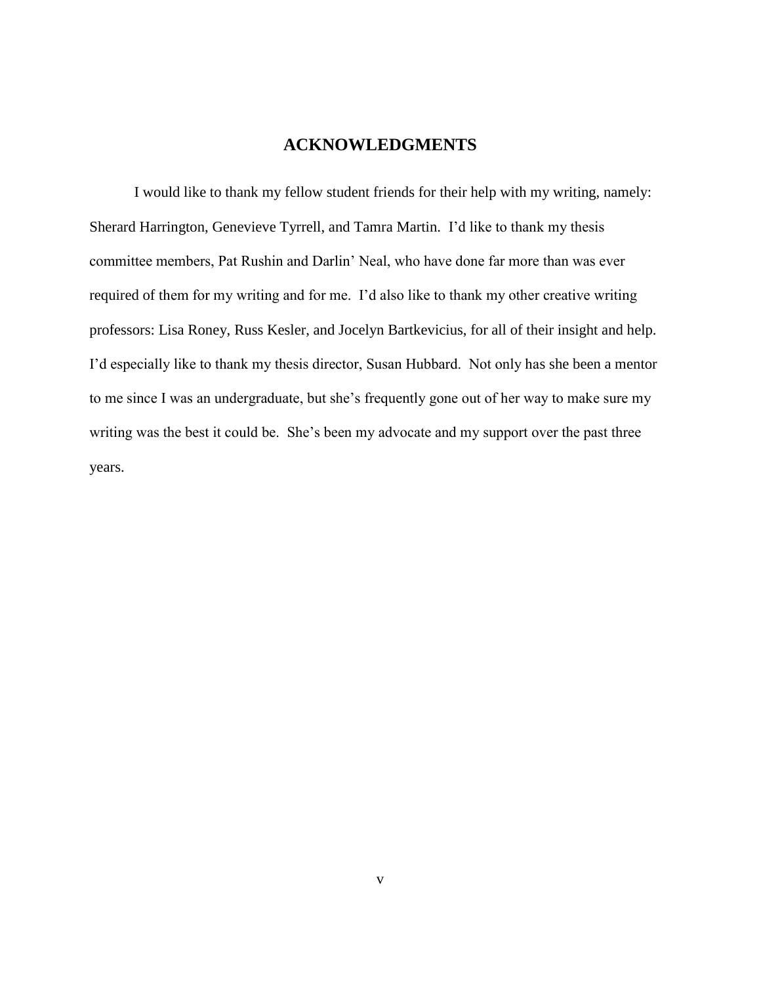## **ACKNOWLEDGMENTS**

I would like to thank my fellow student friends for their help with my writing, namely: Sherard Harrington, Genevieve Tyrrell, and Tamra Martin. I'd like to thank my thesis committee members, Pat Rushin and Darlin' Neal, who have done far more than was ever required of them for my writing and for me. I'd also like to thank my other creative writing professors: Lisa Roney, Russ Kesler, and Jocelyn Bartkevicius, for all of their insight and help. I'd especially like to thank my thesis director, Susan Hubbard. Not only has she been a mentor to me since I was an undergraduate, but she's frequently gone out of her way to make sure my writing was the best it could be. She's been my advocate and my support over the past three years.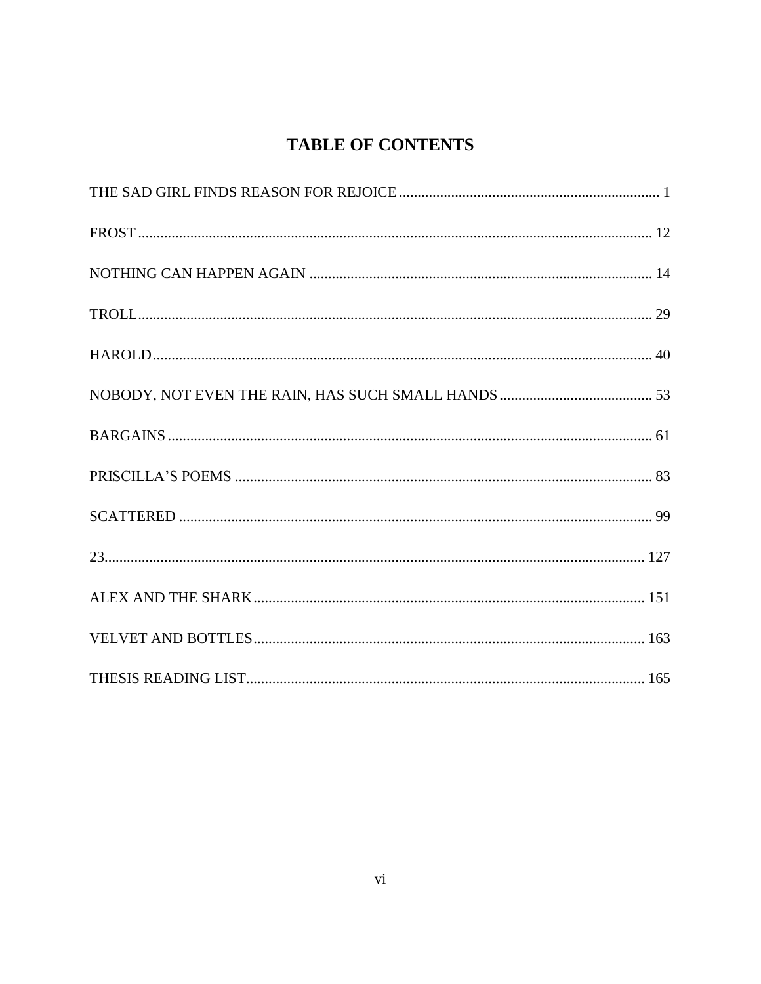# **TABLE OF CONTENTS**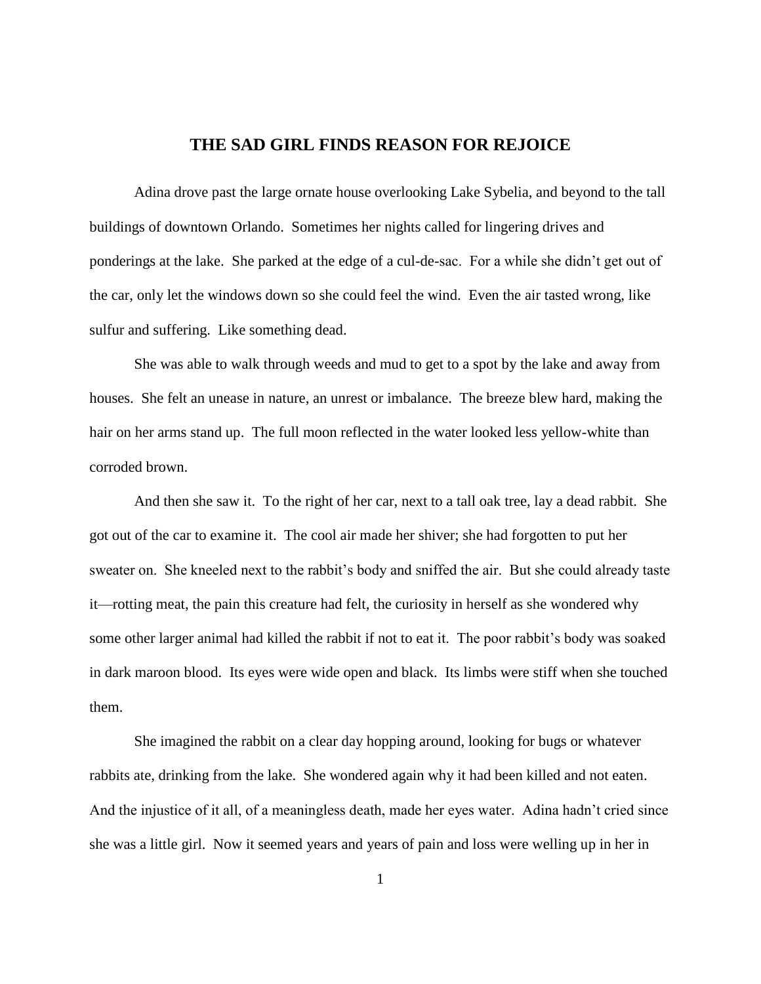### **THE SAD GIRL FINDS REASON FOR REJOICE**

<span id="page-7-0"></span>Adina drove past the large ornate house overlooking Lake Sybelia, and beyond to the tall buildings of downtown Orlando. Sometimes her nights called for lingering drives and ponderings at the lake. She parked at the edge of a cul-de-sac. For a while she didn't get out of the car, only let the windows down so she could feel the wind. Even the air tasted wrong, like sulfur and suffering. Like something dead.

She was able to walk through weeds and mud to get to a spot by the lake and away from houses. She felt an unease in nature, an unrest or imbalance. The breeze blew hard, making the hair on her arms stand up. The full moon reflected in the water looked less yellow-white than corroded brown.

And then she saw it. To the right of her car, next to a tall oak tree, lay a dead rabbit. She got out of the car to examine it. The cool air made her shiver; she had forgotten to put her sweater on. She kneeled next to the rabbit's body and sniffed the air. But she could already taste it—rotting meat, the pain this creature had felt, the curiosity in herself as she wondered why some other larger animal had killed the rabbit if not to eat it. The poor rabbit's body was soaked in dark maroon blood. Its eyes were wide open and black. Its limbs were stiff when she touched them.

She imagined the rabbit on a clear day hopping around, looking for bugs or whatever rabbits ate, drinking from the lake. She wondered again why it had been killed and not eaten. And the injustice of it all, of a meaningless death, made her eyes water. Adina hadn't cried since she was a little girl. Now it seemed years and years of pain and loss were welling up in her in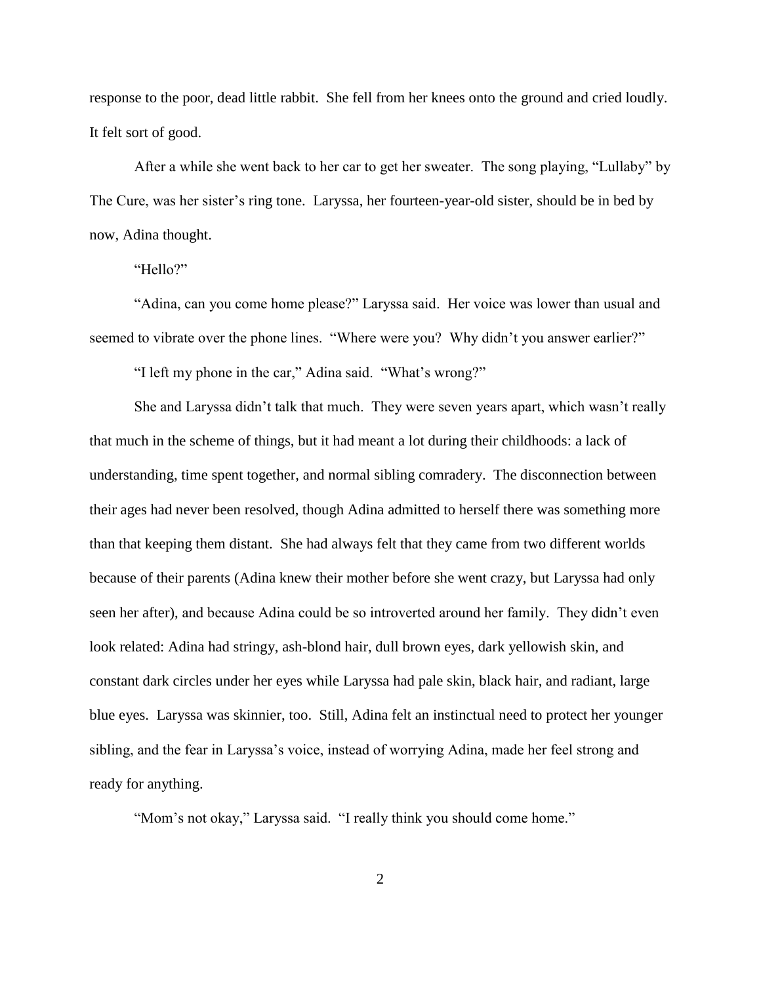response to the poor, dead little rabbit. She fell from her knees onto the ground and cried loudly. It felt sort of good.

After a while she went back to her car to get her sweater. The song playing, "Lullaby" by The Cure, was her sister's ring tone. Laryssa, her fourteen-year-old sister, should be in bed by now, Adina thought.

"Hello?"

"Adina, can you come home please?" Laryssa said. Her voice was lower than usual and seemed to vibrate over the phone lines. "Where were you? Why didn't you answer earlier?"

"I left my phone in the car," Adina said. "What's wrong?"

She and Laryssa didn't talk that much. They were seven years apart, which wasn't really that much in the scheme of things, but it had meant a lot during their childhoods: a lack of understanding, time spent together, and normal sibling comradery. The disconnection between their ages had never been resolved, though Adina admitted to herself there was something more than that keeping them distant. She had always felt that they came from two different worlds because of their parents (Adina knew their mother before she went crazy, but Laryssa had only seen her after), and because Adina could be so introverted around her family. They didn't even look related: Adina had stringy, ash-blond hair, dull brown eyes, dark yellowish skin, and constant dark circles under her eyes while Laryssa had pale skin, black hair, and radiant, large blue eyes. Laryssa was skinnier, too. Still, Adina felt an instinctual need to protect her younger sibling, and the fear in Laryssa's voice, instead of worrying Adina, made her feel strong and ready for anything.

"Mom's not okay," Laryssa said. "I really think you should come home."

2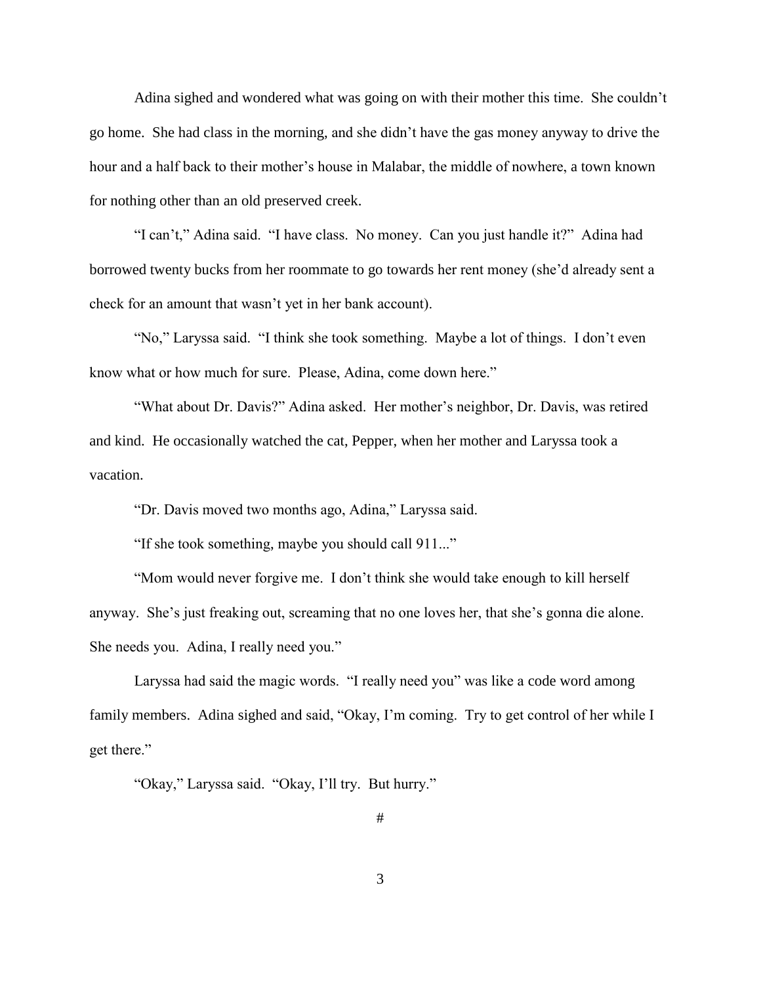Adina sighed and wondered what was going on with their mother this time. She couldn't go home. She had class in the morning, and she didn't have the gas money anyway to drive the hour and a half back to their mother's house in Malabar, the middle of nowhere, a town known for nothing other than an old preserved creek.

"I can't," Adina said. "I have class. No money. Can you just handle it?" Adina had borrowed twenty bucks from her roommate to go towards her rent money (she'd already sent a check for an amount that wasn't yet in her bank account).

"No," Laryssa said. "I think she took something. Maybe a lot of things. I don't even know what or how much for sure. Please, Adina, come down here."

"What about Dr. Davis?" Adina asked. Her mother's neighbor, Dr. Davis, was retired and kind. He occasionally watched the cat, Pepper, when her mother and Laryssa took a vacation.

"Dr. Davis moved two months ago, Adina," Laryssa said.

"If she took something, maybe you should call 911..."

"Mom would never forgive me. I don't think she would take enough to kill herself anyway. She's just freaking out, screaming that no one loves her, that she's gonna die alone. She needs you. Adina, I really need you."

Laryssa had said the magic words. "I really need you" was like a code word among family members. Adina sighed and said, "Okay, I'm coming. Try to get control of her while I get there."

"Okay," Laryssa said. "Okay, I'll try. But hurry."

3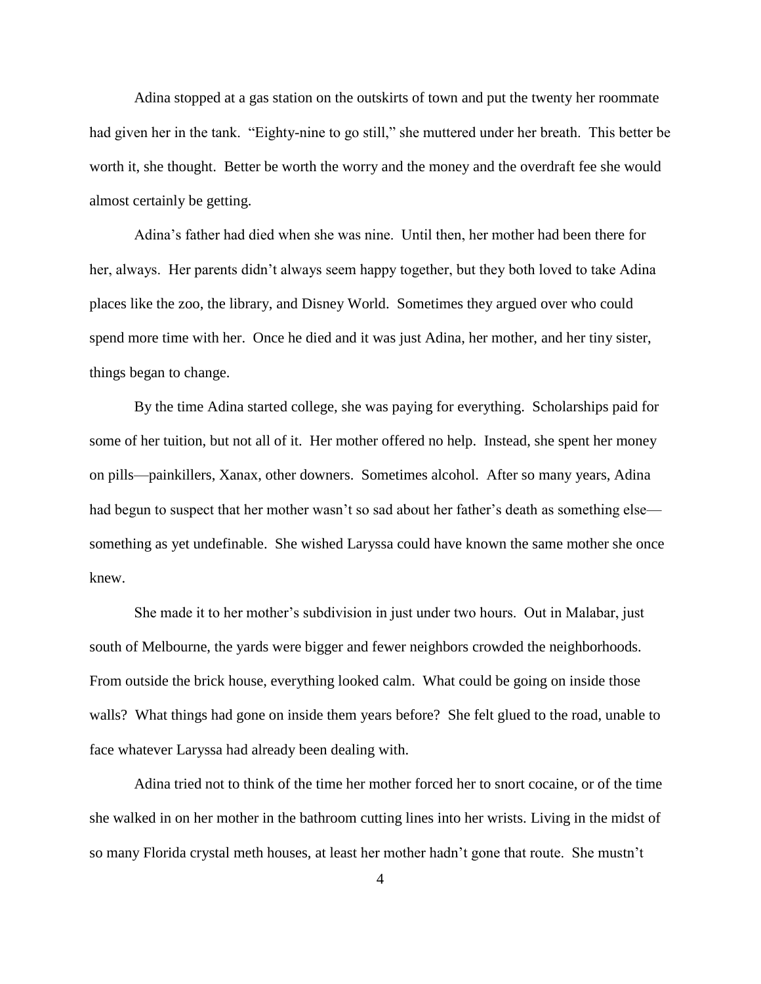Adina stopped at a gas station on the outskirts of town and put the twenty her roommate had given her in the tank. "Eighty-nine to go still," she muttered under her breath. This better be worth it, she thought. Better be worth the worry and the money and the overdraft fee she would almost certainly be getting.

Adina's father had died when she was nine. Until then, her mother had been there for her, always. Her parents didn't always seem happy together, but they both loved to take Adina places like the zoo, the library, and Disney World. Sometimes they argued over who could spend more time with her. Once he died and it was just Adina, her mother, and her tiny sister, things began to change.

By the time Adina started college, she was paying for everything. Scholarships paid for some of her tuition, but not all of it. Her mother offered no help. Instead, she spent her money on pills—painkillers, Xanax, other downers. Sometimes alcohol. After so many years, Adina had begun to suspect that her mother wasn't so sad about her father's death as something else something as yet undefinable. She wished Laryssa could have known the same mother she once knew.

She made it to her mother's subdivision in just under two hours. Out in Malabar, just south of Melbourne, the yards were bigger and fewer neighbors crowded the neighborhoods. From outside the brick house, everything looked calm. What could be going on inside those walls? What things had gone on inside them years before? She felt glued to the road, unable to face whatever Laryssa had already been dealing with.

Adina tried not to think of the time her mother forced her to snort cocaine, or of the time she walked in on her mother in the bathroom cutting lines into her wrists. Living in the midst of so many Florida crystal meth houses, at least her mother hadn't gone that route. She mustn't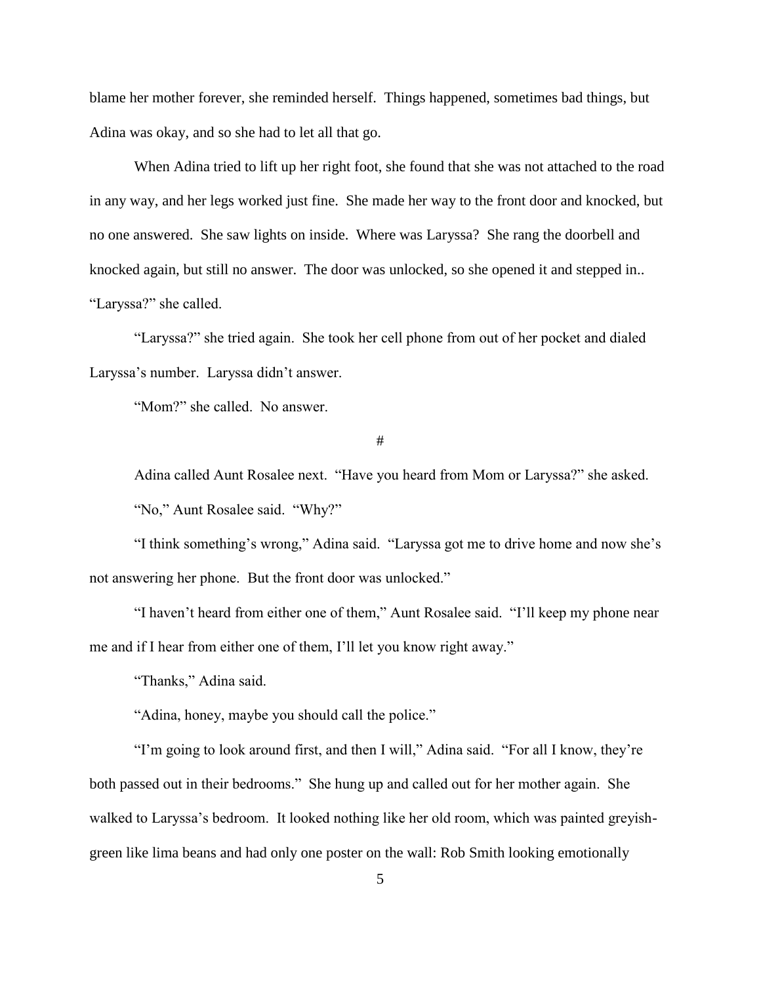blame her mother forever, she reminded herself. Things happened, sometimes bad things, but Adina was okay, and so she had to let all that go.

When Adina tried to lift up her right foot, she found that she was not attached to the road in any way, and her legs worked just fine. She made her way to the front door and knocked, but no one answered. She saw lights on inside. Where was Laryssa? She rang the doorbell and knocked again, but still no answer. The door was unlocked, so she opened it and stepped in.. "Laryssa?" she called.

"Laryssa?" she tried again. She took her cell phone from out of her pocket and dialed Laryssa's number. Laryssa didn't answer.

"Mom?" she called. No answer.

#

Adina called Aunt Rosalee next. "Have you heard from Mom or Laryssa?" she asked. "No," Aunt Rosalee said. "Why?"

"I think something's wrong," Adina said. "Laryssa got me to drive home and now she's not answering her phone. But the front door was unlocked."

"I haven't heard from either one of them," Aunt Rosalee said. "I'll keep my phone near me and if I hear from either one of them, I'll let you know right away."

"Thanks," Adina said.

"Adina, honey, maybe you should call the police."

"I'm going to look around first, and then I will," Adina said. "For all I know, they're both passed out in their bedrooms." She hung up and called out for her mother again. She walked to Laryssa's bedroom. It looked nothing like her old room, which was painted greyishgreen like lima beans and had only one poster on the wall: Rob Smith looking emotionally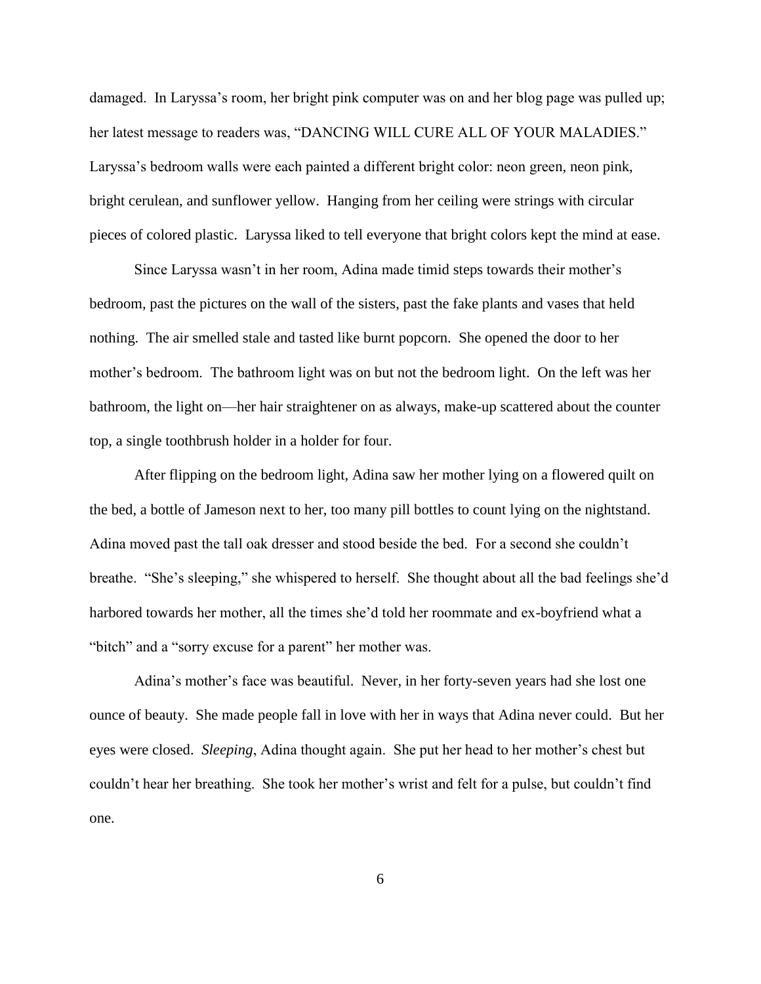damaged. In Laryssa's room, her bright pink computer was on and her blog page was pulled up; her latest message to readers was, "DANCING WILL CURE ALL OF YOUR MALADIES." Laryssa's bedroom walls were each painted a different bright color: neon green, neon pink, bright cerulean, and sunflower yellow. Hanging from her ceiling were strings with circular pieces of colored plastic. Laryssa liked to tell everyone that bright colors kept the mind at ease.

Since Laryssa wasn't in her room, Adina made timid steps towards their mother's bedroom, past the pictures on the wall of the sisters, past the fake plants and vases that held nothing. The air smelled stale and tasted like burnt popcorn. She opened the door to her mother's bedroom. The bathroom light was on but not the bedroom light. On the left was her bathroom, the light on—her hair straightener on as always, make-up scattered about the counter top, a single toothbrush holder in a holder for four.

After flipping on the bedroom light, Adina saw her mother lying on a flowered quilt on the bed, a bottle of Jameson next to her, too many pill bottles to count lying on the nightstand. Adina moved past the tall oak dresser and stood beside the bed. For a second she couldn't breathe. "She's sleeping," she whispered to herself. She thought about all the bad feelings she'd harbored towards her mother, all the times she'd told her roommate and ex-boyfriend what a "bitch" and a "sorry excuse for a parent" her mother was.

Adina's mother's face was beautiful. Never, in her forty-seven years had she lost one ounce of beauty. She made people fall in love with her in ways that Adina never could. But her eyes were closed. *Sleeping*, Adina thought again. She put her head to her mother's chest but couldn't hear her breathing. She took her mother's wrist and felt for a pulse, but couldn't find one.

6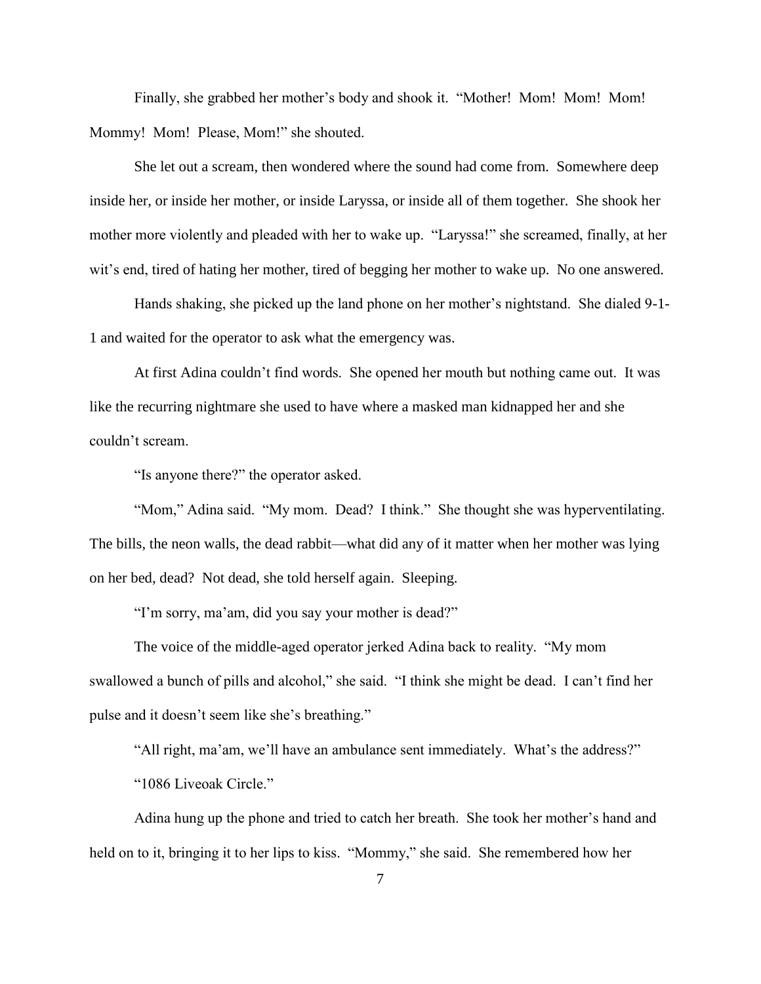Finally, she grabbed her mother's body and shook it. "Mother! Mom! Mom! Mom! Mommy! Mom! Please, Mom!" she shouted.

She let out a scream, then wondered where the sound had come from. Somewhere deep inside her, or inside her mother, or inside Laryssa, or inside all of them together. She shook her mother more violently and pleaded with her to wake up. "Laryssa!" she screamed, finally, at her wit's end, tired of hating her mother, tired of begging her mother to wake up. No one answered.

Hands shaking, she picked up the land phone on her mother's nightstand. She dialed 9-1- 1 and waited for the operator to ask what the emergency was.

At first Adina couldn't find words. She opened her mouth but nothing came out. It was like the recurring nightmare she used to have where a masked man kidnapped her and she couldn't scream.

"Is anyone there?" the operator asked.

"Mom," Adina said. "My mom. Dead? I think." She thought she was hyperventilating. The bills, the neon walls, the dead rabbit—what did any of it matter when her mother was lying on her bed, dead? Not dead, she told herself again. Sleeping.

"I'm sorry, ma'am, did you say your mother is dead?"

The voice of the middle-aged operator jerked Adina back to reality. "My mom swallowed a bunch of pills and alcohol," she said. "I think she might be dead. I can't find her pulse and it doesn't seem like she's breathing."

"All right, ma'am, we'll have an ambulance sent immediately. What's the address?"

"1086 Liveoak Circle."

Adina hung up the phone and tried to catch her breath. She took her mother's hand and held on to it, bringing it to her lips to kiss. "Mommy," she said. She remembered how her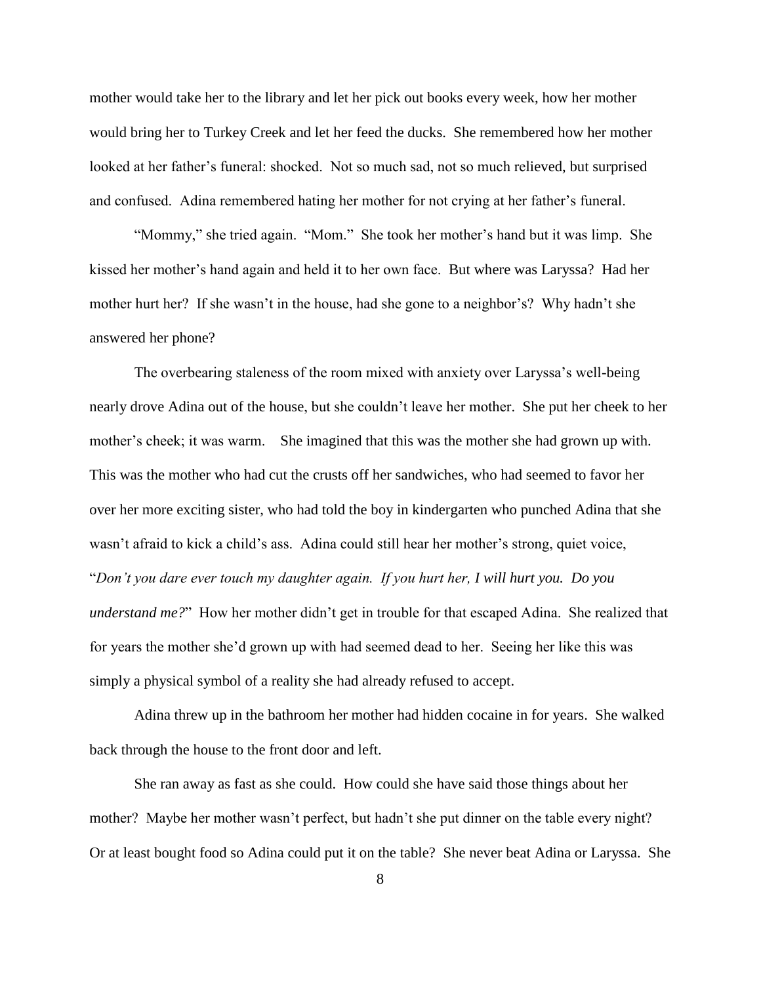mother would take her to the library and let her pick out books every week, how her mother would bring her to Turkey Creek and let her feed the ducks. She remembered how her mother looked at her father's funeral: shocked. Not so much sad, not so much relieved, but surprised and confused. Adina remembered hating her mother for not crying at her father's funeral.

"Mommy," she tried again. "Mom." She took her mother's hand but it was limp. She kissed her mother's hand again and held it to her own face. But where was Laryssa? Had her mother hurt her? If she wasn't in the house, had she gone to a neighbor's? Why hadn't she answered her phone?

The overbearing staleness of the room mixed with anxiety over Laryssa's well-being nearly drove Adina out of the house, but she couldn't leave her mother. She put her cheek to her mother's cheek; it was warm. She imagined that this was the mother she had grown up with. This was the mother who had cut the crusts off her sandwiches, who had seemed to favor her over her more exciting sister, who had told the boy in kindergarten who punched Adina that she wasn't afraid to kick a child's ass. Adina could still hear her mother's strong, quiet voice, "*Don't you dare ever touch my daughter again. If you hurt her, I will hurt you. Do you understand me?*" How her mother didn't get in trouble for that escaped Adina. She realized that for years the mother she'd grown up with had seemed dead to her. Seeing her like this was simply a physical symbol of a reality she had already refused to accept.

Adina threw up in the bathroom her mother had hidden cocaine in for years. She walked back through the house to the front door and left.

She ran away as fast as she could. How could she have said those things about her mother? Maybe her mother wasn't perfect, but hadn't she put dinner on the table every night? Or at least bought food so Adina could put it on the table? She never beat Adina or Laryssa. She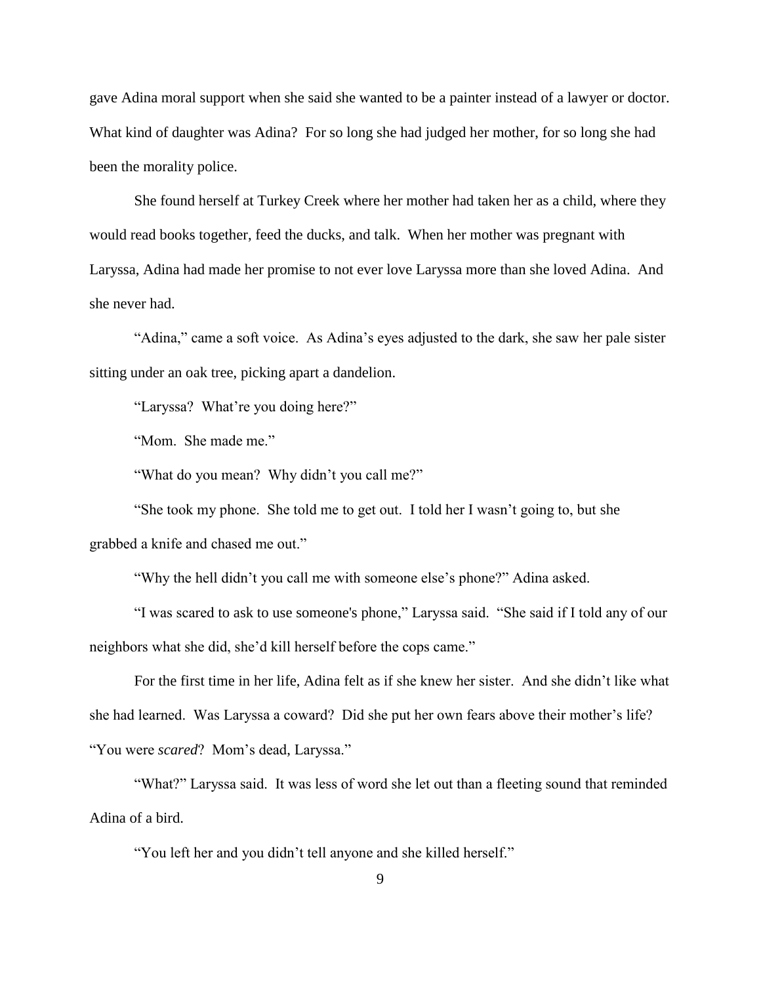gave Adina moral support when she said she wanted to be a painter instead of a lawyer or doctor. What kind of daughter was Adina? For so long she had judged her mother, for so long she had been the morality police.

She found herself at Turkey Creek where her mother had taken her as a child, where they would read books together, feed the ducks, and talk. When her mother was pregnant with Laryssa, Adina had made her promise to not ever love Laryssa more than she loved Adina. And she never had.

"Adina," came a soft voice. As Adina's eyes adjusted to the dark, she saw her pale sister sitting under an oak tree, picking apart a dandelion.

"Laryssa? What're you doing here?"

"Mom. She made me."

"What do you mean? Why didn't you call me?"

"She took my phone. She told me to get out. I told her I wasn't going to, but she grabbed a knife and chased me out."

"Why the hell didn't you call me with someone else's phone?" Adina asked.

"I was scared to ask to use someone's phone," Laryssa said. "She said if I told any of our neighbors what she did, she'd kill herself before the cops came."

For the first time in her life, Adina felt as if she knew her sister. And she didn't like what she had learned. Was Laryssa a coward? Did she put her own fears above their mother's life? "You were *scared*? Mom's dead, Laryssa."

"What?" Laryssa said. It was less of word she let out than a fleeting sound that reminded Adina of a bird.

"You left her and you didn't tell anyone and she killed herself."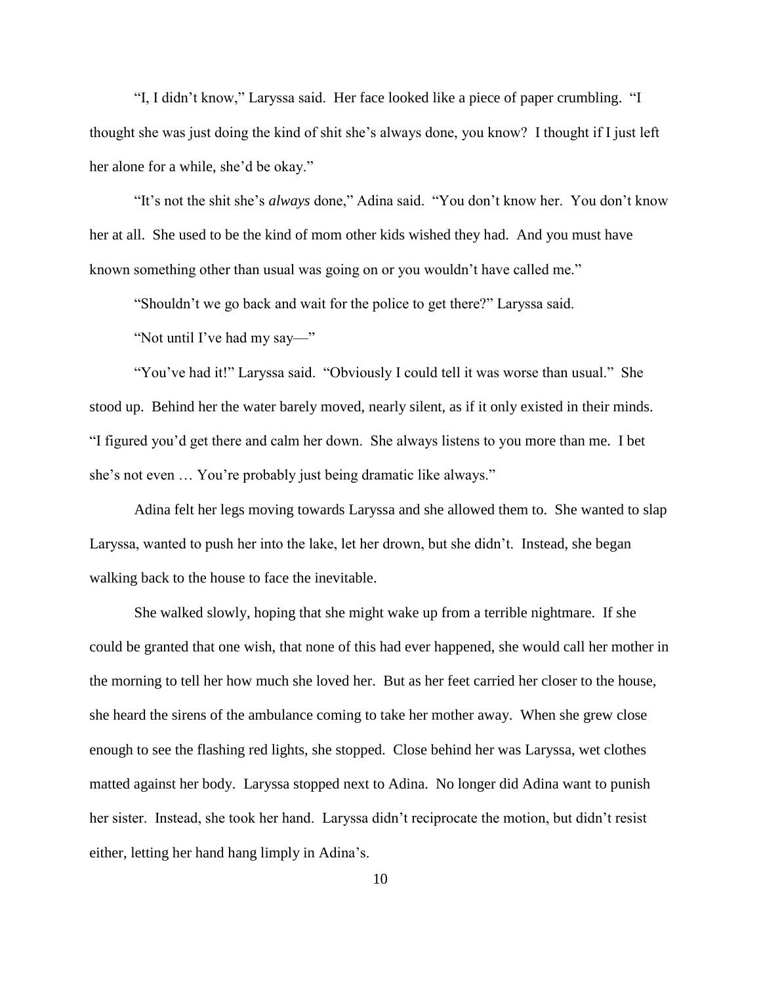"I, I didn't know," Laryssa said. Her face looked like a piece of paper crumbling. "I thought she was just doing the kind of shit she's always done, you know? I thought if I just left her alone for a while, she'd be okay."

"It's not the shit she's *always* done," Adina said. "You don't know her. You don't know her at all. She used to be the kind of mom other kids wished they had. And you must have known something other than usual was going on or you wouldn't have called me."

"Shouldn't we go back and wait for the police to get there?" Laryssa said.

"Not until I've had my say—"

"You've had it!" Laryssa said. "Obviously I could tell it was worse than usual." She stood up. Behind her the water barely moved, nearly silent, as if it only existed in their minds. "I figured you'd get there and calm her down. She always listens to you more than me. I bet she's not even … You're probably just being dramatic like always."

Adina felt her legs moving towards Laryssa and she allowed them to. She wanted to slap Laryssa, wanted to push her into the lake, let her drown, but she didn't. Instead, she began walking back to the house to face the inevitable.

She walked slowly, hoping that she might wake up from a terrible nightmare. If she could be granted that one wish, that none of this had ever happened, she would call her mother in the morning to tell her how much she loved her. But as her feet carried her closer to the house, she heard the sirens of the ambulance coming to take her mother away. When she grew close enough to see the flashing red lights, she stopped. Close behind her was Laryssa, wet clothes matted against her body. Laryssa stopped next to Adina. No longer did Adina want to punish her sister. Instead, she took her hand. Laryssa didn't reciprocate the motion, but didn't resist either, letting her hand hang limply in Adina's.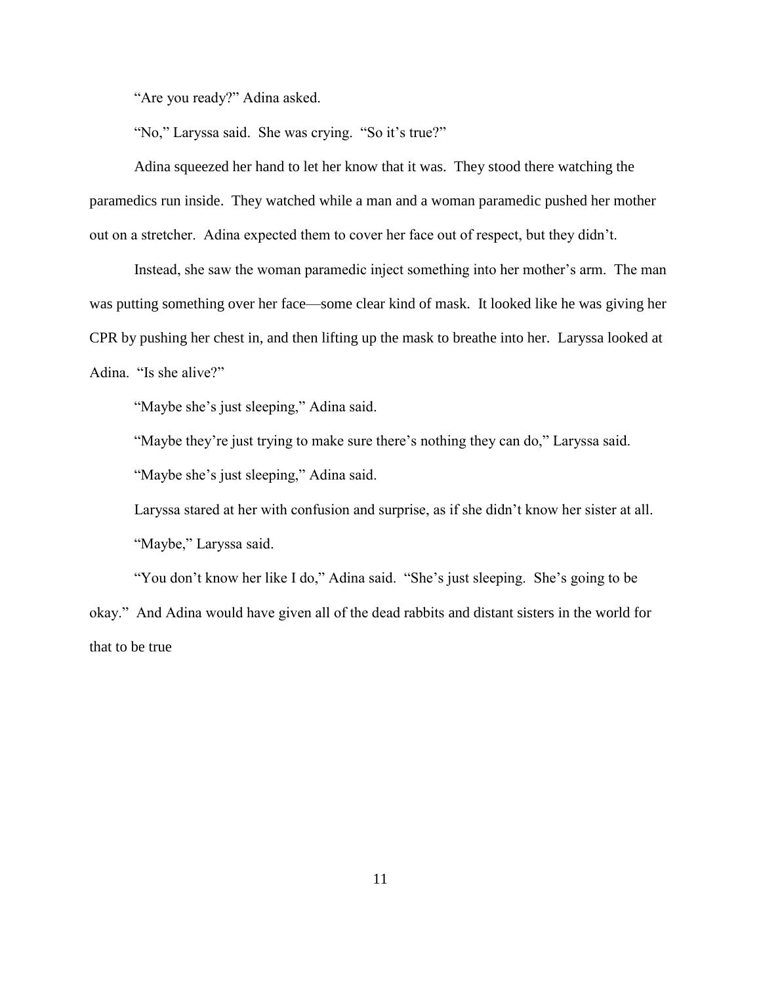"Are you ready?" Adina asked.

"No," Laryssa said. She was crying. "So it's true?"

Adina squeezed her hand to let her know that it was. They stood there watching the paramedics run inside. They watched while a man and a woman paramedic pushed her mother out on a stretcher. Adina expected them to cover her face out of respect, but they didn't.

Instead, she saw the woman paramedic inject something into her mother's arm. The man was putting something over her face—some clear kind of mask. It looked like he was giving her CPR by pushing her chest in, and then lifting up the mask to breathe into her. Laryssa looked at Adina. "Is she alive?"

"Maybe she's just sleeping," Adina said.

"Maybe they're just trying to make sure there's nothing they can do," Laryssa said.

"Maybe she's just sleeping," Adina said.

Laryssa stared at her with confusion and surprise, as if she didn't know her sister at all. "Maybe," Laryssa said.

"You don't know her like I do," Adina said. "She's just sleeping. She's going to be okay." And Adina would have given all of the dead rabbits and distant sisters in the world for that to be true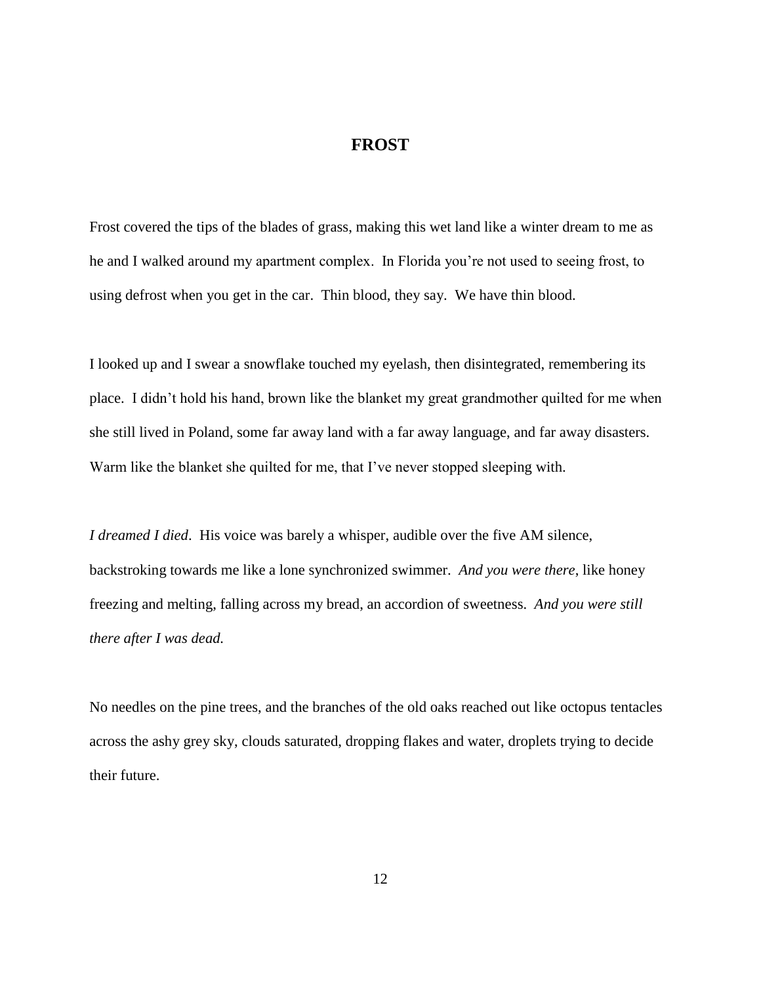### **FROST**

<span id="page-18-0"></span>Frost covered the tips of the blades of grass, making this wet land like a winter dream to me as he and I walked around my apartment complex. In Florida you're not used to seeing frost, to using defrost when you get in the car. Thin blood, they say. We have thin blood.

I looked up and I swear a snowflake touched my eyelash, then disintegrated, remembering its place. I didn't hold his hand, brown like the blanket my great grandmother quilted for me when she still lived in Poland, some far away land with a far away language, and far away disasters. Warm like the blanket she quilted for me, that I've never stopped sleeping with.

*I dreamed I died*. His voice was barely a whisper, audible over the five AM silence, backstroking towards me like a lone synchronized swimmer. *And you were there*, like honey freezing and melting, falling across my bread, an accordion of sweetness. *And you were still there after I was dead.*

No needles on the pine trees, and the branches of the old oaks reached out like octopus tentacles across the ashy grey sky, clouds saturated, dropping flakes and water, droplets trying to decide their future.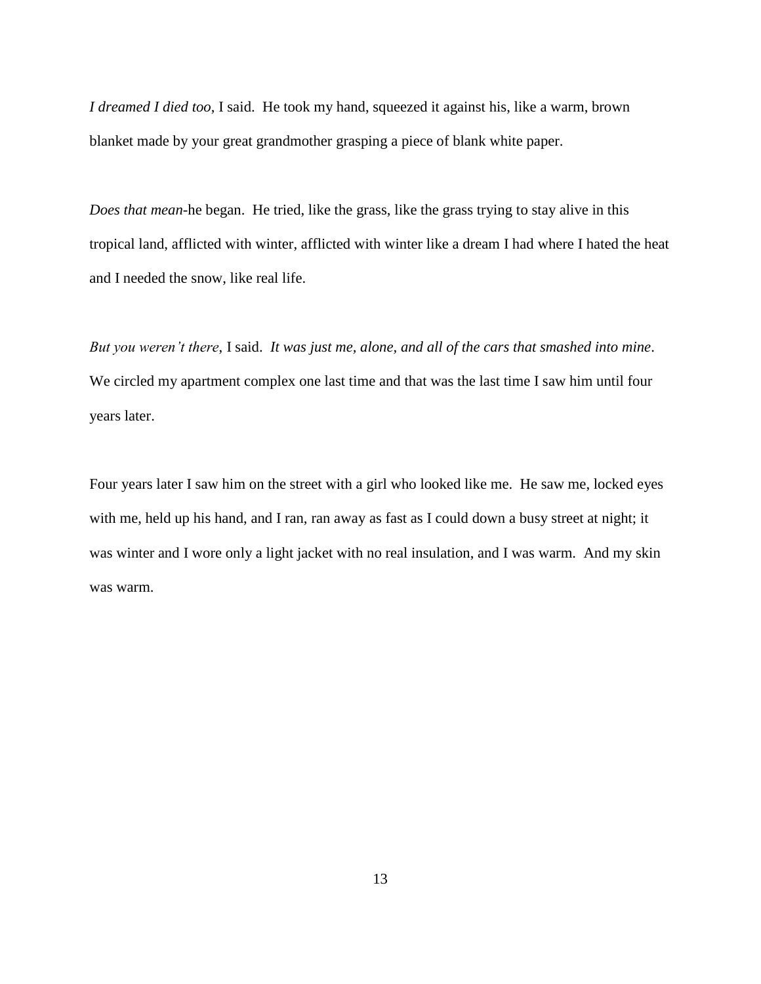*I dreamed I died too*, I said. He took my hand, squeezed it against his, like a warm, brown blanket made by your great grandmother grasping a piece of blank white paper.

*Does that mean-*he began. He tried, like the grass, like the grass trying to stay alive in this tropical land, afflicted with winter, afflicted with winter like a dream I had where I hated the heat and I needed the snow, like real life.

*But you weren't there*, I said. *It was just me, alone, and all of the cars that smashed into mine*. We circled my apartment complex one last time and that was the last time I saw him until four years later.

Four years later I saw him on the street with a girl who looked like me. He saw me, locked eyes with me, held up his hand, and I ran, ran away as fast as I could down a busy street at night; it was winter and I wore only a light jacket with no real insulation, and I was warm. And my skin was warm.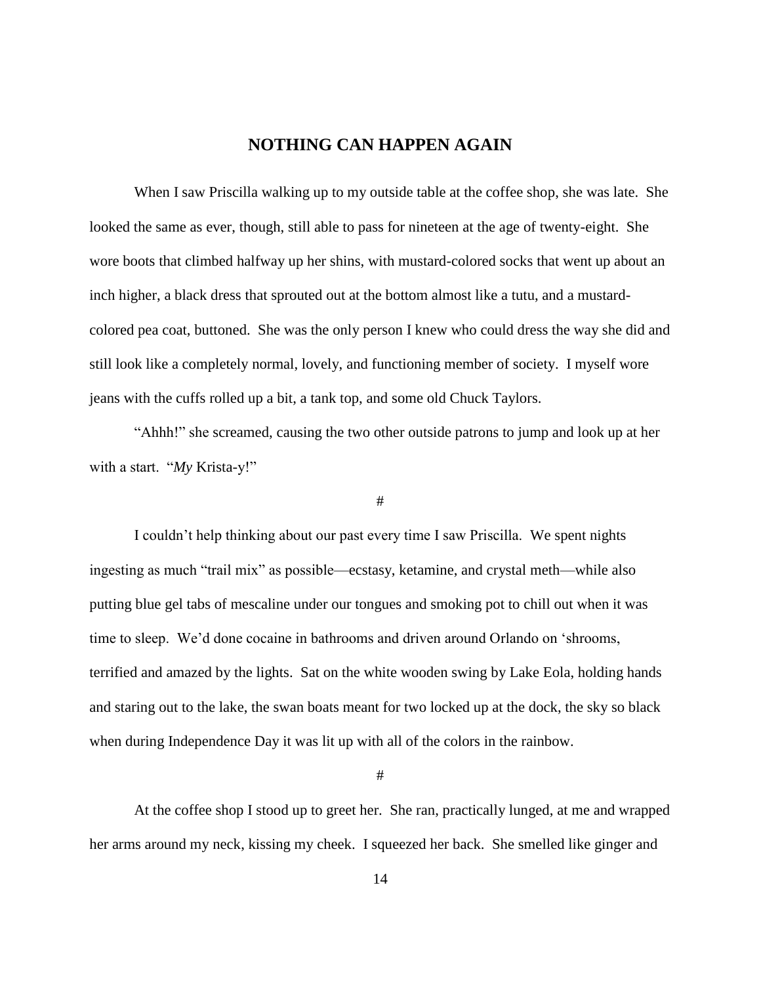# **NOTHING CAN HAPPEN AGAIN**

<span id="page-20-0"></span>When I saw Priscilla walking up to my outside table at the coffee shop, she was late. She looked the same as ever, though, still able to pass for nineteen at the age of twenty-eight. She wore boots that climbed halfway up her shins, with mustard-colored socks that went up about an inch higher, a black dress that sprouted out at the bottom almost like a tutu, and a mustardcolored pea coat, buttoned. She was the only person I knew who could dress the way she did and still look like a completely normal, lovely, and functioning member of society. I myself wore jeans with the cuffs rolled up a bit, a tank top, and some old Chuck Taylors.

"Ahhh!" she screamed, causing the two other outside patrons to jump and look up at her with a start. "*My* Krista-y!"

#### #

I couldn't help thinking about our past every time I saw Priscilla. We spent nights ingesting as much "trail mix" as possible—ecstasy, ketamine, and crystal meth—while also putting blue gel tabs of mescaline under our tongues and smoking pot to chill out when it was time to sleep. We'd done cocaine in bathrooms and driven around Orlando on 'shrooms, terrified and amazed by the lights. Sat on the white wooden swing by Lake Eola, holding hands and staring out to the lake, the swan boats meant for two locked up at the dock, the sky so black when during Independence Day it was lit up with all of the colors in the rainbow.

#

At the coffee shop I stood up to greet her. She ran, practically lunged, at me and wrapped her arms around my neck, kissing my cheek. I squeezed her back. She smelled like ginger and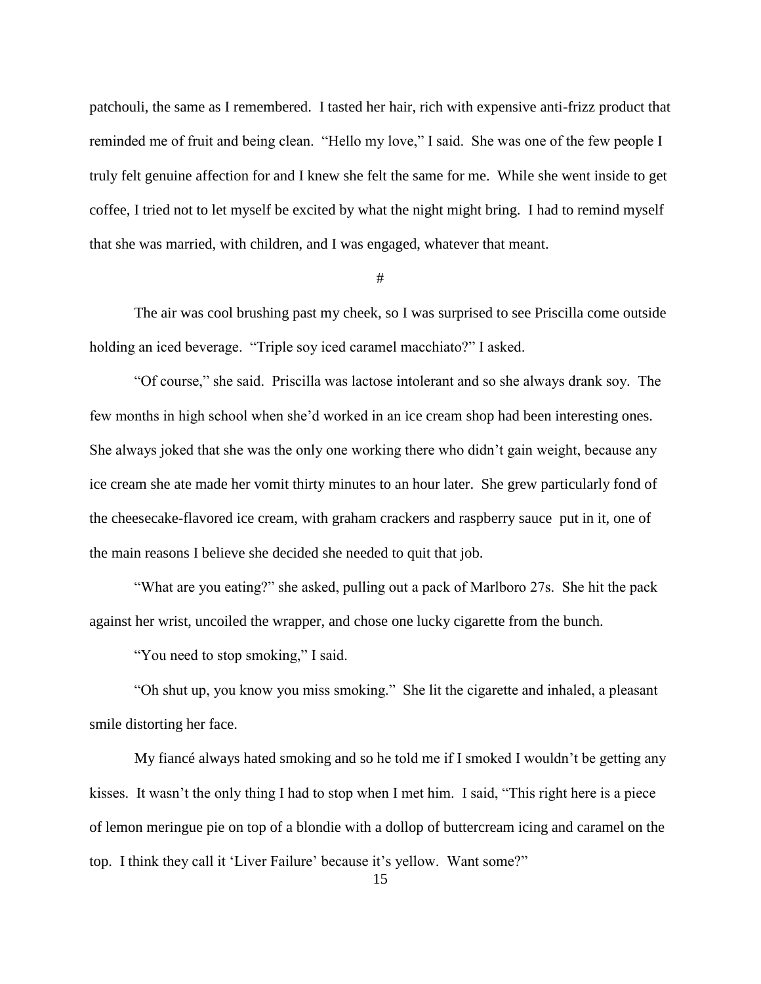patchouli, the same as I remembered. I tasted her hair, rich with expensive anti-frizz product that reminded me of fruit and being clean. "Hello my love," I said. She was one of the few people I truly felt genuine affection for and I knew she felt the same for me. While she went inside to get coffee, I tried not to let myself be excited by what the night might bring. I had to remind myself that she was married, with children, and I was engaged, whatever that meant.

#

The air was cool brushing past my cheek, so I was surprised to see Priscilla come outside holding an iced beverage. "Triple soy iced caramel macchiato?" I asked.

"Of course," she said. Priscilla was lactose intolerant and so she always drank soy. The few months in high school when she'd worked in an ice cream shop had been interesting ones. She always joked that she was the only one working there who didn't gain weight, because any ice cream she ate made her vomit thirty minutes to an hour later. She grew particularly fond of the cheesecake-flavored ice cream, with graham crackers and raspberry sauce put in it, one of the main reasons I believe she decided she needed to quit that job.

"What are you eating?" she asked, pulling out a pack of Marlboro 27s. She hit the pack against her wrist, uncoiled the wrapper, and chose one lucky cigarette from the bunch.

"You need to stop smoking," I said.

"Oh shut up, you know you miss smoking." She lit the cigarette and inhaled, a pleasant smile distorting her face.

My fiancé always hated smoking and so he told me if I smoked I wouldn't be getting any kisses. It wasn't the only thing I had to stop when I met him. I said, "This right here is a piece of lemon meringue pie on top of a blondie with a dollop of buttercream icing and caramel on the top. I think they call it 'Liver Failure' because it's yellow. Want some?"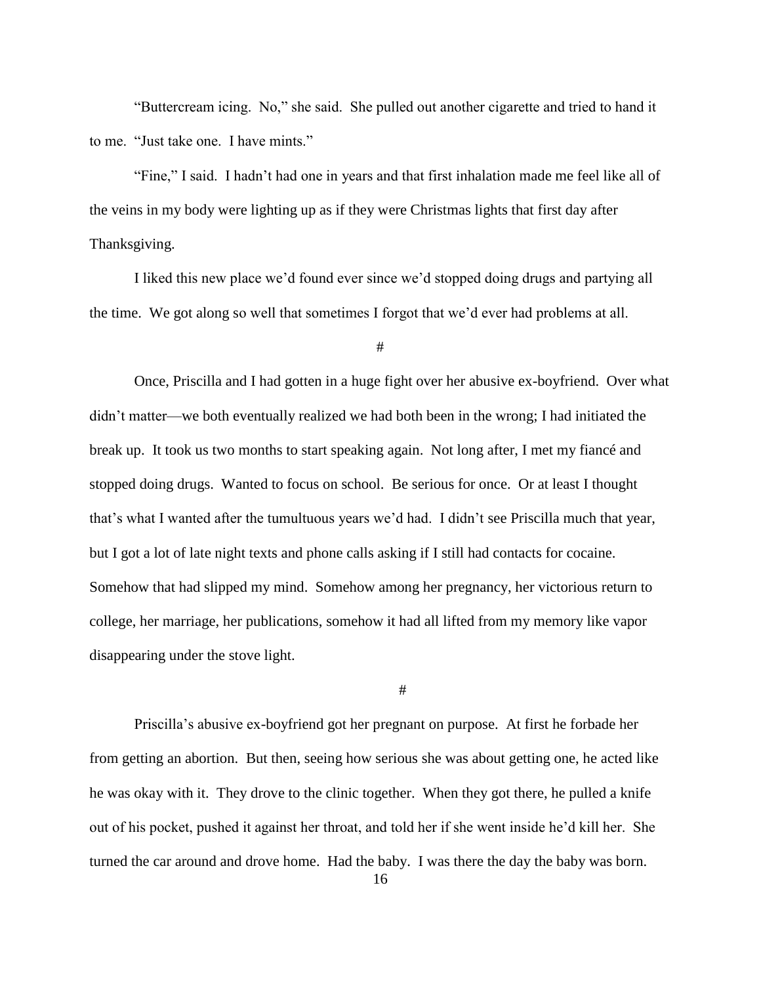"Buttercream icing. No," she said. She pulled out another cigarette and tried to hand it to me. "Just take one. I have mints."

"Fine," I said. I hadn't had one in years and that first inhalation made me feel like all of the veins in my body were lighting up as if they were Christmas lights that first day after Thanksgiving.

I liked this new place we'd found ever since we'd stopped doing drugs and partying all the time. We got along so well that sometimes I forgot that we'd ever had problems at all.

#

Once, Priscilla and I had gotten in a huge fight over her abusive ex-boyfriend. Over what didn't matter—we both eventually realized we had both been in the wrong; I had initiated the break up. It took us two months to start speaking again. Not long after, I met my fiancé and stopped doing drugs. Wanted to focus on school. Be serious for once. Or at least I thought that's what I wanted after the tumultuous years we'd had. I didn't see Priscilla much that year, but I got a lot of late night texts and phone calls asking if I still had contacts for cocaine. Somehow that had slipped my mind. Somehow among her pregnancy, her victorious return to college, her marriage, her publications, somehow it had all lifted from my memory like vapor disappearing under the stove light.

#

Priscilla's abusive ex-boyfriend got her pregnant on purpose. At first he forbade her from getting an abortion. But then, seeing how serious she was about getting one, he acted like he was okay with it. They drove to the clinic together. When they got there, he pulled a knife out of his pocket, pushed it against her throat, and told her if she went inside he'd kill her. She turned the car around and drove home. Had the baby. I was there the day the baby was born.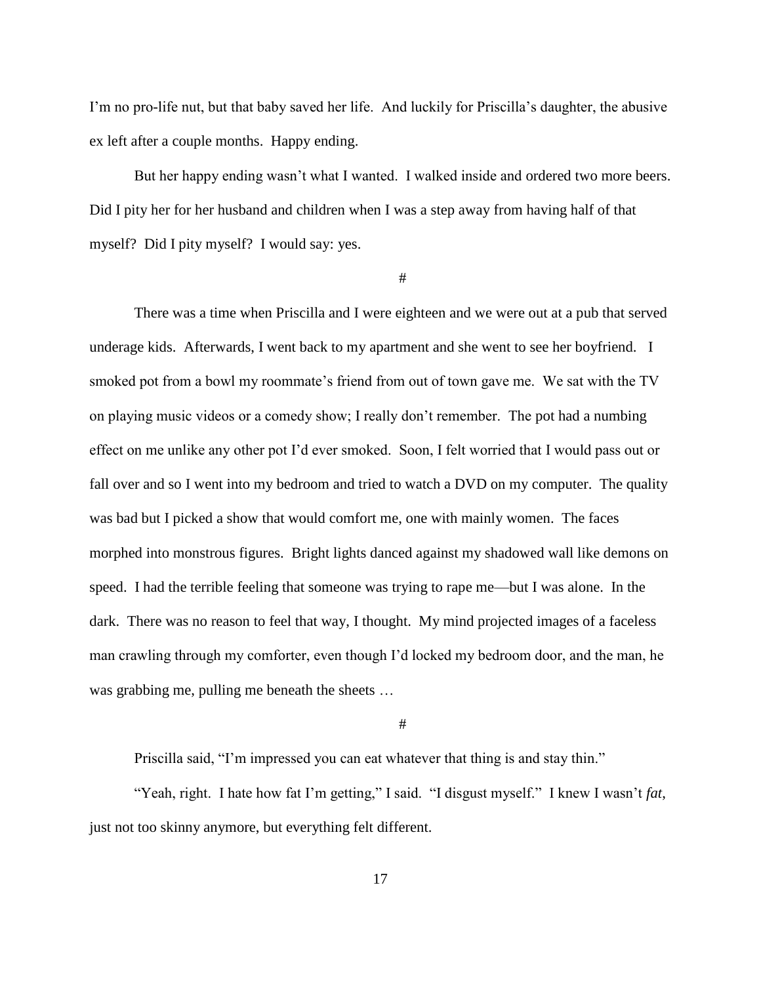I'm no pro-life nut, but that baby saved her life. And luckily for Priscilla's daughter, the abusive ex left after a couple months. Happy ending.

But her happy ending wasn't what I wanted. I walked inside and ordered two more beers. Did I pity her for her husband and children when I was a step away from having half of that myself? Did I pity myself? I would say: yes.

#

There was a time when Priscilla and I were eighteen and we were out at a pub that served underage kids. Afterwards, I went back to my apartment and she went to see her boyfriend. I smoked pot from a bowl my roommate's friend from out of town gave me. We sat with the TV on playing music videos or a comedy show; I really don't remember. The pot had a numbing effect on me unlike any other pot I'd ever smoked. Soon, I felt worried that I would pass out or fall over and so I went into my bedroom and tried to watch a DVD on my computer. The quality was bad but I picked a show that would comfort me, one with mainly women. The faces morphed into monstrous figures. Bright lights danced against my shadowed wall like demons on speed. I had the terrible feeling that someone was trying to rape me—but I was alone. In the dark. There was no reason to feel that way, I thought. My mind projected images of a faceless man crawling through my comforter, even though I'd locked my bedroom door, and the man, he was grabbing me, pulling me beneath the sheets …

#

Priscilla said, "I'm impressed you can eat whatever that thing is and stay thin."

"Yeah, right. I hate how fat I'm getting," I said. "I disgust myself." I knew I wasn't *fat*, just not too skinny anymore, but everything felt different.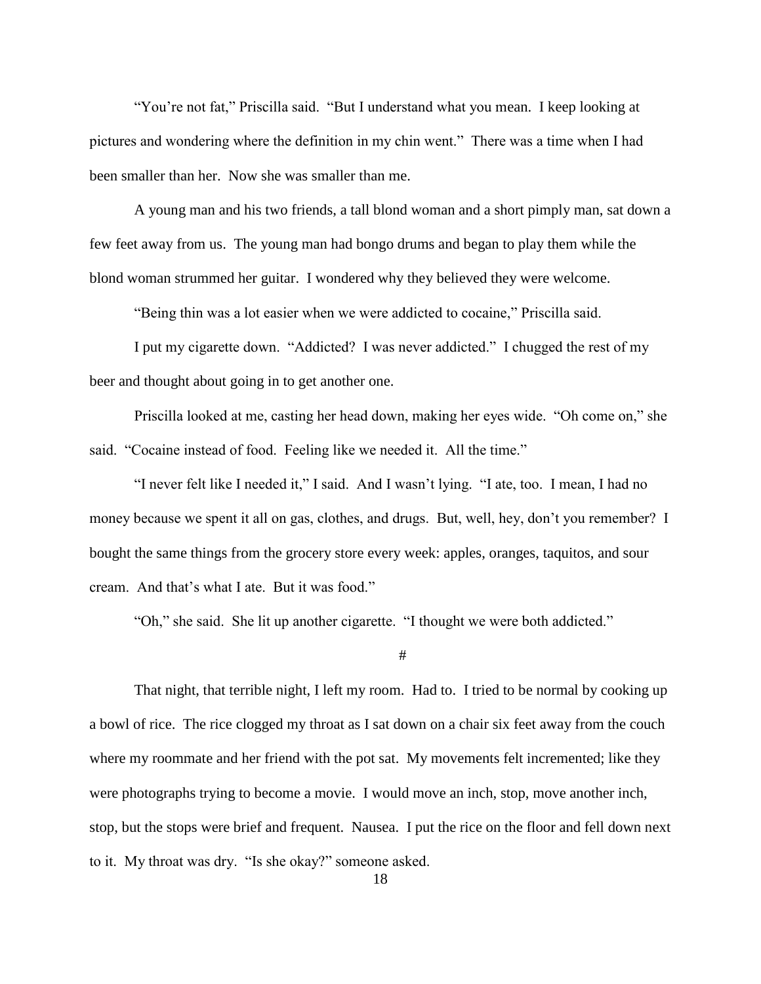"You're not fat," Priscilla said. "But I understand what you mean. I keep looking at pictures and wondering where the definition in my chin went." There was a time when I had been smaller than her. Now she was smaller than me.

A young man and his two friends, a tall blond woman and a short pimply man, sat down a few feet away from us. The young man had bongo drums and began to play them while the blond woman strummed her guitar. I wondered why they believed they were welcome.

"Being thin was a lot easier when we were addicted to cocaine," Priscilla said.

I put my cigarette down. "Addicted? I was never addicted." I chugged the rest of my beer and thought about going in to get another one.

Priscilla looked at me, casting her head down, making her eyes wide. "Oh come on," she said. "Cocaine instead of food. Feeling like we needed it. All the time."

"I never felt like I needed it," I said. And I wasn't lying. "I ate, too. I mean, I had no money because we spent it all on gas, clothes, and drugs. But, well, hey, don't you remember? I bought the same things from the grocery store every week: apples, oranges, taquitos, and sour cream. And that's what I ate. But it was food."

"Oh," she said. She lit up another cigarette. "I thought we were both addicted."

#

That night, that terrible night, I left my room. Had to. I tried to be normal by cooking up a bowl of rice. The rice clogged my throat as I sat down on a chair six feet away from the couch where my roommate and her friend with the pot sat. My movements felt incremented; like they were photographs trying to become a movie. I would move an inch, stop, move another inch, stop, but the stops were brief and frequent. Nausea. I put the rice on the floor and fell down next to it. My throat was dry. "Is she okay?" someone asked.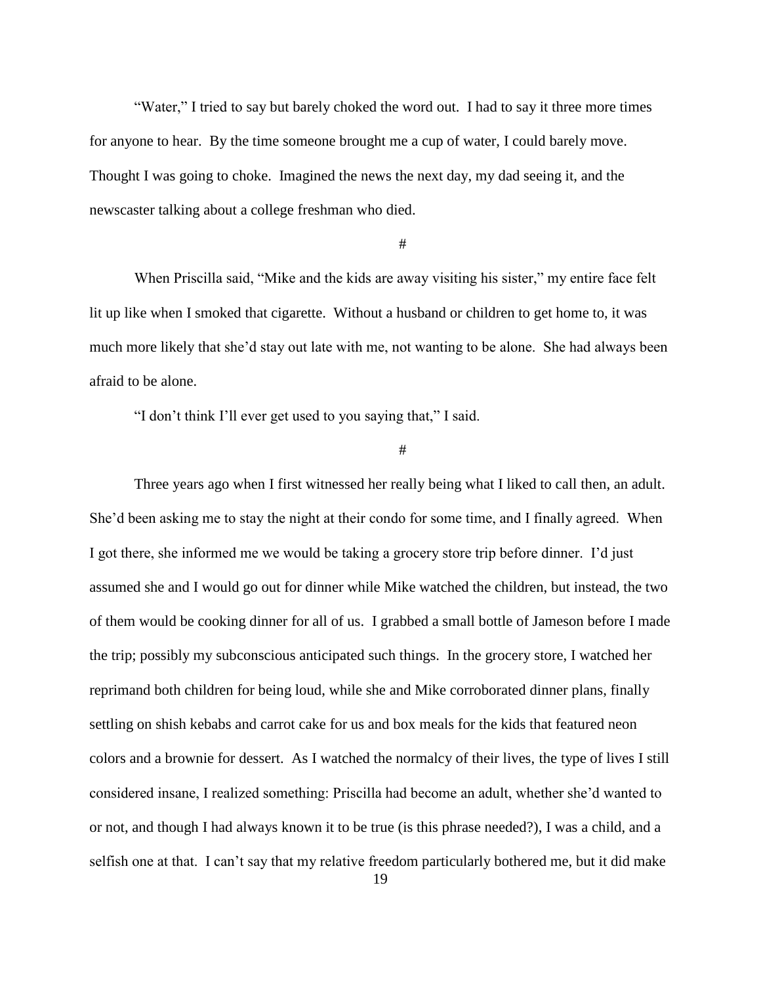"Water," I tried to say but barely choked the word out. I had to say it three more times for anyone to hear. By the time someone brought me a cup of water, I could barely move. Thought I was going to choke. Imagined the news the next day, my dad seeing it, and the newscaster talking about a college freshman who died.

#### #

When Priscilla said, "Mike and the kids are away visiting his sister," my entire face felt lit up like when I smoked that cigarette. Without a husband or children to get home to, it was much more likely that she'd stay out late with me, not wanting to be alone. She had always been afraid to be alone.

"I don't think I'll ever get used to you saying that," I said.

#

Three years ago when I first witnessed her really being what I liked to call then, an adult. She'd been asking me to stay the night at their condo for some time, and I finally agreed. When I got there, she informed me we would be taking a grocery store trip before dinner. I'd just assumed she and I would go out for dinner while Mike watched the children, but instead, the two of them would be cooking dinner for all of us. I grabbed a small bottle of Jameson before I made the trip; possibly my subconscious anticipated such things. In the grocery store, I watched her reprimand both children for being loud, while she and Mike corroborated dinner plans, finally settling on shish kebabs and carrot cake for us and box meals for the kids that featured neon colors and a brownie for dessert. As I watched the normalcy of their lives, the type of lives I still considered insane, I realized something: Priscilla had become an adult, whether she'd wanted to or not, and though I had always known it to be true (is this phrase needed?), I was a child, and a selfish one at that. I can't say that my relative freedom particularly bothered me, but it did make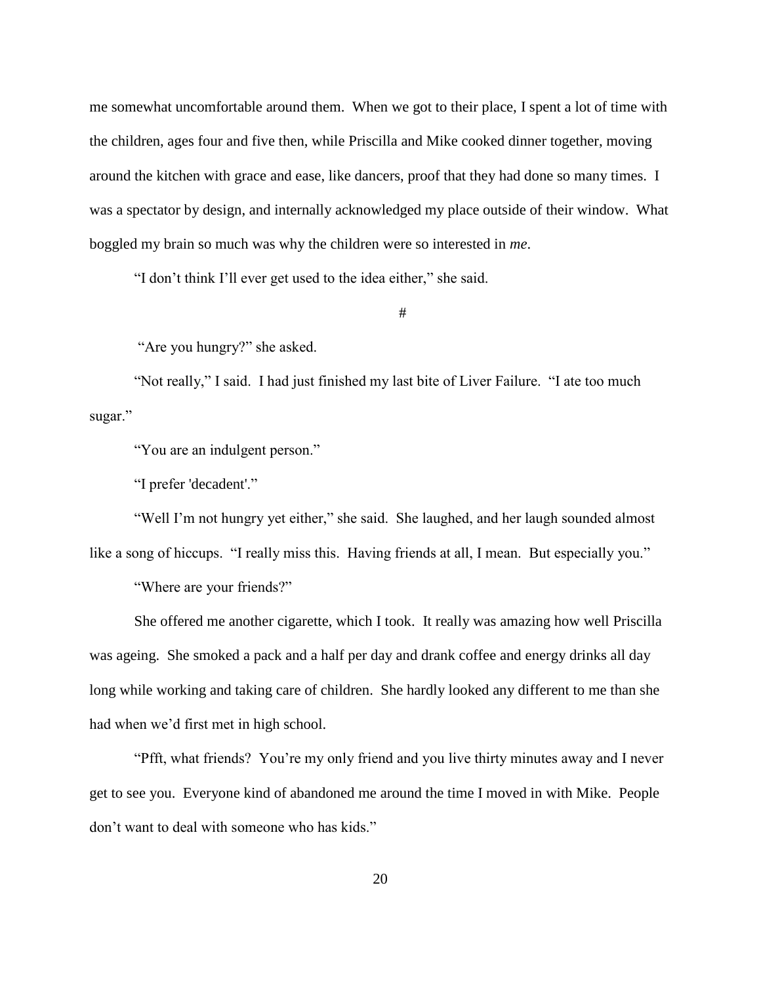me somewhat uncomfortable around them. When we got to their place, I spent a lot of time with the children, ages four and five then, while Priscilla and Mike cooked dinner together, moving around the kitchen with grace and ease, like dancers, proof that they had done so many times. I was a spectator by design, and internally acknowledged my place outside of their window. What boggled my brain so much was why the children were so interested in *me*.

"I don't think I'll ever get used to the idea either," she said.

#

"Are you hungry?" she asked.

"Not really," I said. I had just finished my last bite of Liver Failure. "I ate too much sugar."

"You are an indulgent person."

"I prefer 'decadent'."

"Well I'm not hungry yet either," she said. She laughed, and her laugh sounded almost like a song of hiccups. "I really miss this. Having friends at all, I mean. But especially you."

"Where are your friends?"

She offered me another cigarette, which I took. It really was amazing how well Priscilla was ageing. She smoked a pack and a half per day and drank coffee and energy drinks all day long while working and taking care of children. She hardly looked any different to me than she had when we'd first met in high school.

"Pfft, what friends? You're my only friend and you live thirty minutes away and I never get to see you. Everyone kind of abandoned me around the time I moved in with Mike. People don't want to deal with someone who has kids."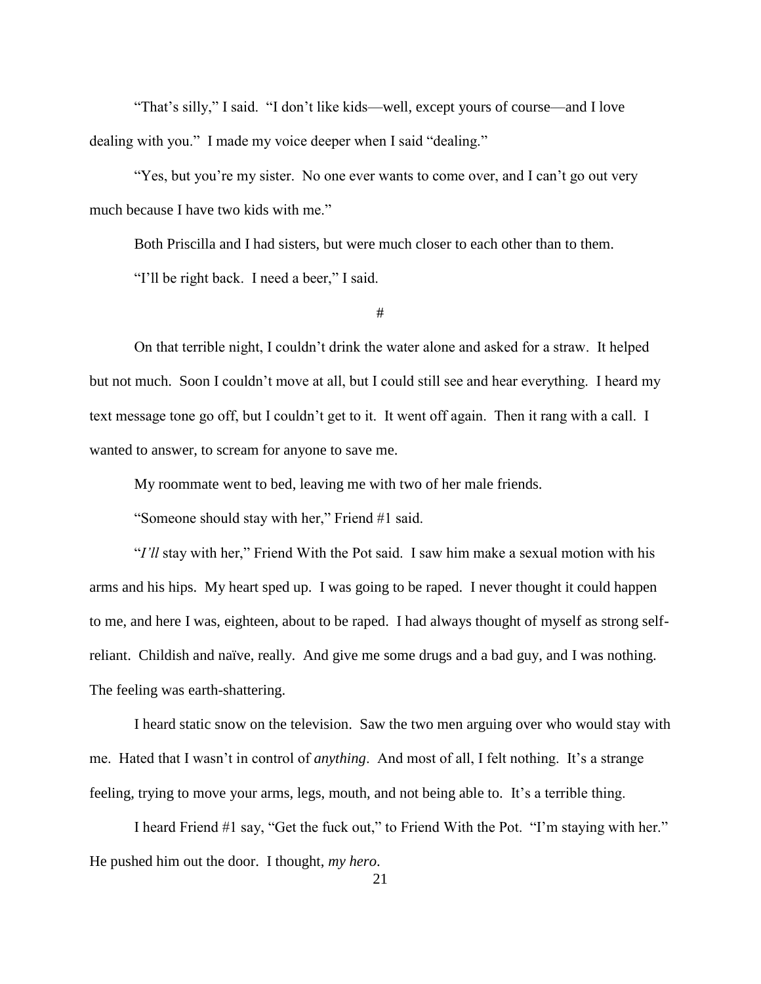"That's silly," I said. "I don't like kids—well, except yours of course—and I love dealing with you." I made my voice deeper when I said "dealing."

"Yes, but you're my sister. No one ever wants to come over, and I can't go out very much because I have two kids with me."

Both Priscilla and I had sisters, but were much closer to each other than to them.

"I'll be right back. I need a beer," I said.

#

On that terrible night, I couldn't drink the water alone and asked for a straw. It helped but not much. Soon I couldn't move at all, but I could still see and hear everything. I heard my text message tone go off, but I couldn't get to it. It went off again. Then it rang with a call. I wanted to answer, to scream for anyone to save me.

My roommate went to bed, leaving me with two of her male friends.

"Someone should stay with her," Friend #1 said.

"*I'll* stay with her," Friend With the Pot said. I saw him make a sexual motion with his arms and his hips. My heart sped up. I was going to be raped. I never thought it could happen to me, and here I was, eighteen, about to be raped. I had always thought of myself as strong selfreliant. Childish and naïve, really. And give me some drugs and a bad guy, and I was nothing. The feeling was earth-shattering.

I heard static snow on the television. Saw the two men arguing over who would stay with me. Hated that I wasn't in control of *anything*. And most of all, I felt nothing. It's a strange feeling, trying to move your arms, legs, mouth, and not being able to. It's a terrible thing.

I heard Friend #1 say, "Get the fuck out," to Friend With the Pot. "I'm staying with her." He pushed him out the door. I thought, *my hero*.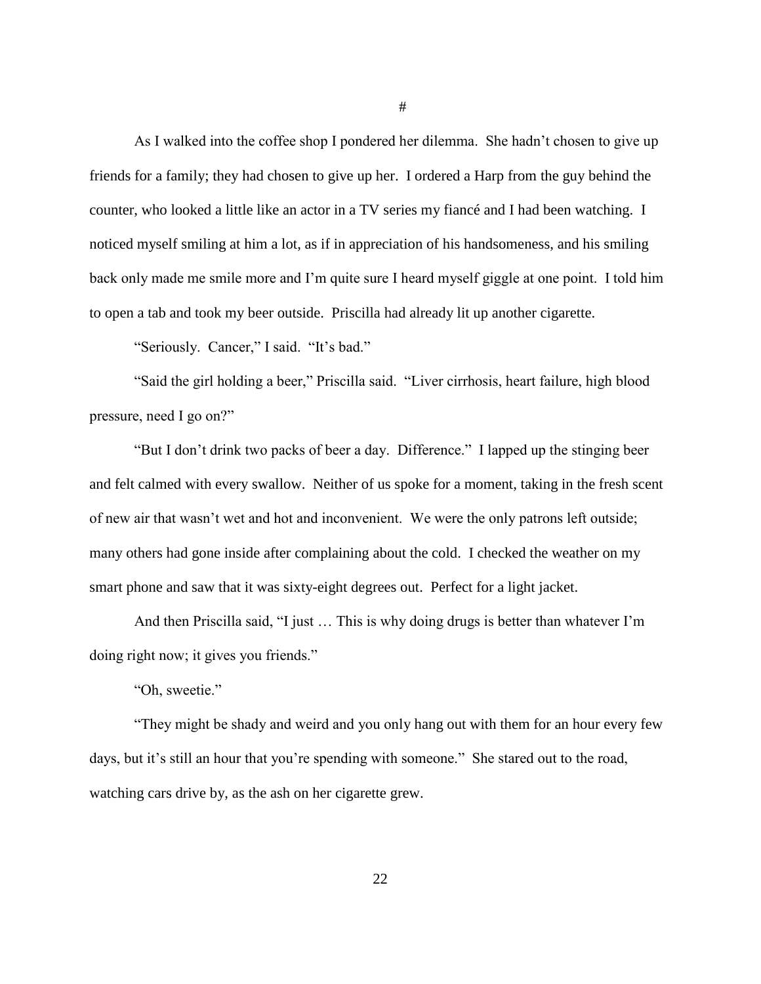As I walked into the coffee shop I pondered her dilemma. She hadn't chosen to give up friends for a family; they had chosen to give up her. I ordered a Harp from the guy behind the counter, who looked a little like an actor in a TV series my fiancé and I had been watching. I noticed myself smiling at him a lot, as if in appreciation of his handsomeness, and his smiling back only made me smile more and I'm quite sure I heard myself giggle at one point. I told him to open a tab and took my beer outside. Priscilla had already lit up another cigarette.

"Seriously. Cancer," I said. "It's bad."

"Said the girl holding a beer," Priscilla said. "Liver cirrhosis, heart failure, high blood pressure, need I go on?"

"But I don't drink two packs of beer a day. Difference." I lapped up the stinging beer and felt calmed with every swallow. Neither of us spoke for a moment, taking in the fresh scent of new air that wasn't wet and hot and inconvenient. We were the only patrons left outside; many others had gone inside after complaining about the cold. I checked the weather on my smart phone and saw that it was sixty-eight degrees out. Perfect for a light jacket.

And then Priscilla said, "I just … This is why doing drugs is better than whatever I'm doing right now; it gives you friends."

"Oh, sweetie."

"They might be shady and weird and you only hang out with them for an hour every few days, but it's still an hour that you're spending with someone." She stared out to the road, watching cars drive by, as the ash on her cigarette grew.

#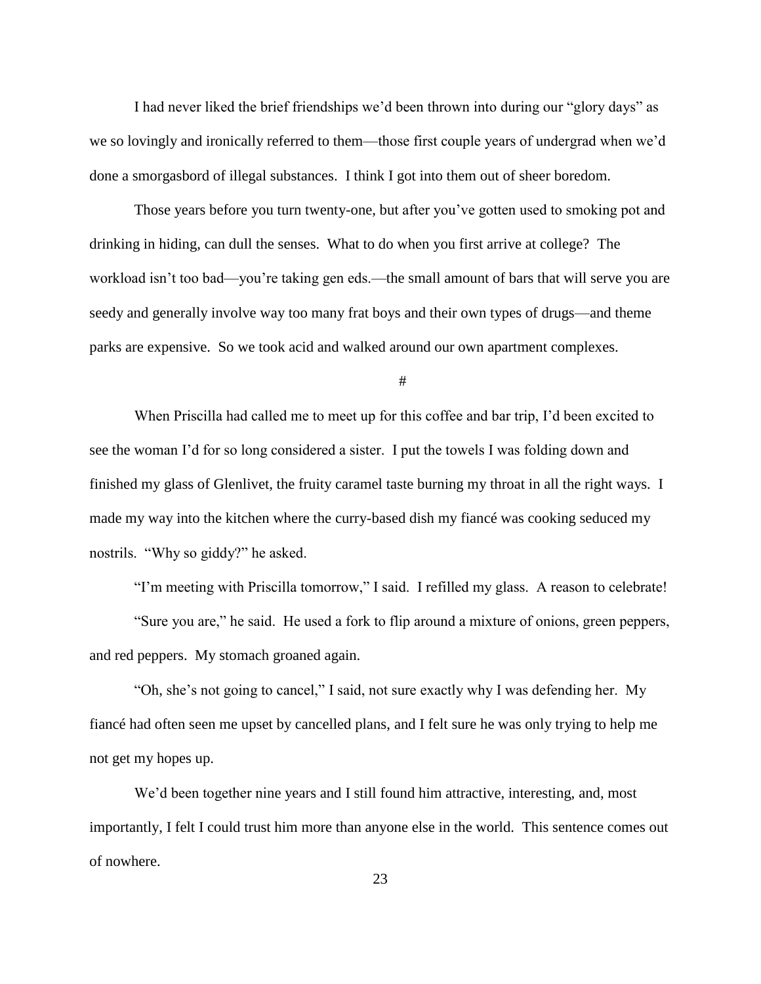I had never liked the brief friendships we'd been thrown into during our "glory days" as we so lovingly and ironically referred to them—those first couple years of undergrad when we'd done a smorgasbord of illegal substances. I think I got into them out of sheer boredom.

Those years before you turn twenty-one, but after you've gotten used to smoking pot and drinking in hiding, can dull the senses. What to do when you first arrive at college? The workload isn't too bad—you're taking gen eds.—the small amount of bars that will serve you are seedy and generally involve way too many frat boys and their own types of drugs—and theme parks are expensive. So we took acid and walked around our own apartment complexes.

#

When Priscilla had called me to meet up for this coffee and bar trip, I'd been excited to see the woman I'd for so long considered a sister. I put the towels I was folding down and finished my glass of Glenlivet, the fruity caramel taste burning my throat in all the right ways. I made my way into the kitchen where the curry-based dish my fiancé was cooking seduced my nostrils. "Why so giddy?" he asked.

"I'm meeting with Priscilla tomorrow," I said. I refilled my glass. A reason to celebrate! "Sure you are," he said. He used a fork to flip around a mixture of onions, green peppers, and red peppers. My stomach groaned again.

"Oh, she's not going to cancel," I said, not sure exactly why I was defending her. My fiancé had often seen me upset by cancelled plans, and I felt sure he was only trying to help me not get my hopes up.

We'd been together nine years and I still found him attractive, interesting, and, most importantly, I felt I could trust him more than anyone else in the world. This sentence comes out of nowhere.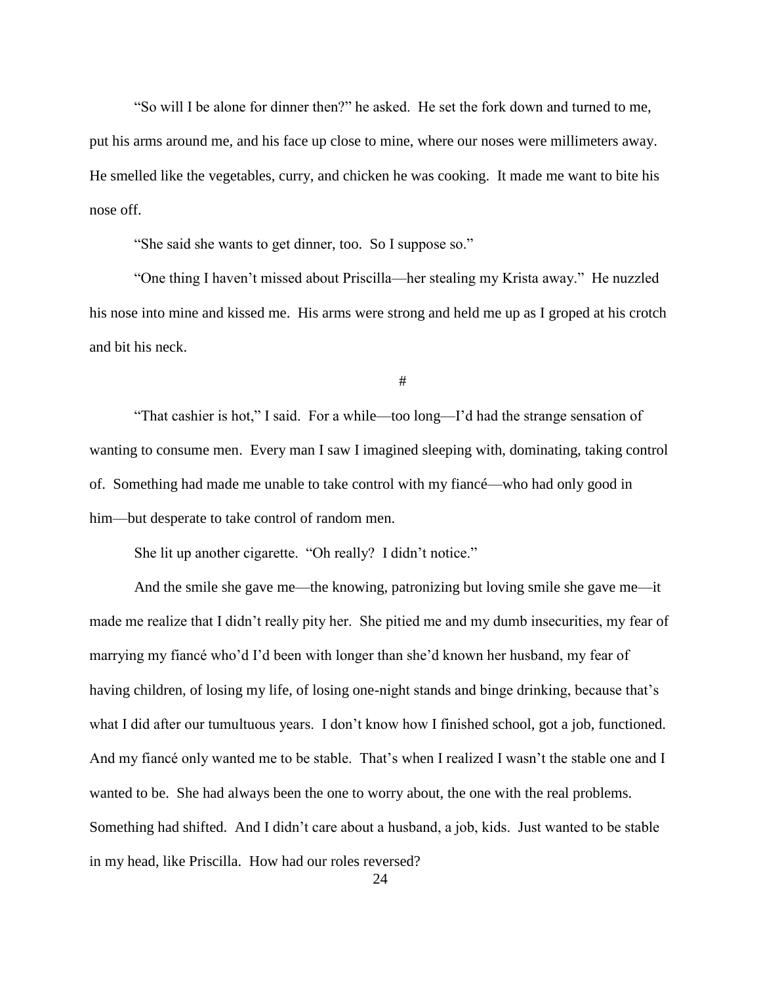"So will I be alone for dinner then?" he asked. He set the fork down and turned to me, put his arms around me, and his face up close to mine, where our noses were millimeters away. He smelled like the vegetables, curry, and chicken he was cooking. It made me want to bite his nose off.

"She said she wants to get dinner, too. So I suppose so."

"One thing I haven't missed about Priscilla—her stealing my Krista away." He nuzzled his nose into mine and kissed me. His arms were strong and held me up as I groped at his crotch and bit his neck.

#

"That cashier is hot," I said. For a while—too long—I'd had the strange sensation of wanting to consume men. Every man I saw I imagined sleeping with, dominating, taking control of. Something had made me unable to take control with my fiancé—who had only good in him—but desperate to take control of random men.

She lit up another cigarette. "Oh really? I didn't notice."

And the smile she gave me—the knowing, patronizing but loving smile she gave me—it made me realize that I didn't really pity her. She pitied me and my dumb insecurities, my fear of marrying my fiancé who'd I'd been with longer than she'd known her husband, my fear of having children, of losing my life, of losing one-night stands and binge drinking, because that's what I did after our tumultuous years. I don't know how I finished school, got a job, functioned. And my fiancé only wanted me to be stable. That's when I realized I wasn't the stable one and I wanted to be. She had always been the one to worry about, the one with the real problems. Something had shifted. And I didn't care about a husband, a job, kids. Just wanted to be stable in my head, like Priscilla. How had our roles reversed?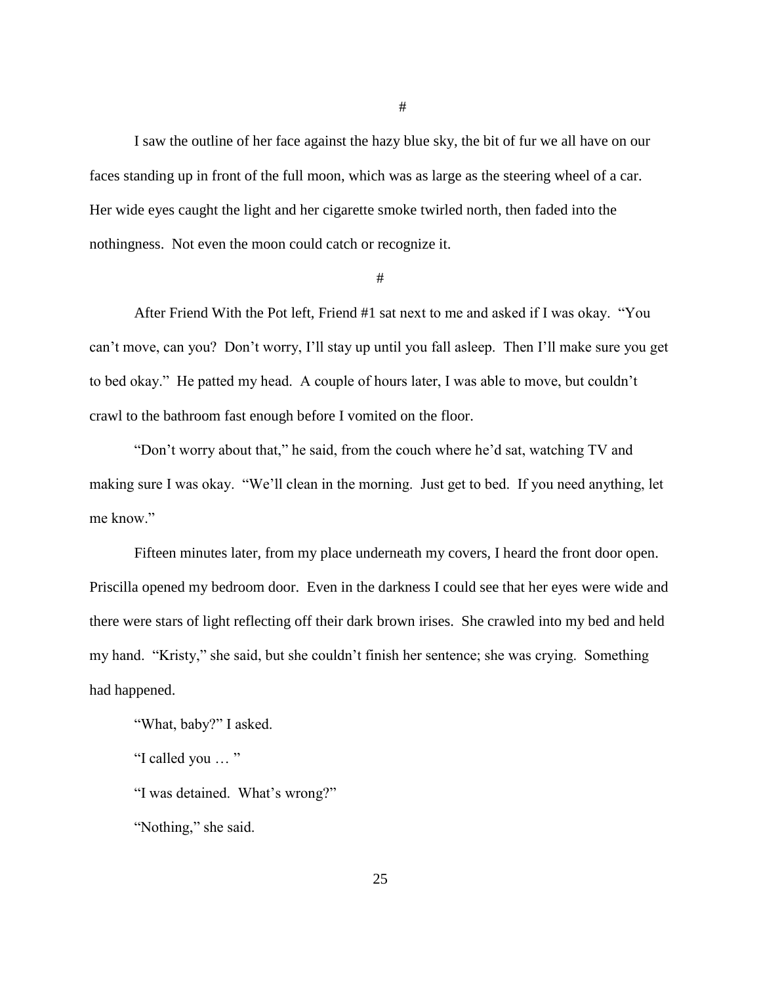I saw the outline of her face against the hazy blue sky, the bit of fur we all have on our faces standing up in front of the full moon, which was as large as the steering wheel of a car. Her wide eyes caught the light and her cigarette smoke twirled north, then faded into the nothingness. Not even the moon could catch or recognize it.

#

After Friend With the Pot left, Friend #1 sat next to me and asked if I was okay. "You can't move, can you? Don't worry, I'll stay up until you fall asleep. Then I'll make sure you get to bed okay." He patted my head. A couple of hours later, I was able to move, but couldn't crawl to the bathroom fast enough before I vomited on the floor.

"Don't worry about that," he said, from the couch where he'd sat, watching TV and making sure I was okay. "We'll clean in the morning. Just get to bed. If you need anything, let me know."

Fifteen minutes later, from my place underneath my covers, I heard the front door open. Priscilla opened my bedroom door. Even in the darkness I could see that her eyes were wide and there were stars of light reflecting off their dark brown irises. She crawled into my bed and held my hand. "Kristy," she said, but she couldn't finish her sentence; she was crying. Something had happened.

"What, baby?" I asked.

"I called you … "

"I was detained. What's wrong?"

"Nothing," she said.

#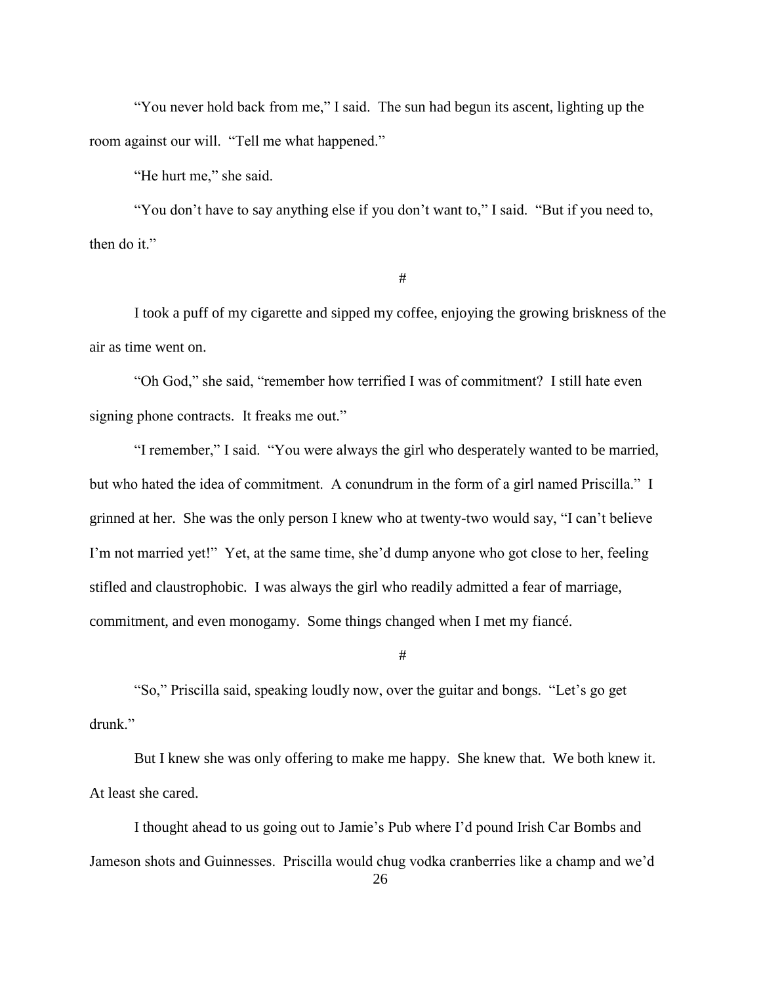"You never hold back from me," I said. The sun had begun its ascent, lighting up the room against our will. "Tell me what happened."

"He hurt me," she said.

"You don't have to say anything else if you don't want to," I said. "But if you need to, then do it."

#

I took a puff of my cigarette and sipped my coffee, enjoying the growing briskness of the air as time went on.

"Oh God," she said, "remember how terrified I was of commitment? I still hate even signing phone contracts. It freaks me out."

"I remember," I said. "You were always the girl who desperately wanted to be married, but who hated the idea of commitment. A conundrum in the form of a girl named Priscilla." I grinned at her. She was the only person I knew who at twenty-two would say, "I can't believe I'm not married yet!" Yet, at the same time, she'd dump anyone who got close to her, feeling stifled and claustrophobic. I was always the girl who readily admitted a fear of marriage, commitment, and even monogamy. Some things changed when I met my fiancé.

#

"So," Priscilla said, speaking loudly now, over the guitar and bongs. "Let's go get drunk."

But I knew she was only offering to make me happy. She knew that. We both knew it. At least she cared.

I thought ahead to us going out to Jamie's Pub where I'd pound Irish Car Bombs and Jameson shots and Guinnesses. Priscilla would chug vodka cranberries like a champ and we'd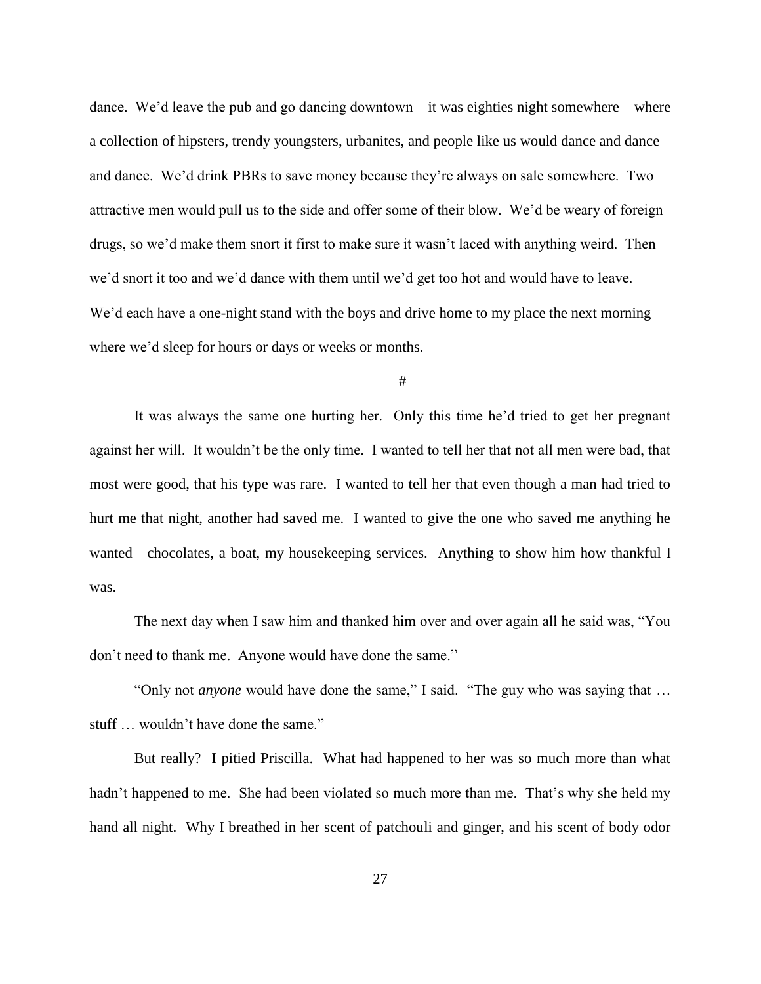dance. We'd leave the pub and go dancing downtown—it was eighties night somewhere—where a collection of hipsters, trendy youngsters, urbanites, and people like us would dance and dance and dance. We'd drink PBRs to save money because they're always on sale somewhere. Two attractive men would pull us to the side and offer some of their blow. We'd be weary of foreign drugs, so we'd make them snort it first to make sure it wasn't laced with anything weird. Then we'd snort it too and we'd dance with them until we'd get too hot and would have to leave. We'd each have a one-night stand with the boys and drive home to my place the next morning where we'd sleep for hours or days or weeks or months.

#

It was always the same one hurting her. Only this time he'd tried to get her pregnant against her will. It wouldn't be the only time. I wanted to tell her that not all men were bad, that most were good, that his type was rare. I wanted to tell her that even though a man had tried to hurt me that night, another had saved me. I wanted to give the one who saved me anything he wanted—chocolates, a boat, my housekeeping services. Anything to show him how thankful I was.

The next day when I saw him and thanked him over and over again all he said was, "You don't need to thank me. Anyone would have done the same."

"Only not *anyone* would have done the same," I said. "The guy who was saying that … stuff … wouldn't have done the same."

But really? I pitied Priscilla. What had happened to her was so much more than what hadn't happened to me. She had been violated so much more than me. That's why she held my hand all night. Why I breathed in her scent of patchouli and ginger, and his scent of body odor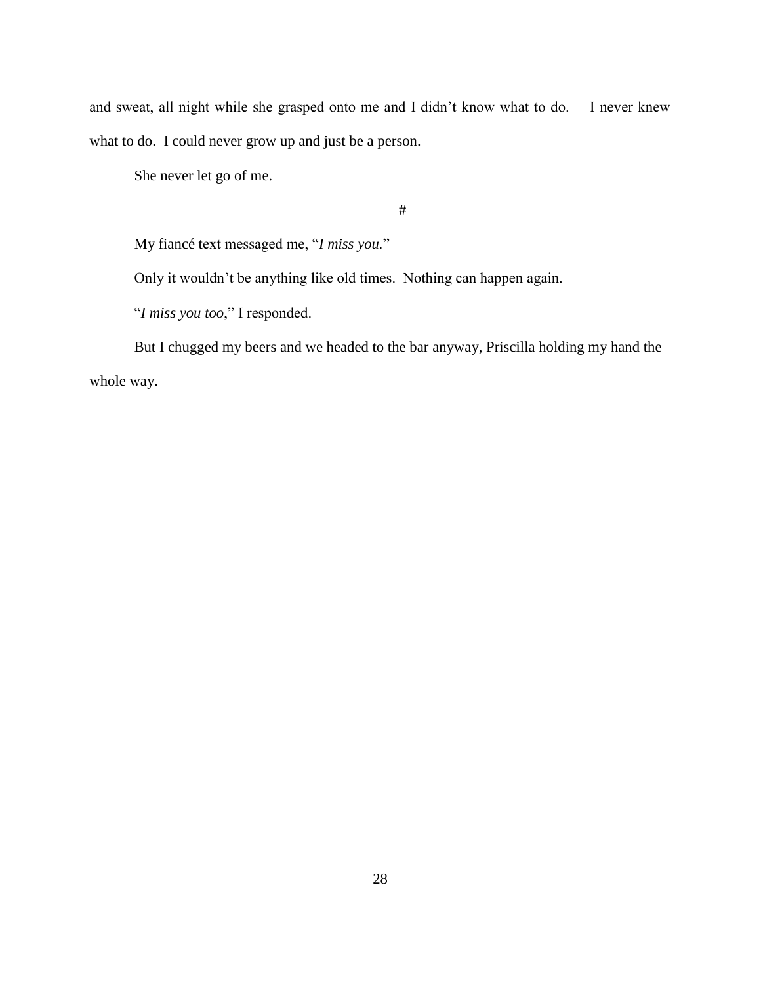and sweat, all night while she grasped onto me and I didn't know what to do. I never knew what to do. I could never grow up and just be a person.

She never let go of me.

#

My fiancé text messaged me, "*I miss you.*"

Only it wouldn't be anything like old times. Nothing can happen again.

"*I miss you too*," I responded.

But I chugged my beers and we headed to the bar anyway, Priscilla holding my hand the whole way.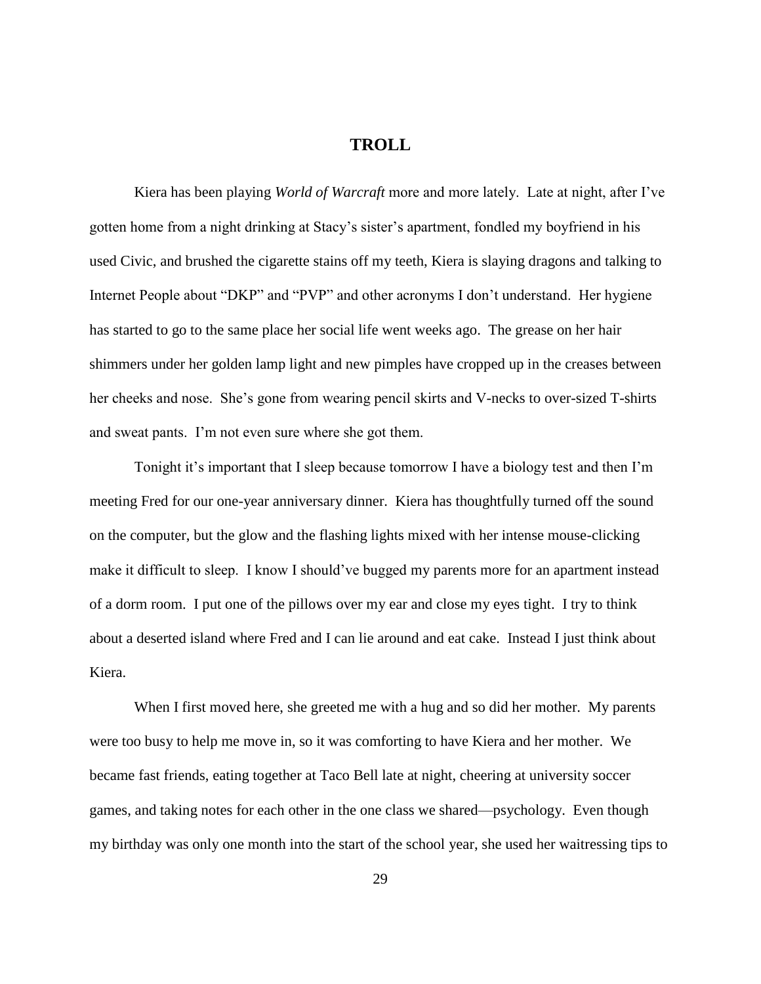### **TROLL**

<span id="page-35-0"></span>Kiera has been playing *World of Warcraft* more and more lately. Late at night, after I've gotten home from a night drinking at Stacy's sister's apartment, fondled my boyfriend in his used Civic, and brushed the cigarette stains off my teeth, Kiera is slaying dragons and talking to Internet People about "DKP" and "PVP" and other acronyms I don't understand. Her hygiene has started to go to the same place her social life went weeks ago. The grease on her hair shimmers under her golden lamp light and new pimples have cropped up in the creases between her cheeks and nose. She's gone from wearing pencil skirts and V-necks to over-sized T-shirts and sweat pants. I'm not even sure where she got them.

Tonight it's important that I sleep because tomorrow I have a biology test and then I'm meeting Fred for our one-year anniversary dinner. Kiera has thoughtfully turned off the sound on the computer, but the glow and the flashing lights mixed with her intense mouse-clicking make it difficult to sleep. I know I should've bugged my parents more for an apartment instead of a dorm room. I put one of the pillows over my ear and close my eyes tight. I try to think about a deserted island where Fred and I can lie around and eat cake. Instead I just think about Kiera.

When I first moved here, she greeted me with a hug and so did her mother. My parents were too busy to help me move in, so it was comforting to have Kiera and her mother. We became fast friends, eating together at Taco Bell late at night, cheering at university soccer games, and taking notes for each other in the one class we shared—psychology. Even though my birthday was only one month into the start of the school year, she used her waitressing tips to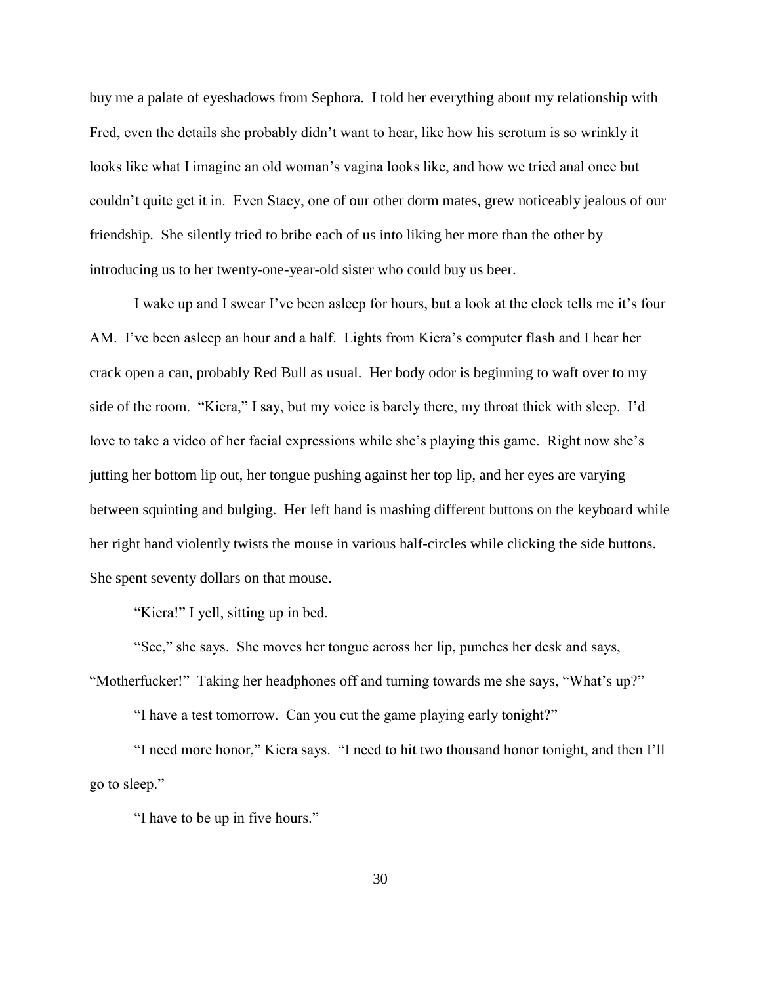buy me a palate of eyeshadows from Sephora. I told her everything about my relationship with Fred, even the details she probably didn't want to hear, like how his scrotum is so wrinkly it looks like what I imagine an old woman's vagina looks like, and how we tried anal once but couldn't quite get it in. Even Stacy, one of our other dorm mates, grew noticeably jealous of our friendship. She silently tried to bribe each of us into liking her more than the other by introducing us to her twenty-one-year-old sister who could buy us beer.

I wake up and I swear I've been asleep for hours, but a look at the clock tells me it's four AM. I've been asleep an hour and a half. Lights from Kiera's computer flash and I hear her crack open a can, probably Red Bull as usual. Her body odor is beginning to waft over to my side of the room. "Kiera," I say, but my voice is barely there, my throat thick with sleep. I'd love to take a video of her facial expressions while she's playing this game. Right now she's jutting her bottom lip out, her tongue pushing against her top lip, and her eyes are varying between squinting and bulging. Her left hand is mashing different buttons on the keyboard while her right hand violently twists the mouse in various half-circles while clicking the side buttons. She spent seventy dollars on that mouse.

"Kiera!" I yell, sitting up in bed.

"Sec," she says. She moves her tongue across her lip, punches her desk and says,

"Motherfucker!" Taking her headphones off and turning towards me she says, "What's up?"

"I have a test tomorrow. Can you cut the game playing early tonight?"

"I need more honor," Kiera says. "I need to hit two thousand honor tonight, and then I'll go to sleep."

"I have to be up in five hours."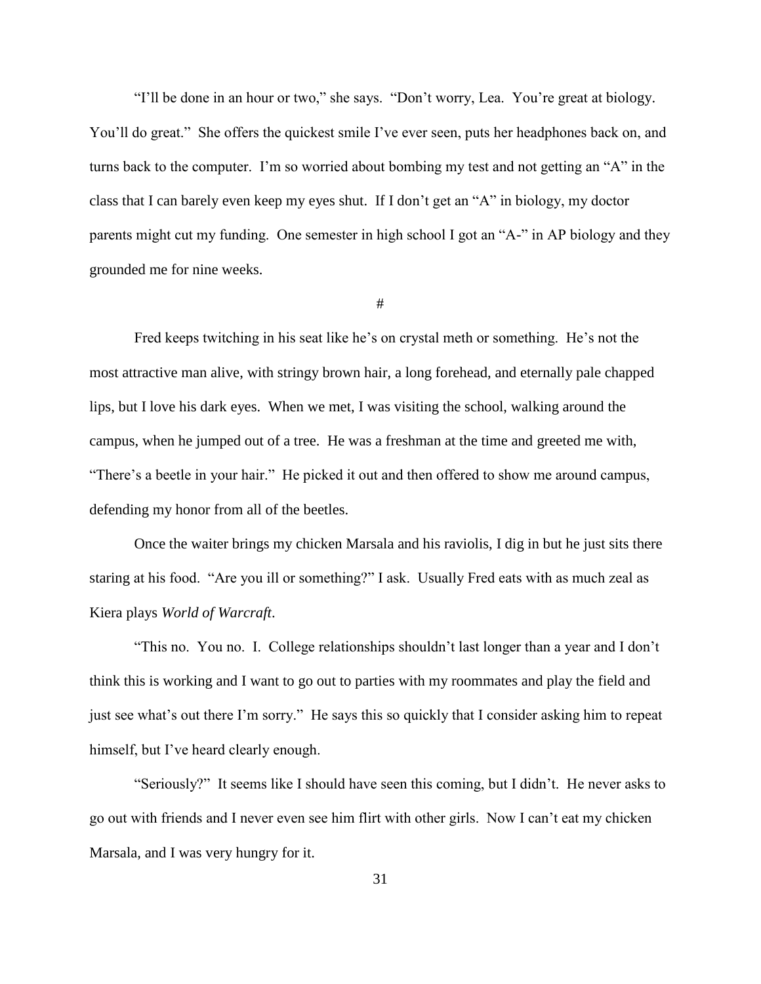"I'll be done in an hour or two," she says. "Don't worry, Lea. You're great at biology. You'll do great." She offers the quickest smile I've ever seen, puts her headphones back on, and turns back to the computer. I'm so worried about bombing my test and not getting an "A" in the class that I can barely even keep my eyes shut. If I don't get an "A" in biology, my doctor parents might cut my funding. One semester in high school I got an "A-" in AP biology and they grounded me for nine weeks.

#

Fred keeps twitching in his seat like he's on crystal meth or something. He's not the most attractive man alive, with stringy brown hair, a long forehead, and eternally pale chapped lips, but I love his dark eyes. When we met, I was visiting the school, walking around the campus, when he jumped out of a tree. He was a freshman at the time and greeted me with, "There's a beetle in your hair." He picked it out and then offered to show me around campus, defending my honor from all of the beetles.

Once the waiter brings my chicken Marsala and his raviolis, I dig in but he just sits there staring at his food. "Are you ill or something?" I ask. Usually Fred eats with as much zeal as Kiera plays *World of Warcraft*.

"This no. You no. I. College relationships shouldn't last longer than a year and I don't think this is working and I want to go out to parties with my roommates and play the field and just see what's out there I'm sorry." He says this so quickly that I consider asking him to repeat himself, but I've heard clearly enough.

"Seriously?" It seems like I should have seen this coming, but I didn't. He never asks to go out with friends and I never even see him flirt with other girls. Now I can't eat my chicken Marsala, and I was very hungry for it.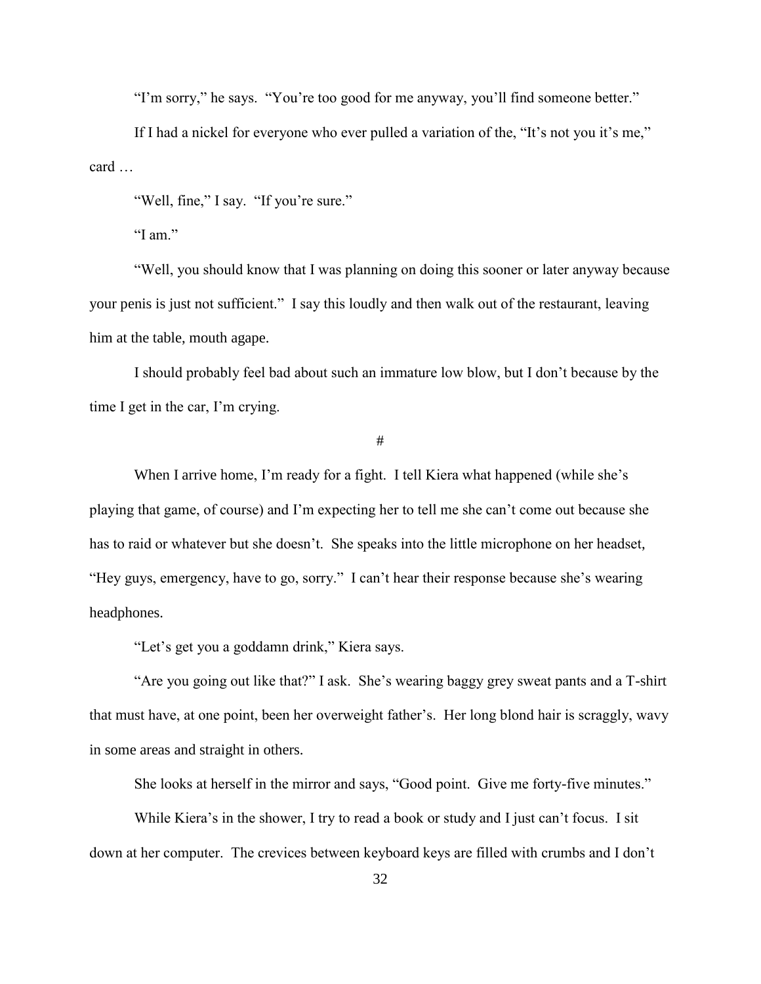"I'm sorry," he says. "You're too good for me anyway, you'll find someone better."

If I had a nickel for everyone who ever pulled a variation of the, "It's not you it's me," card …

"Well, fine," I say. "If you're sure."

"I am."

"Well, you should know that I was planning on doing this sooner or later anyway because your penis is just not sufficient." I say this loudly and then walk out of the restaurant, leaving him at the table, mouth agape.

I should probably feel bad about such an immature low blow, but I don't because by the time I get in the car, I'm crying.

#

When I arrive home, I'm ready for a fight. I tell Kiera what happened (while she's playing that game, of course) and I'm expecting her to tell me she can't come out because she has to raid or whatever but she doesn't. She speaks into the little microphone on her headset, "Hey guys, emergency, have to go, sorry." I can't hear their response because she's wearing headphones.

"Let's get you a goddamn drink," Kiera says.

"Are you going out like that?" I ask. She's wearing baggy grey sweat pants and a T-shirt that must have, at one point, been her overweight father's. Her long blond hair is scraggly, wavy in some areas and straight in others.

She looks at herself in the mirror and says, "Good point. Give me forty-five minutes."

While Kiera's in the shower, I try to read a book or study and I just can't focus. I sit down at her computer. The crevices between keyboard keys are filled with crumbs and I don't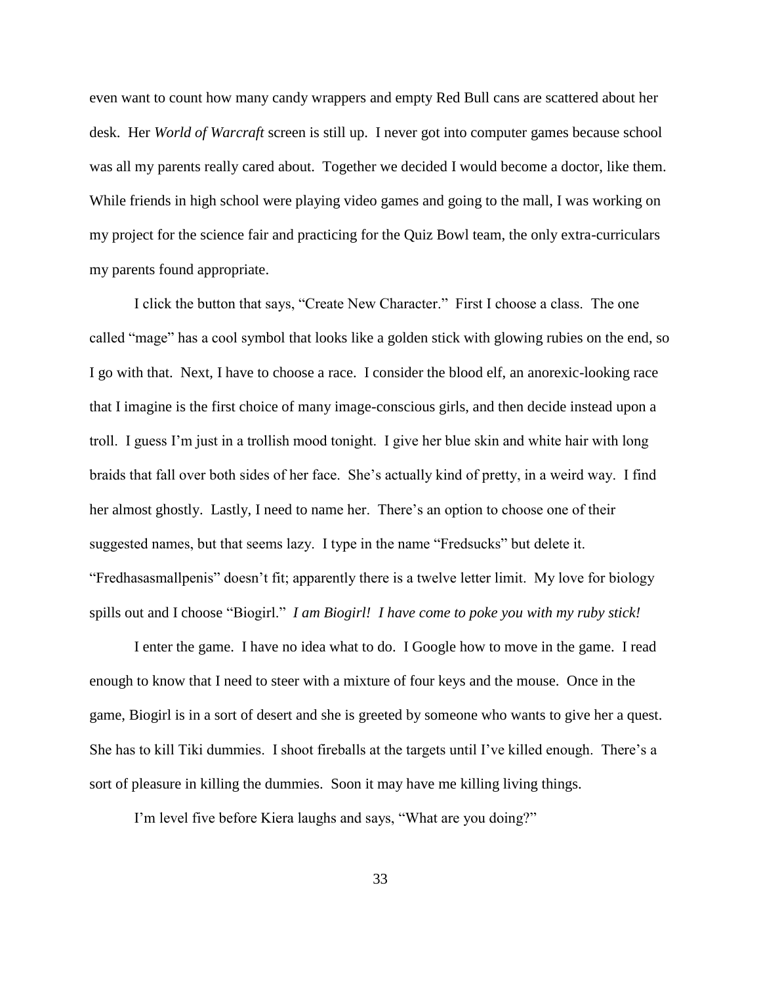even want to count how many candy wrappers and empty Red Bull cans are scattered about her desk. Her *World of Warcraft* screen is still up. I never got into computer games because school was all my parents really cared about. Together we decided I would become a doctor, like them. While friends in high school were playing video games and going to the mall, I was working on my project for the science fair and practicing for the Quiz Bowl team, the only extra-curriculars my parents found appropriate.

I click the button that says, "Create New Character." First I choose a class. The one called "mage" has a cool symbol that looks like a golden stick with glowing rubies on the end, so I go with that. Next, I have to choose a race. I consider the blood elf, an anorexic-looking race that I imagine is the first choice of many image-conscious girls, and then decide instead upon a troll. I guess I'm just in a trollish mood tonight. I give her blue skin and white hair with long braids that fall over both sides of her face. She's actually kind of pretty, in a weird way. I find her almost ghostly. Lastly, I need to name her. There's an option to choose one of their suggested names, but that seems lazy. I type in the name "Fredsucks" but delete it. "Fredhasasmallpenis" doesn't fit; apparently there is a twelve letter limit. My love for biology spills out and I choose "Biogirl." *I am Biogirl! I have come to poke you with my ruby stick!*

I enter the game. I have no idea what to do. I Google how to move in the game. I read enough to know that I need to steer with a mixture of four keys and the mouse. Once in the game, Biogirl is in a sort of desert and she is greeted by someone who wants to give her a quest. She has to kill Tiki dummies. I shoot fireballs at the targets until I've killed enough. There's a sort of pleasure in killing the dummies. Soon it may have me killing living things.

I'm level five before Kiera laughs and says, "What are you doing?"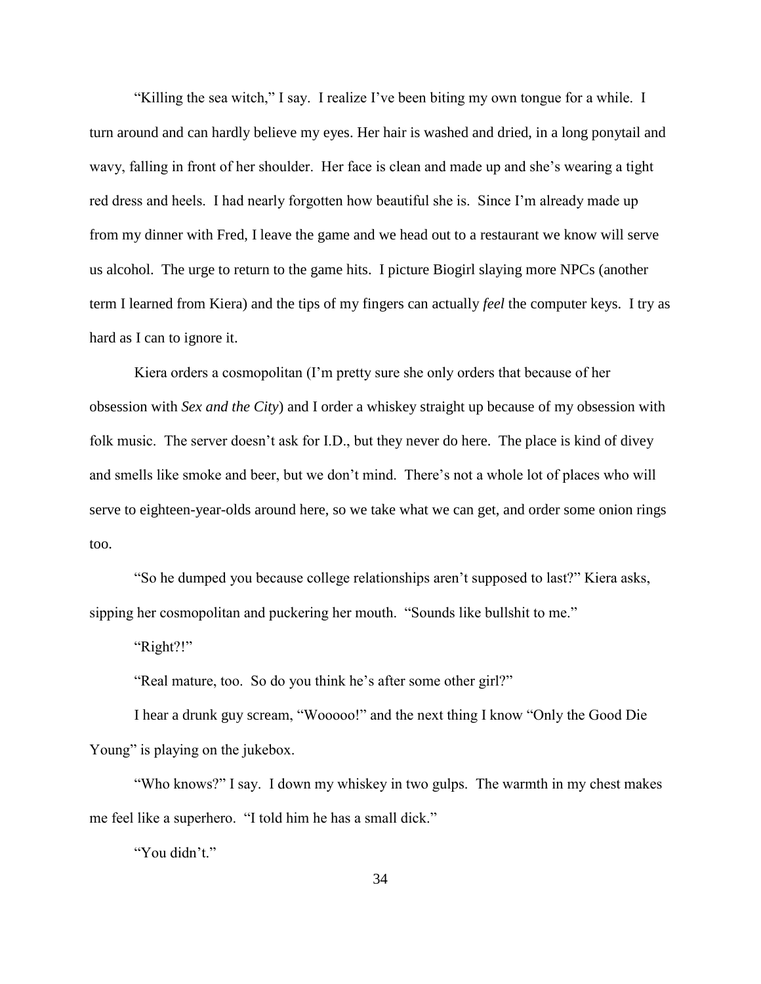"Killing the sea witch," I say. I realize I've been biting my own tongue for a while. I turn around and can hardly believe my eyes. Her hair is washed and dried, in a long ponytail and wavy, falling in front of her shoulder. Her face is clean and made up and she's wearing a tight red dress and heels. I had nearly forgotten how beautiful she is. Since I'm already made up from my dinner with Fred, I leave the game and we head out to a restaurant we know will serve us alcohol. The urge to return to the game hits. I picture Biogirl slaying more NPCs (another term I learned from Kiera) and the tips of my fingers can actually *feel* the computer keys. I try as hard as I can to ignore it.

Kiera orders a cosmopolitan (I'm pretty sure she only orders that because of her obsession with *Sex and the City*) and I order a whiskey straight up because of my obsession with folk music. The server doesn't ask for I.D., but they never do here. The place is kind of divey and smells like smoke and beer, but we don't mind. There's not a whole lot of places who will serve to eighteen-year-olds around here, so we take what we can get, and order some onion rings too.

"So he dumped you because college relationships aren't supposed to last?" Kiera asks, sipping her cosmopolitan and puckering her mouth. "Sounds like bullshit to me."

"Right?!"

"Real mature, too. So do you think he's after some other girl?"

I hear a drunk guy scream, "Wooooo!" and the next thing I know "Only the Good Die Young" is playing on the jukebox.

"Who knows?" I say. I down my whiskey in two gulps. The warmth in my chest makes me feel like a superhero. "I told him he has a small dick."

"You didn't."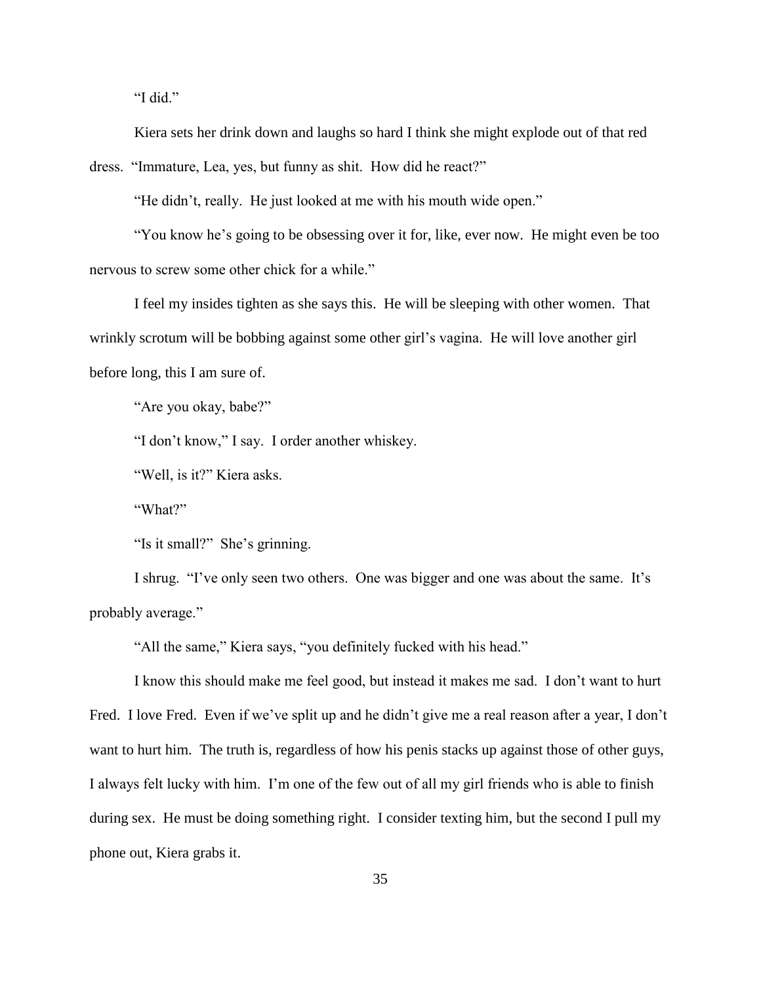"I did."

Kiera sets her drink down and laughs so hard I think she might explode out of that red

dress. "Immature, Lea, yes, but funny as shit. How did he react?"

"He didn't, really. He just looked at me with his mouth wide open."

"You know he's going to be obsessing over it for, like, ever now. He might even be too nervous to screw some other chick for a while."

I feel my insides tighten as she says this. He will be sleeping with other women. That wrinkly scrotum will be bobbing against some other girl's vagina. He will love another girl before long, this I am sure of.

"Are you okay, babe?"

"I don't know," I say. I order another whiskey.

"Well, is it?" Kiera asks.

"What?"

"Is it small?" She's grinning.

I shrug. "I've only seen two others. One was bigger and one was about the same. It's probably average."

"All the same," Kiera says, "you definitely fucked with his head."

I know this should make me feel good, but instead it makes me sad. I don't want to hurt Fred. I love Fred. Even if we've split up and he didn't give me a real reason after a year, I don't want to hurt him. The truth is, regardless of how his penis stacks up against those of other guys, I always felt lucky with him. I'm one of the few out of all my girl friends who is able to finish during sex. He must be doing something right. I consider texting him, but the second I pull my phone out, Kiera grabs it.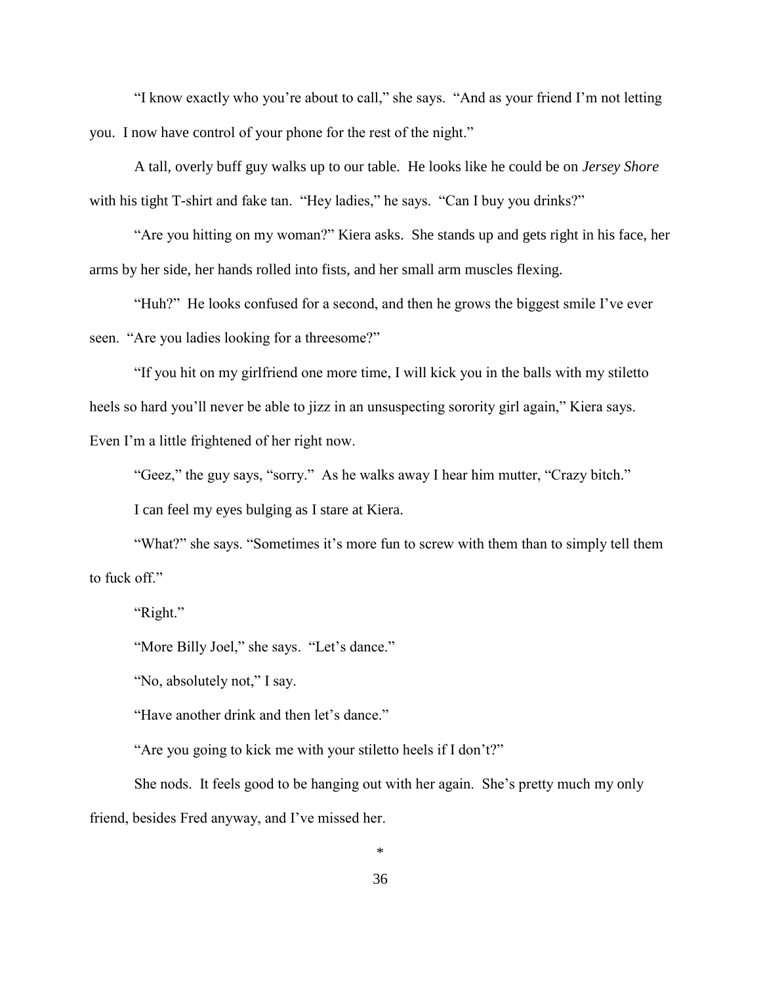"I know exactly who you're about to call," she says. "And as your friend I'm not letting you. I now have control of your phone for the rest of the night."

A tall, overly buff guy walks up to our table. He looks like he could be on *Jersey Shore* with his tight T-shirt and fake tan. "Hey ladies," he says. "Can I buy you drinks?"

"Are you hitting on my woman?" Kiera asks. She stands up and gets right in his face, her arms by her side, her hands rolled into fists, and her small arm muscles flexing.

"Huh?" He looks confused for a second, and then he grows the biggest smile I've ever seen. "Are you ladies looking for a threesome?"

"If you hit on my girlfriend one more time, I will kick you in the balls with my stiletto heels so hard you'll never be able to jizz in an unsuspecting sorority girl again," Kiera says. Even I'm a little frightened of her right now.

"Geez," the guy says, "sorry." As he walks away I hear him mutter, "Crazy bitch."

I can feel my eyes bulging as I stare at Kiera.

"What?" she says. "Sometimes it's more fun to screw with them than to simply tell them to fuck off."

"Right."

"More Billy Joel," she says. "Let's dance."

"No, absolutely not," I say.

"Have another drink and then let's dance."

"Are you going to kick me with your stiletto heels if I don't?"

She nods. It feels good to be hanging out with her again. She's pretty much my only friend, besides Fred anyway, and I've missed her.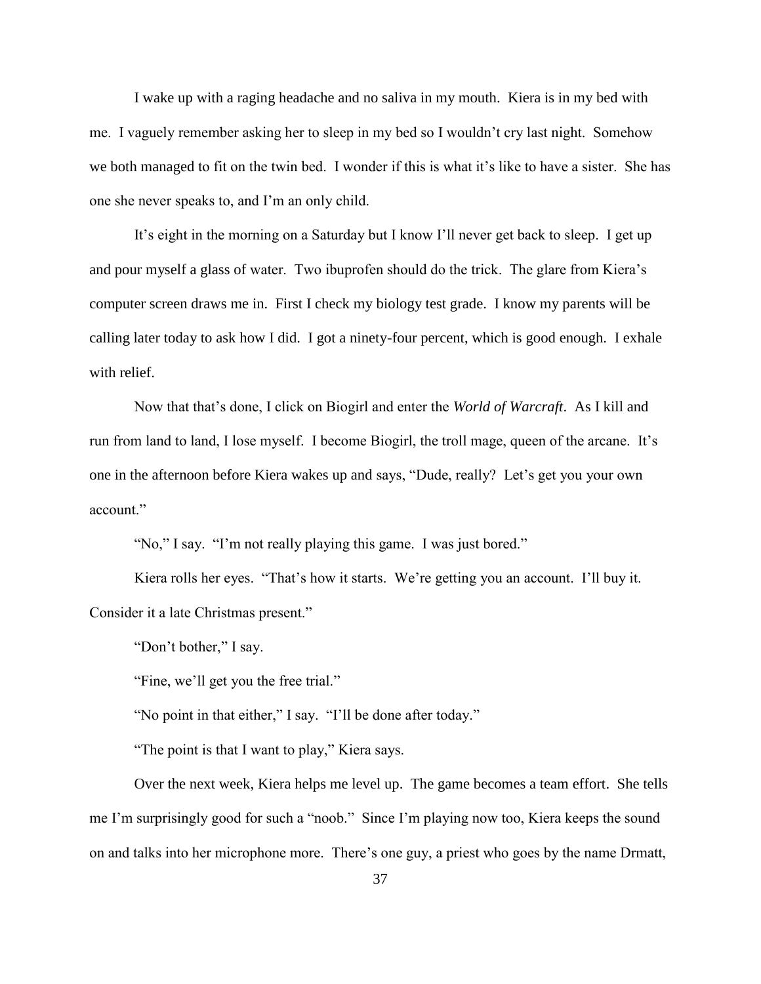I wake up with a raging headache and no saliva in my mouth. Kiera is in my bed with me. I vaguely remember asking her to sleep in my bed so I wouldn't cry last night. Somehow we both managed to fit on the twin bed. I wonder if this is what it's like to have a sister. She has one she never speaks to, and I'm an only child.

It's eight in the morning on a Saturday but I know I'll never get back to sleep. I get up and pour myself a glass of water. Two ibuprofen should do the trick. The glare from Kiera's computer screen draws me in. First I check my biology test grade. I know my parents will be calling later today to ask how I did. I got a ninety-four percent, which is good enough. I exhale with relief.

Now that that's done, I click on Biogirl and enter the *World of Warcraft*. As I kill and run from land to land, I lose myself. I become Biogirl, the troll mage, queen of the arcane. It's one in the afternoon before Kiera wakes up and says, "Dude, really? Let's get you your own account."

"No," I say. "I'm not really playing this game. I was just bored."

Kiera rolls her eyes. "That's how it starts. We're getting you an account. I'll buy it. Consider it a late Christmas present."

"Don't bother," I say.

"Fine, we'll get you the free trial."

"No point in that either," I say. "I'll be done after today."

"The point is that I want to play," Kiera says.

Over the next week, Kiera helps me level up. The game becomes a team effort. She tells me I'm surprisingly good for such a "noob." Since I'm playing now too, Kiera keeps the sound on and talks into her microphone more. There's one guy, a priest who goes by the name Drmatt,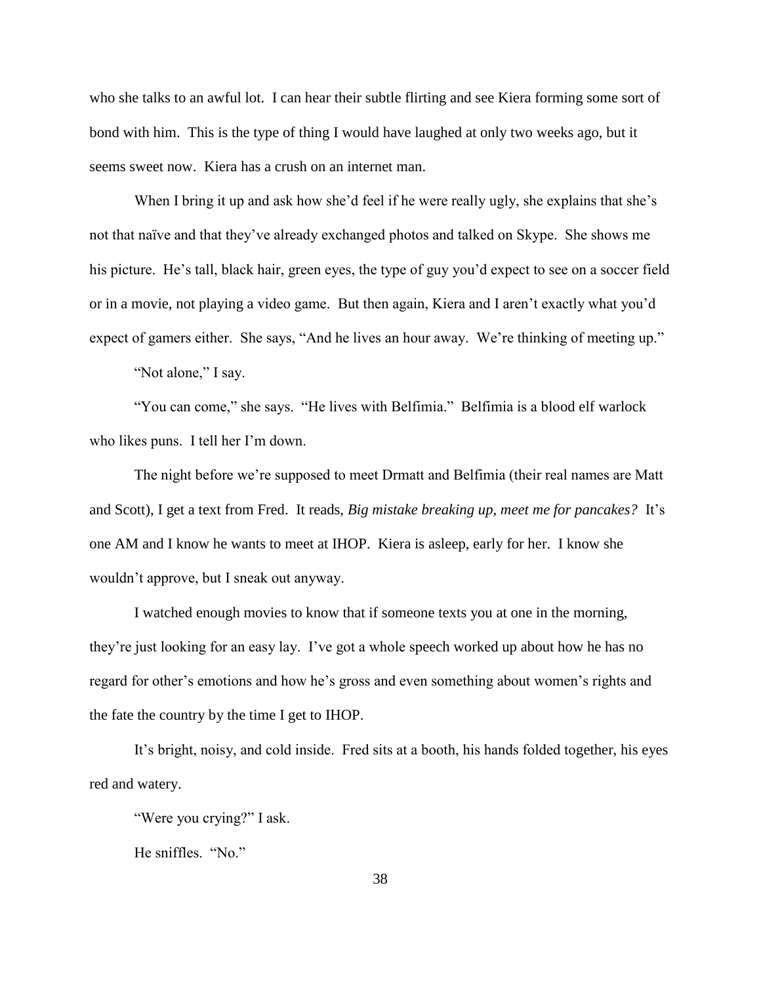who she talks to an awful lot. I can hear their subtle flirting and see Kiera forming some sort of bond with him. This is the type of thing I would have laughed at only two weeks ago, but it seems sweet now. Kiera has a crush on an internet man.

When I bring it up and ask how she'd feel if he were really ugly, she explains that she's not that naïve and that they've already exchanged photos and talked on Skype. She shows me his picture. He's tall, black hair, green eyes, the type of guy you'd expect to see on a soccer field or in a movie, not playing a video game. But then again, Kiera and I aren't exactly what you'd expect of gamers either. She says, "And he lives an hour away. We're thinking of meeting up."

"Not alone," I say.

"You can come," she says. "He lives with Belfimia." Belfimia is a blood elf warlock who likes puns. I tell her I'm down.

The night before we're supposed to meet Drmatt and Belfimia (their real names are Matt and Scott), I get a text from Fred. It reads, *Big mistake breaking up, meet me for pancakes?* It's one AM and I know he wants to meet at IHOP. Kiera is asleep, early for her. I know she wouldn't approve, but I sneak out anyway.

I watched enough movies to know that if someone texts you at one in the morning, they're just looking for an easy lay. I've got a whole speech worked up about how he has no regard for other's emotions and how he's gross and even something about women's rights and the fate the country by the time I get to IHOP.

It's bright, noisy, and cold inside. Fred sits at a booth, his hands folded together, his eyes red and watery.

"Were you crying?" I ask.

He sniffles. "No."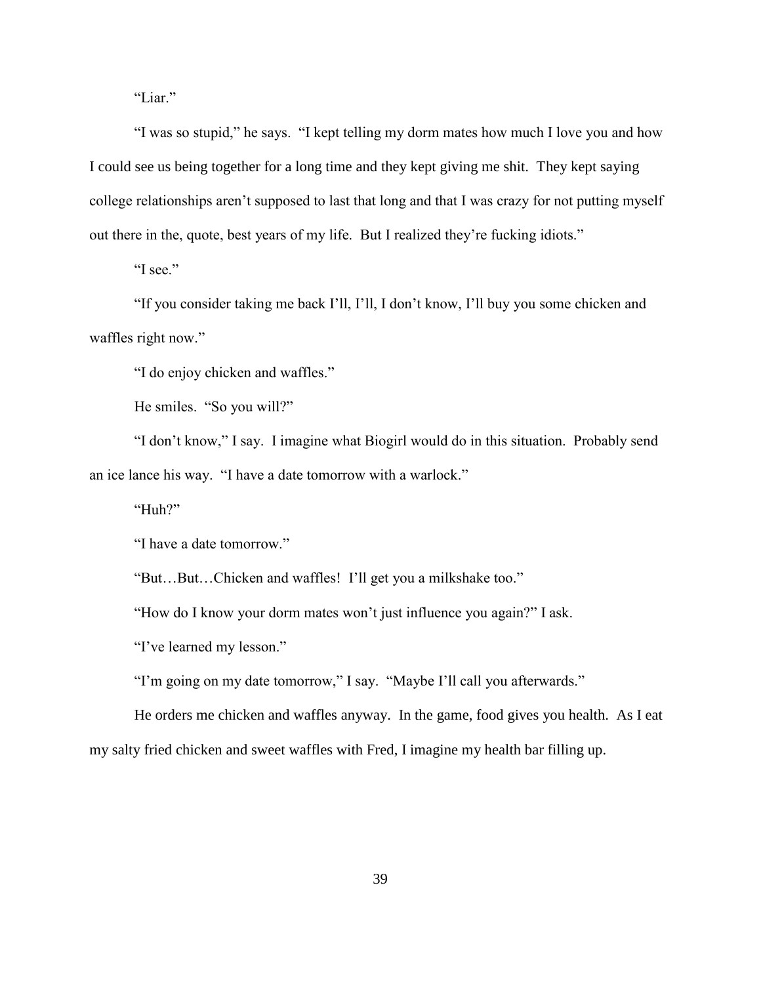"Liar."

"I was so stupid," he says. "I kept telling my dorm mates how much I love you and how I could see us being together for a long time and they kept giving me shit. They kept saying college relationships aren't supposed to last that long and that I was crazy for not putting myself out there in the, quote, best years of my life. But I realized they're fucking idiots."

"I see."

"If you consider taking me back I'll, I'll, I don't know, I'll buy you some chicken and waffles right now."

"I do enjoy chicken and waffles."

He smiles. "So you will?"

"I don't know," I say. I imagine what Biogirl would do in this situation. Probably send an ice lance his way. "I have a date tomorrow with a warlock."

"Huh?"

"I have a date tomorrow."

"But…But…Chicken and waffles! I'll get you a milkshake too."

"How do I know your dorm mates won't just influence you again?" I ask.

"I've learned my lesson."

"I'm going on my date tomorrow," I say. "Maybe I'll call you afterwards."

He orders me chicken and waffles anyway. In the game, food gives you health. As I eat my salty fried chicken and sweet waffles with Fred, I imagine my health bar filling up.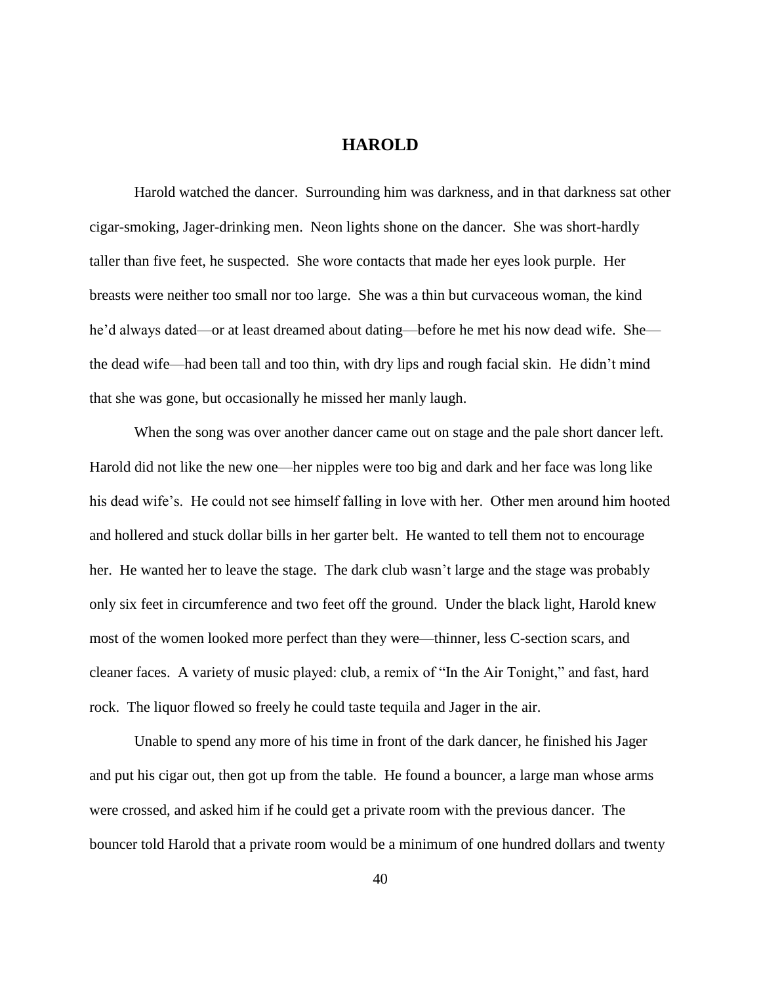## **HAROLD**

Harold watched the dancer. Surrounding him was darkness, and in that darkness sat other cigar-smoking, Jager-drinking men. Neon lights shone on the dancer. She was short-hardly taller than five feet, he suspected. She wore contacts that made her eyes look purple. Her breasts were neither too small nor too large. She was a thin but curvaceous woman, the kind he'd always dated—or at least dreamed about dating—before he met his now dead wife. She the dead wife—had been tall and too thin, with dry lips and rough facial skin. He didn't mind that she was gone, but occasionally he missed her manly laugh.

When the song was over another dancer came out on stage and the pale short dancer left. Harold did not like the new one—her nipples were too big and dark and her face was long like his dead wife's. He could not see himself falling in love with her. Other men around him hooted and hollered and stuck dollar bills in her garter belt. He wanted to tell them not to encourage her. He wanted her to leave the stage. The dark club wasn't large and the stage was probably only six feet in circumference and two feet off the ground. Under the black light, Harold knew most of the women looked more perfect than they were—thinner, less C-section scars, and cleaner faces. A variety of music played: club, a remix of "In the Air Tonight," and fast, hard rock. The liquor flowed so freely he could taste tequila and Jager in the air.

Unable to spend any more of his time in front of the dark dancer, he finished his Jager and put his cigar out, then got up from the table. He found a bouncer, a large man whose arms were crossed, and asked him if he could get a private room with the previous dancer. The bouncer told Harold that a private room would be a minimum of one hundred dollars and twenty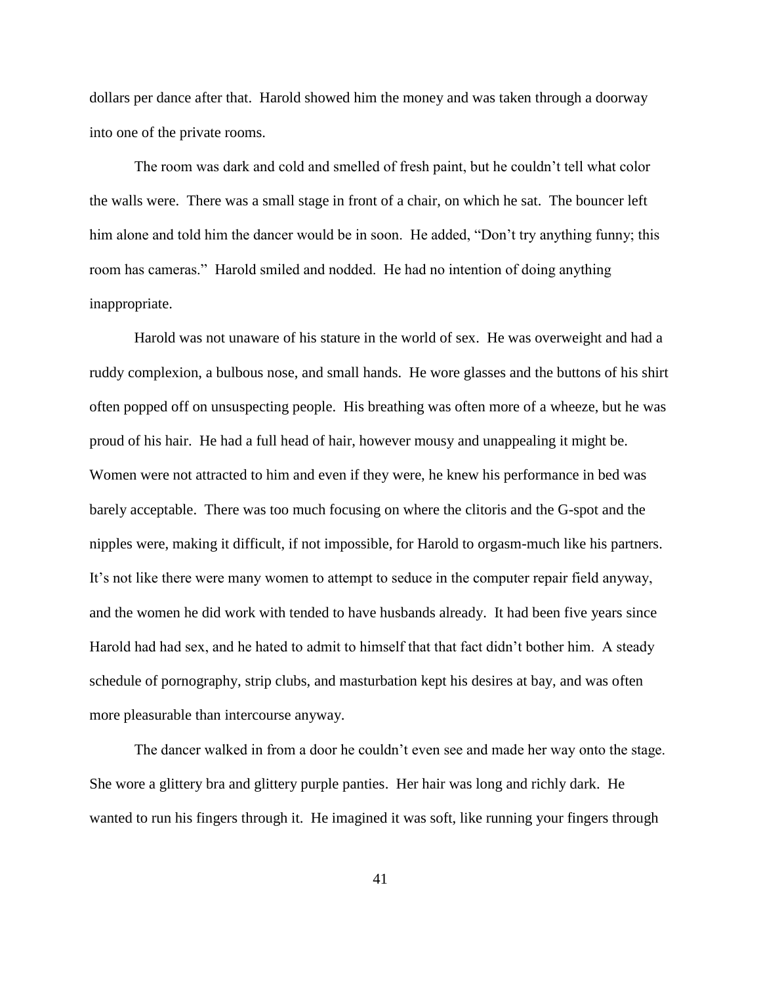dollars per dance after that. Harold showed him the money and was taken through a doorway into one of the private rooms.

The room was dark and cold and smelled of fresh paint, but he couldn't tell what color the walls were. There was a small stage in front of a chair, on which he sat. The bouncer left him alone and told him the dancer would be in soon. He added, "Don't try anything funny; this room has cameras." Harold smiled and nodded. He had no intention of doing anything inappropriate.

Harold was not unaware of his stature in the world of sex. He was overweight and had a ruddy complexion, a bulbous nose, and small hands. He wore glasses and the buttons of his shirt often popped off on unsuspecting people. His breathing was often more of a wheeze, but he was proud of his hair. He had a full head of hair, however mousy and unappealing it might be. Women were not attracted to him and even if they were, he knew his performance in bed was barely acceptable. There was too much focusing on where the clitoris and the G-spot and the nipples were, making it difficult, if not impossible, for Harold to orgasm-much like his partners. It's not like there were many women to attempt to seduce in the computer repair field anyway, and the women he did work with tended to have husbands already. It had been five years since Harold had had sex, and he hated to admit to himself that that fact didn't bother him. A steady schedule of pornography, strip clubs, and masturbation kept his desires at bay, and was often more pleasurable than intercourse anyway.

The dancer walked in from a door he couldn't even see and made her way onto the stage. She wore a glittery bra and glittery purple panties. Her hair was long and richly dark. He wanted to run his fingers through it. He imagined it was soft, like running your fingers through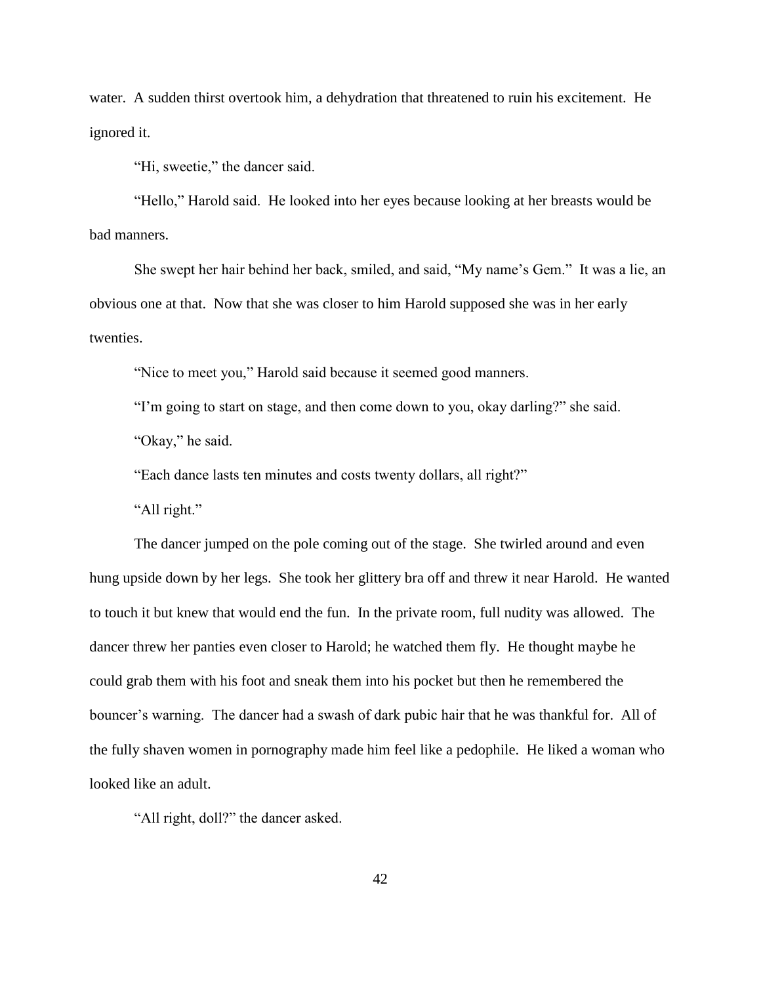water. A sudden thirst overtook him, a dehydration that threatened to ruin his excitement. He ignored it.

"Hi, sweetie," the dancer said.

"Hello," Harold said. He looked into her eyes because looking at her breasts would be bad manners.

She swept her hair behind her back, smiled, and said, "My name's Gem." It was a lie, an obvious one at that. Now that she was closer to him Harold supposed she was in her early twenties.

"Nice to meet you," Harold said because it seemed good manners.

"I'm going to start on stage, and then come down to you, okay darling?" she said.

"Okay," he said.

"Each dance lasts ten minutes and costs twenty dollars, all right?"

"All right."

The dancer jumped on the pole coming out of the stage. She twirled around and even hung upside down by her legs. She took her glittery bra off and threw it near Harold. He wanted to touch it but knew that would end the fun. In the private room, full nudity was allowed. The dancer threw her panties even closer to Harold; he watched them fly. He thought maybe he could grab them with his foot and sneak them into his pocket but then he remembered the bouncer's warning. The dancer had a swash of dark pubic hair that he was thankful for. All of the fully shaven women in pornography made him feel like a pedophile. He liked a woman who looked like an adult.

"All right, doll?" the dancer asked.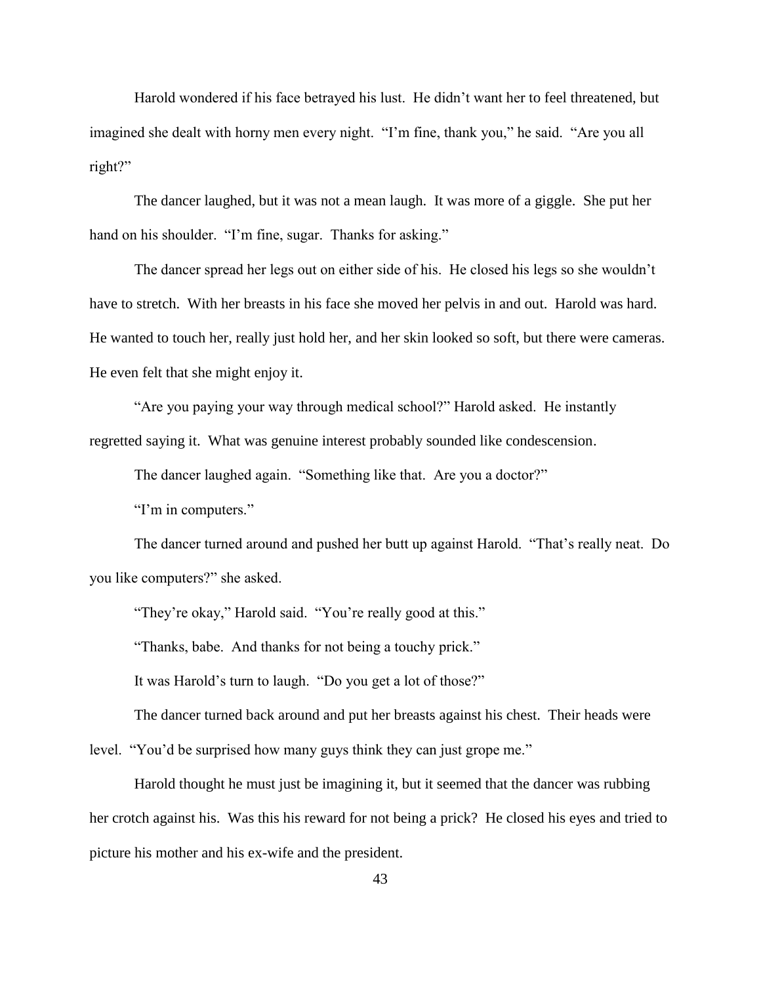Harold wondered if his face betrayed his lust. He didn't want her to feel threatened, but imagined she dealt with horny men every night. "I'm fine, thank you," he said. "Are you all right?"

The dancer laughed, but it was not a mean laugh. It was more of a giggle. She put her hand on his shoulder. "I'm fine, sugar. Thanks for asking."

The dancer spread her legs out on either side of his. He closed his legs so she wouldn't have to stretch. With her breasts in his face she moved her pelvis in and out. Harold was hard. He wanted to touch her, really just hold her, and her skin looked so soft, but there were cameras. He even felt that she might enjoy it.

"Are you paying your way through medical school?" Harold asked. He instantly regretted saying it. What was genuine interest probably sounded like condescension.

The dancer laughed again. "Something like that. Are you a doctor?"

"I'm in computers."

The dancer turned around and pushed her butt up against Harold. "That's really neat. Do you like computers?" she asked.

"They're okay," Harold said. "You're really good at this."

"Thanks, babe. And thanks for not being a touchy prick."

It was Harold's turn to laugh. "Do you get a lot of those?"

The dancer turned back around and put her breasts against his chest. Their heads were level. "You'd be surprised how many guys think they can just grope me."

Harold thought he must just be imagining it, but it seemed that the dancer was rubbing her crotch against his. Was this his reward for not being a prick? He closed his eyes and tried to picture his mother and his ex-wife and the president.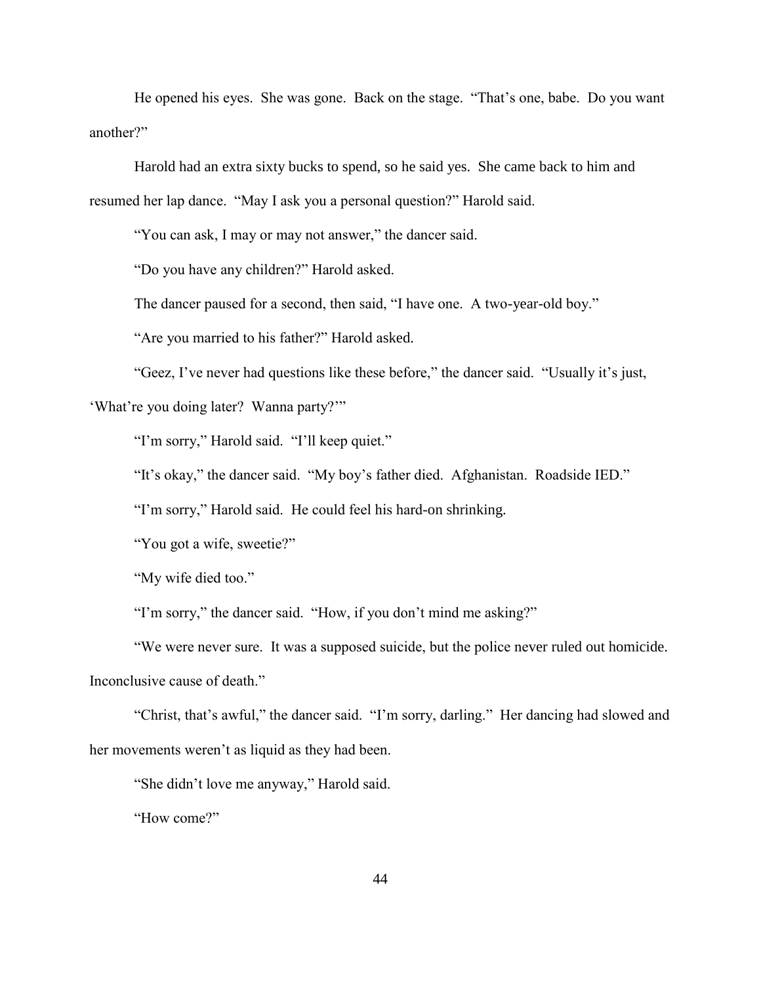He opened his eyes. She was gone. Back on the stage. "That's one, babe. Do you want another?"

Harold had an extra sixty bucks to spend, so he said yes. She came back to him and resumed her lap dance. "May I ask you a personal question?" Harold said.

"You can ask, I may or may not answer," the dancer said.

"Do you have any children?" Harold asked.

The dancer paused for a second, then said, "I have one. A two-year-old boy."

"Are you married to his father?" Harold asked.

"Geez, I've never had questions like these before," the dancer said. "Usually it's just,

'What're you doing later? Wanna party?'"

"I'm sorry," Harold said. "I'll keep quiet."

"It's okay," the dancer said. "My boy's father died. Afghanistan. Roadside IED."

"I'm sorry," Harold said. He could feel his hard-on shrinking.

"You got a wife, sweetie?"

"My wife died too."

"I'm sorry," the dancer said. "How, if you don't mind me asking?"

"We were never sure. It was a supposed suicide, but the police never ruled out homicide. Inconclusive cause of death."

"Christ, that's awful," the dancer said. "I'm sorry, darling." Her dancing had slowed and her movements weren't as liquid as they had been.

"She didn't love me anyway," Harold said.

"How come?"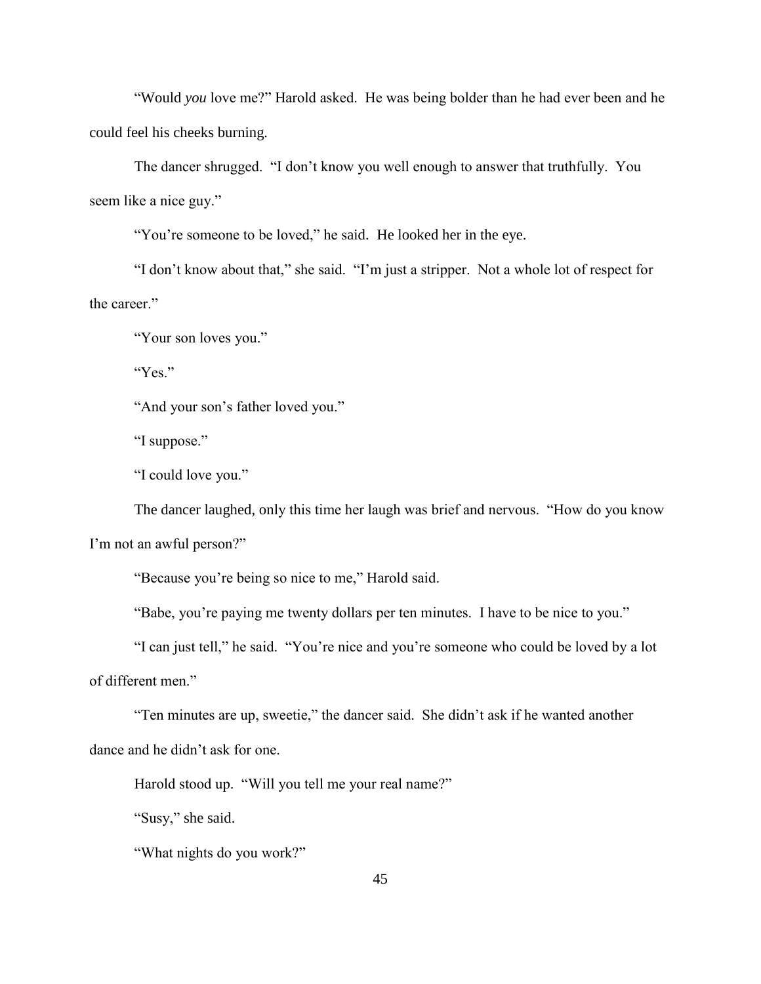"Would *you* love me?" Harold asked. He was being bolder than he had ever been and he could feel his cheeks burning.

The dancer shrugged. "I don't know you well enough to answer that truthfully. You seem like a nice guy."

"You're someone to be loved," he said. He looked her in the eye.

"I don't know about that," she said. "I'm just a stripper. Not a whole lot of respect for the career."

"Your son loves you."

"Yes"

"And your son's father loved you."

"I suppose."

"I could love you."

The dancer laughed, only this time her laugh was brief and nervous. "How do you know I'm not an awful person?"

"Because you're being so nice to me," Harold said.

"Babe, you're paying me twenty dollars per ten minutes. I have to be nice to you."

"I can just tell," he said. "You're nice and you're someone who could be loved by a lot of different men."

"Ten minutes are up, sweetie," the dancer said. She didn't ask if he wanted another dance and he didn't ask for one.

Harold stood up. "Will you tell me your real name?"

"Susy," she said.

"What nights do you work?"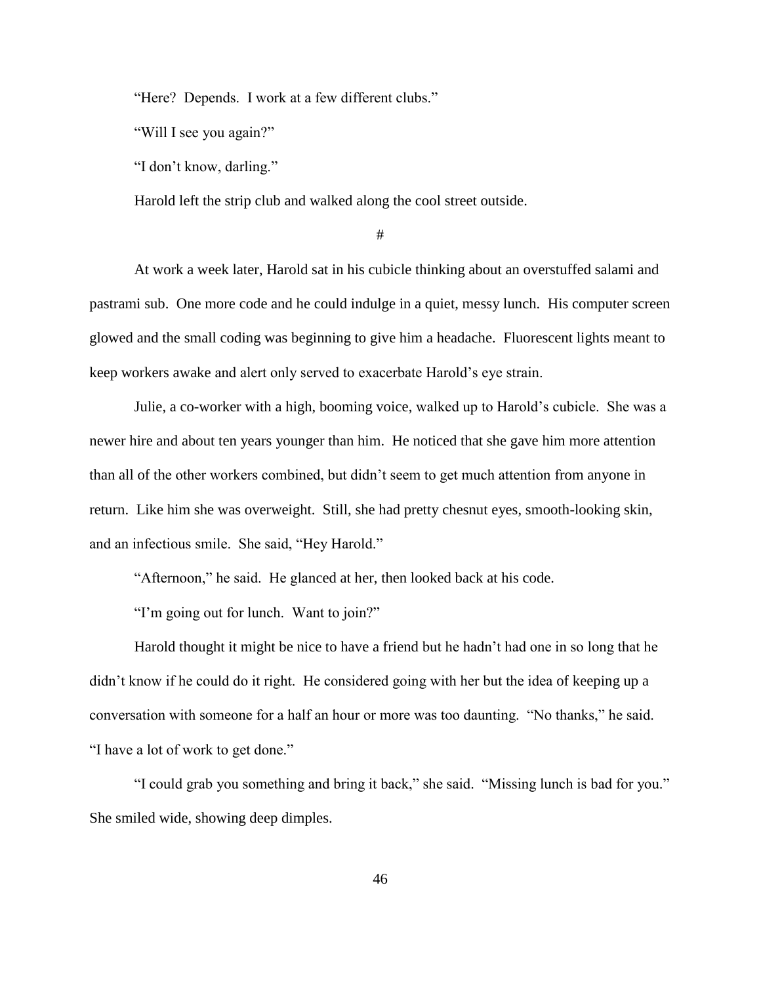"Here? Depends. I work at a few different clubs."

"Will I see you again?"

"I don't know, darling."

Harold left the strip club and walked along the cool street outside.

#

At work a week later, Harold sat in his cubicle thinking about an overstuffed salami and pastrami sub. One more code and he could indulge in a quiet, messy lunch. His computer screen glowed and the small coding was beginning to give him a headache. Fluorescent lights meant to keep workers awake and alert only served to exacerbate Harold's eye strain.

Julie, a co-worker with a high, booming voice, walked up to Harold's cubicle. She was a newer hire and about ten years younger than him. He noticed that she gave him more attention than all of the other workers combined, but didn't seem to get much attention from anyone in return. Like him she was overweight. Still, she had pretty chesnut eyes, smooth-looking skin, and an infectious smile. She said, "Hey Harold."

"Afternoon," he said. He glanced at her, then looked back at his code.

"I'm going out for lunch. Want to join?"

Harold thought it might be nice to have a friend but he hadn't had one in so long that he didn't know if he could do it right. He considered going with her but the idea of keeping up a conversation with someone for a half an hour or more was too daunting. "No thanks," he said. "I have a lot of work to get done."

"I could grab you something and bring it back," she said. "Missing lunch is bad for you." She smiled wide, showing deep dimples.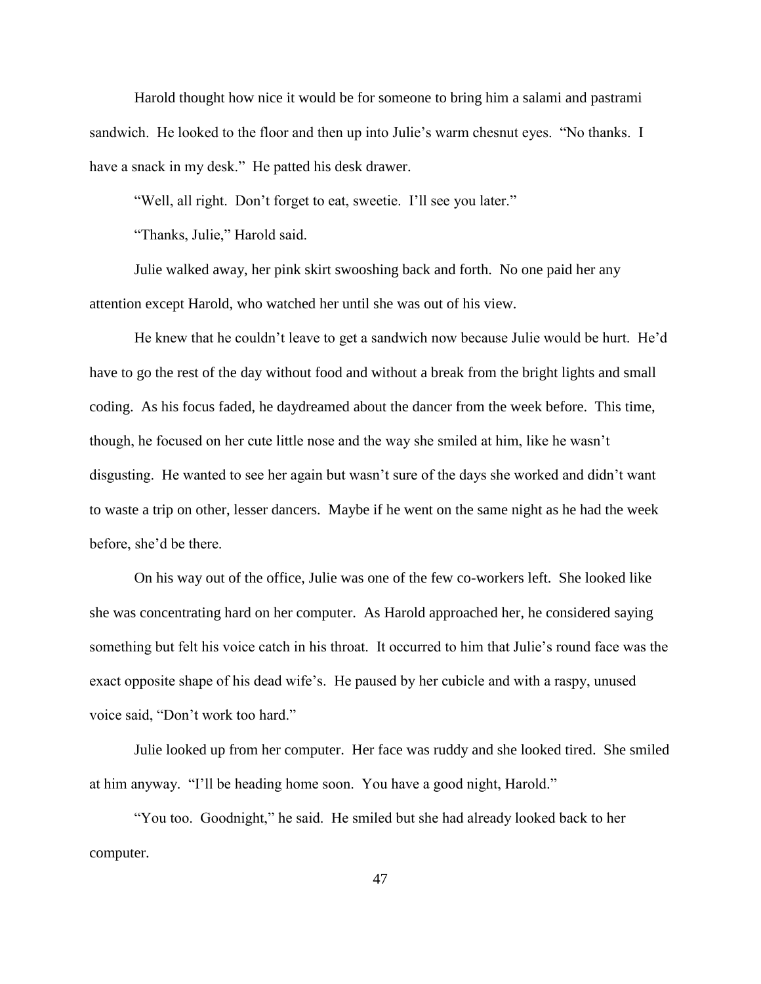Harold thought how nice it would be for someone to bring him a salami and pastrami sandwich. He looked to the floor and then up into Julie's warm chesnut eyes. "No thanks. I have a snack in my desk." He patted his desk drawer.

"Well, all right. Don't forget to eat, sweetie. I'll see you later."

"Thanks, Julie," Harold said.

Julie walked away, her pink skirt swooshing back and forth. No one paid her any attention except Harold, who watched her until she was out of his view.

He knew that he couldn't leave to get a sandwich now because Julie would be hurt. He'd have to go the rest of the day without food and without a break from the bright lights and small coding. As his focus faded, he daydreamed about the dancer from the week before. This time, though, he focused on her cute little nose and the way she smiled at him, like he wasn't disgusting. He wanted to see her again but wasn't sure of the days she worked and didn't want to waste a trip on other, lesser dancers. Maybe if he went on the same night as he had the week before, she'd be there.

On his way out of the office, Julie was one of the few co-workers left. She looked like she was concentrating hard on her computer. As Harold approached her, he considered saying something but felt his voice catch in his throat. It occurred to him that Julie's round face was the exact opposite shape of his dead wife's. He paused by her cubicle and with a raspy, unused voice said, "Don't work too hard."

Julie looked up from her computer. Her face was ruddy and she looked tired. She smiled at him anyway. "I'll be heading home soon. You have a good night, Harold."

"You too. Goodnight," he said. He smiled but she had already looked back to her computer.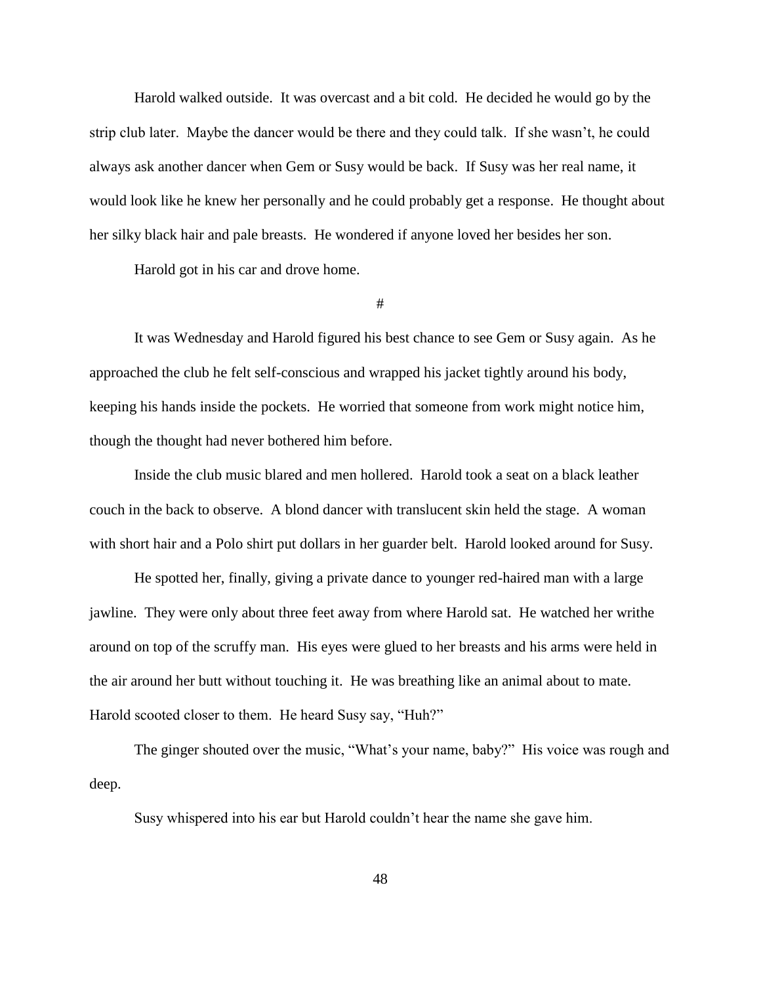Harold walked outside. It was overcast and a bit cold. He decided he would go by the strip club later. Maybe the dancer would be there and they could talk. If she wasn't, he could always ask another dancer when Gem or Susy would be back. If Susy was her real name, it would look like he knew her personally and he could probably get a response. He thought about her silky black hair and pale breasts. He wondered if anyone loved her besides her son.

Harold got in his car and drove home.

#

It was Wednesday and Harold figured his best chance to see Gem or Susy again. As he approached the club he felt self-conscious and wrapped his jacket tightly around his body, keeping his hands inside the pockets. He worried that someone from work might notice him, though the thought had never bothered him before.

Inside the club music blared and men hollered. Harold took a seat on a black leather couch in the back to observe. A blond dancer with translucent skin held the stage. A woman with short hair and a Polo shirt put dollars in her guarder belt. Harold looked around for Susy.

He spotted her, finally, giving a private dance to younger red-haired man with a large jawline. They were only about three feet away from where Harold sat. He watched her writhe around on top of the scruffy man. His eyes were glued to her breasts and his arms were held in the air around her butt without touching it. He was breathing like an animal about to mate. Harold scooted closer to them. He heard Susy say, "Huh?"

The ginger shouted over the music, "What's your name, baby?" His voice was rough and deep.

Susy whispered into his ear but Harold couldn't hear the name she gave him.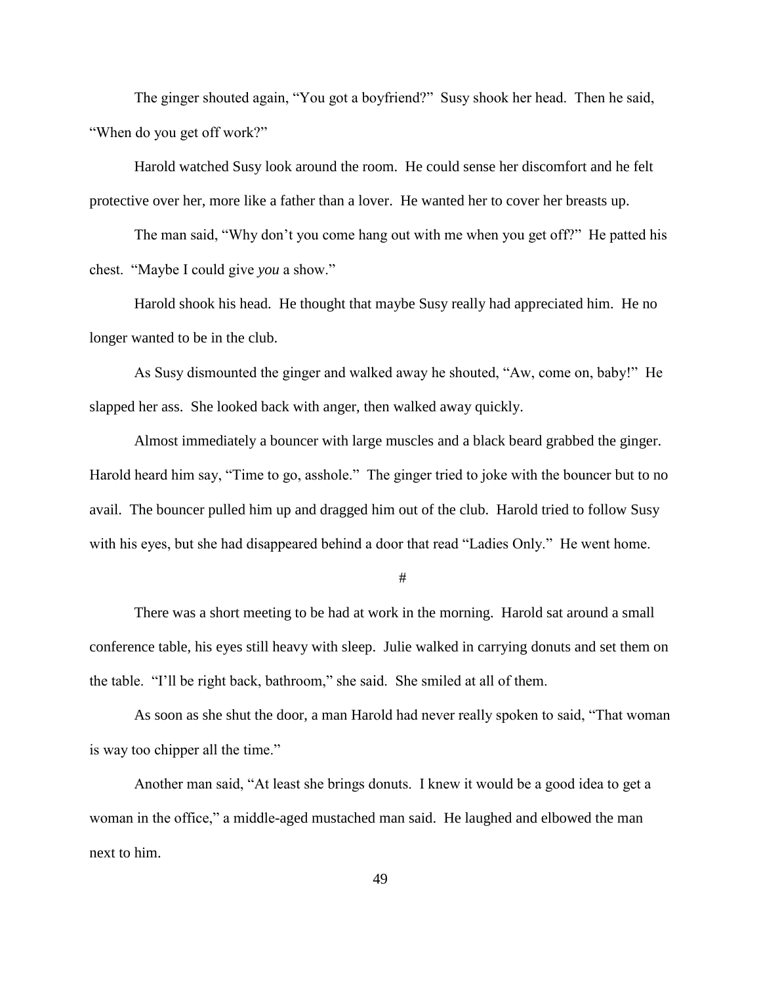The ginger shouted again, "You got a boyfriend?" Susy shook her head. Then he said, "When do you get off work?"

Harold watched Susy look around the room. He could sense her discomfort and he felt protective over her, more like a father than a lover. He wanted her to cover her breasts up.

The man said, "Why don't you come hang out with me when you get off?" He patted his chest. "Maybe I could give *you* a show."

Harold shook his head. He thought that maybe Susy really had appreciated him. He no longer wanted to be in the club.

As Susy dismounted the ginger and walked away he shouted, "Aw, come on, baby!" He slapped her ass. She looked back with anger, then walked away quickly.

Almost immediately a bouncer with large muscles and a black beard grabbed the ginger. Harold heard him say, "Time to go, asshole." The ginger tried to joke with the bouncer but to no avail. The bouncer pulled him up and dragged him out of the club. Harold tried to follow Susy with his eyes, but she had disappeared behind a door that read "Ladies Only." He went home.

#

There was a short meeting to be had at work in the morning. Harold sat around a small conference table, his eyes still heavy with sleep. Julie walked in carrying donuts and set them on the table. "I'll be right back, bathroom," she said. She smiled at all of them.

As soon as she shut the door, a man Harold had never really spoken to said, "That woman is way too chipper all the time."

Another man said, "At least she brings donuts. I knew it would be a good idea to get a woman in the office," a middle-aged mustached man said. He laughed and elbowed the man next to him.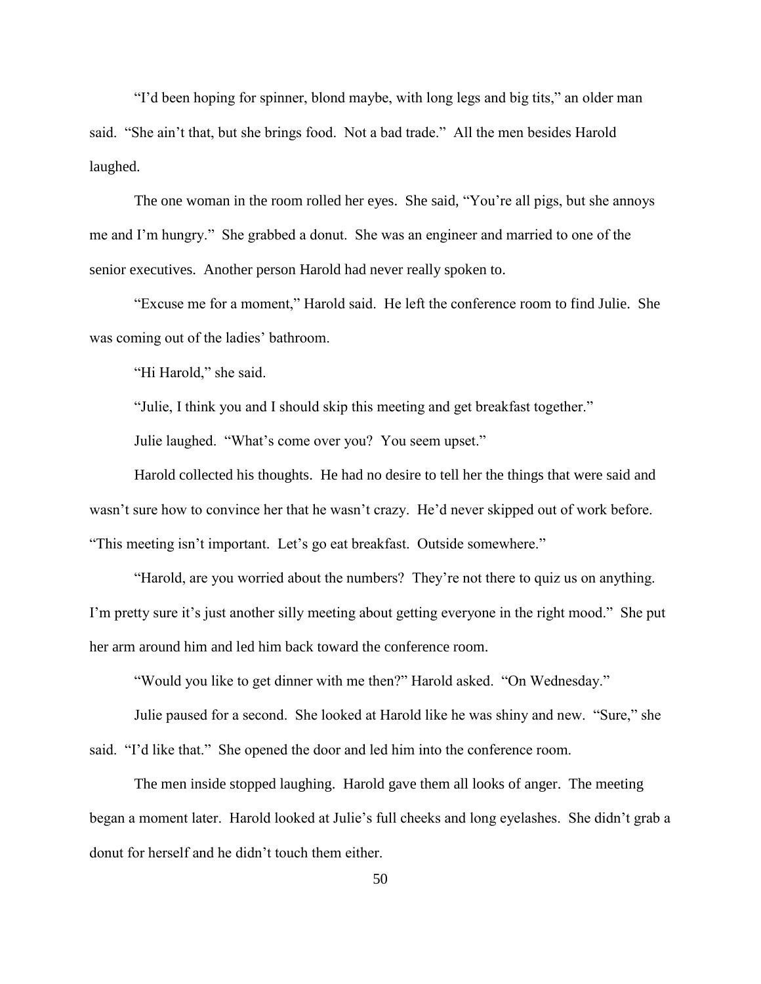"I'd been hoping for spinner, blond maybe, with long legs and big tits," an older man said. "She ain't that, but she brings food. Not a bad trade." All the men besides Harold laughed.

The one woman in the room rolled her eyes. She said, "You're all pigs, but she annoys me and I'm hungry." She grabbed a donut. She was an engineer and married to one of the senior executives. Another person Harold had never really spoken to.

"Excuse me for a moment," Harold said. He left the conference room to find Julie. She was coming out of the ladies' bathroom.

"Hi Harold," she said.

"Julie, I think you and I should skip this meeting and get breakfast together."

Julie laughed. "What's come over you? You seem upset."

Harold collected his thoughts. He had no desire to tell her the things that were said and wasn't sure how to convince her that he wasn't crazy. He'd never skipped out of work before. "This meeting isn't important. Let's go eat breakfast. Outside somewhere."

"Harold, are you worried about the numbers? They're not there to quiz us on anything. I'm pretty sure it's just another silly meeting about getting everyone in the right mood." She put her arm around him and led him back toward the conference room.

"Would you like to get dinner with me then?" Harold asked. "On Wednesday."

Julie paused for a second. She looked at Harold like he was shiny and new. "Sure," she said. "I'd like that." She opened the door and led him into the conference room.

The men inside stopped laughing. Harold gave them all looks of anger. The meeting began a moment later. Harold looked at Julie's full cheeks and long eyelashes. She didn't grab a donut for herself and he didn't touch them either.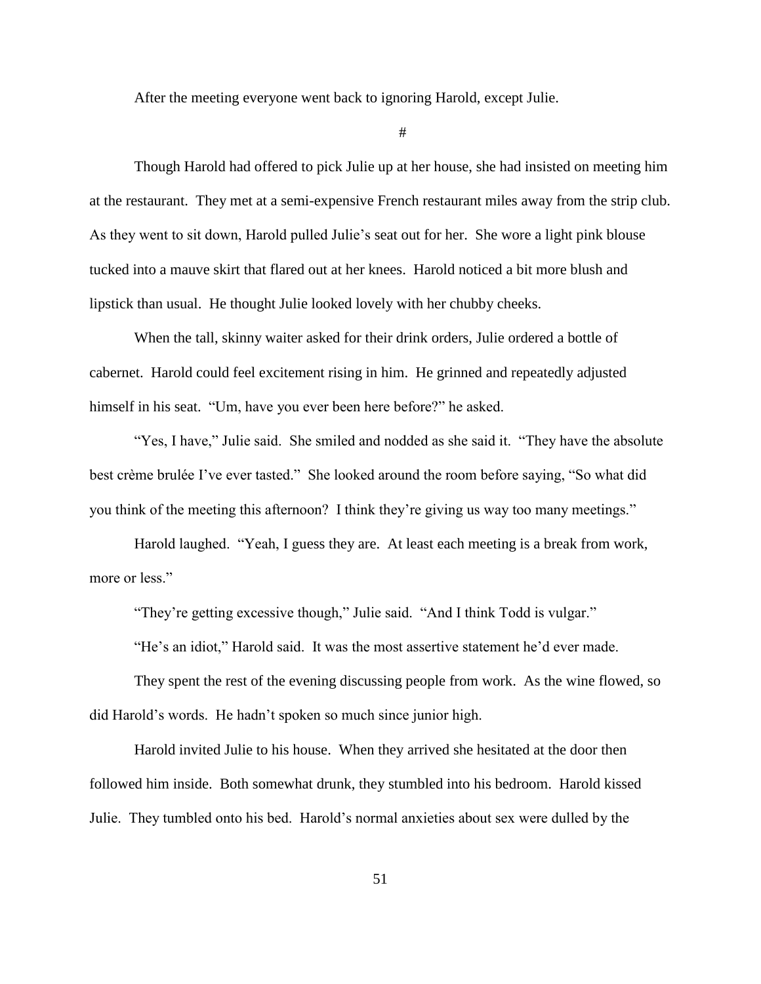After the meeting everyone went back to ignoring Harold, except Julie.

#

Though Harold had offered to pick Julie up at her house, she had insisted on meeting him at the restaurant. They met at a semi-expensive French restaurant miles away from the strip club. As they went to sit down, Harold pulled Julie's seat out for her. She wore a light pink blouse tucked into a mauve skirt that flared out at her knees. Harold noticed a bit more blush and lipstick than usual. He thought Julie looked lovely with her chubby cheeks.

When the tall, skinny waiter asked for their drink orders, Julie ordered a bottle of cabernet. Harold could feel excitement rising in him. He grinned and repeatedly adjusted himself in his seat. "Um, have you ever been here before?" he asked.

"Yes, I have," Julie said. She smiled and nodded as she said it. "They have the absolute best crème brulée I've ever tasted." She looked around the room before saying, "So what did you think of the meeting this afternoon? I think they're giving us way too many meetings."

Harold laughed. "Yeah, I guess they are. At least each meeting is a break from work, more or less."

"They're getting excessive though," Julie said. "And I think Todd is vulgar."

"He's an idiot," Harold said. It was the most assertive statement he'd ever made.

They spent the rest of the evening discussing people from work. As the wine flowed, so did Harold's words. He hadn't spoken so much since junior high.

Harold invited Julie to his house. When they arrived she hesitated at the door then followed him inside. Both somewhat drunk, they stumbled into his bedroom. Harold kissed Julie. They tumbled onto his bed. Harold's normal anxieties about sex were dulled by the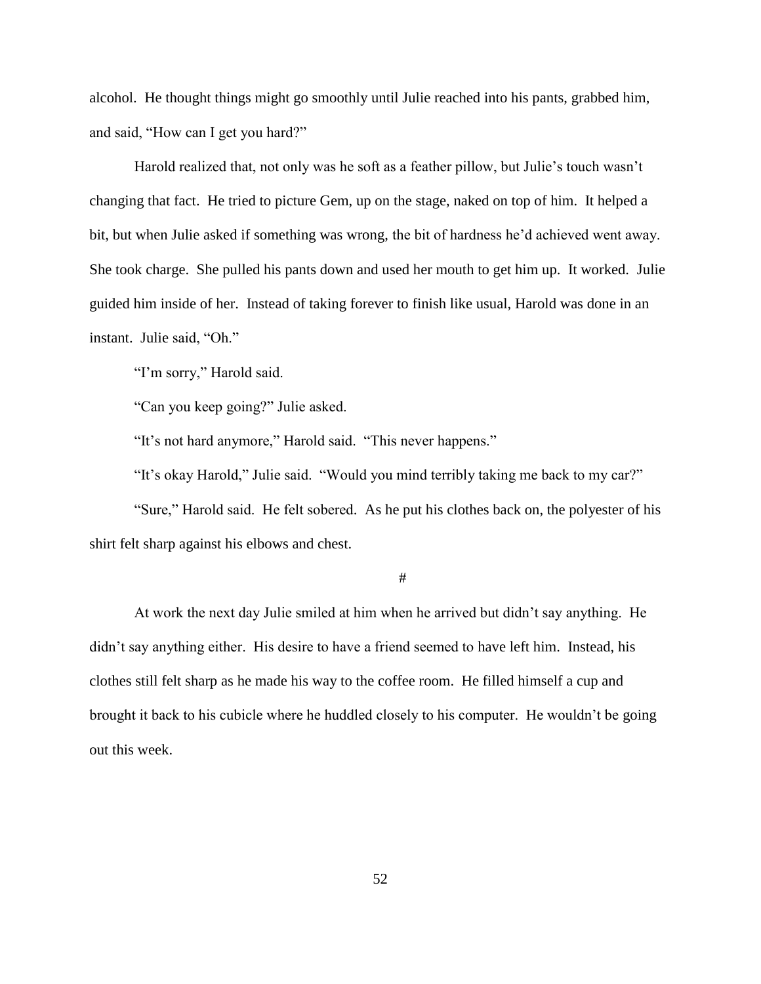alcohol. He thought things might go smoothly until Julie reached into his pants, grabbed him, and said, "How can I get you hard?"

Harold realized that, not only was he soft as a feather pillow, but Julie's touch wasn't changing that fact. He tried to picture Gem, up on the stage, naked on top of him. It helped a bit, but when Julie asked if something was wrong, the bit of hardness he'd achieved went away. She took charge. She pulled his pants down and used her mouth to get him up. It worked. Julie guided him inside of her. Instead of taking forever to finish like usual, Harold was done in an instant. Julie said, "Oh."

"I'm sorry," Harold said.

"Can you keep going?" Julie asked.

"It's not hard anymore," Harold said. "This never happens."

"It's okay Harold," Julie said. "Would you mind terribly taking me back to my car?"

"Sure," Harold said. He felt sobered. As he put his clothes back on, the polyester of his shirt felt sharp against his elbows and chest.

#

At work the next day Julie smiled at him when he arrived but didn't say anything. He didn't say anything either. His desire to have a friend seemed to have left him. Instead, his clothes still felt sharp as he made his way to the coffee room. He filled himself a cup and brought it back to his cubicle where he huddled closely to his computer. He wouldn't be going out this week.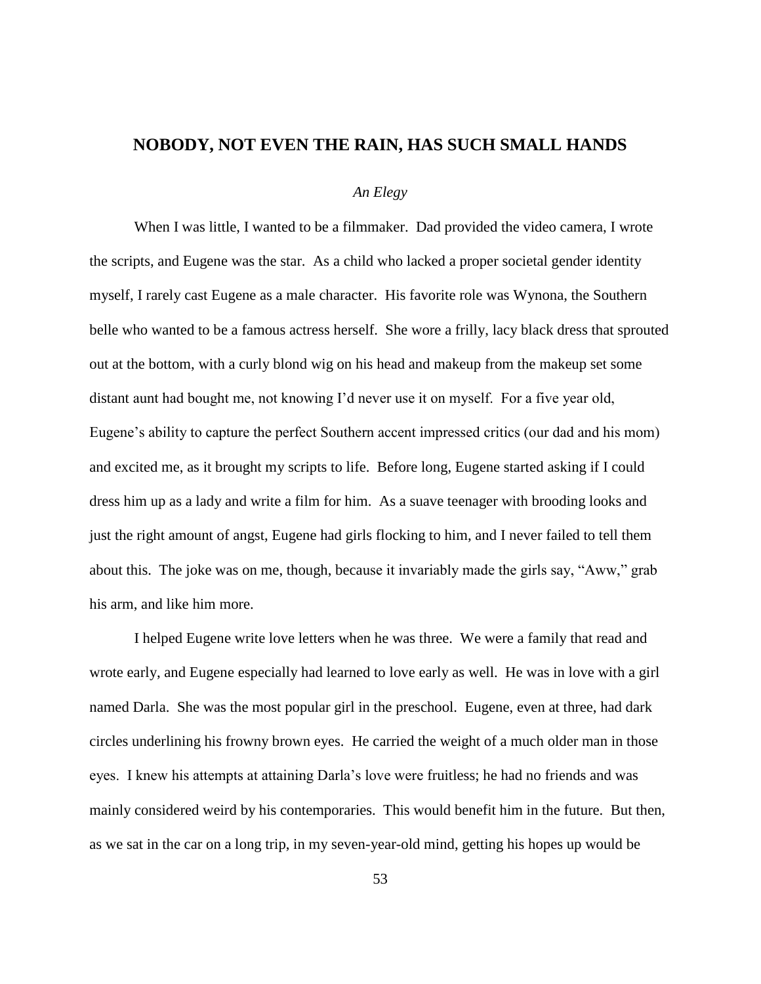## **NOBODY, NOT EVEN THE RAIN, HAS SUCH SMALL HANDS**

## *An Elegy*

When I was little, I wanted to be a filmmaker. Dad provided the video camera, I wrote the scripts, and Eugene was the star. As a child who lacked a proper societal gender identity myself, I rarely cast Eugene as a male character. His favorite role was Wynona, the Southern belle who wanted to be a famous actress herself. She wore a frilly, lacy black dress that sprouted out at the bottom, with a curly blond wig on his head and makeup from the makeup set some distant aunt had bought me, not knowing I'd never use it on myself. For a five year old, Eugene's ability to capture the perfect Southern accent impressed critics (our dad and his mom) and excited me, as it brought my scripts to life. Before long, Eugene started asking if I could dress him up as a lady and write a film for him. As a suave teenager with brooding looks and just the right amount of angst, Eugene had girls flocking to him, and I never failed to tell them about this. The joke was on me, though, because it invariably made the girls say, "Aww," grab his arm, and like him more.

I helped Eugene write love letters when he was three. We were a family that read and wrote early, and Eugene especially had learned to love early as well. He was in love with a girl named Darla. She was the most popular girl in the preschool. Eugene, even at three, had dark circles underlining his frowny brown eyes. He carried the weight of a much older man in those eyes. I knew his attempts at attaining Darla's love were fruitless; he had no friends and was mainly considered weird by his contemporaries. This would benefit him in the future. But then, as we sat in the car on a long trip, in my seven-year-old mind, getting his hopes up would be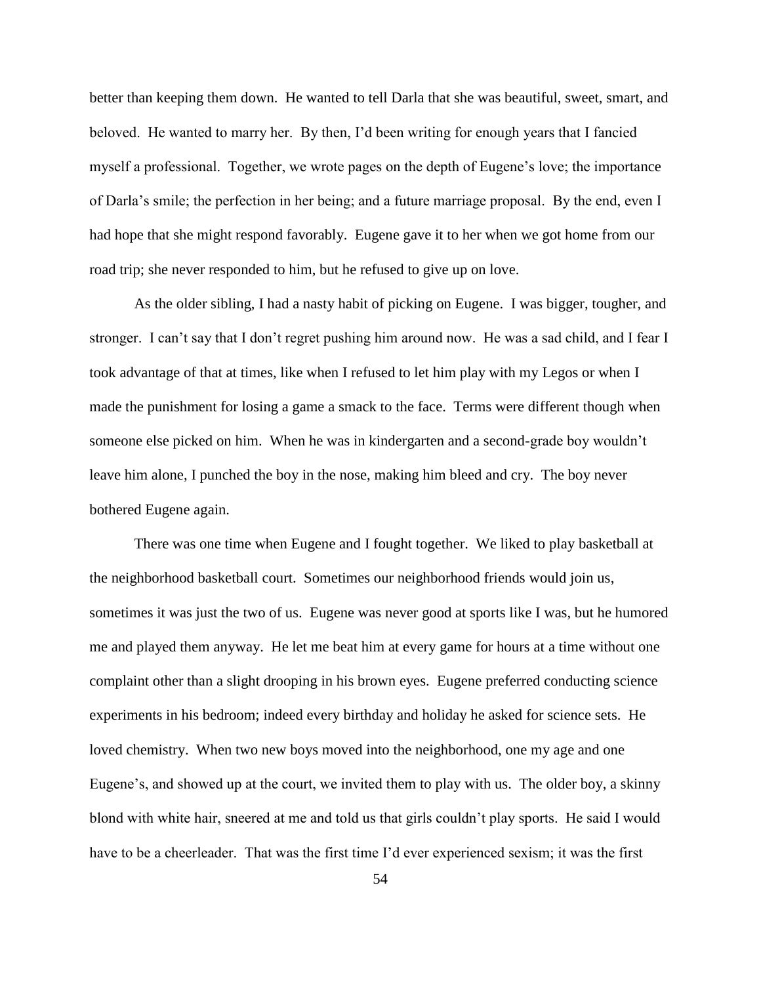better than keeping them down. He wanted to tell Darla that she was beautiful, sweet, smart, and beloved. He wanted to marry her. By then, I'd been writing for enough years that I fancied myself a professional. Together, we wrote pages on the depth of Eugene's love; the importance of Darla's smile; the perfection in her being; and a future marriage proposal. By the end, even I had hope that she might respond favorably. Eugene gave it to her when we got home from our road trip; she never responded to him, but he refused to give up on love.

As the older sibling, I had a nasty habit of picking on Eugene. I was bigger, tougher, and stronger. I can't say that I don't regret pushing him around now. He was a sad child, and I fear I took advantage of that at times, like when I refused to let him play with my Legos or when I made the punishment for losing a game a smack to the face. Terms were different though when someone else picked on him. When he was in kindergarten and a second-grade boy wouldn't leave him alone, I punched the boy in the nose, making him bleed and cry. The boy never bothered Eugene again.

There was one time when Eugene and I fought together. We liked to play basketball at the neighborhood basketball court. Sometimes our neighborhood friends would join us, sometimes it was just the two of us. Eugene was never good at sports like I was, but he humored me and played them anyway. He let me beat him at every game for hours at a time without one complaint other than a slight drooping in his brown eyes. Eugene preferred conducting science experiments in his bedroom; indeed every birthday and holiday he asked for science sets. He loved chemistry. When two new boys moved into the neighborhood, one my age and one Eugene's, and showed up at the court, we invited them to play with us. The older boy, a skinny blond with white hair, sneered at me and told us that girls couldn't play sports. He said I would have to be a cheerleader. That was the first time I'd ever experienced sexism; it was the first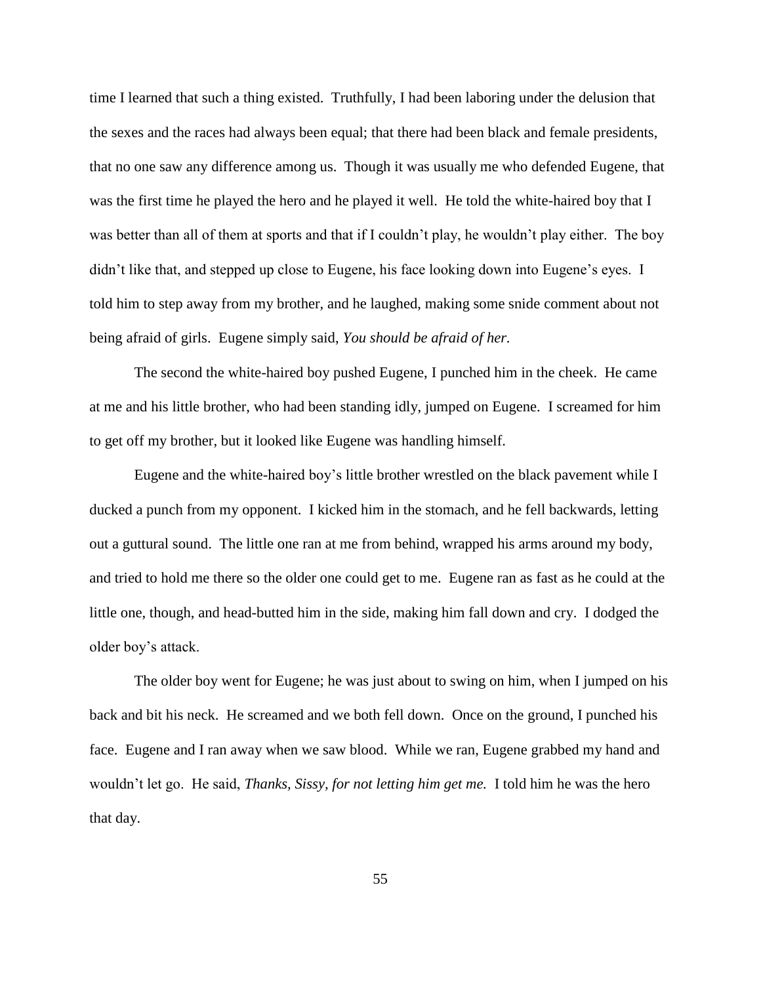time I learned that such a thing existed. Truthfully, I had been laboring under the delusion that the sexes and the races had always been equal; that there had been black and female presidents, that no one saw any difference among us. Though it was usually me who defended Eugene, that was the first time he played the hero and he played it well. He told the white-haired boy that I was better than all of them at sports and that if I couldn't play, he wouldn't play either. The boy didn't like that, and stepped up close to Eugene, his face looking down into Eugene's eyes. I told him to step away from my brother, and he laughed, making some snide comment about not being afraid of girls. Eugene simply said, *You should be afraid of her.*

The second the white-haired boy pushed Eugene, I punched him in the cheek. He came at me and his little brother, who had been standing idly, jumped on Eugene. I screamed for him to get off my brother, but it looked like Eugene was handling himself.

Eugene and the white-haired boy's little brother wrestled on the black pavement while I ducked a punch from my opponent. I kicked him in the stomach, and he fell backwards, letting out a guttural sound. The little one ran at me from behind, wrapped his arms around my body, and tried to hold me there so the older one could get to me. Eugene ran as fast as he could at the little one, though, and head-butted him in the side, making him fall down and cry. I dodged the older boy's attack.

The older boy went for Eugene; he was just about to swing on him, when I jumped on his back and bit his neck. He screamed and we both fell down. Once on the ground, I punched his face. Eugene and I ran away when we saw blood. While we ran, Eugene grabbed my hand and wouldn't let go. He said, *Thanks, Sissy, for not letting him get me.* I told him he was the hero that day.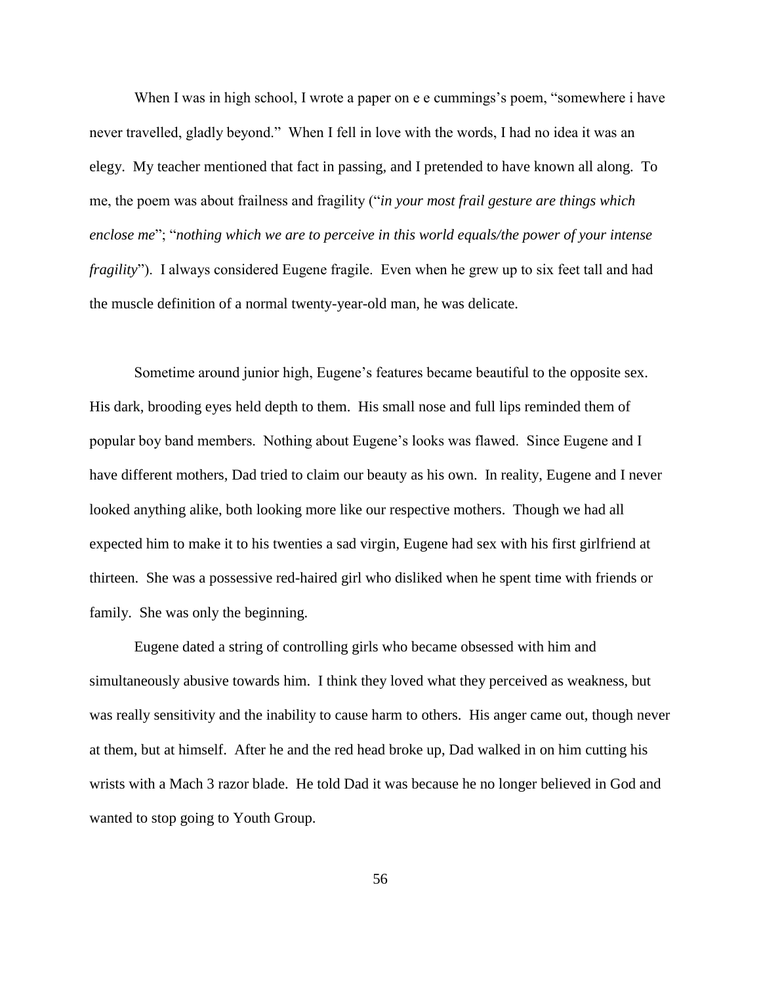When I was in high school, I wrote a paper on e e cummings's poem, "somewhere i have never travelled, gladly beyond." When I fell in love with the words, I had no idea it was an elegy. My teacher mentioned that fact in passing, and I pretended to have known all along. To me, the poem was about frailness and fragility ("*in your most frail gesture are things which enclose me*"; "*nothing which we are to perceive in this world equals/the power of your intense fragility*"). I always considered Eugene fragile. Even when he grew up to six feet tall and had the muscle definition of a normal twenty-year-old man, he was delicate.

Sometime around junior high, Eugene's features became beautiful to the opposite sex. His dark, brooding eyes held depth to them. His small nose and full lips reminded them of popular boy band members. Nothing about Eugene's looks was flawed. Since Eugene and I have different mothers, Dad tried to claim our beauty as his own. In reality, Eugene and I never looked anything alike, both looking more like our respective mothers. Though we had all expected him to make it to his twenties a sad virgin, Eugene had sex with his first girlfriend at thirteen. She was a possessive red-haired girl who disliked when he spent time with friends or family. She was only the beginning.

Eugene dated a string of controlling girls who became obsessed with him and simultaneously abusive towards him. I think they loved what they perceived as weakness, but was really sensitivity and the inability to cause harm to others. His anger came out, though never at them, but at himself. After he and the red head broke up, Dad walked in on him cutting his wrists with a Mach 3 razor blade. He told Dad it was because he no longer believed in God and wanted to stop going to Youth Group.

56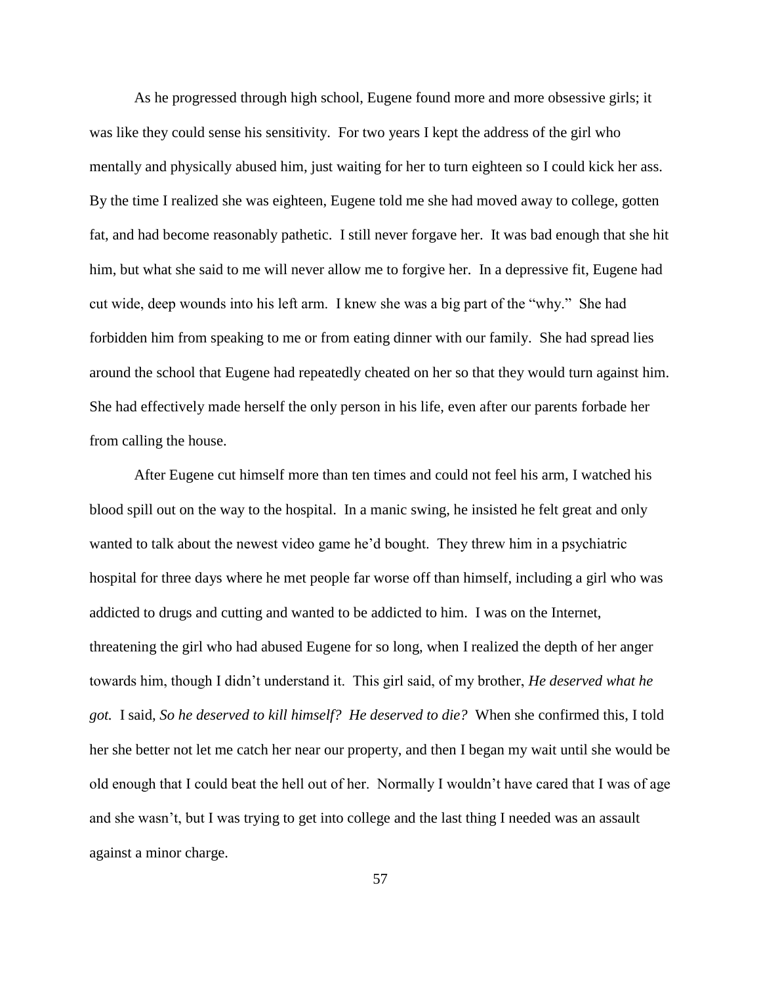As he progressed through high school, Eugene found more and more obsessive girls; it was like they could sense his sensitivity. For two years I kept the address of the girl who mentally and physically abused him, just waiting for her to turn eighteen so I could kick her ass. By the time I realized she was eighteen, Eugene told me she had moved away to college, gotten fat, and had become reasonably pathetic. I still never forgave her. It was bad enough that she hit him, but what she said to me will never allow me to forgive her. In a depressive fit, Eugene had cut wide, deep wounds into his left arm. I knew she was a big part of the "why." She had forbidden him from speaking to me or from eating dinner with our family. She had spread lies around the school that Eugene had repeatedly cheated on her so that they would turn against him. She had effectively made herself the only person in his life, even after our parents forbade her from calling the house.

After Eugene cut himself more than ten times and could not feel his arm, I watched his blood spill out on the way to the hospital. In a manic swing, he insisted he felt great and only wanted to talk about the newest video game he'd bought. They threw him in a psychiatric hospital for three days where he met people far worse off than himself, including a girl who was addicted to drugs and cutting and wanted to be addicted to him. I was on the Internet, threatening the girl who had abused Eugene for so long, when I realized the depth of her anger towards him, though I didn't understand it. This girl said, of my brother, *He deserved what he got.* I said, *So he deserved to kill himself? He deserved to die?* When she confirmed this, I told her she better not let me catch her near our property, and then I began my wait until she would be old enough that I could beat the hell out of her. Normally I wouldn't have cared that I was of age and she wasn't, but I was trying to get into college and the last thing I needed was an assault against a minor charge.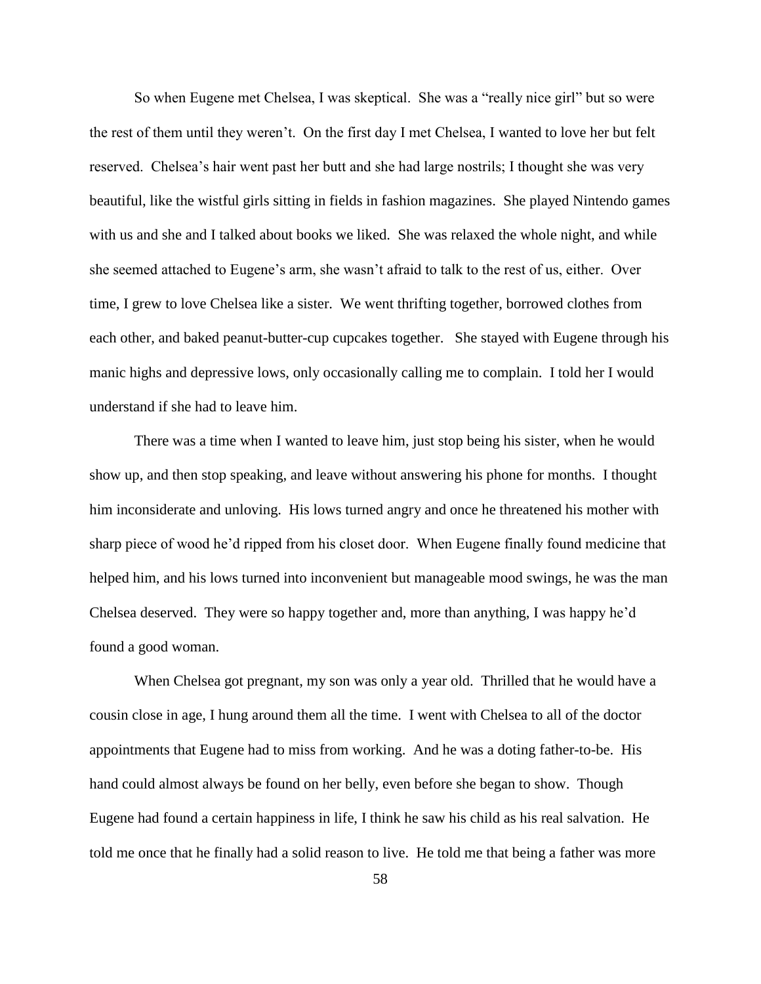So when Eugene met Chelsea, I was skeptical. She was a "really nice girl" but so were the rest of them until they weren't. On the first day I met Chelsea, I wanted to love her but felt reserved. Chelsea's hair went past her butt and she had large nostrils; I thought she was very beautiful, like the wistful girls sitting in fields in fashion magazines. She played Nintendo games with us and she and I talked about books we liked. She was relaxed the whole night, and while she seemed attached to Eugene's arm, she wasn't afraid to talk to the rest of us, either. Over time, I grew to love Chelsea like a sister. We went thrifting together, borrowed clothes from each other, and baked peanut-butter-cup cupcakes together. She stayed with Eugene through his manic highs and depressive lows, only occasionally calling me to complain. I told her I would understand if she had to leave him.

There was a time when I wanted to leave him, just stop being his sister, when he would show up, and then stop speaking, and leave without answering his phone for months. I thought him inconsiderate and unloving. His lows turned angry and once he threatened his mother with sharp piece of wood he'd ripped from his closet door. When Eugene finally found medicine that helped him, and his lows turned into inconvenient but manageable mood swings, he was the man Chelsea deserved. They were so happy together and, more than anything, I was happy he'd found a good woman.

When Chelsea got pregnant, my son was only a year old. Thrilled that he would have a cousin close in age, I hung around them all the time. I went with Chelsea to all of the doctor appointments that Eugene had to miss from working. And he was a doting father-to-be. His hand could almost always be found on her belly, even before she began to show. Though Eugene had found a certain happiness in life, I think he saw his child as his real salvation. He told me once that he finally had a solid reason to live. He told me that being a father was more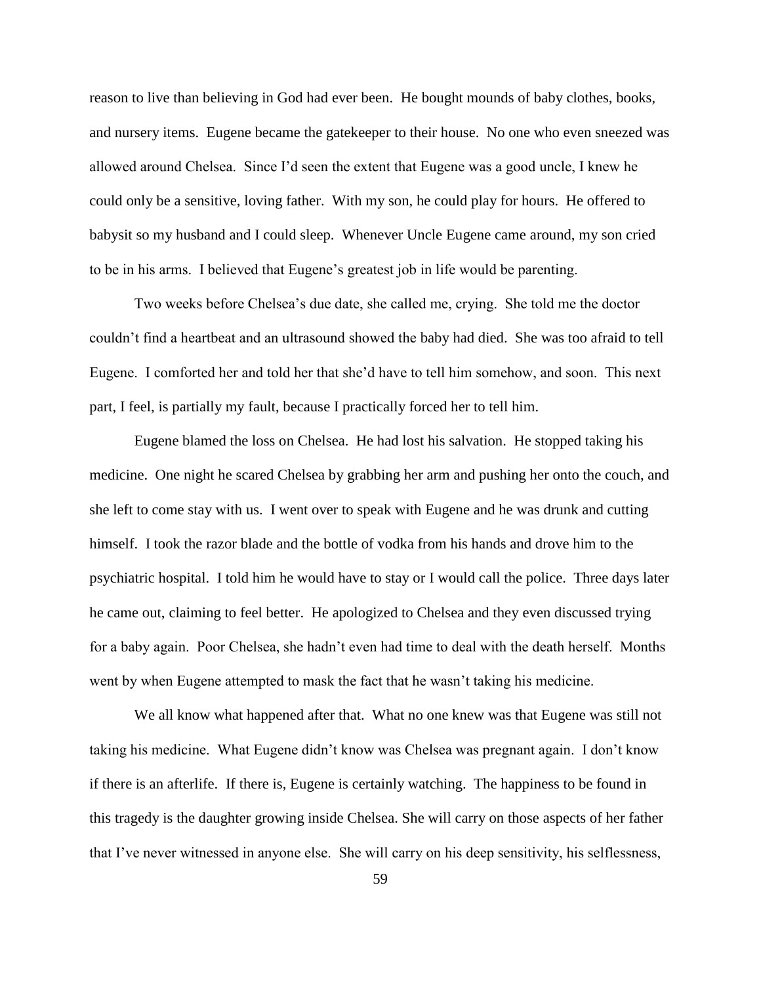reason to live than believing in God had ever been. He bought mounds of baby clothes, books, and nursery items. Eugene became the gatekeeper to their house. No one who even sneezed was allowed around Chelsea. Since I'd seen the extent that Eugene was a good uncle, I knew he could only be a sensitive, loving father. With my son, he could play for hours. He offered to babysit so my husband and I could sleep. Whenever Uncle Eugene came around, my son cried to be in his arms. I believed that Eugene's greatest job in life would be parenting.

Two weeks before Chelsea's due date, she called me, crying. She told me the doctor couldn't find a heartbeat and an ultrasound showed the baby had died. She was too afraid to tell Eugene. I comforted her and told her that she'd have to tell him somehow, and soon. This next part, I feel, is partially my fault, because I practically forced her to tell him.

Eugene blamed the loss on Chelsea. He had lost his salvation. He stopped taking his medicine. One night he scared Chelsea by grabbing her arm and pushing her onto the couch, and she left to come stay with us. I went over to speak with Eugene and he was drunk and cutting himself. I took the razor blade and the bottle of vodka from his hands and drove him to the psychiatric hospital. I told him he would have to stay or I would call the police. Three days later he came out, claiming to feel better. He apologized to Chelsea and they even discussed trying for a baby again. Poor Chelsea, she hadn't even had time to deal with the death herself. Months went by when Eugene attempted to mask the fact that he wasn't taking his medicine.

We all know what happened after that. What no one knew was that Eugene was still not taking his medicine. What Eugene didn't know was Chelsea was pregnant again. I don't know if there is an afterlife. If there is, Eugene is certainly watching. The happiness to be found in this tragedy is the daughter growing inside Chelsea. She will carry on those aspects of her father that I've never witnessed in anyone else. She will carry on his deep sensitivity, his selflessness,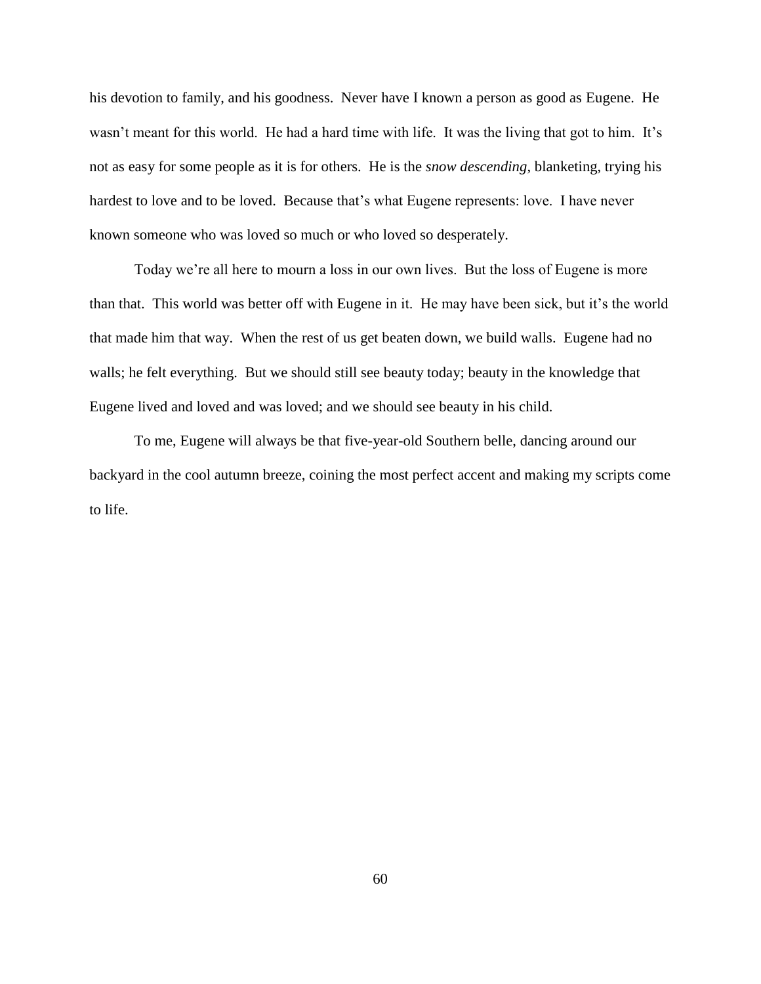his devotion to family, and his goodness. Never have I known a person as good as Eugene. He wasn't meant for this world. He had a hard time with life. It was the living that got to him. It's not as easy for some people as it is for others. He is the *snow descending*, blanketing, trying his hardest to love and to be loved. Because that's what Eugene represents: love. I have never known someone who was loved so much or who loved so desperately.

Today we're all here to mourn a loss in our own lives. But the loss of Eugene is more than that. This world was better off with Eugene in it. He may have been sick, but it's the world that made him that way. When the rest of us get beaten down, we build walls. Eugene had no walls; he felt everything. But we should still see beauty today; beauty in the knowledge that Eugene lived and loved and was loved; and we should see beauty in his child.

To me, Eugene will always be that five-year-old Southern belle, dancing around our backyard in the cool autumn breeze, coining the most perfect accent and making my scripts come to life.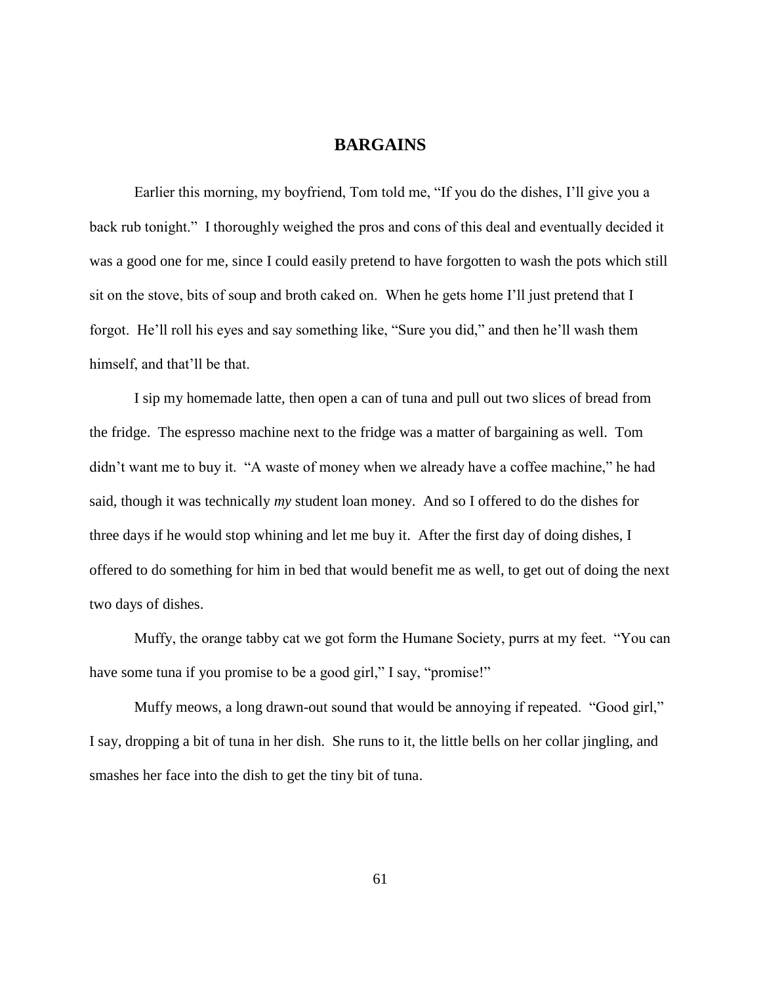## **BARGAINS**

Earlier this morning, my boyfriend, Tom told me, "If you do the dishes, I'll give you a back rub tonight." I thoroughly weighed the pros and cons of this deal and eventually decided it was a good one for me, since I could easily pretend to have forgotten to wash the pots which still sit on the stove, bits of soup and broth caked on. When he gets home I'll just pretend that I forgot. He'll roll his eyes and say something like, "Sure you did," and then he'll wash them himself, and that'll be that.

I sip my homemade latte, then open a can of tuna and pull out two slices of bread from the fridge. The espresso machine next to the fridge was a matter of bargaining as well. Tom didn't want me to buy it. "A waste of money when we already have a coffee machine," he had said, though it was technically *my* student loan money. And so I offered to do the dishes for three days if he would stop whining and let me buy it. After the first day of doing dishes, I offered to do something for him in bed that would benefit me as well, to get out of doing the next two days of dishes.

Muffy, the orange tabby cat we got form the Humane Society, purrs at my feet. "You can have some tuna if you promise to be a good girl," I say, "promise!"

Muffy meows, a long drawn-out sound that would be annoying if repeated. "Good girl," I say, dropping a bit of tuna in her dish. She runs to it, the little bells on her collar jingling, and smashes her face into the dish to get the tiny bit of tuna.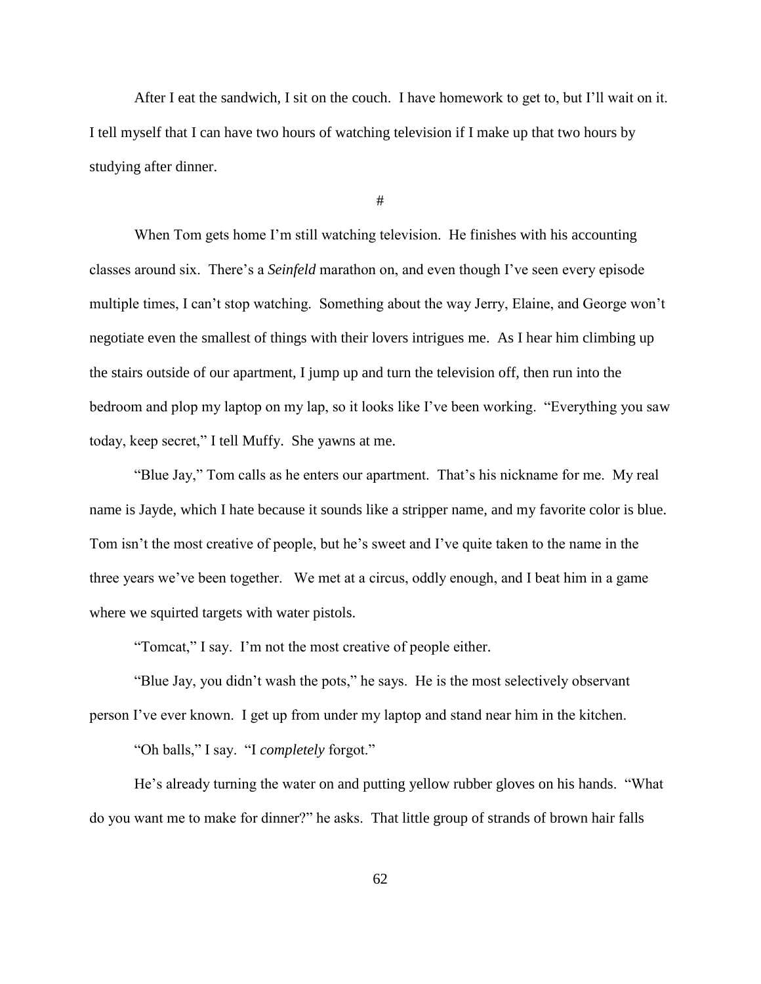After I eat the sandwich, I sit on the couch. I have homework to get to, but I'll wait on it. I tell myself that I can have two hours of watching television if I make up that two hours by studying after dinner.

#

When Tom gets home I'm still watching television. He finishes with his accounting classes around six. There's a *Seinfeld* marathon on, and even though I've seen every episode multiple times, I can't stop watching. Something about the way Jerry, Elaine, and George won't negotiate even the smallest of things with their lovers intrigues me. As I hear him climbing up the stairs outside of our apartment, I jump up and turn the television off, then run into the bedroom and plop my laptop on my lap, so it looks like I've been working. "Everything you saw today, keep secret," I tell Muffy. She yawns at me.

"Blue Jay," Tom calls as he enters our apartment. That's his nickname for me. My real name is Jayde, which I hate because it sounds like a stripper name, and my favorite color is blue. Tom isn't the most creative of people, but he's sweet and I've quite taken to the name in the three years we've been together. We met at a circus, oddly enough, and I beat him in a game where we squirted targets with water pistols.

"Tomcat," I say. I'm not the most creative of people either.

"Blue Jay, you didn't wash the pots," he says. He is the most selectively observant person I've ever known. I get up from under my laptop and stand near him in the kitchen.

"Oh balls," I say. "I *completely* forgot."

He's already turning the water on and putting yellow rubber gloves on his hands. "What do you want me to make for dinner?" he asks. That little group of strands of brown hair falls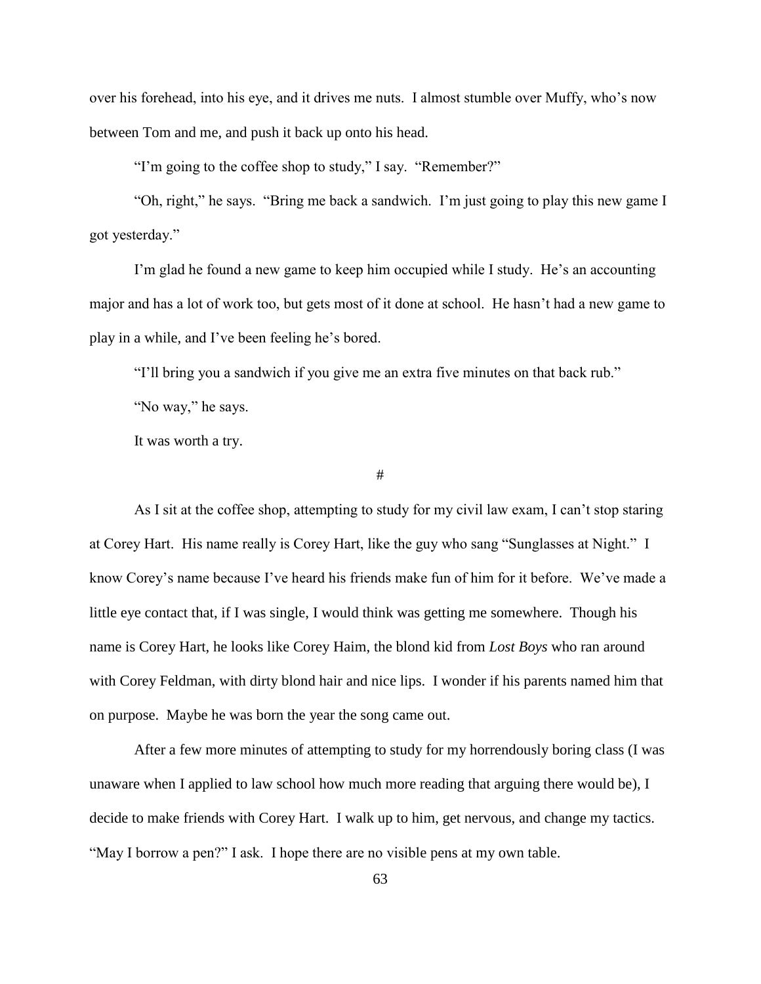over his forehead, into his eye, and it drives me nuts. I almost stumble over Muffy, who's now between Tom and me, and push it back up onto his head.

"I'm going to the coffee shop to study," I say. "Remember?"

"Oh, right," he says. "Bring me back a sandwich. I'm just going to play this new game I got yesterday."

I'm glad he found a new game to keep him occupied while I study. He's an accounting major and has a lot of work too, but gets most of it done at school. He hasn't had a new game to play in a while, and I've been feeling he's bored.

"I'll bring you a sandwich if you give me an extra five minutes on that back rub."

"No way," he says.

It was worth a try.

#

As I sit at the coffee shop, attempting to study for my civil law exam, I can't stop staring at Corey Hart. His name really is Corey Hart, like the guy who sang "Sunglasses at Night." I know Corey's name because I've heard his friends make fun of him for it before. We've made a little eye contact that, if I was single, I would think was getting me somewhere. Though his name is Corey Hart, he looks like Corey Haim, the blond kid from *Lost Boys* who ran around with Corey Feldman, with dirty blond hair and nice lips. I wonder if his parents named him that on purpose. Maybe he was born the year the song came out.

After a few more minutes of attempting to study for my horrendously boring class (I was unaware when I applied to law school how much more reading that arguing there would be), I decide to make friends with Corey Hart. I walk up to him, get nervous, and change my tactics. "May I borrow a pen?" I ask. I hope there are no visible pens at my own table.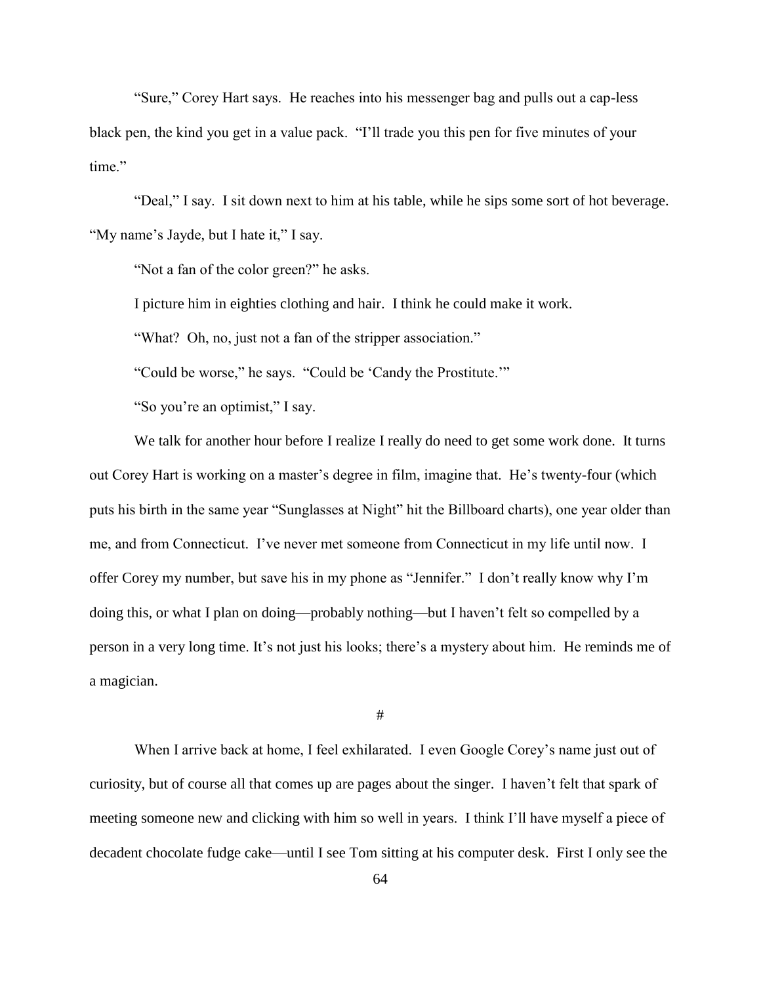"Sure," Corey Hart says. He reaches into his messenger bag and pulls out a cap-less black pen, the kind you get in a value pack. "I'll trade you this pen for five minutes of your time"

"Deal," I say. I sit down next to him at his table, while he sips some sort of hot beverage. "My name's Jayde, but I hate it," I say.

"Not a fan of the color green?" he asks.

I picture him in eighties clothing and hair. I think he could make it work.

"What? Oh, no, just not a fan of the stripper association."

"Could be worse," he says. "Could be 'Candy the Prostitute.'"

"So you're an optimist," I say.

We talk for another hour before I realize I really do need to get some work done. It turns out Corey Hart is working on a master's degree in film, imagine that. He's twenty-four (which puts his birth in the same year "Sunglasses at Night" hit the Billboard charts), one year older than me, and from Connecticut. I've never met someone from Connecticut in my life until now. I offer Corey my number, but save his in my phone as "Jennifer." I don't really know why I'm doing this, or what I plan on doing—probably nothing—but I haven't felt so compelled by a person in a very long time. It's not just his looks; there's a mystery about him. He reminds me of a magician.

#

When I arrive back at home, I feel exhilarated. I even Google Corey's name just out of curiosity, but of course all that comes up are pages about the singer. I haven't felt that spark of meeting someone new and clicking with him so well in years. I think I'll have myself a piece of decadent chocolate fudge cake—until I see Tom sitting at his computer desk. First I only see the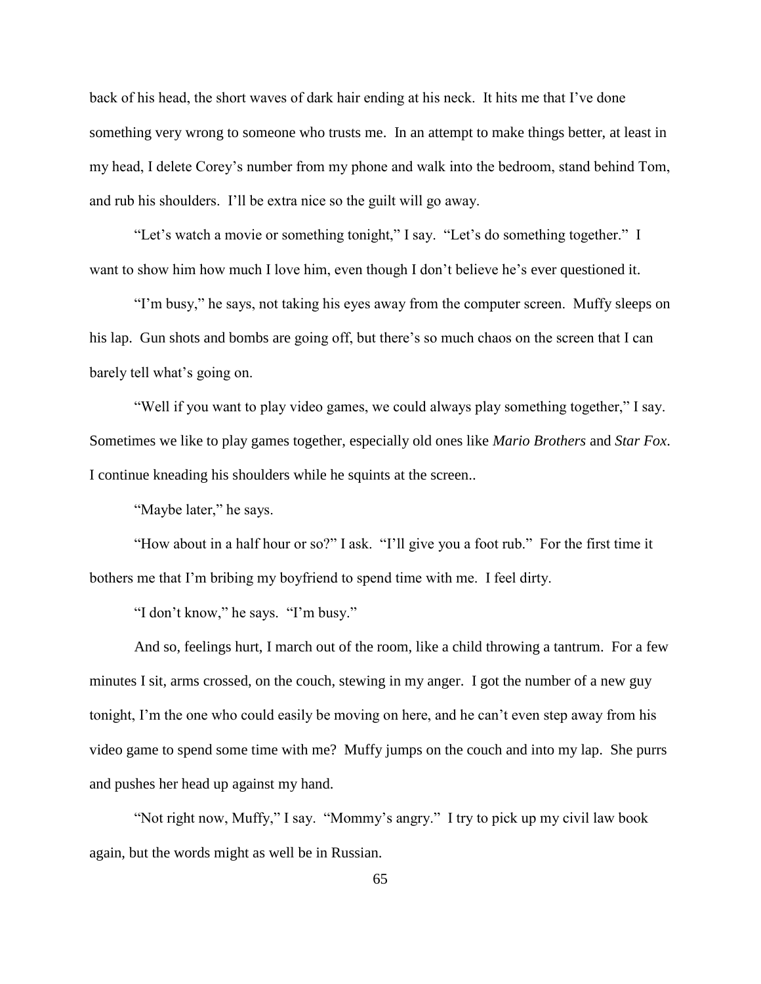back of his head, the short waves of dark hair ending at his neck. It hits me that I've done something very wrong to someone who trusts me. In an attempt to make things better, at least in my head, I delete Corey's number from my phone and walk into the bedroom, stand behind Tom, and rub his shoulders. I'll be extra nice so the guilt will go away.

"Let's watch a movie or something tonight," I say. "Let's do something together." I want to show him how much I love him, even though I don't believe he's ever questioned it.

"I'm busy," he says, not taking his eyes away from the computer screen. Muffy sleeps on his lap. Gun shots and bombs are going off, but there's so much chaos on the screen that I can barely tell what's going on.

"Well if you want to play video games, we could always play something together," I say. Sometimes we like to play games together, especially old ones like *Mario Brothers* and *Star Fox*. I continue kneading his shoulders while he squints at the screen..

"Maybe later," he says.

"How about in a half hour or so?" I ask. "I'll give you a foot rub." For the first time it bothers me that I'm bribing my boyfriend to spend time with me. I feel dirty.

"I don't know," he says. "I'm busy."

And so, feelings hurt, I march out of the room, like a child throwing a tantrum. For a few minutes I sit, arms crossed, on the couch, stewing in my anger. I got the number of a new guy tonight, I'm the one who could easily be moving on here, and he can't even step away from his video game to spend some time with me? Muffy jumps on the couch and into my lap. She purrs and pushes her head up against my hand.

"Not right now, Muffy," I say. "Mommy's angry." I try to pick up my civil law book again, but the words might as well be in Russian.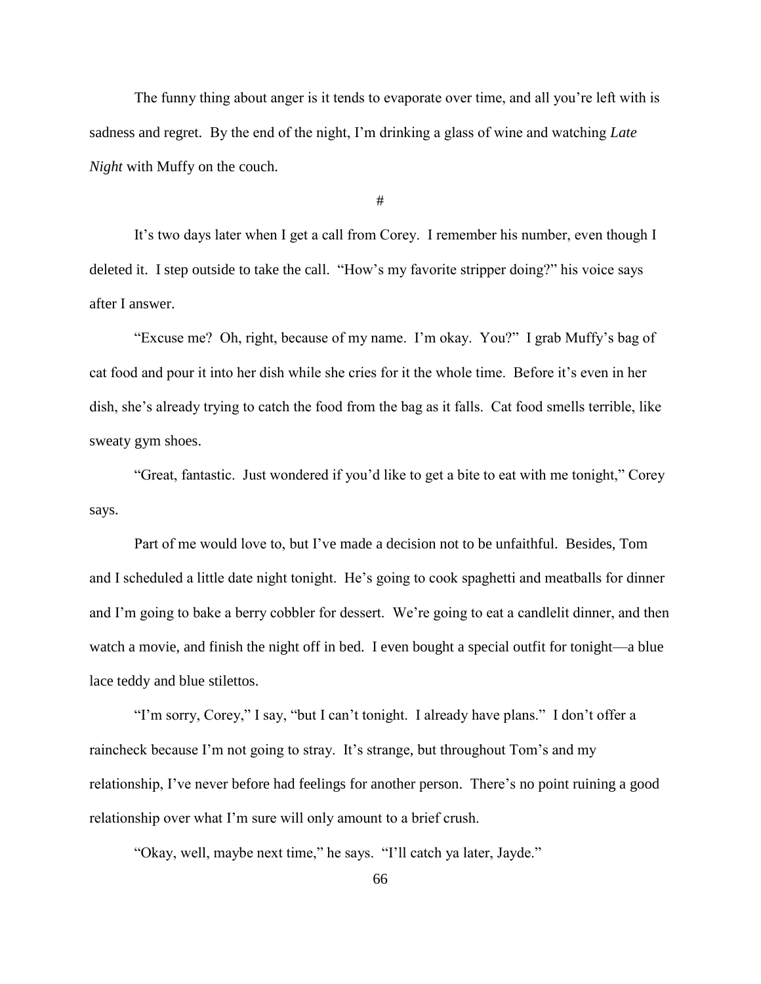The funny thing about anger is it tends to evaporate over time, and all you're left with is sadness and regret. By the end of the night, I'm drinking a glass of wine and watching *Late Night* with Muffy on the couch.

#

It's two days later when I get a call from Corey. I remember his number, even though I deleted it. I step outside to take the call. "How's my favorite stripper doing?" his voice says after I answer.

"Excuse me? Oh, right, because of my name. I'm okay. You?" I grab Muffy's bag of cat food and pour it into her dish while she cries for it the whole time. Before it's even in her dish, she's already trying to catch the food from the bag as it falls. Cat food smells terrible, like sweaty gym shoes.

"Great, fantastic. Just wondered if you'd like to get a bite to eat with me tonight," Corey says.

Part of me would love to, but I've made a decision not to be unfaithful. Besides, Tom and I scheduled a little date night tonight. He's going to cook spaghetti and meatballs for dinner and I'm going to bake a berry cobbler for dessert. We're going to eat a candlelit dinner, and then watch a movie, and finish the night off in bed. I even bought a special outfit for tonight—a blue lace teddy and blue stilettos.

"I'm sorry, Corey," I say, "but I can't tonight. I already have plans." I don't offer a raincheck because I'm not going to stray. It's strange, but throughout Tom's and my relationship, I've never before had feelings for another person. There's no point ruining a good relationship over what I'm sure will only amount to a brief crush.

"Okay, well, maybe next time," he says. "I'll catch ya later, Jayde."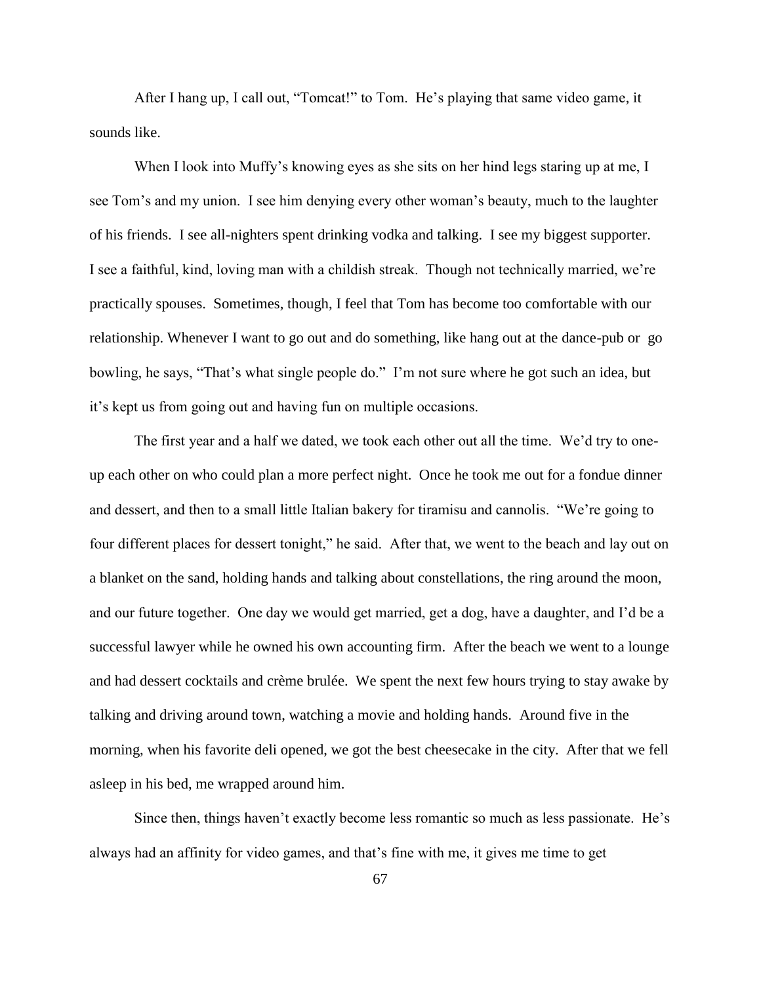After I hang up, I call out, "Tomcat!" to Tom. He's playing that same video game, it sounds like.

When I look into Muffy's knowing eyes as she sits on her hind legs staring up at me, I see Tom's and my union. I see him denying every other woman's beauty, much to the laughter of his friends. I see all-nighters spent drinking vodka and talking. I see my biggest supporter. I see a faithful, kind, loving man with a childish streak. Though not technically married, we're practically spouses. Sometimes, though, I feel that Tom has become too comfortable with our relationship. Whenever I want to go out and do something, like hang out at the dance-pub or go bowling, he says, "That's what single people do." I'm not sure where he got such an idea, but it's kept us from going out and having fun on multiple occasions.

The first year and a half we dated, we took each other out all the time. We'd try to oneup each other on who could plan a more perfect night. Once he took me out for a fondue dinner and dessert, and then to a small little Italian bakery for tiramisu and cannolis. "We're going to four different places for dessert tonight," he said. After that, we went to the beach and lay out on a blanket on the sand, holding hands and talking about constellations, the ring around the moon, and our future together. One day we would get married, get a dog, have a daughter, and I'd be a successful lawyer while he owned his own accounting firm. After the beach we went to a lounge and had dessert cocktails and crème brulée. We spent the next few hours trying to stay awake by talking and driving around town, watching a movie and holding hands. Around five in the morning, when his favorite deli opened, we got the best cheesecake in the city. After that we fell asleep in his bed, me wrapped around him.

Since then, things haven't exactly become less romantic so much as less passionate. He's always had an affinity for video games, and that's fine with me, it gives me time to get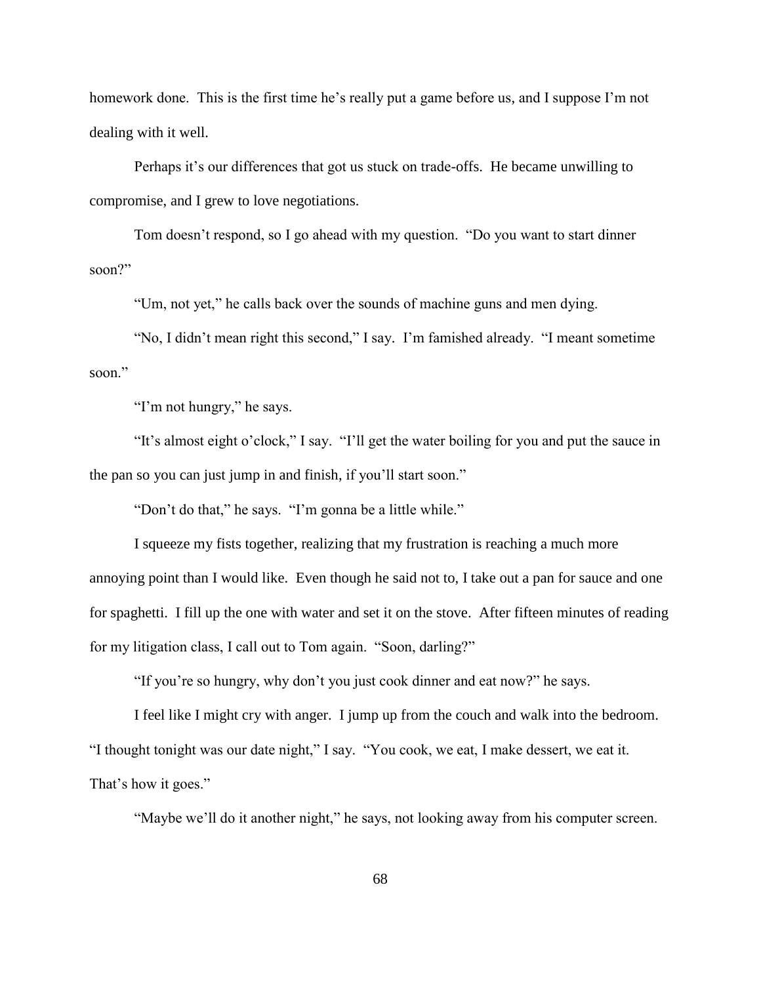homework done. This is the first time he's really put a game before us, and I suppose I'm not dealing with it well.

Perhaps it's our differences that got us stuck on trade-offs. He became unwilling to compromise, and I grew to love negotiations.

Tom doesn't respond, so I go ahead with my question. "Do you want to start dinner soon?"

"Um, not yet," he calls back over the sounds of machine guns and men dying.

"No, I didn't mean right this second," I say. I'm famished already. "I meant sometime soon."

"I'm not hungry," he says.

"It's almost eight o'clock," I say. "I'll get the water boiling for you and put the sauce in the pan so you can just jump in and finish, if you'll start soon."

"Don't do that," he says. "I'm gonna be a little while."

I squeeze my fists together, realizing that my frustration is reaching a much more annoying point than I would like. Even though he said not to, I take out a pan for sauce and one for spaghetti. I fill up the one with water and set it on the stove. After fifteen minutes of reading for my litigation class, I call out to Tom again. "Soon, darling?"

"If you're so hungry, why don't you just cook dinner and eat now?" he says.

I feel like I might cry with anger. I jump up from the couch and walk into the bedroom. "I thought tonight was our date night," I say. "You cook, we eat, I make dessert, we eat it. That's how it goes."

"Maybe we'll do it another night," he says, not looking away from his computer screen.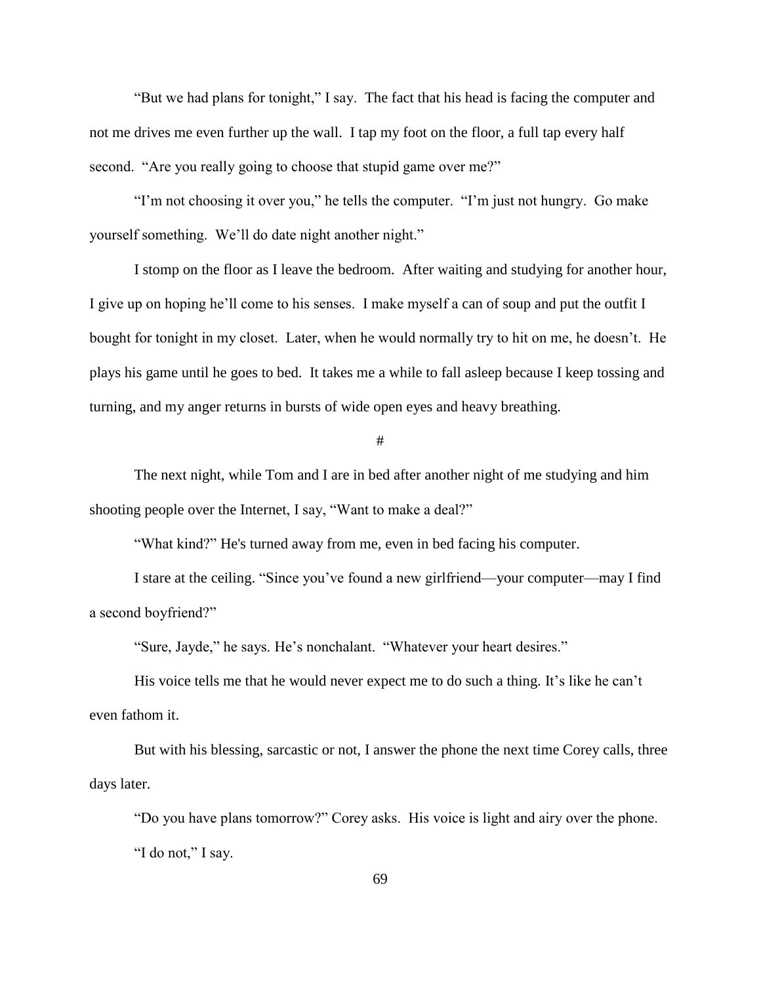"But we had plans for tonight," I say. The fact that his head is facing the computer and not me drives me even further up the wall. I tap my foot on the floor, a full tap every half second. "Are you really going to choose that stupid game over me?"

"I'm not choosing it over you," he tells the computer. "I'm just not hungry. Go make yourself something. We'll do date night another night."

I stomp on the floor as I leave the bedroom. After waiting and studying for another hour, I give up on hoping he'll come to his senses. I make myself a can of soup and put the outfit I bought for tonight in my closet. Later, when he would normally try to hit on me, he doesn't. He plays his game until he goes to bed. It takes me a while to fall asleep because I keep tossing and turning, and my anger returns in bursts of wide open eyes and heavy breathing.

#

The next night, while Tom and I are in bed after another night of me studying and him shooting people over the Internet, I say, "Want to make a deal?"

"What kind?" He's turned away from me, even in bed facing his computer.

I stare at the ceiling. "Since you've found a new girlfriend—your computer—may I find a second boyfriend?"

"Sure, Jayde," he says. He's nonchalant. "Whatever your heart desires."

His voice tells me that he would never expect me to do such a thing. It's like he can't even fathom it.

But with his blessing, sarcastic or not, I answer the phone the next time Corey calls, three days later.

"Do you have plans tomorrow?" Corey asks. His voice is light and airy over the phone. "I do not," I say.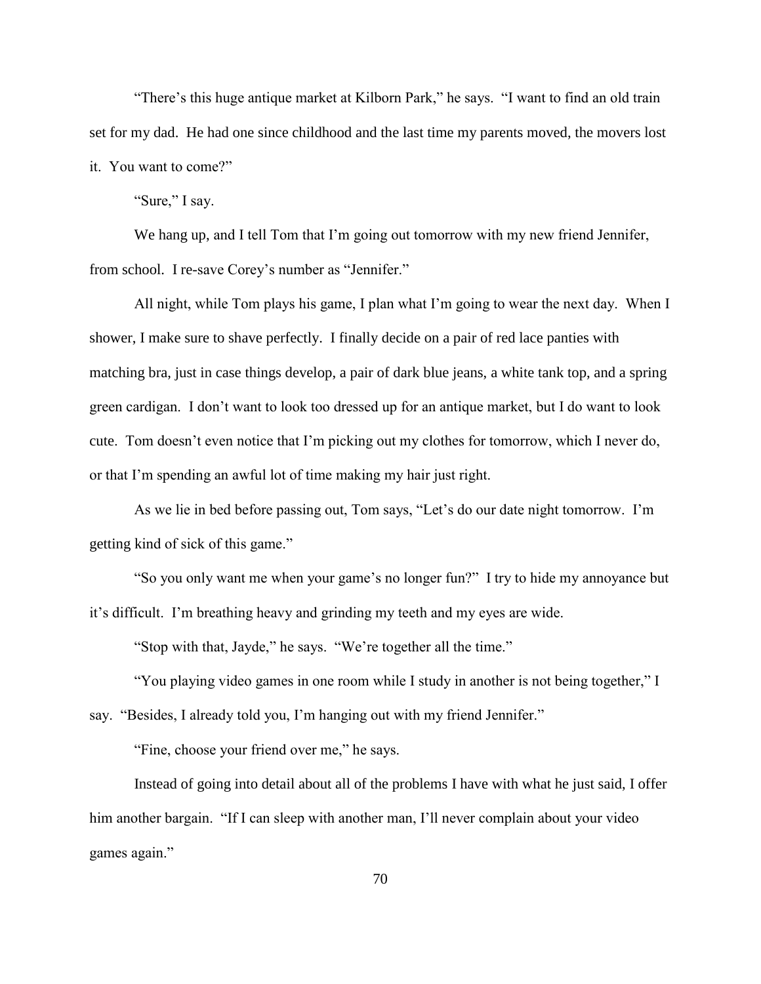"There's this huge antique market at Kilborn Park," he says. "I want to find an old train set for my dad. He had one since childhood and the last time my parents moved, the movers lost it. You want to come?"

"Sure," I say.

We hang up, and I tell Tom that I'm going out tomorrow with my new friend Jennifer, from school. I re-save Corey's number as "Jennifer."

All night, while Tom plays his game, I plan what I'm going to wear the next day. When I shower, I make sure to shave perfectly. I finally decide on a pair of red lace panties with matching bra, just in case things develop, a pair of dark blue jeans, a white tank top, and a spring green cardigan. I don't want to look too dressed up for an antique market, but I do want to look cute. Tom doesn't even notice that I'm picking out my clothes for tomorrow, which I never do, or that I'm spending an awful lot of time making my hair just right.

As we lie in bed before passing out, Tom says, "Let's do our date night tomorrow. I'm getting kind of sick of this game."

"So you only want me when your game's no longer fun?" I try to hide my annoyance but it's difficult. I'm breathing heavy and grinding my teeth and my eyes are wide.

"Stop with that, Jayde," he says. "We're together all the time."

"You playing video games in one room while I study in another is not being together," I say. "Besides, I already told you, I'm hanging out with my friend Jennifer."

"Fine, choose your friend over me," he says.

Instead of going into detail about all of the problems I have with what he just said, I offer him another bargain. "If I can sleep with another man, I'll never complain about your video games again."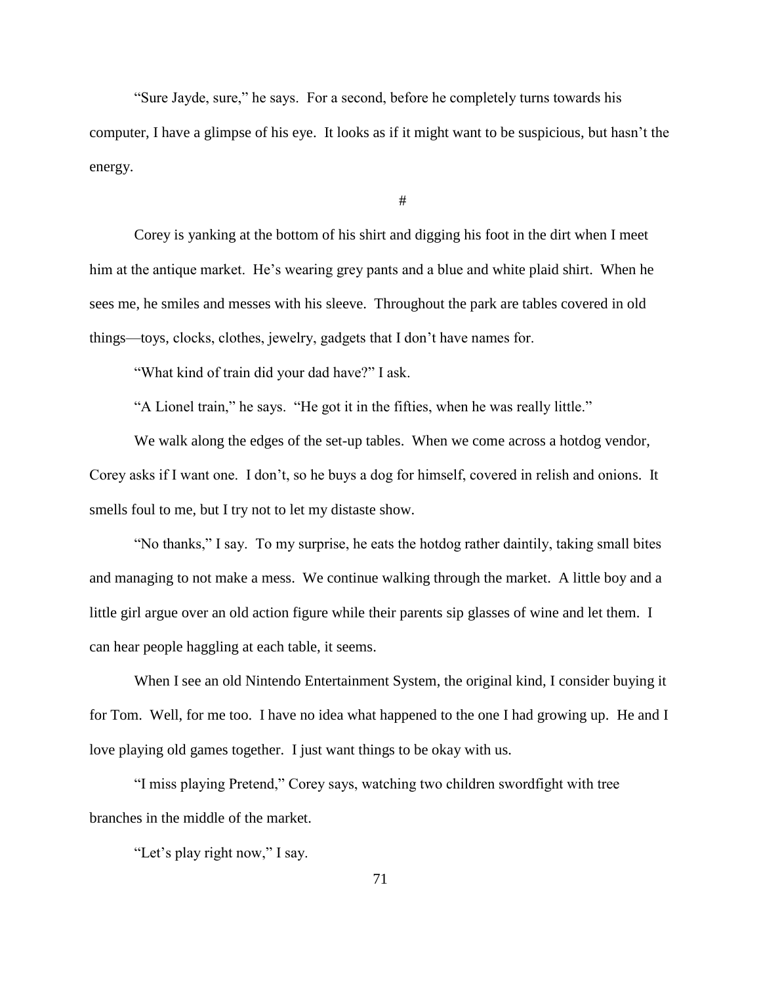"Sure Jayde, sure," he says. For a second, before he completely turns towards his computer, I have a glimpse of his eye. It looks as if it might want to be suspicious, but hasn't the energy.

#

Corey is yanking at the bottom of his shirt and digging his foot in the dirt when I meet him at the antique market. He's wearing grey pants and a blue and white plaid shirt. When he sees me, he smiles and messes with his sleeve. Throughout the park are tables covered in old things—toys, clocks, clothes, jewelry, gadgets that I don't have names for.

"What kind of train did your dad have?" I ask.

"A Lionel train," he says. "He got it in the fifties, when he was really little."

We walk along the edges of the set-up tables. When we come across a hotdog vendor, Corey asks if I want one. I don't, so he buys a dog for himself, covered in relish and onions. It smells foul to me, but I try not to let my distaste show.

"No thanks," I say. To my surprise, he eats the hotdog rather daintily, taking small bites and managing to not make a mess. We continue walking through the market. A little boy and a little girl argue over an old action figure while their parents sip glasses of wine and let them. I can hear people haggling at each table, it seems.

When I see an old Nintendo Entertainment System, the original kind, I consider buying it for Tom. Well, for me too. I have no idea what happened to the one I had growing up. He and I love playing old games together. I just want things to be okay with us.

"I miss playing Pretend," Corey says, watching two children swordfight with tree branches in the middle of the market.

"Let's play right now," I say.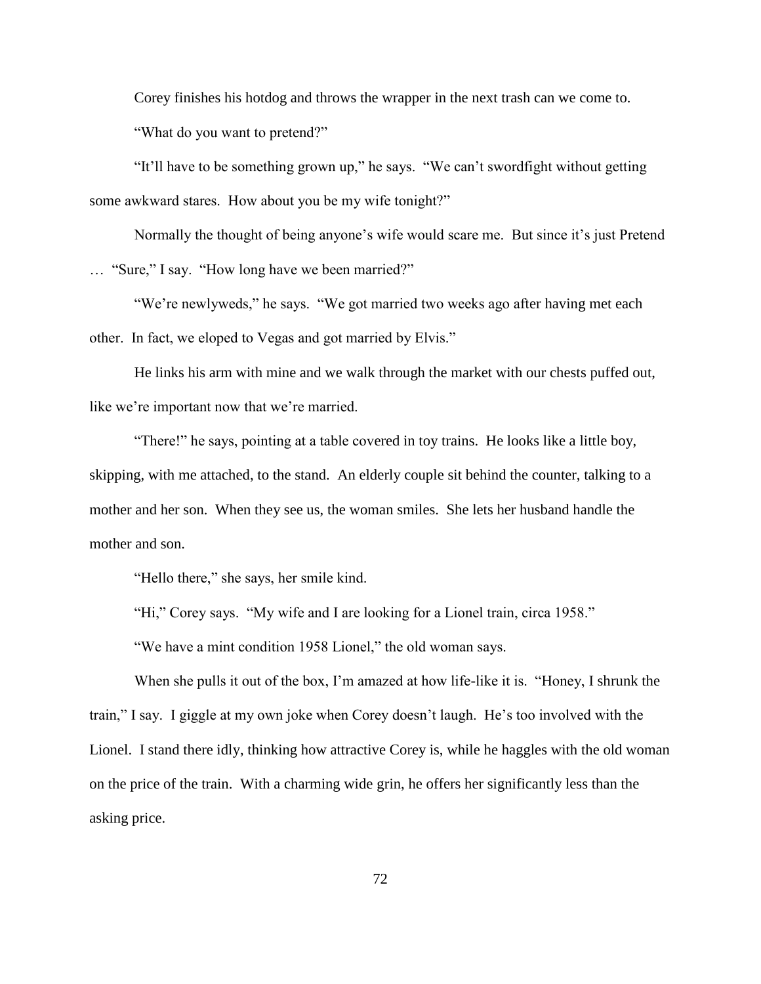Corey finishes his hotdog and throws the wrapper in the next trash can we come to. "What do you want to pretend?"

"It'll have to be something grown up," he says. "We can't swordfight without getting some awkward stares. How about you be my wife tonight?"

Normally the thought of being anyone's wife would scare me. But since it's just Pretend … "Sure," I say. "How long have we been married?"

"We're newlyweds," he says. "We got married two weeks ago after having met each other. In fact, we eloped to Vegas and got married by Elvis."

He links his arm with mine and we walk through the market with our chests puffed out, like we're important now that we're married.

"There!" he says, pointing at a table covered in toy trains. He looks like a little boy, skipping, with me attached, to the stand. An elderly couple sit behind the counter, talking to a mother and her son. When they see us, the woman smiles. She lets her husband handle the mother and son.

"Hello there," she says, her smile kind.

"Hi," Corey says. "My wife and I are looking for a Lionel train, circa 1958."

"We have a mint condition 1958 Lionel," the old woman says.

When she pulls it out of the box, I'm amazed at how life-like it is. "Honey, I shrunk the train," I say. I giggle at my own joke when Corey doesn't laugh. He's too involved with the Lionel. I stand there idly, thinking how attractive Corey is, while he haggles with the old woman on the price of the train. With a charming wide grin, he offers her significantly less than the asking price.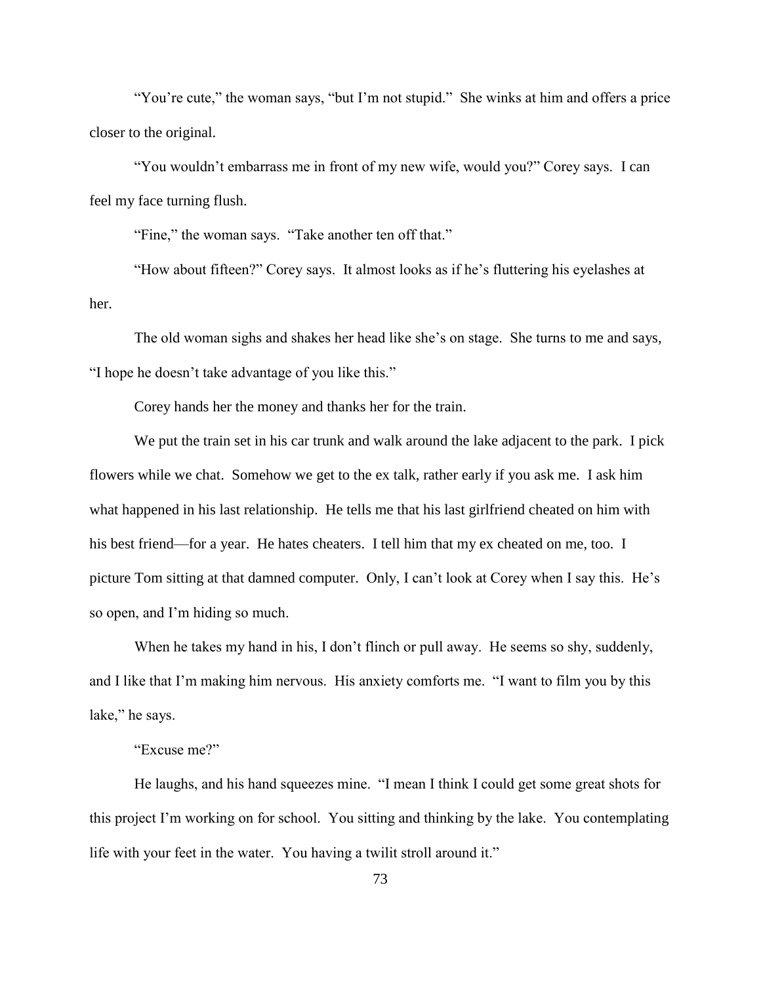"You're cute," the woman says, "but I'm not stupid." She winks at him and offers a price closer to the original.

"You wouldn't embarrass me in front of my new wife, would you?" Corey says. I can feel my face turning flush.

"Fine," the woman says. "Take another ten off that."

"How about fifteen?" Corey says. It almost looks as if he's fluttering his eyelashes at her.

The old woman sighs and shakes her head like she's on stage. She turns to me and says, "I hope he doesn't take advantage of you like this."

Corey hands her the money and thanks her for the train.

We put the train set in his car trunk and walk around the lake adjacent to the park. I pick flowers while we chat. Somehow we get to the ex talk, rather early if you ask me. I ask him what happened in his last relationship. He tells me that his last girlfriend cheated on him with his best friend—for a year. He hates cheaters. I tell him that my ex cheated on me, too. I picture Tom sitting at that damned computer. Only, I can't look at Corey when I say this. He's so open, and I'm hiding so much.

When he takes my hand in his, I don't flinch or pull away. He seems so shy, suddenly, and I like that I'm making him nervous. His anxiety comforts me. "I want to film you by this lake," he says.

## "Excuse me?"

He laughs, and his hand squeezes mine. "I mean I think I could get some great shots for this project I'm working on for school. You sitting and thinking by the lake. You contemplating life with your feet in the water. You having a twilit stroll around it."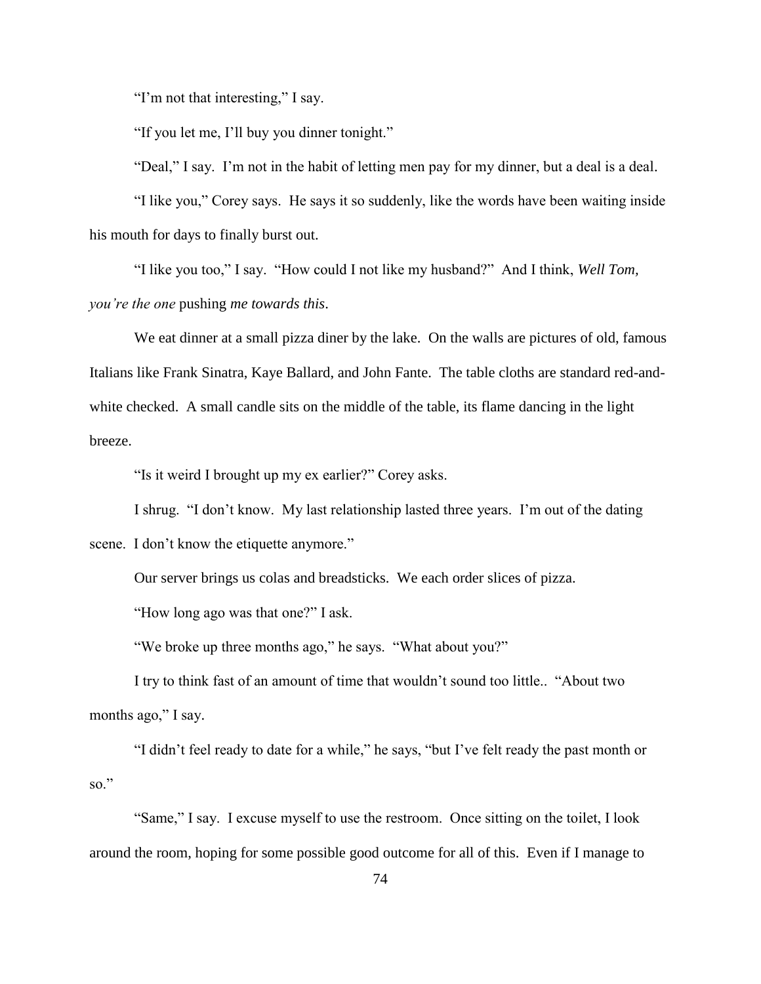"I'm not that interesting," I say.

"If you let me, I'll buy you dinner tonight."

"Deal," I say. I'm not in the habit of letting men pay for my dinner, but a deal is a deal.

"I like you," Corey says. He says it so suddenly, like the words have been waiting inside his mouth for days to finally burst out.

"I like you too," I say. "How could I not like my husband?" And I think, *Well Tom, you're the one* pushing *me towards this*.

We eat dinner at a small pizza diner by the lake. On the walls are pictures of old, famous Italians like Frank Sinatra, Kaye Ballard, and John Fante. The table cloths are standard red-andwhite checked. A small candle sits on the middle of the table, its flame dancing in the light breeze.

"Is it weird I brought up my ex earlier?" Corey asks.

I shrug. "I don't know. My last relationship lasted three years. I'm out of the dating scene. I don't know the etiquette anymore."

Our server brings us colas and breadsticks. We each order slices of pizza.

"How long ago was that one?" I ask.

"We broke up three months ago," he says. "What about you?"

I try to think fast of an amount of time that wouldn't sound too little.. "About two months ago," I say.

"I didn't feel ready to date for a while," he says, "but I've felt ready the past month or so."

"Same," I say. I excuse myself to use the restroom. Once sitting on the toilet, I look around the room, hoping for some possible good outcome for all of this. Even if I manage to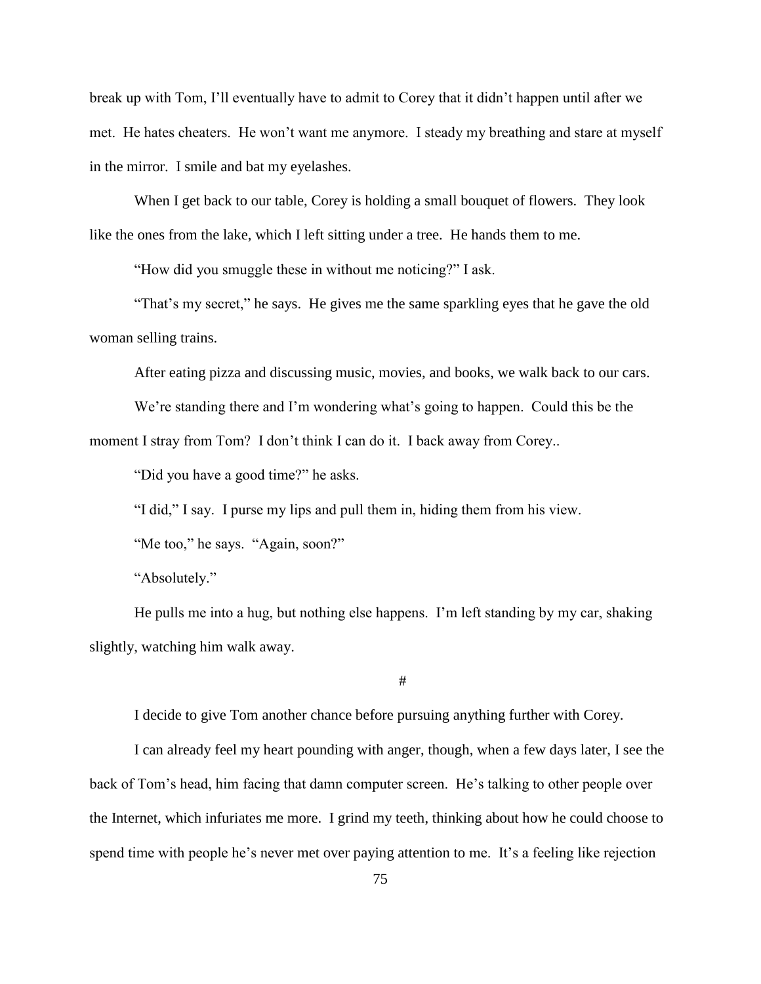break up with Tom, I'll eventually have to admit to Corey that it didn't happen until after we met. He hates cheaters. He won't want me anymore. I steady my breathing and stare at myself in the mirror. I smile and bat my eyelashes.

When I get back to our table, Corey is holding a small bouquet of flowers. They look like the ones from the lake, which I left sitting under a tree. He hands them to me.

"How did you smuggle these in without me noticing?" I ask.

"That's my secret," he says. He gives me the same sparkling eyes that he gave the old woman selling trains.

After eating pizza and discussing music, movies, and books, we walk back to our cars.

We're standing there and I'm wondering what's going to happen. Could this be the moment I stray from Tom? I don't think I can do it. I back away from Corey..

"Did you have a good time?" he asks.

"I did," I say. I purse my lips and pull them in, hiding them from his view.

"Me too," he says. "Again, soon?"

"Absolutely."

He pulls me into a hug, but nothing else happens. I'm left standing by my car, shaking slightly, watching him walk away.

#

I decide to give Tom another chance before pursuing anything further with Corey.

I can already feel my heart pounding with anger, though, when a few days later, I see the back of Tom's head, him facing that damn computer screen. He's talking to other people over the Internet, which infuriates me more. I grind my teeth, thinking about how he could choose to spend time with people he's never met over paying attention to me. It's a feeling like rejection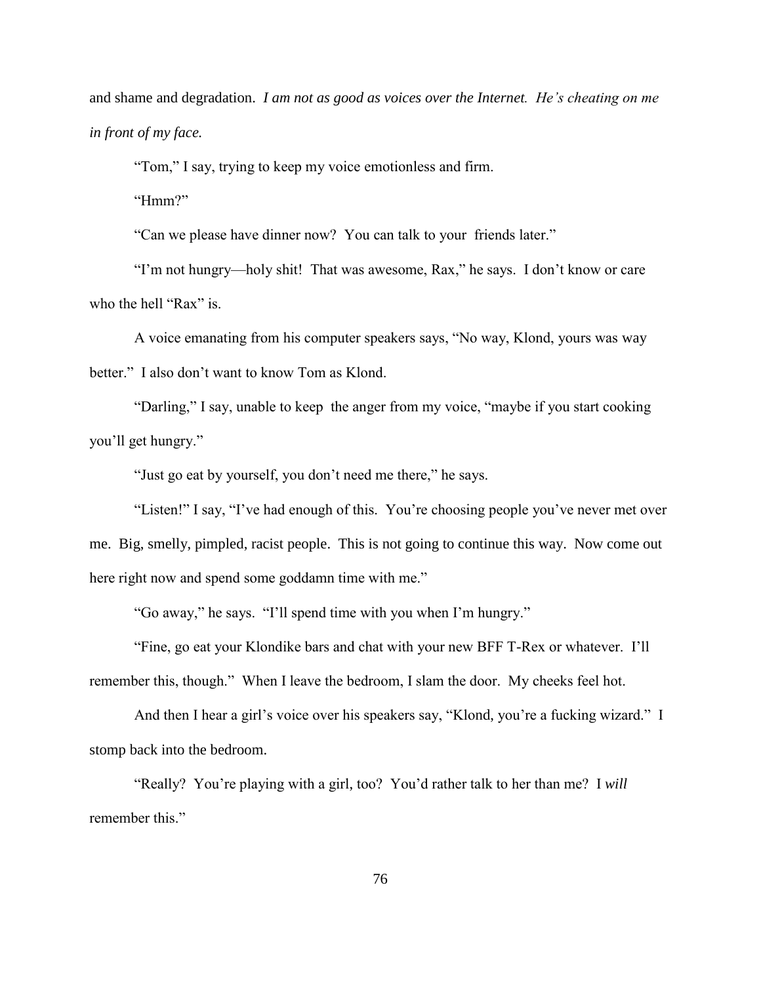and shame and degradation. *I am not as good as voices over the Internet. He's cheating on me in front of my face.*

"Tom," I say, trying to keep my voice emotionless and firm.

"Hmm?"

"Can we please have dinner now? You can talk to your friends later."

"I'm not hungry—holy shit! That was awesome, Rax," he says. I don't know or care who the hell "Rax" is.

A voice emanating from his computer speakers says, "No way, Klond, yours was way better." I also don't want to know Tom as Klond.

"Darling," I say, unable to keep the anger from my voice, "maybe if you start cooking you'll get hungry."

"Just go eat by yourself, you don't need me there," he says.

"Listen!" I say, "I've had enough of this. You're choosing people you've never met over me. Big, smelly, pimpled, racist people. This is not going to continue this way. Now come out here right now and spend some goddamn time with me."

"Go away," he says. "I'll spend time with you when I'm hungry."

"Fine, go eat your Klondike bars and chat with your new BFF T-Rex or whatever. I'll remember this, though." When I leave the bedroom, I slam the door. My cheeks feel hot.

And then I hear a girl's voice over his speakers say, "Klond, you're a fucking wizard." I stomp back into the bedroom.

"Really? You're playing with a girl, too? You'd rather talk to her than me? I *will* remember this."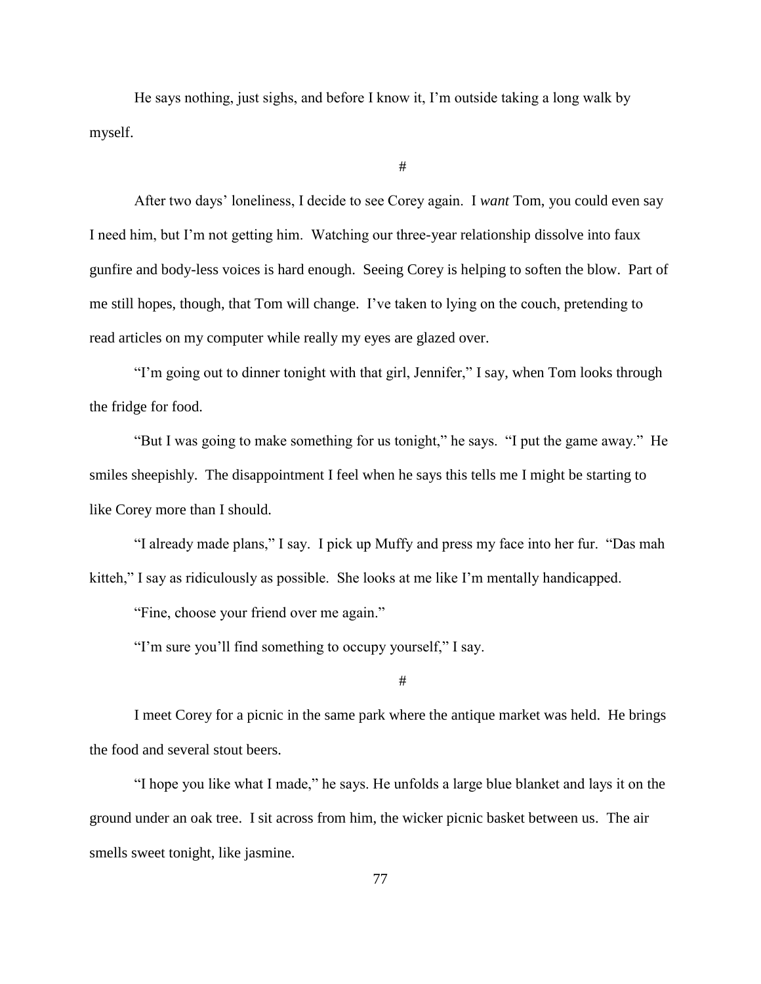He says nothing, just sighs, and before I know it, I'm outside taking a long walk by myself.

#

After two days' loneliness, I decide to see Corey again. I *want* Tom, you could even say I need him, but I'm not getting him. Watching our three-year relationship dissolve into faux gunfire and body-less voices is hard enough. Seeing Corey is helping to soften the blow. Part of me still hopes, though, that Tom will change. I've taken to lying on the couch, pretending to read articles on my computer while really my eyes are glazed over.

"I'm going out to dinner tonight with that girl, Jennifer," I say, when Tom looks through the fridge for food.

"But I was going to make something for us tonight," he says. "I put the game away." He smiles sheepishly. The disappointment I feel when he says this tells me I might be starting to like Corey more than I should.

"I already made plans," I say. I pick up Muffy and press my face into her fur. "Das mah kitteh," I say as ridiculously as possible. She looks at me like I'm mentally handicapped.

"Fine, choose your friend over me again."

"I'm sure you'll find something to occupy yourself," I say.

#

I meet Corey for a picnic in the same park where the antique market was held. He brings the food and several stout beers.

"I hope you like what I made," he says. He unfolds a large blue blanket and lays it on the ground under an oak tree. I sit across from him, the wicker picnic basket between us. The air smells sweet tonight, like jasmine.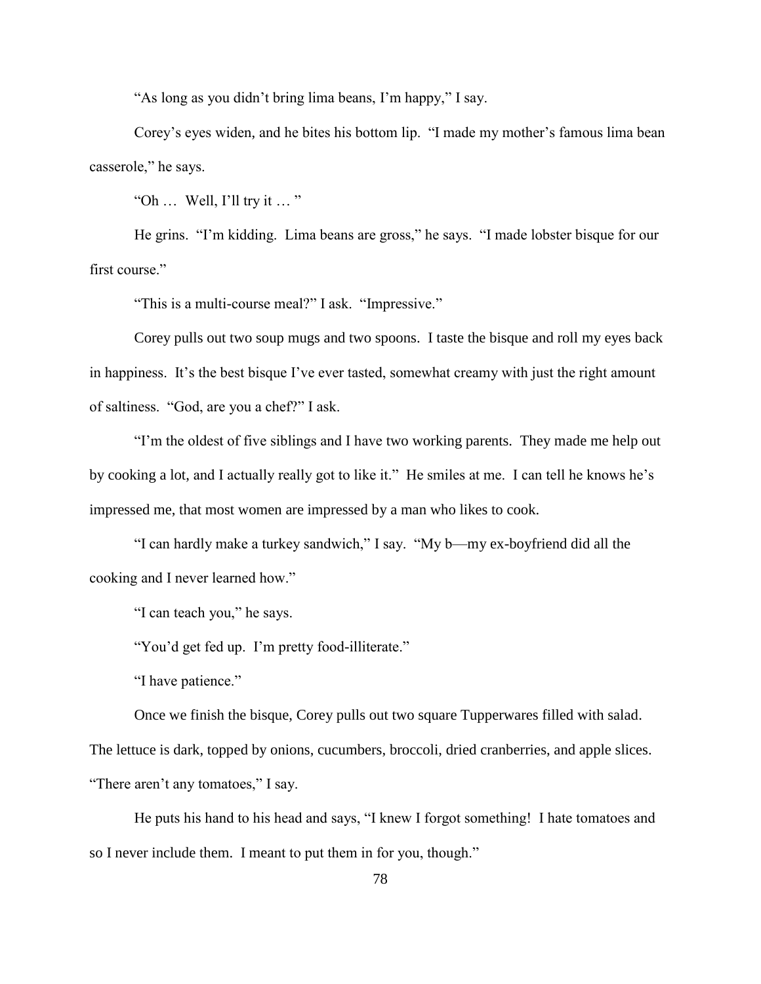"As long as you didn't bring lima beans, I'm happy," I say.

Corey's eyes widen, and he bites his bottom lip. "I made my mother's famous lima bean casserole," he says.

"Oh  $\ldots$  Well, I'll try it  $\ldots$ "

He grins. "I'm kidding. Lima beans are gross," he says. "I made lobster bisque for our first course."

"This is a multi-course meal?" I ask. "Impressive."

Corey pulls out two soup mugs and two spoons. I taste the bisque and roll my eyes back in happiness. It's the best bisque I've ever tasted, somewhat creamy with just the right amount of saltiness. "God, are you a chef?" I ask.

"I'm the oldest of five siblings and I have two working parents. They made me help out by cooking a lot, and I actually really got to like it." He smiles at me. I can tell he knows he's impressed me, that most women are impressed by a man who likes to cook.

"I can hardly make a turkey sandwich," I say. "My b—my ex-boyfriend did all the cooking and I never learned how."

"I can teach you," he says.

"You'd get fed up. I'm pretty food-illiterate."

"I have patience."

Once we finish the bisque, Corey pulls out two square Tupperwares filled with salad. The lettuce is dark, topped by onions, cucumbers, broccoli, dried cranberries, and apple slices. "There aren't any tomatoes," I say.

He puts his hand to his head and says, "I knew I forgot something! I hate tomatoes and so I never include them. I meant to put them in for you, though."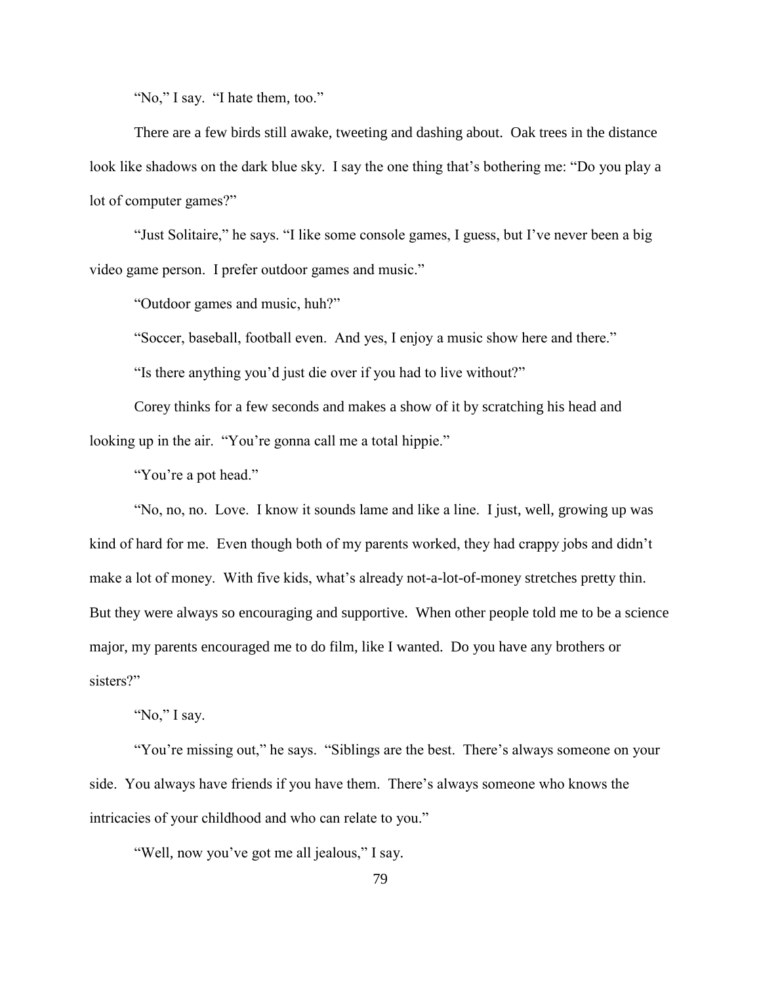"No," I say. "I hate them, too."

There are a few birds still awake, tweeting and dashing about. Oak trees in the distance look like shadows on the dark blue sky. I say the one thing that's bothering me: "Do you play a lot of computer games?"

"Just Solitaire," he says. "I like some console games, I guess, but I've never been a big video game person. I prefer outdoor games and music."

"Outdoor games and music, huh?"

"Soccer, baseball, football even. And yes, I enjoy a music show here and there."

"Is there anything you'd just die over if you had to live without?"

Corey thinks for a few seconds and makes a show of it by scratching his head and looking up in the air. "You're gonna call me a total hippie."

"You're a pot head."

"No, no, no. Love. I know it sounds lame and like a line. I just, well, growing up was kind of hard for me. Even though both of my parents worked, they had crappy jobs and didn't make a lot of money. With five kids, what's already not-a-lot-of-money stretches pretty thin. But they were always so encouraging and supportive. When other people told me to be a science major, my parents encouraged me to do film, like I wanted. Do you have any brothers or sisters?"

"No," I say.

"You're missing out," he says. "Siblings are the best. There's always someone on your side. You always have friends if you have them. There's always someone who knows the intricacies of your childhood and who can relate to you."

"Well, now you've got me all jealous," I say.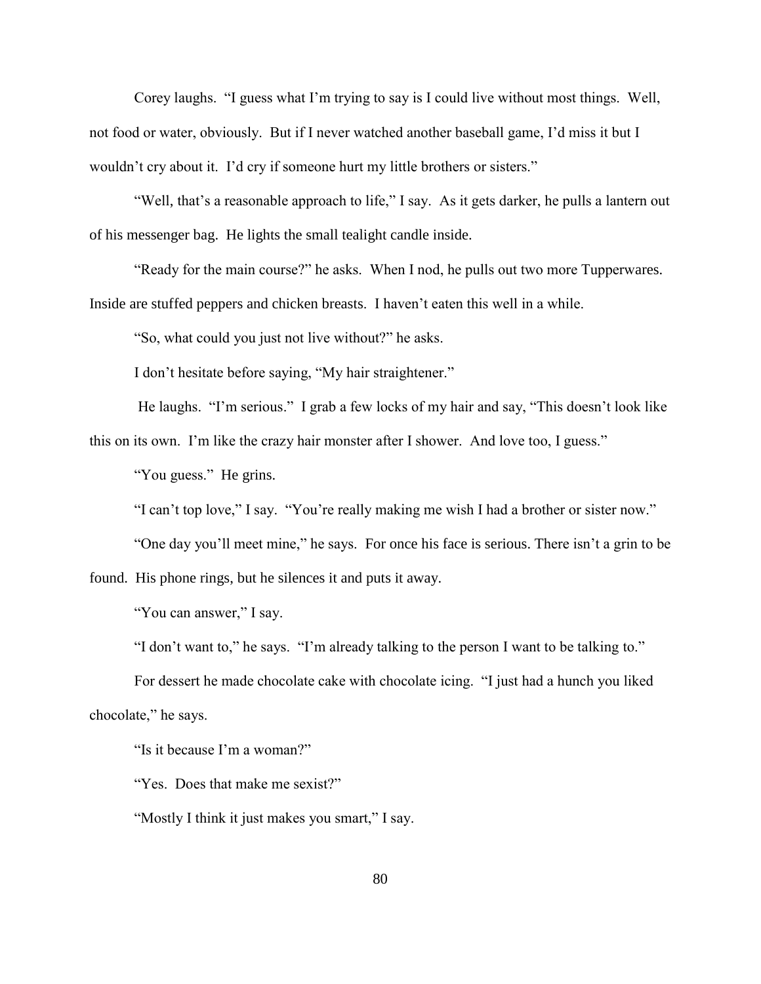Corey laughs. "I guess what I'm trying to say is I could live without most things. Well, not food or water, obviously. But if I never watched another baseball game, I'd miss it but I wouldn't cry about it. I'd cry if someone hurt my little brothers or sisters."

"Well, that's a reasonable approach to life," I say. As it gets darker, he pulls a lantern out of his messenger bag. He lights the small tealight candle inside.

"Ready for the main course?" he asks. When I nod, he pulls out two more Tupperwares. Inside are stuffed peppers and chicken breasts. I haven't eaten this well in a while.

"So, what could you just not live without?" he asks.

I don't hesitate before saying, "My hair straightener."

He laughs. "I'm serious." I grab a few locks of my hair and say, "This doesn't look like this on its own. I'm like the crazy hair monster after I shower. And love too, I guess."

"You guess." He grins.

"I can't top love," I say. "You're really making me wish I had a brother or sister now."

"One day you'll meet mine," he says. For once his face is serious. There isn't a grin to be found. His phone rings, but he silences it and puts it away.

"You can answer," I say.

"I don't want to," he says. "I'm already talking to the person I want to be talking to."

For dessert he made chocolate cake with chocolate icing. "I just had a hunch you liked chocolate," he says.

"Is it because I'm a woman?"

"Yes. Does that make me sexist?"

"Mostly I think it just makes you smart," I say.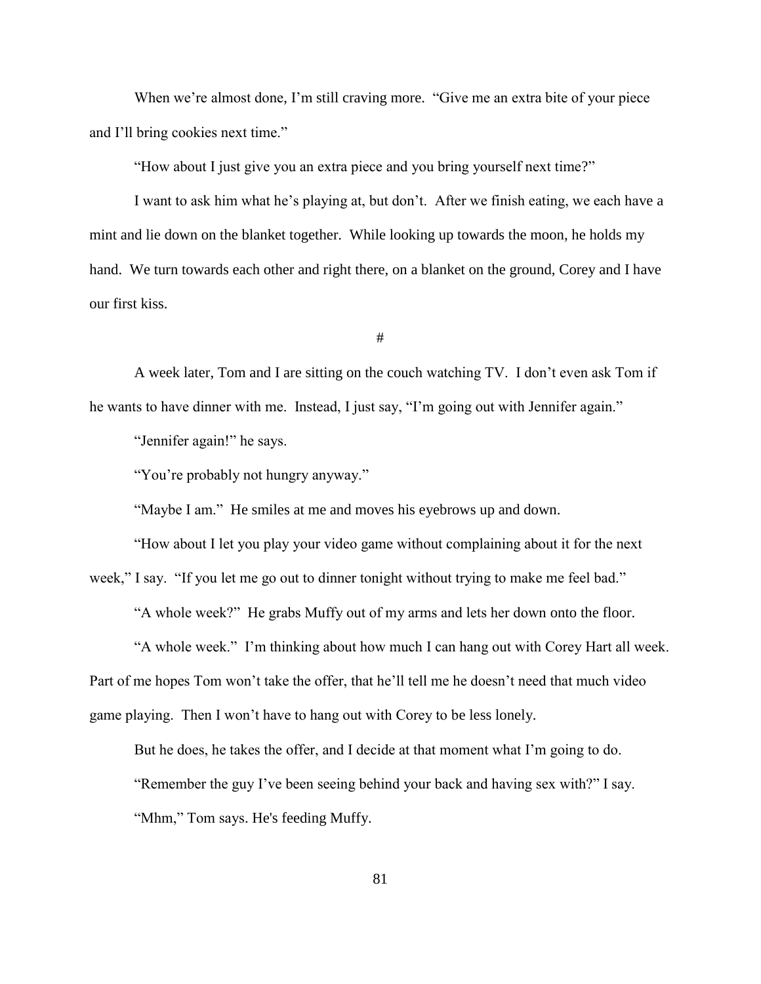When we're almost done, I'm still craving more. "Give me an extra bite of your piece and I'll bring cookies next time."

"How about I just give you an extra piece and you bring yourself next time?"

I want to ask him what he's playing at, but don't. After we finish eating, we each have a mint and lie down on the blanket together. While looking up towards the moon, he holds my hand. We turn towards each other and right there, on a blanket on the ground, Corey and I have our first kiss.

#

A week later, Tom and I are sitting on the couch watching TV. I don't even ask Tom if he wants to have dinner with me. Instead, I just say, "I'm going out with Jennifer again."

"Jennifer again!" he says.

"You're probably not hungry anyway."

"Maybe I am." He smiles at me and moves his eyebrows up and down.

"How about I let you play your video game without complaining about it for the next week," I say. "If you let me go out to dinner tonight without trying to make me feel bad."

"A whole week?" He grabs Muffy out of my arms and lets her down onto the floor.

"A whole week." I'm thinking about how much I can hang out with Corey Hart all week. Part of me hopes Tom won't take the offer, that he'll tell me he doesn't need that much video game playing. Then I won't have to hang out with Corey to be less lonely.

But he does, he takes the offer, and I decide at that moment what I'm going to do.

"Remember the guy I've been seeing behind your back and having sex with?" I say.

"Mhm," Tom says. He's feeding Muffy.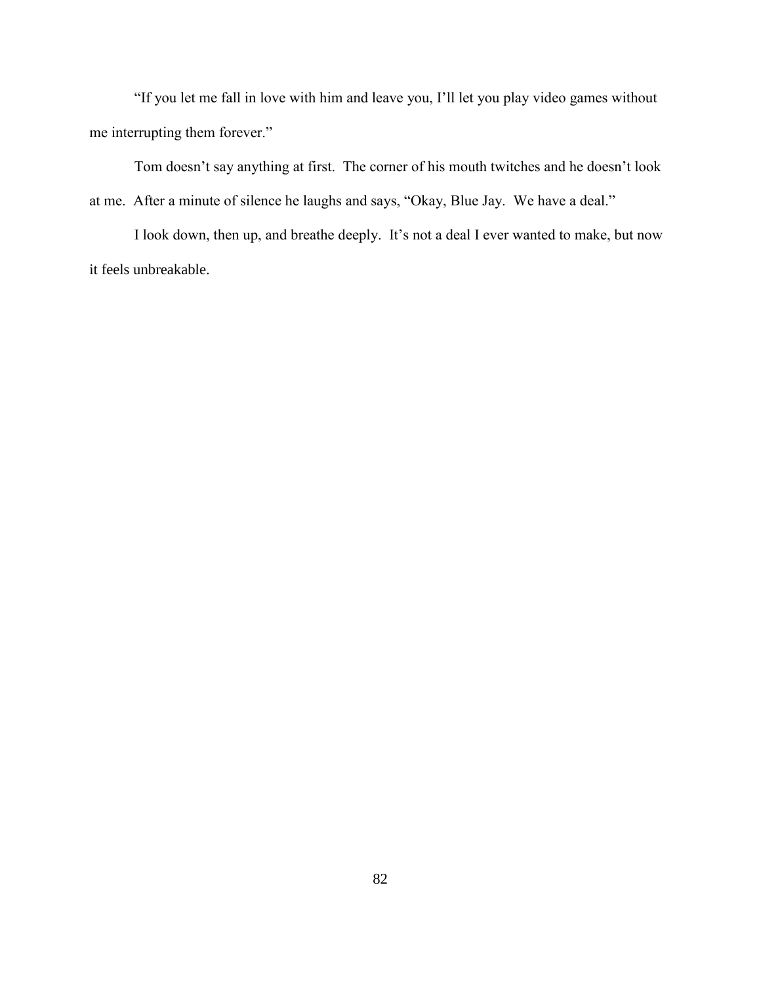"If you let me fall in love with him and leave you, I'll let you play video games without me interrupting them forever."

Tom doesn't say anything at first. The corner of his mouth twitches and he doesn't look at me. After a minute of silence he laughs and says, "Okay, Blue Jay. We have a deal."

I look down, then up, and breathe deeply. It's not a deal I ever wanted to make, but now it feels unbreakable.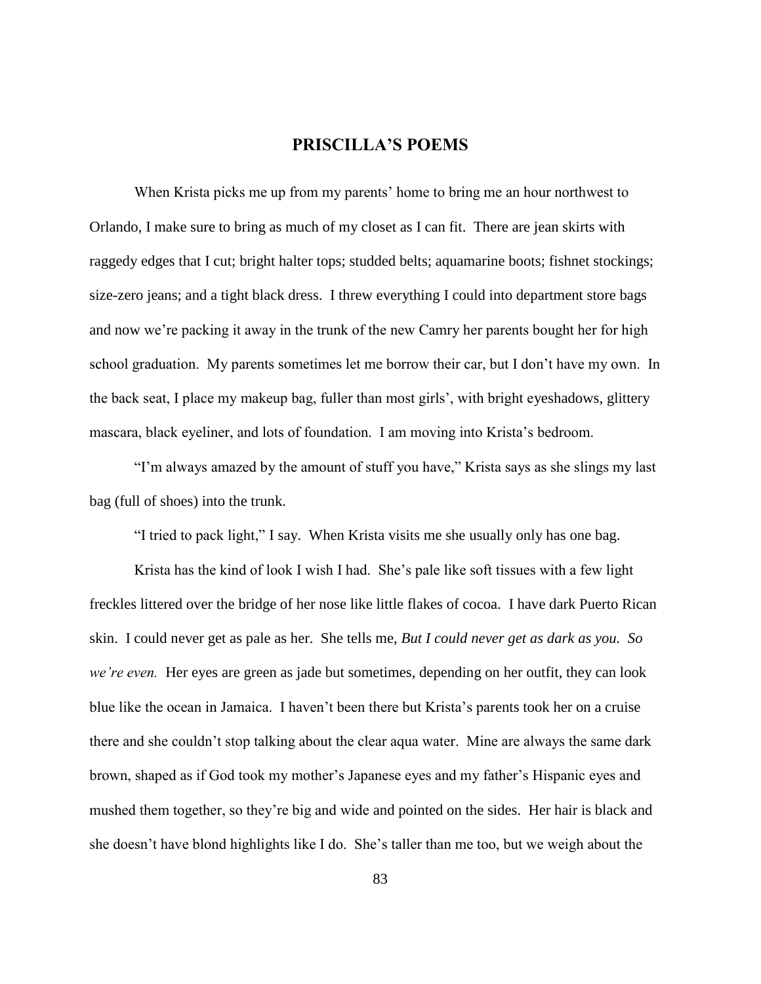## **PRISCILLA'S POEMS**

When Krista picks me up from my parents' home to bring me an hour northwest to Orlando, I make sure to bring as much of my closet as I can fit. There are jean skirts with raggedy edges that I cut; bright halter tops; studded belts; aquamarine boots; fishnet stockings; size-zero jeans; and a tight black dress. I threw everything I could into department store bags and now we're packing it away in the trunk of the new Camry her parents bought her for high school graduation. My parents sometimes let me borrow their car, but I don't have my own. In the back seat, I place my makeup bag, fuller than most girls', with bright eyeshadows, glittery mascara, black eyeliner, and lots of foundation. I am moving into Krista's bedroom.

"I'm always amazed by the amount of stuff you have," Krista says as she slings my last bag (full of shoes) into the trunk.

"I tried to pack light," I say. When Krista visits me she usually only has one bag.

Krista has the kind of look I wish I had. She's pale like soft tissues with a few light freckles littered over the bridge of her nose like little flakes of cocoa. I have dark Puerto Rican skin. I could never get as pale as her. She tells me, *But I could never get as dark as you. So we're even.* Her eyes are green as jade but sometimes, depending on her outfit, they can look blue like the ocean in Jamaica. I haven't been there but Krista's parents took her on a cruise there and she couldn't stop talking about the clear aqua water. Mine are always the same dark brown, shaped as if God took my mother's Japanese eyes and my father's Hispanic eyes and mushed them together, so they're big and wide and pointed on the sides. Her hair is black and she doesn't have blond highlights like I do. She's taller than me too, but we weigh about the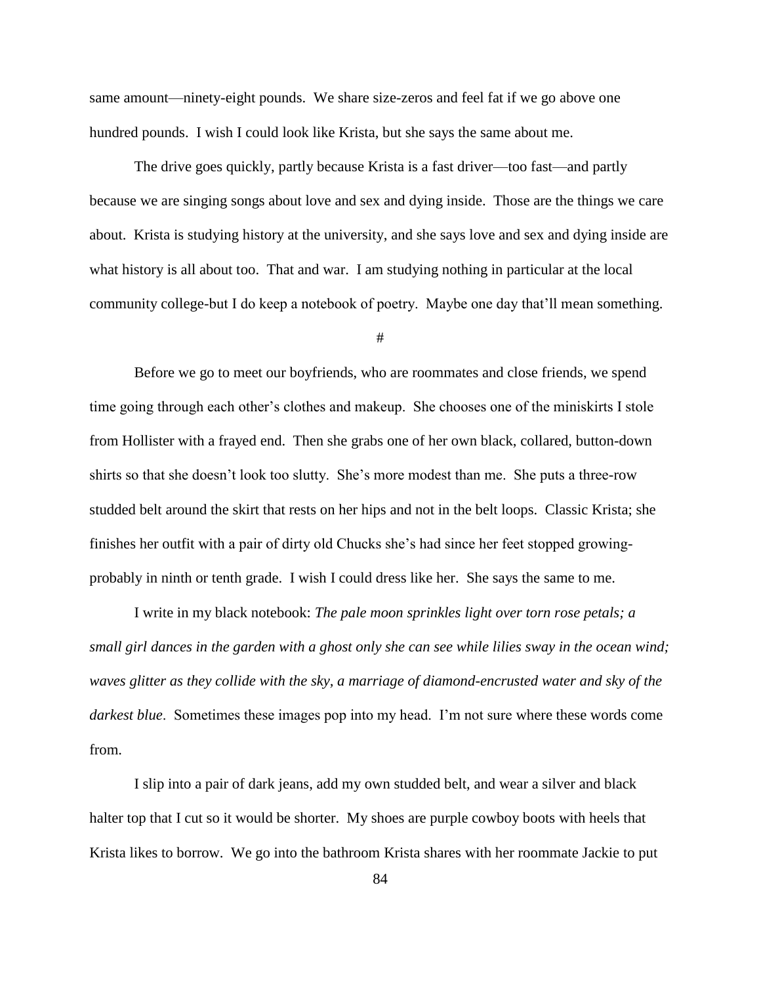same amount—ninety-eight pounds. We share size-zeros and feel fat if we go above one hundred pounds. I wish I could look like Krista, but she says the same about me.

The drive goes quickly, partly because Krista is a fast driver—too fast—and partly because we are singing songs about love and sex and dying inside. Those are the things we care about. Krista is studying history at the university, and she says love and sex and dying inside are what history is all about too. That and war. I am studying nothing in particular at the local community college-but I do keep a notebook of poetry. Maybe one day that'll mean something.

#

Before we go to meet our boyfriends, who are roommates and close friends, we spend time going through each other's clothes and makeup. She chooses one of the miniskirts I stole from Hollister with a frayed end. Then she grabs one of her own black, collared, button-down shirts so that she doesn't look too slutty. She's more modest than me. She puts a three-row studded belt around the skirt that rests on her hips and not in the belt loops. Classic Krista; she finishes her outfit with a pair of dirty old Chucks she's had since her feet stopped growingprobably in ninth or tenth grade. I wish I could dress like her. She says the same to me.

I write in my black notebook: *The pale moon sprinkles light over torn rose petals; a small girl dances in the garden with a ghost only she can see while lilies sway in the ocean wind; waves glitter as they collide with the sky, a marriage of diamond-encrusted water and sky of the darkest blue*. Sometimes these images pop into my head. I'm not sure where these words come from.

I slip into a pair of dark jeans, add my own studded belt, and wear a silver and black halter top that I cut so it would be shorter. My shoes are purple cowboy boots with heels that Krista likes to borrow. We go into the bathroom Krista shares with her roommate Jackie to put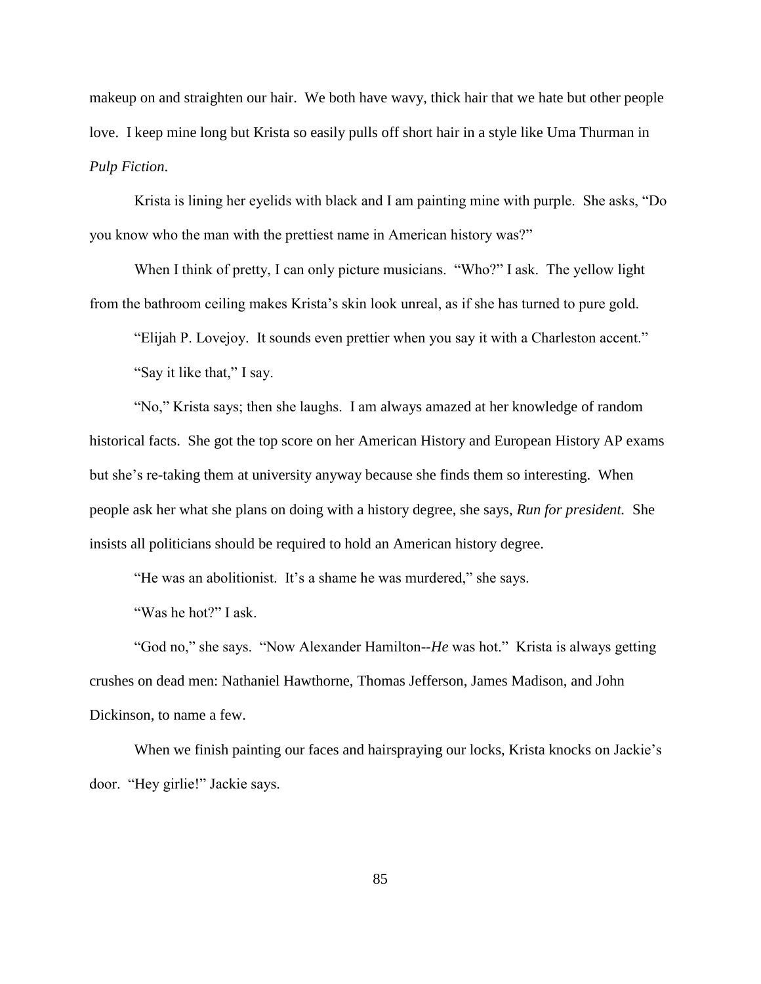makeup on and straighten our hair. We both have wavy, thick hair that we hate but other people love. I keep mine long but Krista so easily pulls off short hair in a style like Uma Thurman in *Pulp Fiction*.

Krista is lining her eyelids with black and I am painting mine with purple. She asks, "Do you know who the man with the prettiest name in American history was?"

When I think of pretty, I can only picture musicians. "Who?" I ask. The yellow light from the bathroom ceiling makes Krista's skin look unreal, as if she has turned to pure gold.

"Elijah P. Lovejoy. It sounds even prettier when you say it with a Charleston accent." "Say it like that," I say.

"No," Krista says; then she laughs. I am always amazed at her knowledge of random historical facts. She got the top score on her American History and European History AP exams but she's re-taking them at university anyway because she finds them so interesting. When people ask her what she plans on doing with a history degree, she says, *Run for president.* She insists all politicians should be required to hold an American history degree.

"He was an abolitionist. It's a shame he was murdered," she says.

"Was he hot?" I ask.

"God no," she says. "Now Alexander Hamilton--*He* was hot." Krista is always getting crushes on dead men: Nathaniel Hawthorne, Thomas Jefferson, James Madison, and John Dickinson, to name a few.

When we finish painting our faces and hairspraying our locks, Krista knocks on Jackie's door. "Hey girlie!" Jackie says.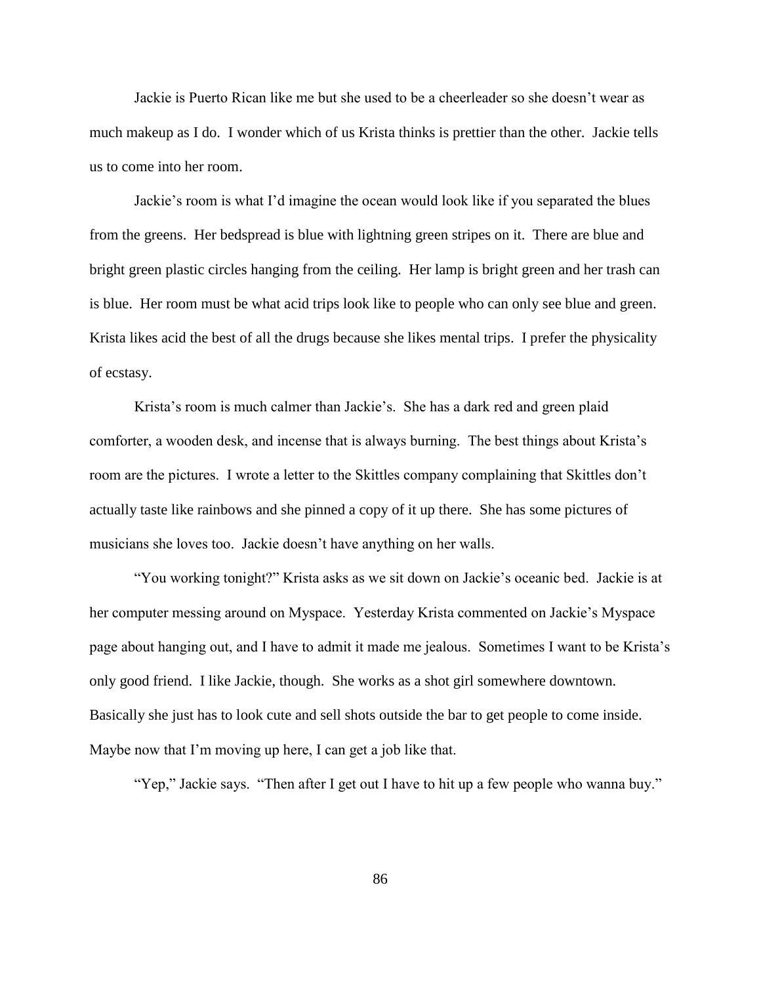Jackie is Puerto Rican like me but she used to be a cheerleader so she doesn't wear as much makeup as I do. I wonder which of us Krista thinks is prettier than the other. Jackie tells us to come into her room.

Jackie's room is what I'd imagine the ocean would look like if you separated the blues from the greens. Her bedspread is blue with lightning green stripes on it. There are blue and bright green plastic circles hanging from the ceiling. Her lamp is bright green and her trash can is blue. Her room must be what acid trips look like to people who can only see blue and green. Krista likes acid the best of all the drugs because she likes mental trips. I prefer the physicality of ecstasy.

Krista's room is much calmer than Jackie's. She has a dark red and green plaid comforter, a wooden desk, and incense that is always burning. The best things about Krista's room are the pictures. I wrote a letter to the Skittles company complaining that Skittles don't actually taste like rainbows and she pinned a copy of it up there. She has some pictures of musicians she loves too. Jackie doesn't have anything on her walls.

"You working tonight?" Krista asks as we sit down on Jackie's oceanic bed. Jackie is at her computer messing around on Myspace. Yesterday Krista commented on Jackie's Myspace page about hanging out, and I have to admit it made me jealous. Sometimes I want to be Krista's only good friend. I like Jackie, though. She works as a shot girl somewhere downtown. Basically she just has to look cute and sell shots outside the bar to get people to come inside. Maybe now that I'm moving up here, I can get a job like that.

"Yep," Jackie says. "Then after I get out I have to hit up a few people who wanna buy."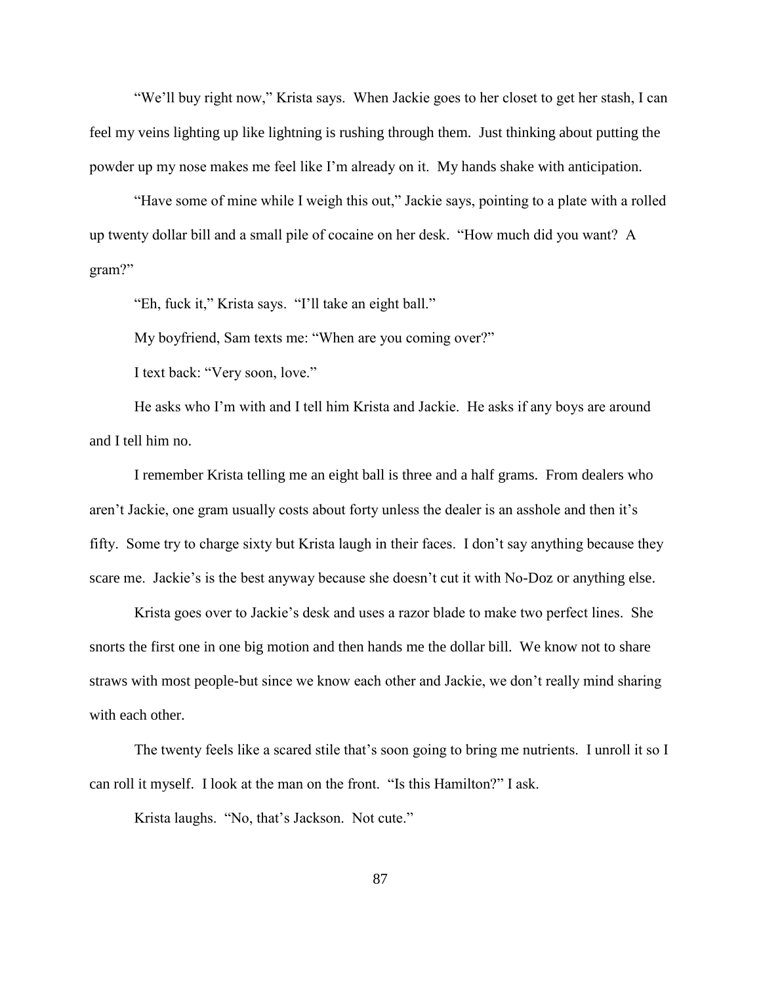"We'll buy right now," Krista says. When Jackie goes to her closet to get her stash, I can feel my veins lighting up like lightning is rushing through them. Just thinking about putting the powder up my nose makes me feel like I'm already on it. My hands shake with anticipation.

"Have some of mine while I weigh this out," Jackie says, pointing to a plate with a rolled up twenty dollar bill and a small pile of cocaine on her desk. "How much did you want? A gram?"

"Eh, fuck it," Krista says. "I'll take an eight ball."

My boyfriend, Sam texts me: "When are you coming over?"

I text back: "Very soon, love."

He asks who I'm with and I tell him Krista and Jackie. He asks if any boys are around and I tell him no.

I remember Krista telling me an eight ball is three and a half grams. From dealers who aren't Jackie, one gram usually costs about forty unless the dealer is an asshole and then it's fifty. Some try to charge sixty but Krista laugh in their faces. I don't say anything because they scare me. Jackie's is the best anyway because she doesn't cut it with No-Doz or anything else.

Krista goes over to Jackie's desk and uses a razor blade to make two perfect lines. She snorts the first one in one big motion and then hands me the dollar bill. We know not to share straws with most people-but since we know each other and Jackie, we don't really mind sharing with each other.

The twenty feels like a scared stile that's soon going to bring me nutrients. I unroll it so I can roll it myself. I look at the man on the front. "Is this Hamilton?" I ask.

Krista laughs. "No, that's Jackson. Not cute."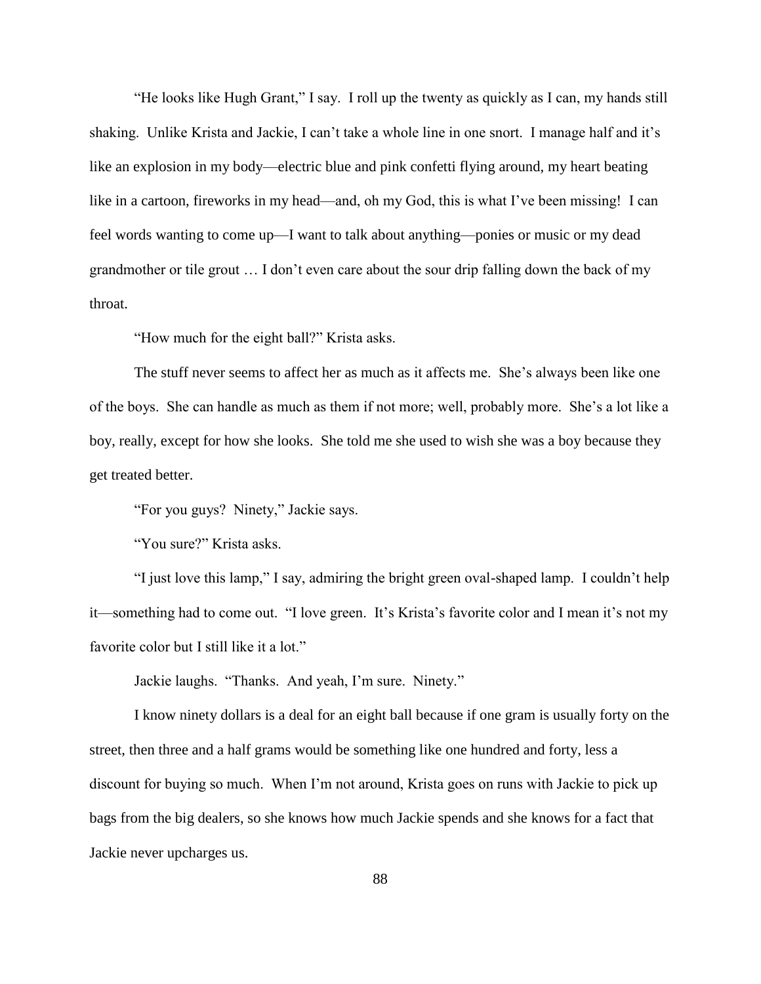"He looks like Hugh Grant," I say. I roll up the twenty as quickly as I can, my hands still shaking. Unlike Krista and Jackie, I can't take a whole line in one snort. I manage half and it's like an explosion in my body—electric blue and pink confetti flying around, my heart beating like in a cartoon, fireworks in my head—and, oh my God, this is what I've been missing! I can feel words wanting to come up—I want to talk about anything—ponies or music or my dead grandmother or tile grout … I don't even care about the sour drip falling down the back of my throat.

"How much for the eight ball?" Krista asks.

The stuff never seems to affect her as much as it affects me. She's always been like one of the boys. She can handle as much as them if not more; well, probably more. She's a lot like a boy, really, except for how she looks. She told me she used to wish she was a boy because they get treated better.

"For you guys? Ninety," Jackie says.

"You sure?" Krista asks.

"I just love this lamp," I say, admiring the bright green oval-shaped lamp. I couldn't help it—something had to come out. "I love green. It's Krista's favorite color and I mean it's not my favorite color but I still like it a lot."

Jackie laughs. "Thanks. And yeah, I'm sure. Ninety."

I know ninety dollars is a deal for an eight ball because if one gram is usually forty on the street, then three and a half grams would be something like one hundred and forty, less a discount for buying so much. When I'm not around, Krista goes on runs with Jackie to pick up bags from the big dealers, so she knows how much Jackie spends and she knows for a fact that Jackie never upcharges us.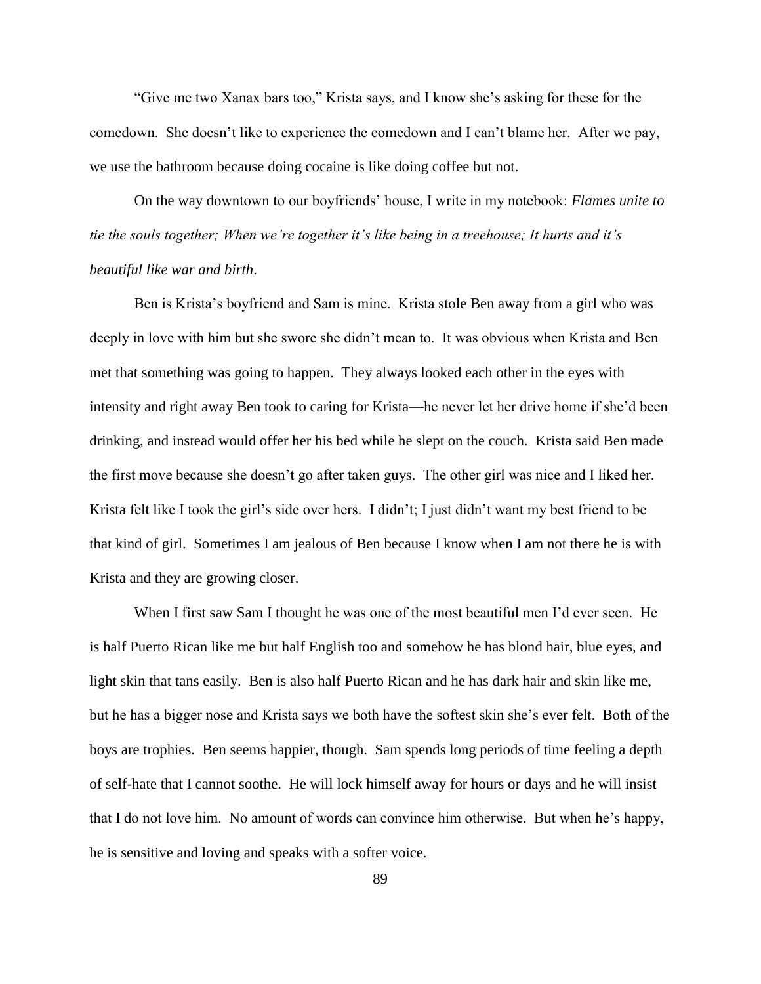"Give me two Xanax bars too," Krista says, and I know she's asking for these for the comedown. She doesn't like to experience the comedown and I can't blame her. After we pay, we use the bathroom because doing cocaine is like doing coffee but not.

On the way downtown to our boyfriends' house, I write in my notebook: *Flames unite to tie the souls together; When we're together it's like being in a treehouse; It hurts and it's beautiful like war and birth*.

Ben is Krista's boyfriend and Sam is mine. Krista stole Ben away from a girl who was deeply in love with him but she swore she didn't mean to. It was obvious when Krista and Ben met that something was going to happen. They always looked each other in the eyes with intensity and right away Ben took to caring for Krista—he never let her drive home if she'd been drinking, and instead would offer her his bed while he slept on the couch. Krista said Ben made the first move because she doesn't go after taken guys. The other girl was nice and I liked her. Krista felt like I took the girl's side over hers. I didn't; I just didn't want my best friend to be that kind of girl. Sometimes I am jealous of Ben because I know when I am not there he is with Krista and they are growing closer.

When I first saw Sam I thought he was one of the most beautiful men I'd ever seen. He is half Puerto Rican like me but half English too and somehow he has blond hair, blue eyes, and light skin that tans easily. Ben is also half Puerto Rican and he has dark hair and skin like me, but he has a bigger nose and Krista says we both have the softest skin she's ever felt. Both of the boys are trophies. Ben seems happier, though. Sam spends long periods of time feeling a depth of self-hate that I cannot soothe. He will lock himself away for hours or days and he will insist that I do not love him. No amount of words can convince him otherwise. But when he's happy, he is sensitive and loving and speaks with a softer voice.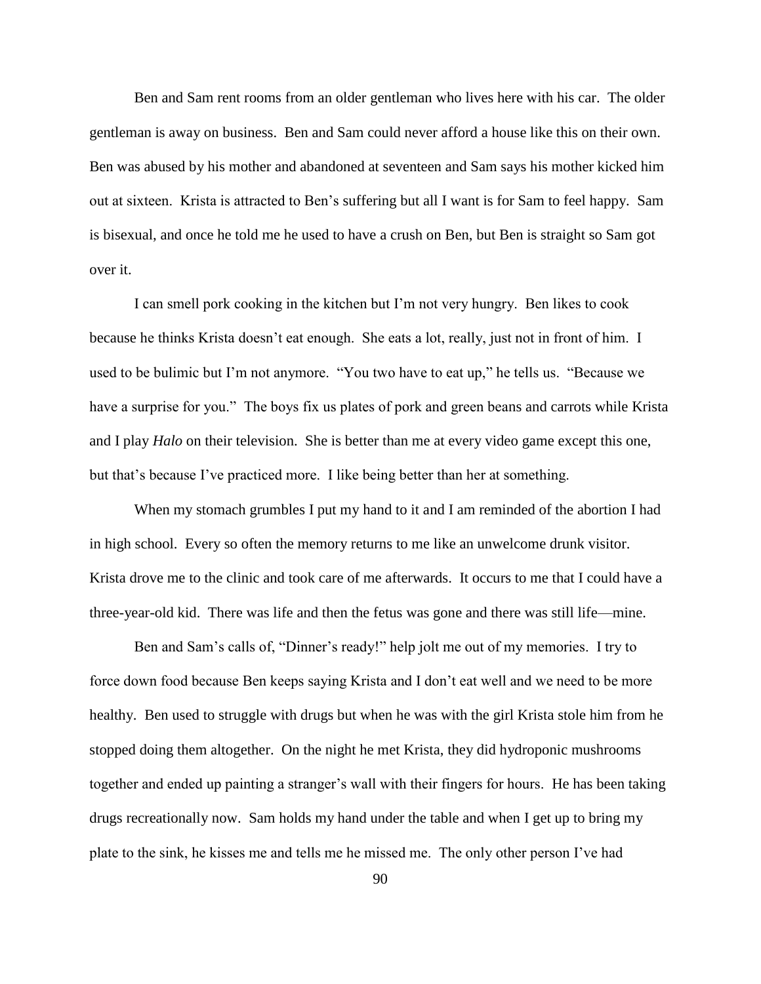Ben and Sam rent rooms from an older gentleman who lives here with his car. The older gentleman is away on business. Ben and Sam could never afford a house like this on their own. Ben was abused by his mother and abandoned at seventeen and Sam says his mother kicked him out at sixteen. Krista is attracted to Ben's suffering but all I want is for Sam to feel happy. Sam is bisexual, and once he told me he used to have a crush on Ben, but Ben is straight so Sam got over it.

I can smell pork cooking in the kitchen but I'm not very hungry. Ben likes to cook because he thinks Krista doesn't eat enough. She eats a lot, really, just not in front of him. I used to be bulimic but I'm not anymore. "You two have to eat up," he tells us. "Because we have a surprise for you." The boys fix us plates of pork and green beans and carrots while Krista and I play *Halo* on their television. She is better than me at every video game except this one, but that's because I've practiced more. I like being better than her at something.

When my stomach grumbles I put my hand to it and I am reminded of the abortion I had in high school. Every so often the memory returns to me like an unwelcome drunk visitor. Krista drove me to the clinic and took care of me afterwards. It occurs to me that I could have a three-year-old kid. There was life and then the fetus was gone and there was still life—mine.

Ben and Sam's calls of, "Dinner's ready!" help jolt me out of my memories. I try to force down food because Ben keeps saying Krista and I don't eat well and we need to be more healthy. Ben used to struggle with drugs but when he was with the girl Krista stole him from he stopped doing them altogether. On the night he met Krista, they did hydroponic mushrooms together and ended up painting a stranger's wall with their fingers for hours. He has been taking drugs recreationally now. Sam holds my hand under the table and when I get up to bring my plate to the sink, he kisses me and tells me he missed me. The only other person I've had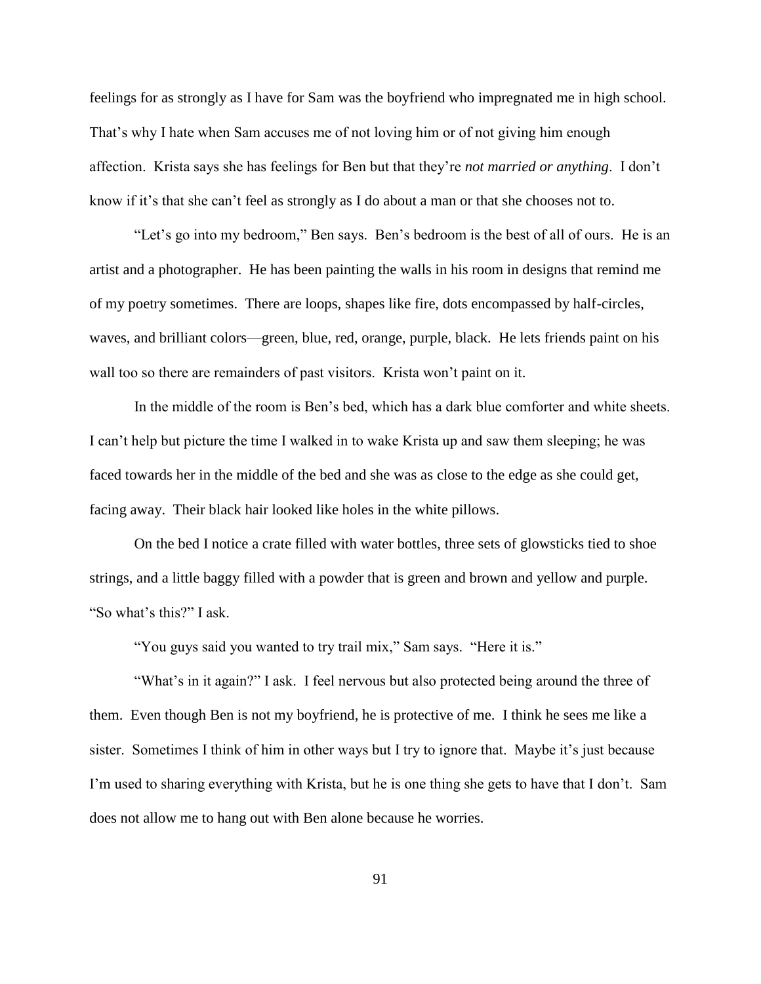feelings for as strongly as I have for Sam was the boyfriend who impregnated me in high school. That's why I hate when Sam accuses me of not loving him or of not giving him enough affection. Krista says she has feelings for Ben but that they're *not married or anything*. I don't know if it's that she can't feel as strongly as I do about a man or that she chooses not to.

"Let's go into my bedroom," Ben says. Ben's bedroom is the best of all of ours. He is an artist and a photographer. He has been painting the walls in his room in designs that remind me of my poetry sometimes. There are loops, shapes like fire, dots encompassed by half-circles, waves, and brilliant colors—green, blue, red, orange, purple, black. He lets friends paint on his wall too so there are remainders of past visitors. Krista won't paint on it.

In the middle of the room is Ben's bed, which has a dark blue comforter and white sheets. I can't help but picture the time I walked in to wake Krista up and saw them sleeping; he was faced towards her in the middle of the bed and she was as close to the edge as she could get, facing away. Their black hair looked like holes in the white pillows.

On the bed I notice a crate filled with water bottles, three sets of glowsticks tied to shoe strings, and a little baggy filled with a powder that is green and brown and yellow and purple. "So what's this?" I ask.

"You guys said you wanted to try trail mix," Sam says. "Here it is."

"What's in it again?" I ask. I feel nervous but also protected being around the three of them. Even though Ben is not my boyfriend, he is protective of me. I think he sees me like a sister. Sometimes I think of him in other ways but I try to ignore that. Maybe it's just because I'm used to sharing everything with Krista, but he is one thing she gets to have that I don't. Sam does not allow me to hang out with Ben alone because he worries.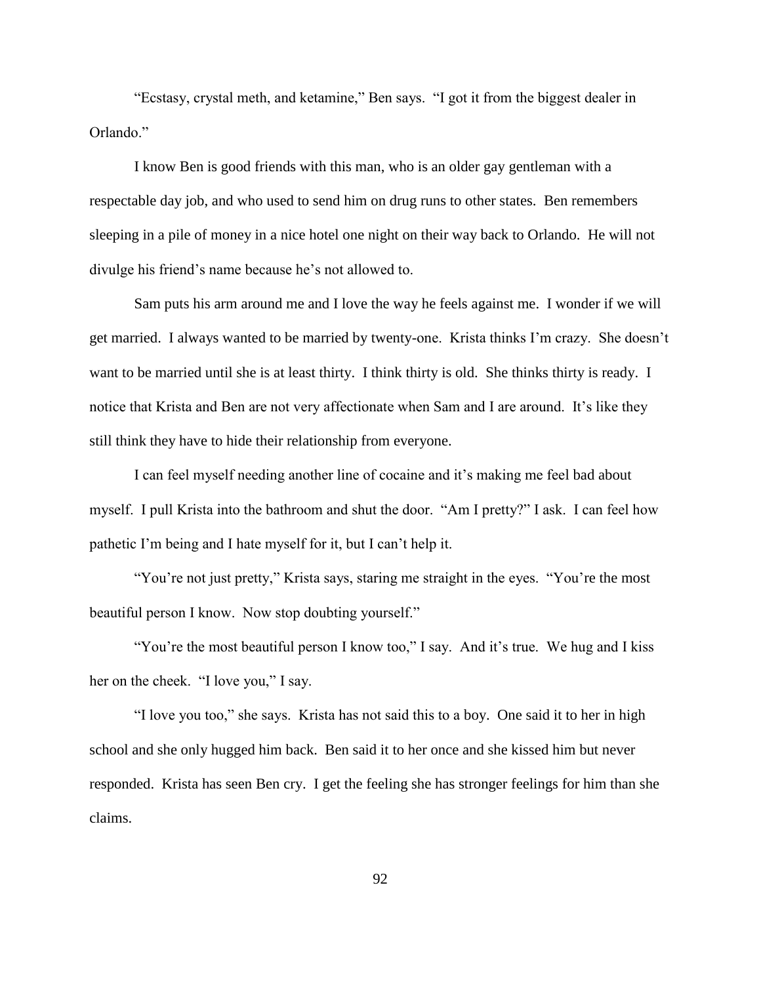"Ecstasy, crystal meth, and ketamine," Ben says. "I got it from the biggest dealer in Orlando."

I know Ben is good friends with this man, who is an older gay gentleman with a respectable day job, and who used to send him on drug runs to other states. Ben remembers sleeping in a pile of money in a nice hotel one night on their way back to Orlando. He will not divulge his friend's name because he's not allowed to.

Sam puts his arm around me and I love the way he feels against me. I wonder if we will get married. I always wanted to be married by twenty-one. Krista thinks I'm crazy. She doesn't want to be married until she is at least thirty. I think thirty is old. She thinks thirty is ready. I notice that Krista and Ben are not very affectionate when Sam and I are around. It's like they still think they have to hide their relationship from everyone.

I can feel myself needing another line of cocaine and it's making me feel bad about myself. I pull Krista into the bathroom and shut the door. "Am I pretty?" I ask. I can feel how pathetic I'm being and I hate myself for it, but I can't help it.

"You're not just pretty," Krista says, staring me straight in the eyes. "You're the most beautiful person I know. Now stop doubting yourself."

"You're the most beautiful person I know too," I say. And it's true. We hug and I kiss her on the cheek. "I love you," I say.

"I love you too," she says. Krista has not said this to a boy. One said it to her in high school and she only hugged him back. Ben said it to her once and she kissed him but never responded. Krista has seen Ben cry. I get the feeling she has stronger feelings for him than she claims.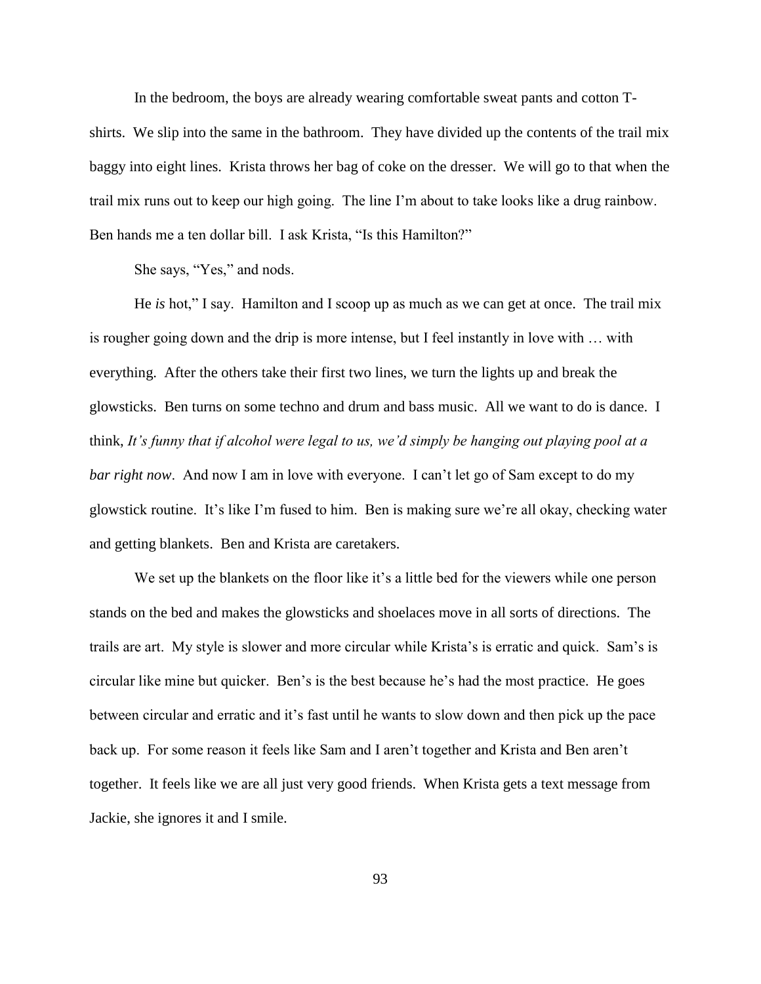In the bedroom, the boys are already wearing comfortable sweat pants and cotton Tshirts. We slip into the same in the bathroom. They have divided up the contents of the trail mix baggy into eight lines. Krista throws her bag of coke on the dresser. We will go to that when the trail mix runs out to keep our high going. The line I'm about to take looks like a drug rainbow. Ben hands me a ten dollar bill. I ask Krista, "Is this Hamilton?"

She says, "Yes," and nods.

He *is* hot," I say. Hamilton and I scoop up as much as we can get at once. The trail mix is rougher going down and the drip is more intense, but I feel instantly in love with … with everything. After the others take their first two lines, we turn the lights up and break the glowsticks. Ben turns on some techno and drum and bass music. All we want to do is dance. I think, *It's funny that if alcohol were legal to us, we'd simply be hanging out playing pool at a bar right now*. And now I am in love with everyone. I can't let go of Sam except to do my glowstick routine. It's like I'm fused to him. Ben is making sure we're all okay, checking water and getting blankets. Ben and Krista are caretakers.

We set up the blankets on the floor like it's a little bed for the viewers while one person stands on the bed and makes the glowsticks and shoelaces move in all sorts of directions. The trails are art. My style is slower and more circular while Krista's is erratic and quick. Sam's is circular like mine but quicker. Ben's is the best because he's had the most practice. He goes between circular and erratic and it's fast until he wants to slow down and then pick up the pace back up. For some reason it feels like Sam and I aren't together and Krista and Ben aren't together. It feels like we are all just very good friends. When Krista gets a text message from Jackie, she ignores it and I smile.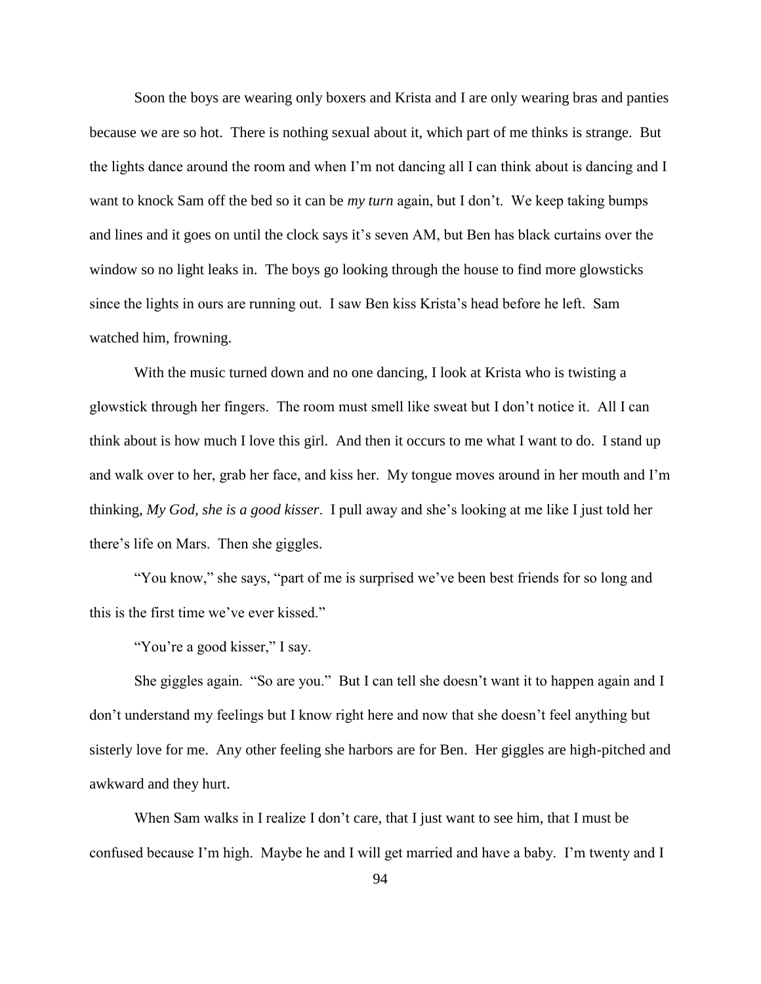Soon the boys are wearing only boxers and Krista and I are only wearing bras and panties because we are so hot. There is nothing sexual about it, which part of me thinks is strange. But the lights dance around the room and when I'm not dancing all I can think about is dancing and I want to knock Sam off the bed so it can be *my turn* again, but I don't. We keep taking bumps and lines and it goes on until the clock says it's seven AM, but Ben has black curtains over the window so no light leaks in. The boys go looking through the house to find more glowsticks since the lights in ours are running out. I saw Ben kiss Krista's head before he left. Sam watched him, frowning.

With the music turned down and no one dancing, I look at Krista who is twisting a glowstick through her fingers. The room must smell like sweat but I don't notice it. All I can think about is how much I love this girl. And then it occurs to me what I want to do. I stand up and walk over to her, grab her face, and kiss her. My tongue moves around in her mouth and I'm thinking, *My God, she is a good kisser*. I pull away and she's looking at me like I just told her there's life on Mars. Then she giggles.

"You know," she says, "part of me is surprised we've been best friends for so long and this is the first time we've ever kissed."

"You're a good kisser," I say.

She giggles again. "So are you." But I can tell she doesn't want it to happen again and I don't understand my feelings but I know right here and now that she doesn't feel anything but sisterly love for me. Any other feeling she harbors are for Ben. Her giggles are high-pitched and awkward and they hurt.

When Sam walks in I realize I don't care, that I just want to see him, that I must be confused because I'm high. Maybe he and I will get married and have a baby. I'm twenty and I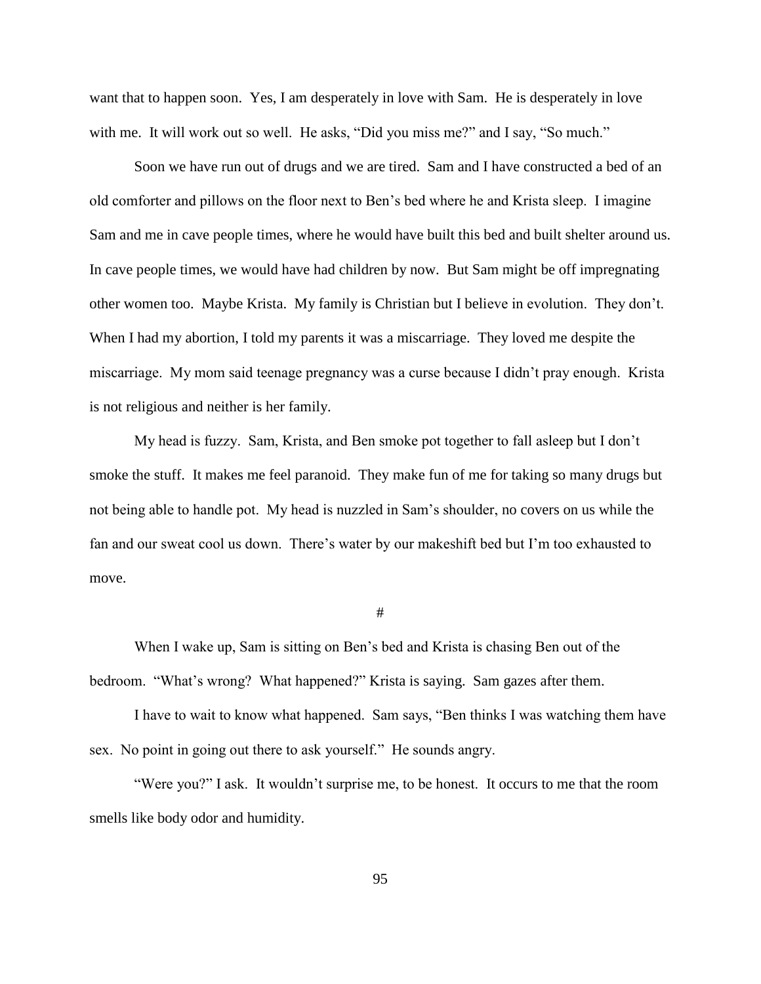want that to happen soon. Yes, I am desperately in love with Sam. He is desperately in love with me. It will work out so well. He asks, "Did you miss me?" and I say, "So much."

Soon we have run out of drugs and we are tired. Sam and I have constructed a bed of an old comforter and pillows on the floor next to Ben's bed where he and Krista sleep. I imagine Sam and me in cave people times, where he would have built this bed and built shelter around us. In cave people times, we would have had children by now. But Sam might be off impregnating other women too. Maybe Krista. My family is Christian but I believe in evolution. They don't. When I had my abortion, I told my parents it was a miscarriage. They loved me despite the miscarriage. My mom said teenage pregnancy was a curse because I didn't pray enough. Krista is not religious and neither is her family.

My head is fuzzy. Sam, Krista, and Ben smoke pot together to fall asleep but I don't smoke the stuff. It makes me feel paranoid. They make fun of me for taking so many drugs but not being able to handle pot. My head is nuzzled in Sam's shoulder, no covers on us while the fan and our sweat cool us down. There's water by our makeshift bed but I'm too exhausted to move.

## #

When I wake up, Sam is sitting on Ben's bed and Krista is chasing Ben out of the bedroom. "What's wrong? What happened?" Krista is saying. Sam gazes after them.

I have to wait to know what happened. Sam says, "Ben thinks I was watching them have sex. No point in going out there to ask yourself." He sounds angry.

"Were you?" I ask. It wouldn't surprise me, to be honest. It occurs to me that the room smells like body odor and humidity.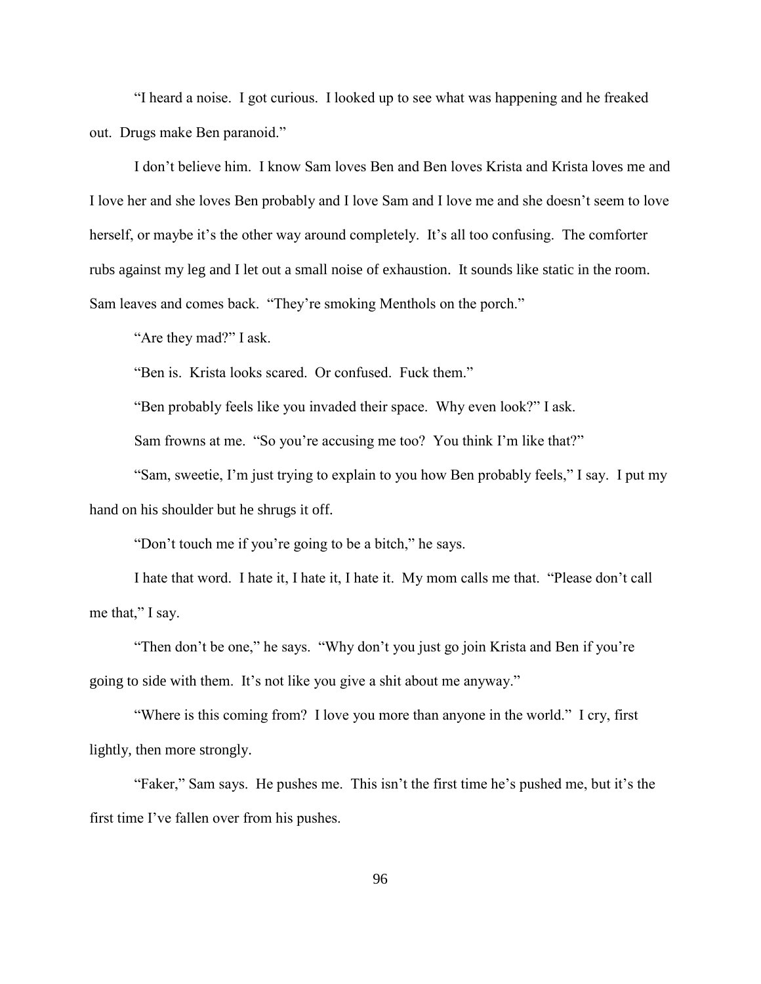"I heard a noise. I got curious. I looked up to see what was happening and he freaked out. Drugs make Ben paranoid."

I don't believe him. I know Sam loves Ben and Ben loves Krista and Krista loves me and I love her and she loves Ben probably and I love Sam and I love me and she doesn't seem to love herself, or maybe it's the other way around completely. It's all too confusing. The comforter rubs against my leg and I let out a small noise of exhaustion. It sounds like static in the room. Sam leaves and comes back. "They're smoking Menthols on the porch."

"Are they mad?" I ask.

"Ben is. Krista looks scared. Or confused. Fuck them."

"Ben probably feels like you invaded their space. Why even look?" I ask.

Sam frowns at me. "So you're accusing me too? You think I'm like that?"

"Sam, sweetie, I'm just trying to explain to you how Ben probably feels," I say. I put my hand on his shoulder but he shrugs it off.

"Don't touch me if you're going to be a bitch," he says.

I hate that word. I hate it, I hate it, I hate it. My mom calls me that. "Please don't call me that," I say.

"Then don't be one," he says. "Why don't you just go join Krista and Ben if you're going to side with them. It's not like you give a shit about me anyway."

"Where is this coming from? I love you more than anyone in the world." I cry, first lightly, then more strongly.

"Faker," Sam says. He pushes me. This isn't the first time he's pushed me, but it's the first time I've fallen over from his pushes.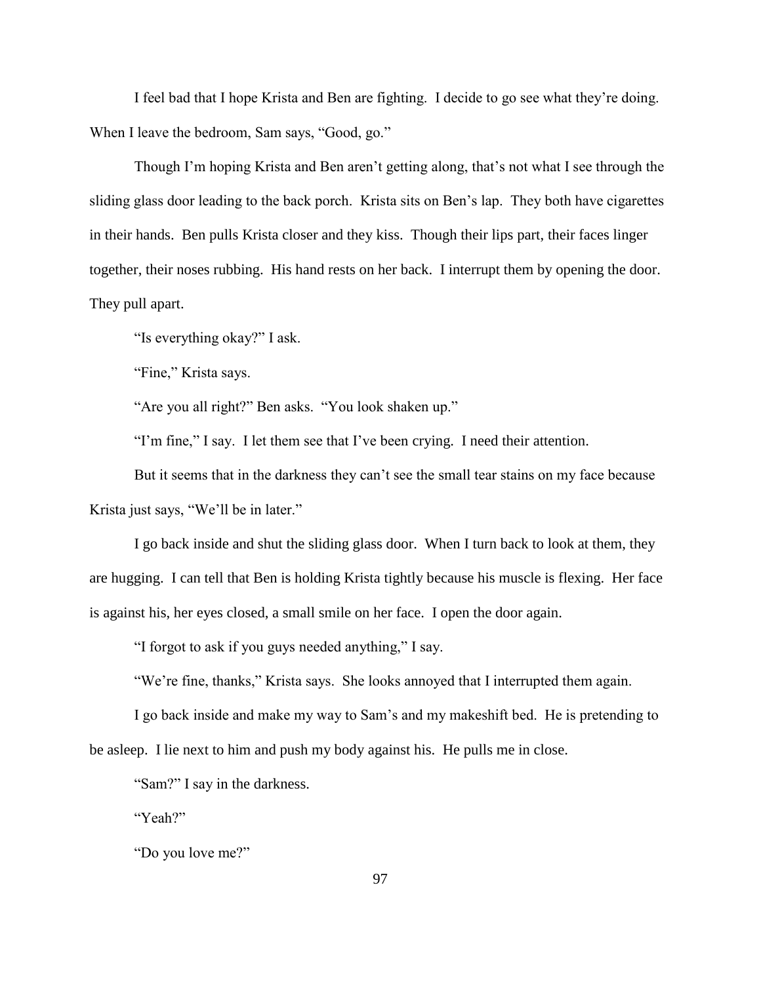I feel bad that I hope Krista and Ben are fighting. I decide to go see what they're doing. When I leave the bedroom, Sam says, "Good, go."

Though I'm hoping Krista and Ben aren't getting along, that's not what I see through the sliding glass door leading to the back porch. Krista sits on Ben's lap. They both have cigarettes in their hands. Ben pulls Krista closer and they kiss. Though their lips part, their faces linger together, their noses rubbing. His hand rests on her back. I interrupt them by opening the door. They pull apart.

"Is everything okay?" I ask.

"Fine," Krista says.

"Are you all right?" Ben asks. "You look shaken up."

"I'm fine," I say. I let them see that I've been crying. I need their attention.

But it seems that in the darkness they can't see the small tear stains on my face because Krista just says, "We'll be in later."

I go back inside and shut the sliding glass door. When I turn back to look at them, they are hugging. I can tell that Ben is holding Krista tightly because his muscle is flexing. Her face is against his, her eyes closed, a small smile on her face. I open the door again.

"I forgot to ask if you guys needed anything," I say.

"We're fine, thanks," Krista says. She looks annoyed that I interrupted them again.

I go back inside and make my way to Sam's and my makeshift bed. He is pretending to be asleep. I lie next to him and push my body against his. He pulls me in close.

"Sam?" I say in the darkness.

"Yeah?"

"Do you love me?"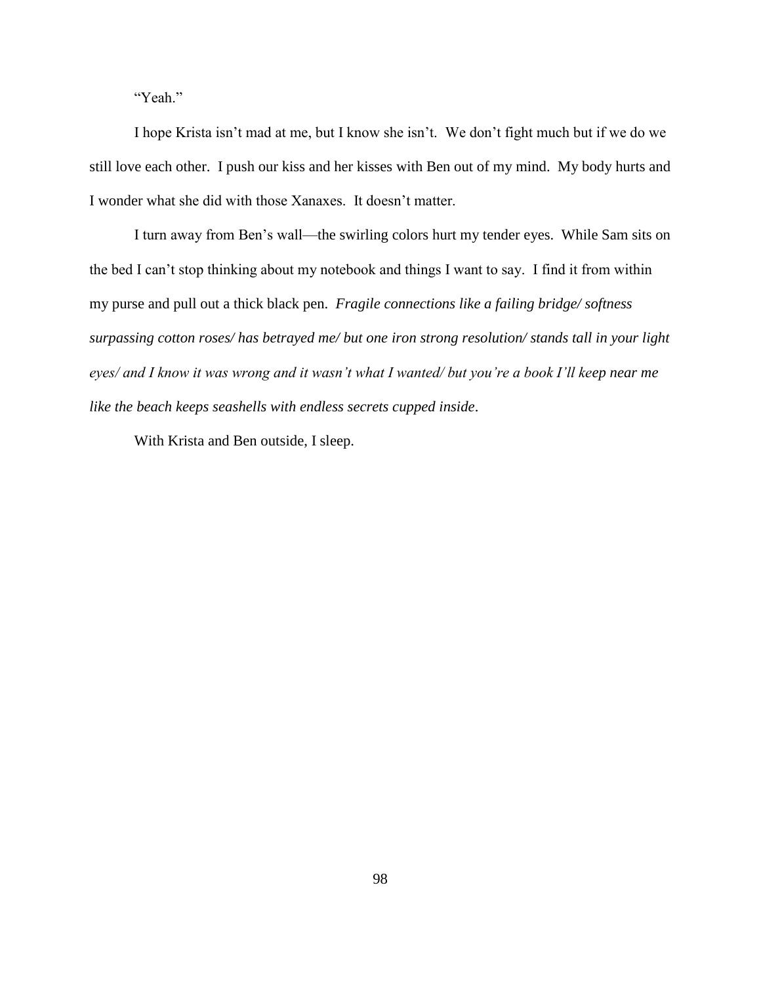"Yeah."

I hope Krista isn't mad at me, but I know she isn't. We don't fight much but if we do we still love each other. I push our kiss and her kisses with Ben out of my mind. My body hurts and I wonder what she did with those Xanaxes. It doesn't matter.

I turn away from Ben's wall—the swirling colors hurt my tender eyes. While Sam sits on the bed I can't stop thinking about my notebook and things I want to say. I find it from within my purse and pull out a thick black pen. *Fragile connections like a failing bridge/ softness surpassing cotton roses/ has betrayed me/ but one iron strong resolution/ stands tall in your light eyes/ and I know it was wrong and it wasn't what I wanted/ but you're a book I'll keep near me like the beach keeps seashells with endless secrets cupped inside*.

With Krista and Ben outside, I sleep.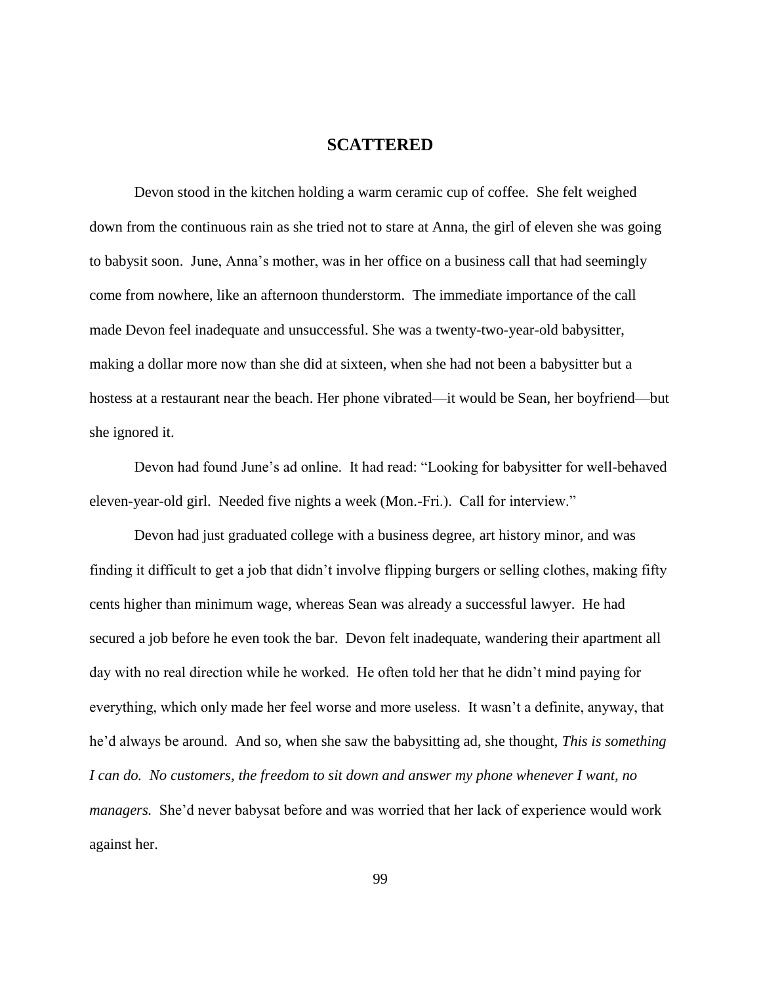## **SCATTERED**

Devon stood in the kitchen holding a warm ceramic cup of coffee. She felt weighed down from the continuous rain as she tried not to stare at Anna, the girl of eleven she was going to babysit soon. June, Anna's mother, was in her office on a business call that had seemingly come from nowhere, like an afternoon thunderstorm. The immediate importance of the call made Devon feel inadequate and unsuccessful. She was a twenty-two-year-old babysitter, making a dollar more now than she did at sixteen, when she had not been a babysitter but a hostess at a restaurant near the beach. Her phone vibrated—it would be Sean, her boyfriend—but she ignored it.

Devon had found June's ad online. It had read: "Looking for babysitter for well-behaved eleven-year-old girl. Needed five nights a week (Mon.-Fri.). Call for interview."

Devon had just graduated college with a business degree, art history minor, and was finding it difficult to get a job that didn't involve flipping burgers or selling clothes, making fifty cents higher than minimum wage, whereas Sean was already a successful lawyer. He had secured a job before he even took the bar. Devon felt inadequate, wandering their apartment all day with no real direction while he worked. He often told her that he didn't mind paying for everything, which only made her feel worse and more useless. It wasn't a definite, anyway, that he'd always be around. And so, when she saw the babysitting ad, she thought, *This is something I can do. No customers, the freedom to sit down and answer my phone whenever I want, no managers.* She'd never babysat before and was worried that her lack of experience would work against her.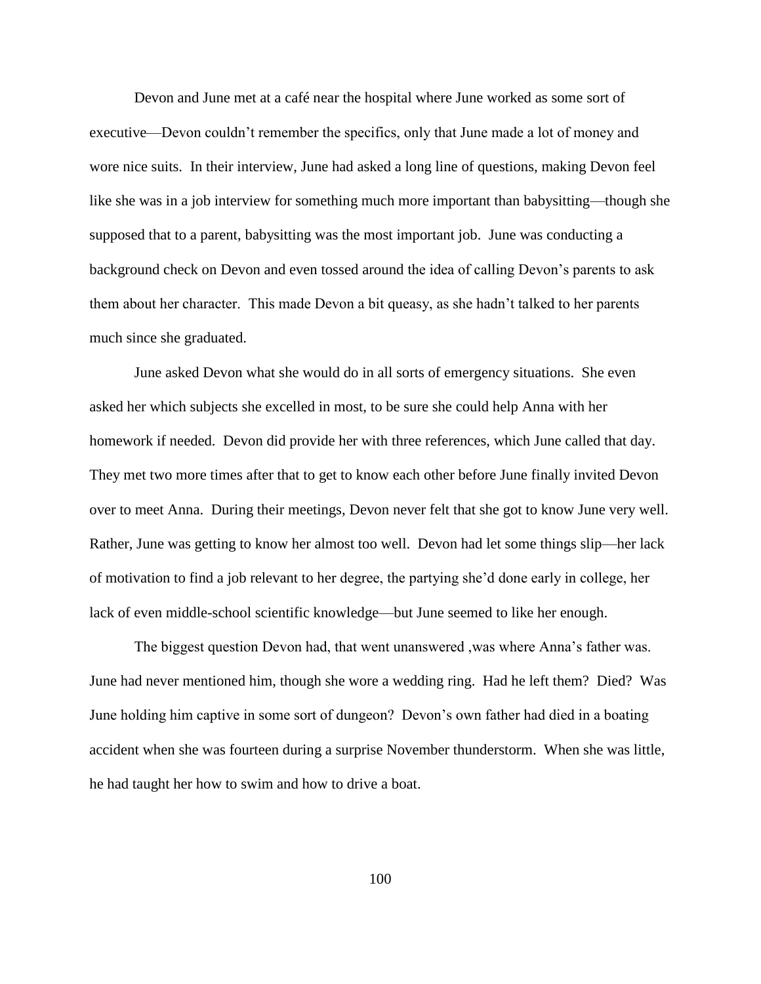Devon and June met at a café near the hospital where June worked as some sort of executive—Devon couldn't remember the specifics, only that June made a lot of money and wore nice suits. In their interview, June had asked a long line of questions, making Devon feel like she was in a job interview for something much more important than babysitting—though she supposed that to a parent, babysitting was the most important job. June was conducting a background check on Devon and even tossed around the idea of calling Devon's parents to ask them about her character. This made Devon a bit queasy, as she hadn't talked to her parents much since she graduated.

June asked Devon what she would do in all sorts of emergency situations. She even asked her which subjects she excelled in most, to be sure she could help Anna with her homework if needed. Devon did provide her with three references, which June called that day. They met two more times after that to get to know each other before June finally invited Devon over to meet Anna. During their meetings, Devon never felt that she got to know June very well. Rather, June was getting to know her almost too well. Devon had let some things slip—her lack of motivation to find a job relevant to her degree, the partying she'd done early in college, her lack of even middle-school scientific knowledge—but June seemed to like her enough.

The biggest question Devon had, that went unanswered ,was where Anna's father was. June had never mentioned him, though she wore a wedding ring. Had he left them? Died? Was June holding him captive in some sort of dungeon? Devon's own father had died in a boating accident when she was fourteen during a surprise November thunderstorm. When she was little, he had taught her how to swim and how to drive a boat.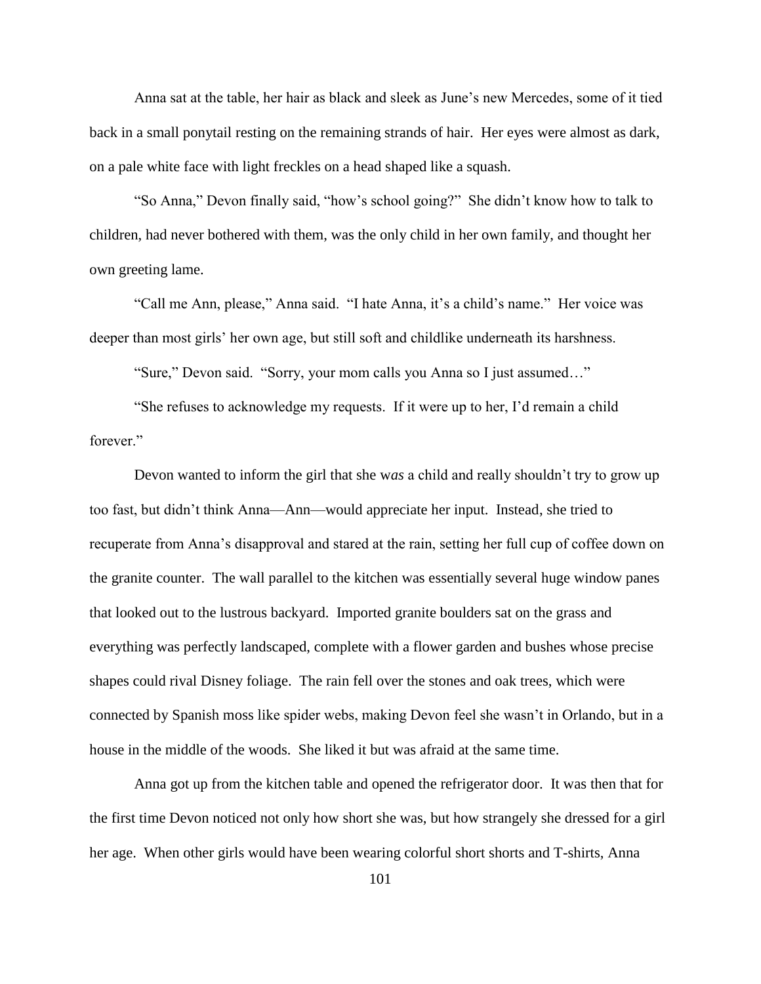Anna sat at the table, her hair as black and sleek as June's new Mercedes, some of it tied back in a small ponytail resting on the remaining strands of hair. Her eyes were almost as dark, on a pale white face with light freckles on a head shaped like a squash.

"So Anna," Devon finally said, "how's school going?" She didn't know how to talk to children, had never bothered with them, was the only child in her own family, and thought her own greeting lame.

"Call me Ann, please," Anna said. "I hate Anna, it's a child's name." Her voice was deeper than most girls' her own age, but still soft and childlike underneath its harshness.

"Sure," Devon said. "Sorry, your mom calls you Anna so I just assumed…"

"She refuses to acknowledge my requests. If it were up to her, I'd remain a child forever."

Devon wanted to inform the girl that she w*as* a child and really shouldn't try to grow up too fast, but didn't think Anna—Ann—would appreciate her input. Instead, she tried to recuperate from Anna's disapproval and stared at the rain, setting her full cup of coffee down on the granite counter. The wall parallel to the kitchen was essentially several huge window panes that looked out to the lustrous backyard. Imported granite boulders sat on the grass and everything was perfectly landscaped, complete with a flower garden and bushes whose precise shapes could rival Disney foliage. The rain fell over the stones and oak trees, which were connected by Spanish moss like spider webs, making Devon feel she wasn't in Orlando, but in a house in the middle of the woods. She liked it but was afraid at the same time.

Anna got up from the kitchen table and opened the refrigerator door. It was then that for the first time Devon noticed not only how short she was, but how strangely she dressed for a girl her age. When other girls would have been wearing colorful short shorts and T-shirts, Anna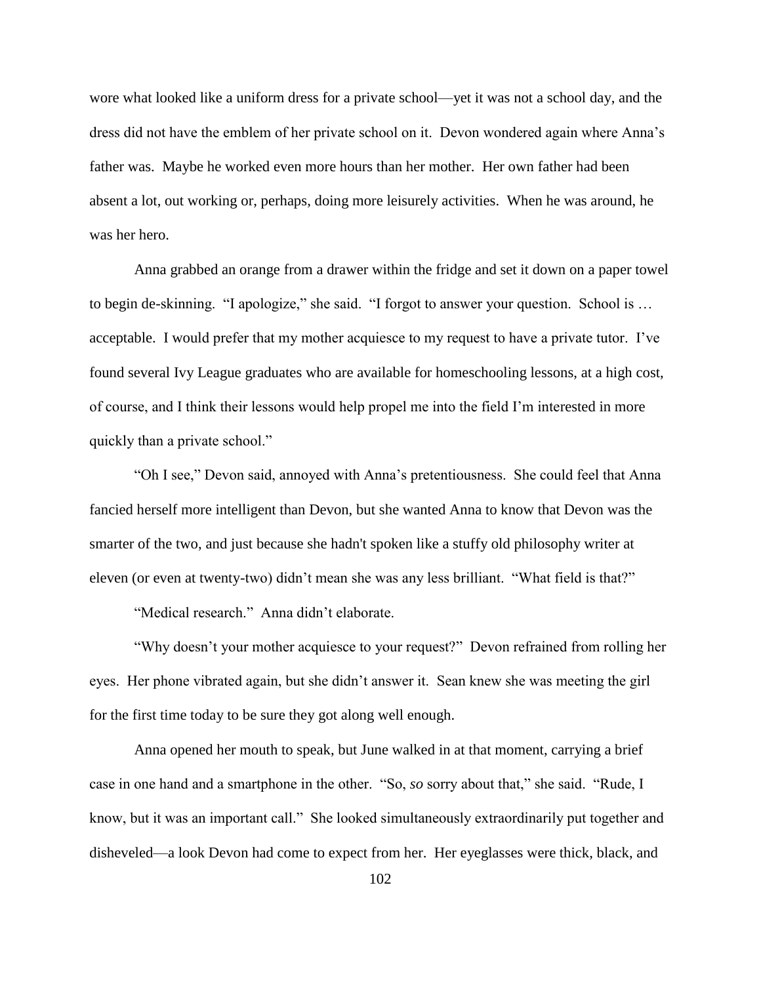wore what looked like a uniform dress for a private school—yet it was not a school day, and the dress did not have the emblem of her private school on it. Devon wondered again where Anna's father was. Maybe he worked even more hours than her mother. Her own father had been absent a lot, out working or, perhaps, doing more leisurely activities. When he was around, he was her hero.

Anna grabbed an orange from a drawer within the fridge and set it down on a paper towel to begin de-skinning. "I apologize," she said. "I forgot to answer your question. School is … acceptable. I would prefer that my mother acquiesce to my request to have a private tutor. I've found several Ivy League graduates who are available for homeschooling lessons, at a high cost, of course, and I think their lessons would help propel me into the field I'm interested in more quickly than a private school."

"Oh I see," Devon said, annoyed with Anna's pretentiousness. She could feel that Anna fancied herself more intelligent than Devon, but she wanted Anna to know that Devon was the smarter of the two, and just because she hadn't spoken like a stuffy old philosophy writer at eleven (or even at twenty-two) didn't mean she was any less brilliant. "What field is that?"

"Medical research." Anna didn't elaborate.

"Why doesn't your mother acquiesce to your request?" Devon refrained from rolling her eyes. Her phone vibrated again, but she didn't answer it. Sean knew she was meeting the girl for the first time today to be sure they got along well enough.

Anna opened her mouth to speak, but June walked in at that moment, carrying a brief case in one hand and a smartphone in the other. "So, *so* sorry about that," she said. "Rude, I know, but it was an important call." She looked simultaneously extraordinarily put together and disheveled—a look Devon had come to expect from her. Her eyeglasses were thick, black, and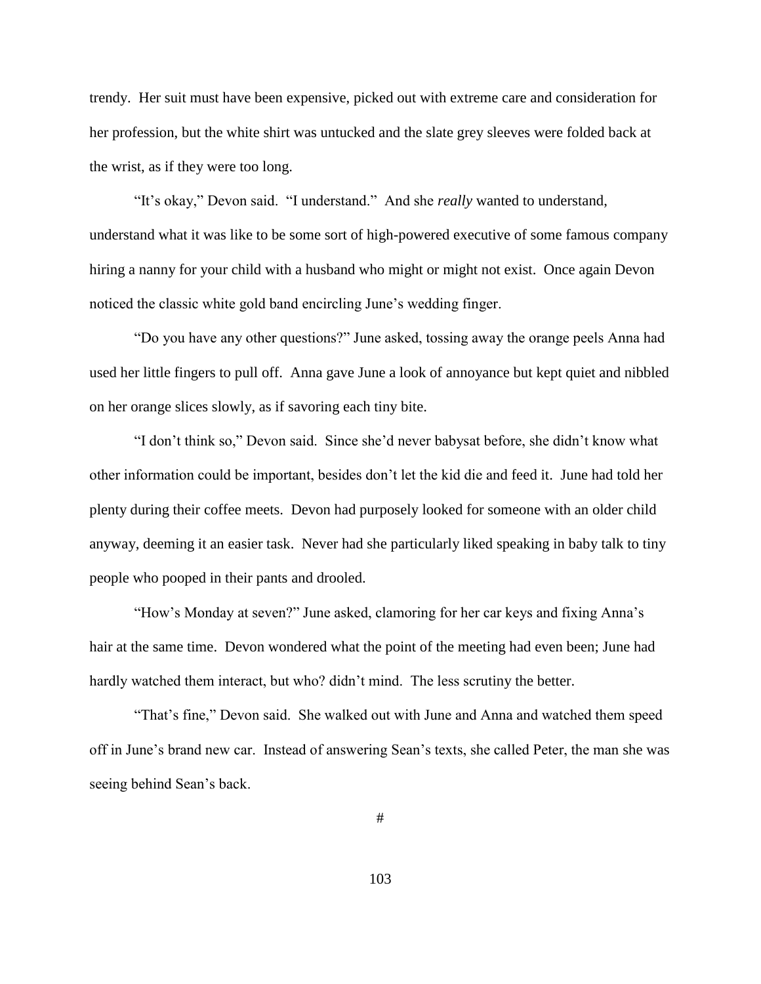trendy. Her suit must have been expensive, picked out with extreme care and consideration for her profession, but the white shirt was untucked and the slate grey sleeves were folded back at the wrist, as if they were too long.

"It's okay," Devon said. "I understand." And she *really* wanted to understand, understand what it was like to be some sort of high-powered executive of some famous company hiring a nanny for your child with a husband who might or might not exist. Once again Devon noticed the classic white gold band encircling June's wedding finger.

"Do you have any other questions?" June asked, tossing away the orange peels Anna had used her little fingers to pull off. Anna gave June a look of annoyance but kept quiet and nibbled on her orange slices slowly, as if savoring each tiny bite.

"I don't think so," Devon said. Since she'd never babysat before, she didn't know what other information could be important, besides don't let the kid die and feed it. June had told her plenty during their coffee meets. Devon had purposely looked for someone with an older child anyway, deeming it an easier task. Never had she particularly liked speaking in baby talk to tiny people who pooped in their pants and drooled.

"How's Monday at seven?" June asked, clamoring for her car keys and fixing Anna's hair at the same time. Devon wondered what the point of the meeting had even been; June had hardly watched them interact, but who? didn't mind. The less scrutiny the better.

"That's fine," Devon said. She walked out with June and Anna and watched them speed off in June's brand new car. Instead of answering Sean's texts, she called Peter, the man she was seeing behind Sean's back.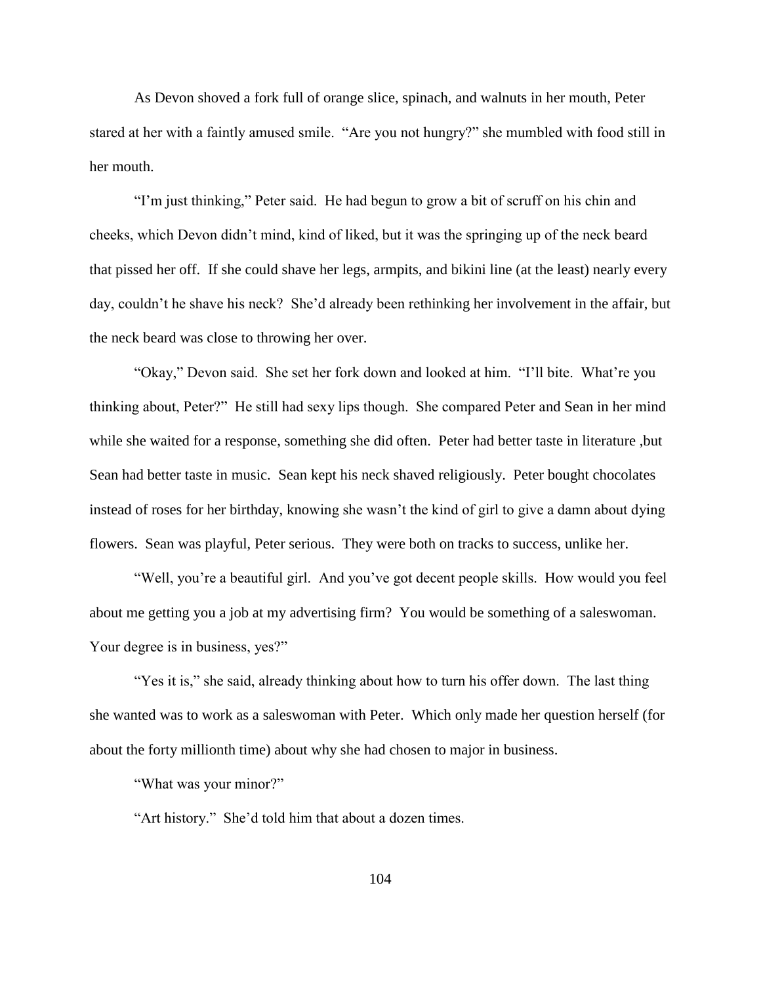As Devon shoved a fork full of orange slice, spinach, and walnuts in her mouth, Peter stared at her with a faintly amused smile. "Are you not hungry?" she mumbled with food still in her mouth.

"I'm just thinking," Peter said. He had begun to grow a bit of scruff on his chin and cheeks, which Devon didn't mind, kind of liked, but it was the springing up of the neck beard that pissed her off. If she could shave her legs, armpits, and bikini line (at the least) nearly every day, couldn't he shave his neck? She'd already been rethinking her involvement in the affair, but the neck beard was close to throwing her over.

"Okay," Devon said. She set her fork down and looked at him. "I'll bite. What're you thinking about, Peter?" He still had sexy lips though. She compared Peter and Sean in her mind while she waited for a response, something she did often. Peter had better taste in literature ,but Sean had better taste in music. Sean kept his neck shaved religiously. Peter bought chocolates instead of roses for her birthday, knowing she wasn't the kind of girl to give a damn about dying flowers. Sean was playful, Peter serious. They were both on tracks to success, unlike her.

"Well, you're a beautiful girl. And you've got decent people skills. How would you feel about me getting you a job at my advertising firm? You would be something of a saleswoman. Your degree is in business, yes?"

"Yes it is," she said, already thinking about how to turn his offer down. The last thing she wanted was to work as a saleswoman with Peter. Which only made her question herself (for about the forty millionth time) about why she had chosen to major in business.

"What was your minor?"

"Art history." She'd told him that about a dozen times.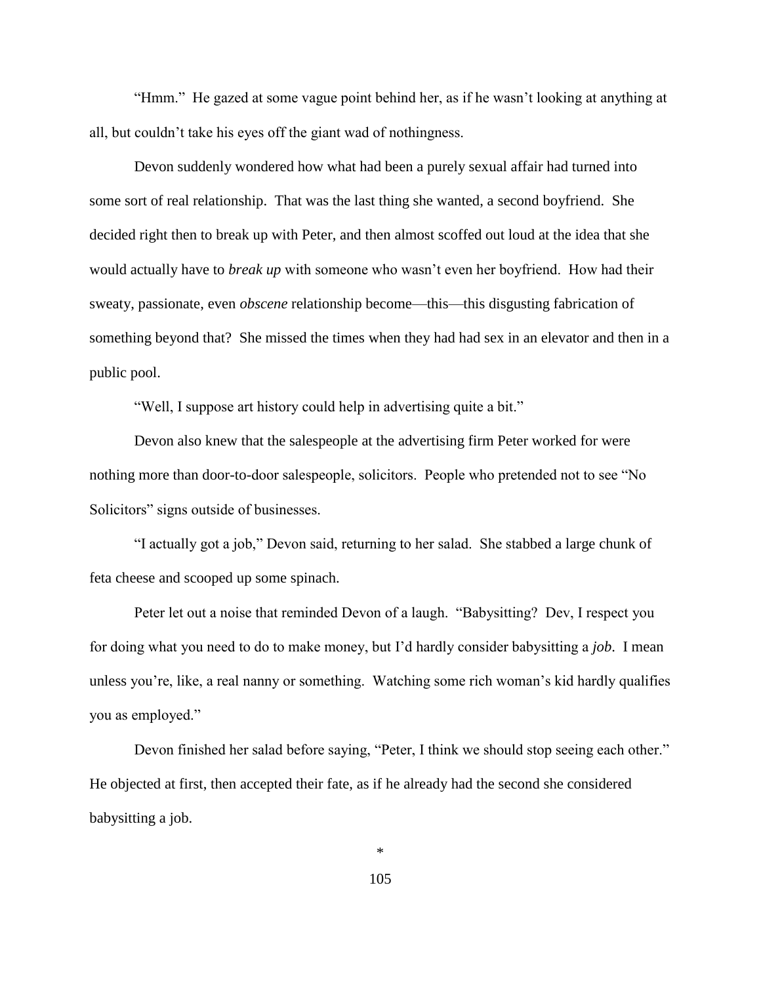"Hmm." He gazed at some vague point behind her, as if he wasn't looking at anything at all, but couldn't take his eyes off the giant wad of nothingness.

Devon suddenly wondered how what had been a purely sexual affair had turned into some sort of real relationship. That was the last thing she wanted, a second boyfriend. She decided right then to break up with Peter, and then almost scoffed out loud at the idea that she would actually have to *break up* with someone who wasn't even her boyfriend. How had their sweaty, passionate, even *obscene* relationship become—this—this disgusting fabrication of something beyond that? She missed the times when they had had sex in an elevator and then in a public pool.

"Well, I suppose art history could help in advertising quite a bit."

Devon also knew that the salespeople at the advertising firm Peter worked for were nothing more than door-to-door salespeople, solicitors. People who pretended not to see "No Solicitors" signs outside of businesses.

"I actually got a job," Devon said, returning to her salad. She stabbed a large chunk of feta cheese and scooped up some spinach.

Peter let out a noise that reminded Devon of a laugh. "Babysitting? Dev, I respect you for doing what you need to do to make money, but I'd hardly consider babysitting a *job*. I mean unless you're, like, a real nanny or something. Watching some rich woman's kid hardly qualifies you as employed."

Devon finished her salad before saying, "Peter, I think we should stop seeing each other." He objected at first, then accepted their fate, as if he already had the second she considered babysitting a job.

\*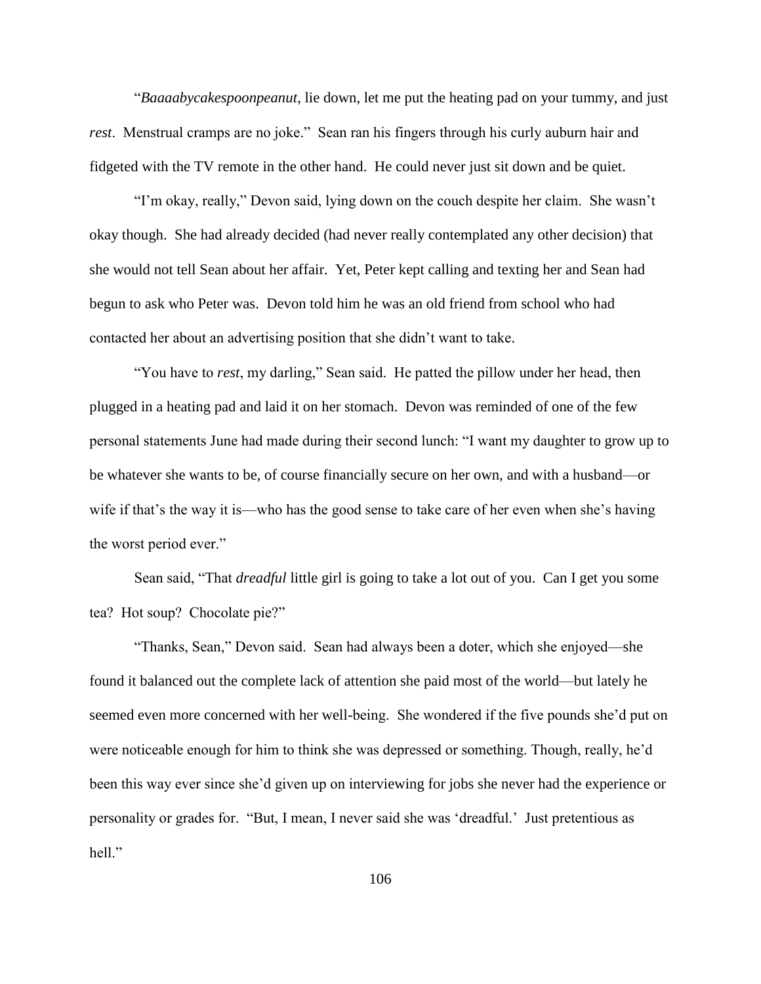"*Baaaabycakespoonpeanut*, lie down, let me put the heating pad on your tummy, and just *rest*. Menstrual cramps are no joke." Sean ran his fingers through his curly auburn hair and fidgeted with the TV remote in the other hand. He could never just sit down and be quiet.

"I'm okay, really," Devon said, lying down on the couch despite her claim. She wasn't okay though. She had already decided (had never really contemplated any other decision) that she would not tell Sean about her affair. Yet, Peter kept calling and texting her and Sean had begun to ask who Peter was. Devon told him he was an old friend from school who had contacted her about an advertising position that she didn't want to take.

"You have to *rest*, my darling," Sean said. He patted the pillow under her head, then plugged in a heating pad and laid it on her stomach. Devon was reminded of one of the few personal statements June had made during their second lunch: "I want my daughter to grow up to be whatever she wants to be, of course financially secure on her own, and with a husband—or wife if that's the way it is—who has the good sense to take care of her even when she's having the worst period ever."

Sean said, "That *dreadful* little girl is going to take a lot out of you. Can I get you some tea? Hot soup? Chocolate pie?"

"Thanks, Sean," Devon said. Sean had always been a doter, which she enjoyed—she found it balanced out the complete lack of attention she paid most of the world—but lately he seemed even more concerned with her well-being. She wondered if the five pounds she'd put on were noticeable enough for him to think she was depressed or something. Though, really, he'd been this way ever since she'd given up on interviewing for jobs she never had the experience or personality or grades for. "But, I mean, I never said she was 'dreadful.' Just pretentious as hell."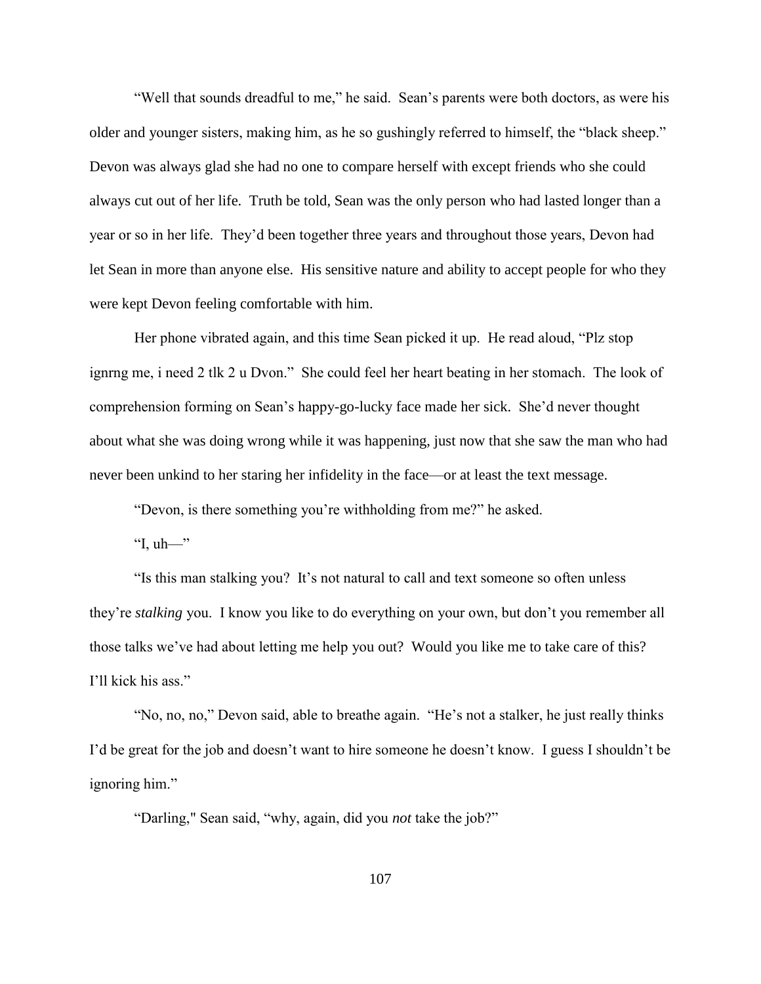"Well that sounds dreadful to me," he said. Sean's parents were both doctors, as were his older and younger sisters, making him, as he so gushingly referred to himself, the "black sheep." Devon was always glad she had no one to compare herself with except friends who she could always cut out of her life. Truth be told, Sean was the only person who had lasted longer than a year or so in her life. They'd been together three years and throughout those years, Devon had let Sean in more than anyone else. His sensitive nature and ability to accept people for who they were kept Devon feeling comfortable with him.

Her phone vibrated again, and this time Sean picked it up. He read aloud, "Plz stop ignrng me, i need 2 tlk 2 u Dvon." She could feel her heart beating in her stomach. The look of comprehension forming on Sean's happy-go-lucky face made her sick. She'd never thought about what she was doing wrong while it was happening, just now that she saw the man who had never been unkind to her staring her infidelity in the face—or at least the text message.

"Devon, is there something you're withholding from me?" he asked.

"I,  $uh$ —"

"Is this man stalking you? It's not natural to call and text someone so often unless they're *stalking* you. I know you like to do everything on your own, but don't you remember all those talks we've had about letting me help you out? Would you like me to take care of this? I'll kick his ass."

"No, no, no," Devon said, able to breathe again. "He's not a stalker, he just really thinks I'd be great for the job and doesn't want to hire someone he doesn't know. I guess I shouldn't be ignoring him."

"Darling," Sean said, "why, again, did you *not* take the job?"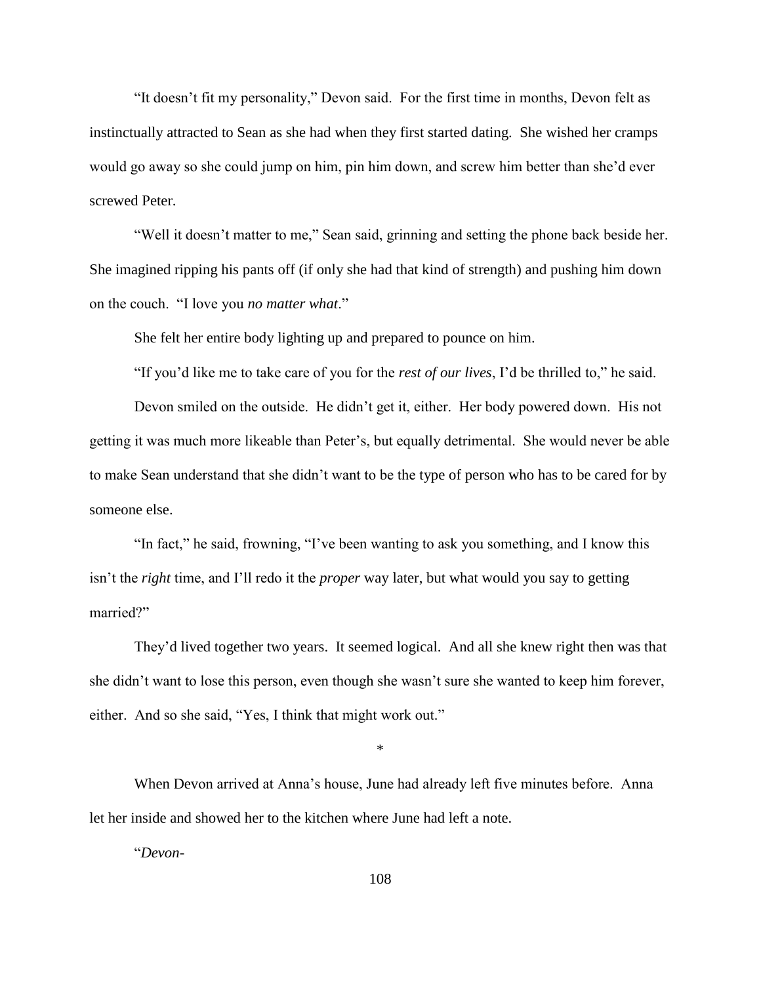"It doesn't fit my personality," Devon said. For the first time in months, Devon felt as instinctually attracted to Sean as she had when they first started dating. She wished her cramps would go away so she could jump on him, pin him down, and screw him better than she'd ever screwed Peter.

"Well it doesn't matter to me," Sean said, grinning and setting the phone back beside her. She imagined ripping his pants off (if only she had that kind of strength) and pushing him down on the couch. "I love you *no matter what*."

She felt her entire body lighting up and prepared to pounce on him.

"If you'd like me to take care of you for the *rest of our lives*, I'd be thrilled to," he said.

Devon smiled on the outside. He didn't get it, either. Her body powered down. His not getting it was much more likeable than Peter's, but equally detrimental. She would never be able to make Sean understand that she didn't want to be the type of person who has to be cared for by someone else.

"In fact," he said, frowning, "I've been wanting to ask you something, and I know this isn't the *right* time, and I'll redo it the *proper* way later, but what would you say to getting married?"

They'd lived together two years. It seemed logical. And all she knew right then was that she didn't want to lose this person, even though she wasn't sure she wanted to keep him forever, either. And so she said, "Yes, I think that might work out."

\*

When Devon arrived at Anna's house, June had already left five minutes before. Anna let her inside and showed her to the kitchen where June had left a note.

"*Devon-*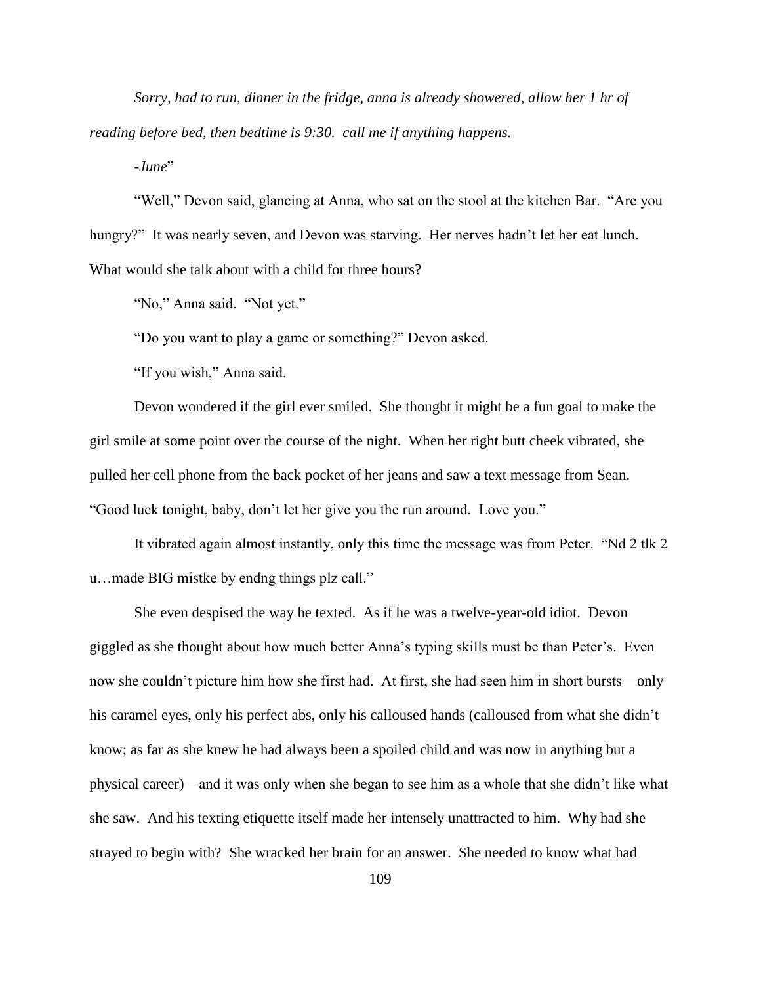*Sorry, had to run, dinner in the fridge, anna is already showered, allow her 1 hr of reading before bed, then bedtime is 9:30. call me if anything happens.*

*-June*"

"Well," Devon said, glancing at Anna, who sat on the stool at the kitchen Bar. "Are you hungry?" It was nearly seven, and Devon was starving. Her nerves hadn't let her eat lunch. What would she talk about with a child for three hours?

"No," Anna said. "Not yet."

"Do you want to play a game or something?" Devon asked.

"If you wish," Anna said.

Devon wondered if the girl ever smiled. She thought it might be a fun goal to make the girl smile at some point over the course of the night. When her right butt cheek vibrated, she pulled her cell phone from the back pocket of her jeans and saw a text message from Sean. "Good luck tonight, baby, don't let her give you the run around. Love you."

It vibrated again almost instantly, only this time the message was from Peter. "Nd 2 tlk 2 u…made BIG mistke by endng things plz call."

She even despised the way he texted. As if he was a twelve-year-old idiot. Devon giggled as she thought about how much better Anna's typing skills must be than Peter's. Even now she couldn't picture him how she first had. At first, she had seen him in short bursts—only his caramel eyes, only his perfect abs, only his calloused hands (calloused from what she didn't know; as far as she knew he had always been a spoiled child and was now in anything but a physical career)—and it was only when she began to see him as a whole that she didn't like what she saw. And his texting etiquette itself made her intensely unattracted to him. Why had she strayed to begin with? She wracked her brain for an answer. She needed to know what had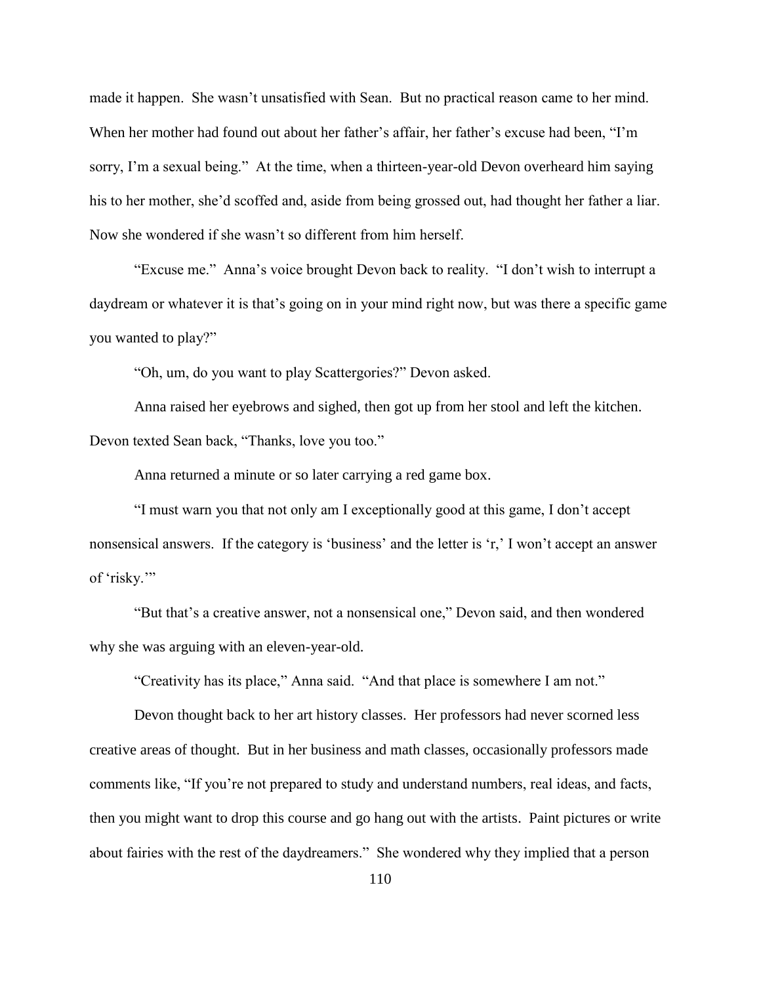made it happen. She wasn't unsatisfied with Sean. But no practical reason came to her mind. When her mother had found out about her father's affair, her father's excuse had been, "I'm sorry, I'm a sexual being." At the time, when a thirteen-year-old Devon overheard him saying his to her mother, she'd scoffed and, aside from being grossed out, had thought her father a liar. Now she wondered if she wasn't so different from him herself.

"Excuse me." Anna's voice brought Devon back to reality. "I don't wish to interrupt a daydream or whatever it is that's going on in your mind right now, but was there a specific game you wanted to play?"

"Oh, um, do you want to play Scattergories?" Devon asked.

Anna raised her eyebrows and sighed, then got up from her stool and left the kitchen. Devon texted Sean back, "Thanks, love you too."

Anna returned a minute or so later carrying a red game box.

"I must warn you that not only am I exceptionally good at this game, I don't accept nonsensical answers. If the category is 'business' and the letter is 'r,' I won't accept an answer of 'risky.'"

"But that's a creative answer, not a nonsensical one," Devon said, and then wondered why she was arguing with an eleven-year-old.

"Creativity has its place," Anna said. "And that place is somewhere I am not."

Devon thought back to her art history classes. Her professors had never scorned less creative areas of thought. But in her business and math classes, occasionally professors made comments like, "If you're not prepared to study and understand numbers, real ideas, and facts, then you might want to drop this course and go hang out with the artists. Paint pictures or write about fairies with the rest of the daydreamers." She wondered why they implied that a person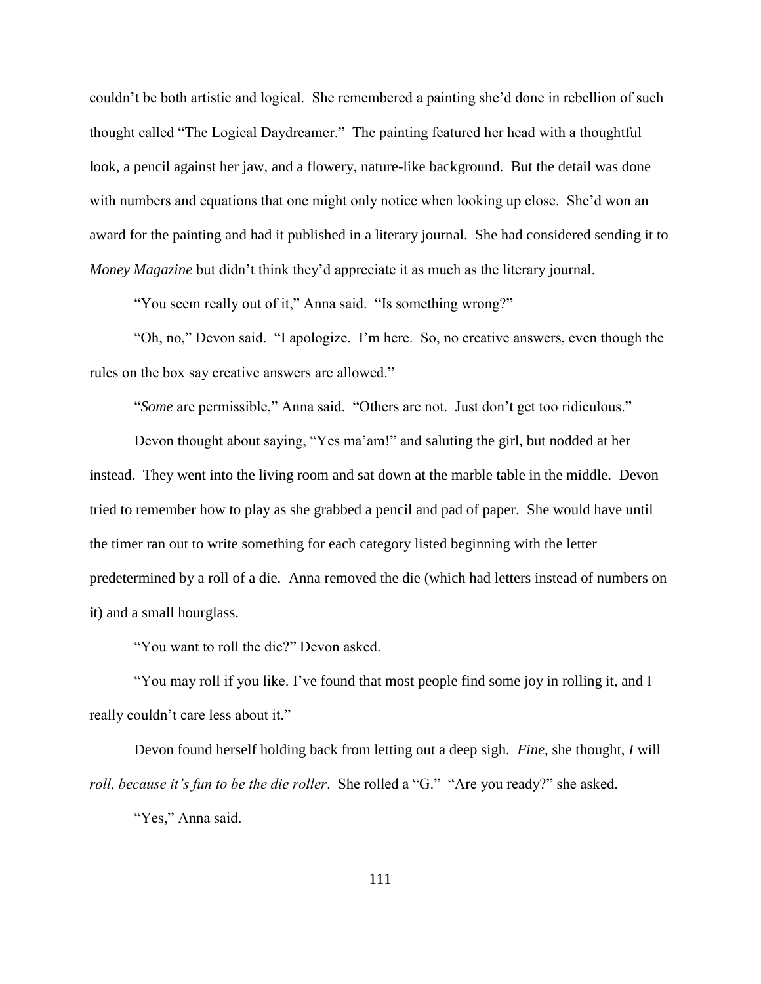couldn't be both artistic and logical. She remembered a painting she'd done in rebellion of such thought called "The Logical Daydreamer." The painting featured her head with a thoughtful look, a pencil against her jaw, and a flowery, nature-like background. But the detail was done with numbers and equations that one might only notice when looking up close. She'd won an award for the painting and had it published in a literary journal. She had considered sending it to *Money Magazine* but didn't think they'd appreciate it as much as the literary journal.

"You seem really out of it," Anna said. "Is something wrong?"

"Oh, no," Devon said. "I apologize. I'm here. So, no creative answers, even though the rules on the box say creative answers are allowed."

"*Some* are permissible," Anna said. "Others are not. Just don't get too ridiculous."

Devon thought about saying, "Yes ma'am!" and saluting the girl, but nodded at her instead. They went into the living room and sat down at the marble table in the middle. Devon tried to remember how to play as she grabbed a pencil and pad of paper. She would have until the timer ran out to write something for each category listed beginning with the letter predetermined by a roll of a die. Anna removed the die (which had letters instead of numbers on it) and a small hourglass.

"You want to roll the die?" Devon asked.

"You may roll if you like. I've found that most people find some joy in rolling it, and I really couldn't care less about it."

Devon found herself holding back from letting out a deep sigh. *Fine*, she thought, *I* will *roll, because it's fun to be the die roller*. She rolled a "G." "Are you ready?" she asked.

"Yes," Anna said.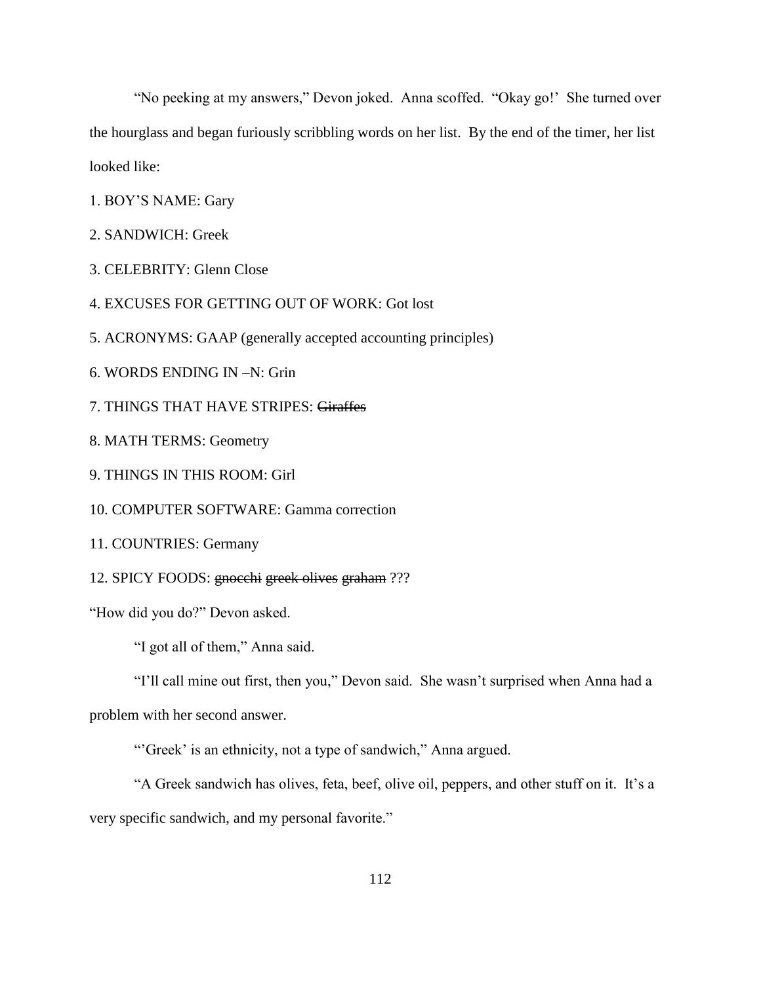"No peeking at my answers," Devon joked. Anna scoffed. "Okay go!' She turned over the hourglass and began furiously scribbling words on her list. By the end of the timer, her list looked like:

- 1. BOY'S NAME: Gary
- 2. SANDWICH: Greek
- 3. CELEBRITY: Glenn Close
- 4. EXCUSES FOR GETTING OUT OF WORK: Got lost
- 5. ACRONYMS: GAAP (generally accepted accounting principles)
- 6. WORDS ENDING IN –N: Grin
- 7. THINGS THAT HAVE STRIPES: Giraffes
- 8. MATH TERMS: Geometry
- 9. THINGS IN THIS ROOM: Girl
- 10. COMPUTER SOFTWARE: Gamma correction
- 11. COUNTRIES: Germany
- 12. SPICY FOODS: gnocchi greek olives graham ???

"How did you do?" Devon asked.

"I got all of them," Anna said.

"I'll call mine out first, then you," Devon said. She wasn't surprised when Anna had a problem with her second answer.

"'Greek' is an ethnicity, not a type of sandwich," Anna argued.

"A Greek sandwich has olives, feta, beef, olive oil, peppers, and other stuff on it. It's a very specific sandwich, and my personal favorite."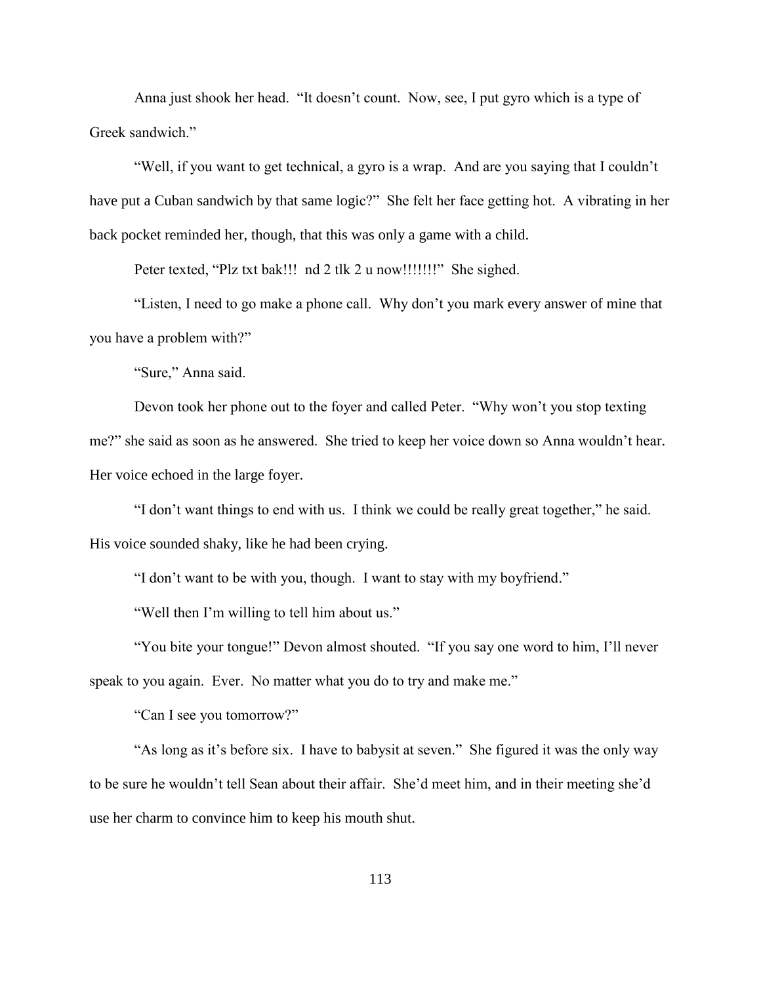Anna just shook her head. "It doesn't count. Now, see, I put gyro which is a type of Greek sandwich."

"Well, if you want to get technical, a gyro is a wrap. And are you saying that I couldn't have put a Cuban sandwich by that same logic?" She felt her face getting hot. A vibrating in her back pocket reminded her, though, that this was only a game with a child.

Peter texted, "Plz txt bak!!! nd 2 tlk 2 u now!!!!!!!!" She sighed.

"Listen, I need to go make a phone call. Why don't you mark every answer of mine that you have a problem with?"

"Sure," Anna said.

Devon took her phone out to the foyer and called Peter. "Why won't you stop texting me?" she said as soon as he answered. She tried to keep her voice down so Anna wouldn't hear. Her voice echoed in the large foyer.

"I don't want things to end with us. I think we could be really great together," he said. His voice sounded shaky, like he had been crying.

"I don't want to be with you, though. I want to stay with my boyfriend."

"Well then I'm willing to tell him about us."

"You bite your tongue!" Devon almost shouted. "If you say one word to him, I'll never speak to you again. Ever. No matter what you do to try and make me."

"Can I see you tomorrow?"

"As long as it's before six. I have to babysit at seven." She figured it was the only way to be sure he wouldn't tell Sean about their affair. She'd meet him, and in their meeting she'd use her charm to convince him to keep his mouth shut.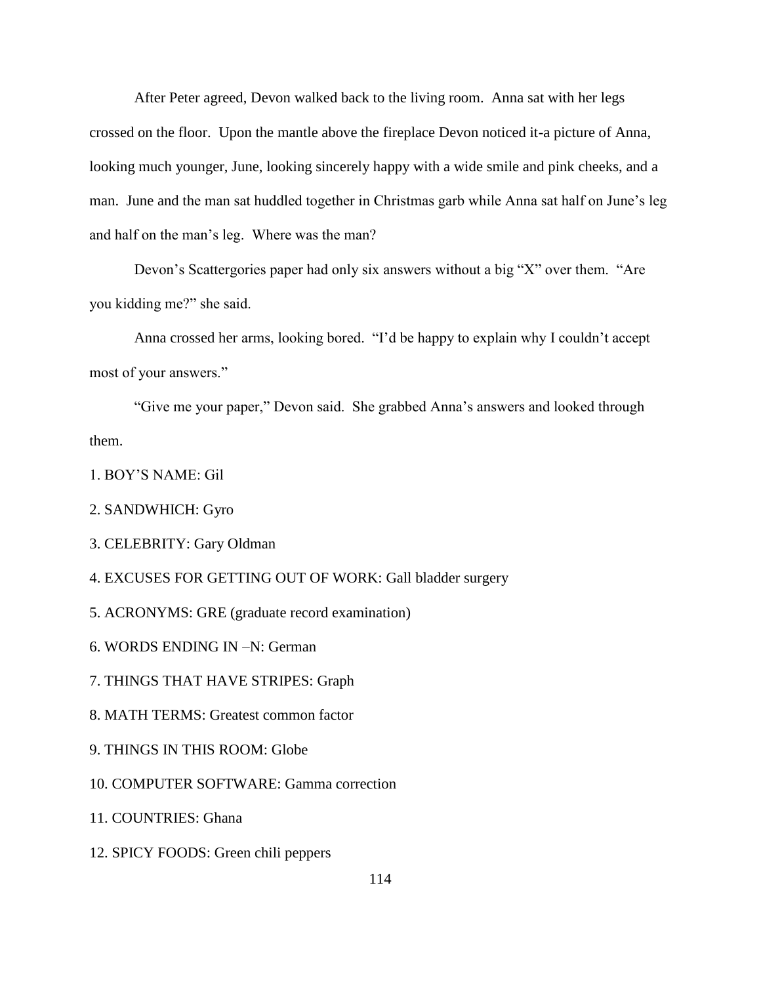After Peter agreed, Devon walked back to the living room. Anna sat with her legs crossed on the floor. Upon the mantle above the fireplace Devon noticed it-a picture of Anna, looking much younger, June, looking sincerely happy with a wide smile and pink cheeks, and a man. June and the man sat huddled together in Christmas garb while Anna sat half on June's leg and half on the man's leg. Where was the man?

Devon's Scattergories paper had only six answers without a big "X" over them. "Are you kidding me?" she said.

Anna crossed her arms, looking bored. "I'd be happy to explain why I couldn't accept most of your answers."

"Give me your paper," Devon said. She grabbed Anna's answers and looked through them.

- 1. BOY'S NAME: Gil
- 2. SANDWHICH: Gyro
- 3. CELEBRITY: Gary Oldman
- 4. EXCUSES FOR GETTING OUT OF WORK: Gall bladder surgery
- 5. ACRONYMS: GRE (graduate record examination)
- 6. WORDS ENDING IN –N: German
- 7. THINGS THAT HAVE STRIPES: Graph
- 8. MATH TERMS: Greatest common factor
- 9. THINGS IN THIS ROOM: Globe
- 10. COMPUTER SOFTWARE: Gamma correction
- 11. COUNTRIES: Ghana
- 12. SPICY FOODS: Green chili peppers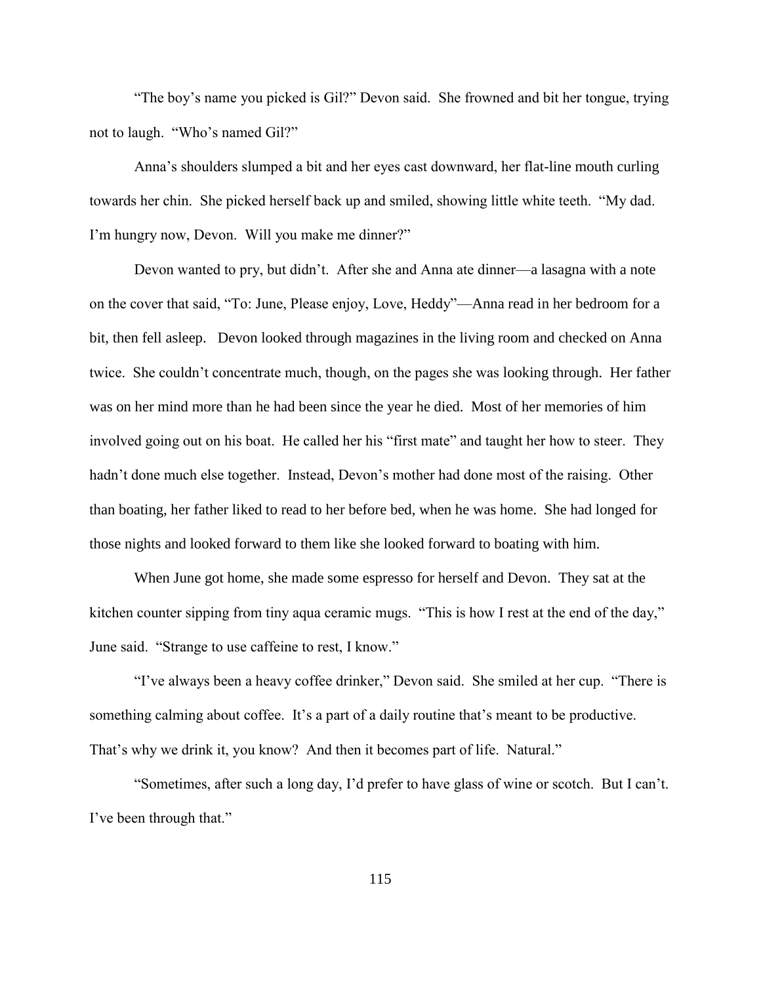"The boy's name you picked is Gil?" Devon said. She frowned and bit her tongue, trying not to laugh. "Who's named Gil?"

Anna's shoulders slumped a bit and her eyes cast downward, her flat-line mouth curling towards her chin. She picked herself back up and smiled, showing little white teeth. "My dad. I'm hungry now, Devon. Will you make me dinner?"

Devon wanted to pry, but didn't. After she and Anna ate dinner—a lasagna with a note on the cover that said, "To: June, Please enjoy, Love, Heddy"—Anna read in her bedroom for a bit, then fell asleep. Devon looked through magazines in the living room and checked on Anna twice. She couldn't concentrate much, though, on the pages she was looking through. Her father was on her mind more than he had been since the year he died. Most of her memories of him involved going out on his boat. He called her his "first mate" and taught her how to steer. They hadn't done much else together. Instead, Devon's mother had done most of the raising. Other than boating, her father liked to read to her before bed, when he was home. She had longed for those nights and looked forward to them like she looked forward to boating with him.

When June got home, she made some espresso for herself and Devon. They sat at the kitchen counter sipping from tiny aqua ceramic mugs. "This is how I rest at the end of the day," June said. "Strange to use caffeine to rest, I know."

"I've always been a heavy coffee drinker," Devon said. She smiled at her cup. "There is something calming about coffee. It's a part of a daily routine that's meant to be productive. That's why we drink it, you know? And then it becomes part of life. Natural."

"Sometimes, after such a long day, I'd prefer to have glass of wine or scotch. But I can't. I've been through that."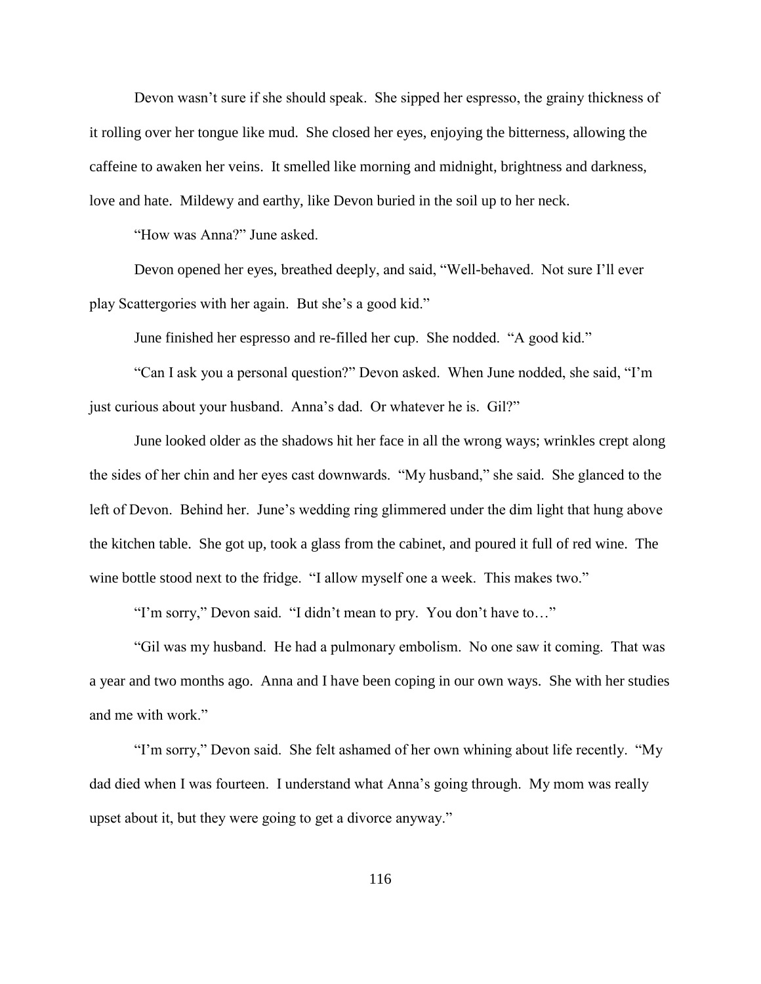Devon wasn't sure if she should speak. She sipped her espresso, the grainy thickness of it rolling over her tongue like mud. She closed her eyes, enjoying the bitterness, allowing the caffeine to awaken her veins. It smelled like morning and midnight, brightness and darkness, love and hate. Mildewy and earthy, like Devon buried in the soil up to her neck.

"How was Anna?" June asked.

Devon opened her eyes, breathed deeply, and said, "Well-behaved. Not sure I'll ever play Scattergories with her again. But she's a good kid."

June finished her espresso and re-filled her cup. She nodded. "A good kid."

"Can I ask you a personal question?" Devon asked. When June nodded, she said, "I'm just curious about your husband. Anna's dad. Or whatever he is. Gil?"

June looked older as the shadows hit her face in all the wrong ways; wrinkles crept along the sides of her chin and her eyes cast downwards. "My husband," she said. She glanced to the left of Devon. Behind her. June's wedding ring glimmered under the dim light that hung above the kitchen table. She got up, took a glass from the cabinet, and poured it full of red wine. The wine bottle stood next to the fridge. "I allow myself one a week. This makes two."

"I'm sorry," Devon said. "I didn't mean to pry. You don't have to…"

"Gil was my husband. He had a pulmonary embolism. No one saw it coming. That was a year and two months ago. Anna and I have been coping in our own ways. She with her studies and me with work."

"I'm sorry," Devon said. She felt ashamed of her own whining about life recently. "My dad died when I was fourteen. I understand what Anna's going through. My mom was really upset about it, but they were going to get a divorce anyway."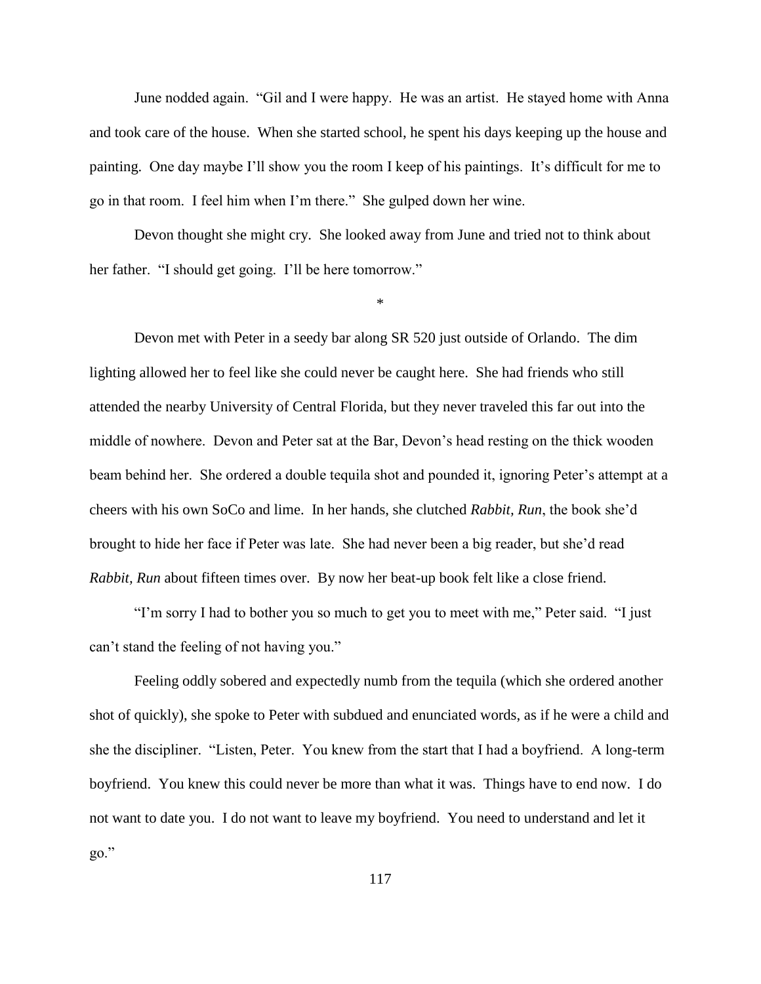June nodded again. "Gil and I were happy. He was an artist. He stayed home with Anna and took care of the house. When she started school, he spent his days keeping up the house and painting. One day maybe I'll show you the room I keep of his paintings. It's difficult for me to go in that room. I feel him when I'm there." She gulped down her wine.

Devon thought she might cry. She looked away from June and tried not to think about her father. "I should get going. I'll be here tomorrow."

\*

Devon met with Peter in a seedy bar along SR 520 just outside of Orlando. The dim lighting allowed her to feel like she could never be caught here. She had friends who still attended the nearby University of Central Florida, but they never traveled this far out into the middle of nowhere. Devon and Peter sat at the Bar, Devon's head resting on the thick wooden beam behind her. She ordered a double tequila shot and pounded it, ignoring Peter's attempt at a cheers with his own SoCo and lime. In her hands, she clutched *Rabbit, Run*, the book she'd brought to hide her face if Peter was late. She had never been a big reader, but she'd read *Rabbit, Run* about fifteen times over. By now her beat-up book felt like a close friend.

"I'm sorry I had to bother you so much to get you to meet with me," Peter said. "I just can't stand the feeling of not having you."

Feeling oddly sobered and expectedly numb from the tequila (which she ordered another shot of quickly), she spoke to Peter with subdued and enunciated words, as if he were a child and she the discipliner. "Listen, Peter. You knew from the start that I had a boyfriend. A long-term boyfriend. You knew this could never be more than what it was. Things have to end now. I do not want to date you. I do not want to leave my boyfriend. You need to understand and let it go."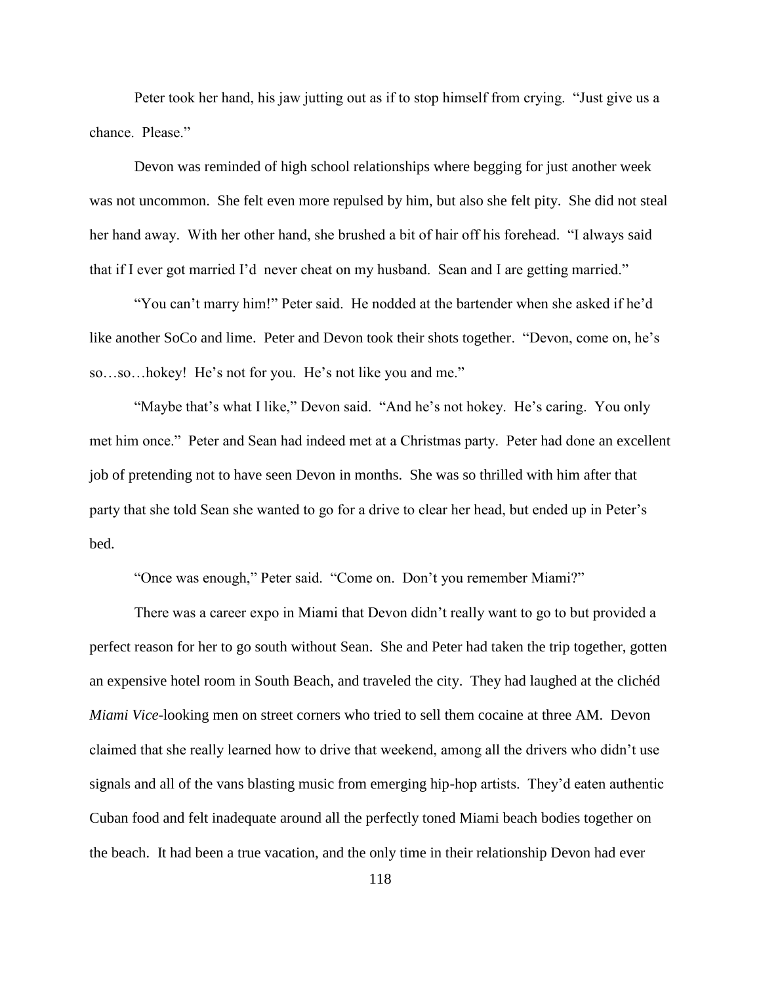Peter took her hand, his jaw jutting out as if to stop himself from crying. "Just give us a chance. Please."

Devon was reminded of high school relationships where begging for just another week was not uncommon. She felt even more repulsed by him, but also she felt pity. She did not steal her hand away. With her other hand, she brushed a bit of hair off his forehead. "I always said that if I ever got married I'd never cheat on my husband. Sean and I are getting married."

"You can't marry him!" Peter said. He nodded at the bartender when she asked if he'd like another SoCo and lime. Peter and Devon took their shots together. "Devon, come on, he's so…so…hokey! He's not for you. He's not like you and me."

"Maybe that's what I like," Devon said. "And he's not hokey. He's caring. You only met him once." Peter and Sean had indeed met at a Christmas party. Peter had done an excellent job of pretending not to have seen Devon in months. She was so thrilled with him after that party that she told Sean she wanted to go for a drive to clear her head, but ended up in Peter's bed.

"Once was enough," Peter said. "Come on. Don't you remember Miami?"

There was a career expo in Miami that Devon didn't really want to go to but provided a perfect reason for her to go south without Sean. She and Peter had taken the trip together, gotten an expensive hotel room in South Beach, and traveled the city. They had laughed at the clichéd *Miami Vice*-looking men on street corners who tried to sell them cocaine at three AM. Devon claimed that she really learned how to drive that weekend, among all the drivers who didn't use signals and all of the vans blasting music from emerging hip-hop artists. They'd eaten authentic Cuban food and felt inadequate around all the perfectly toned Miami beach bodies together on the beach. It had been a true vacation, and the only time in their relationship Devon had ever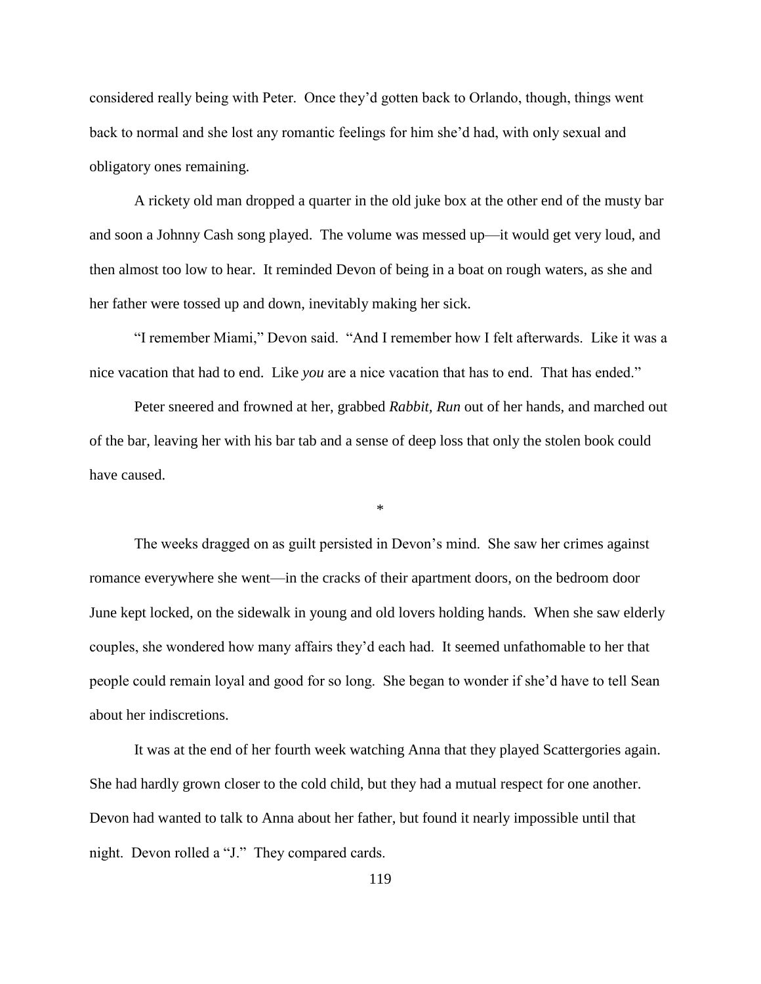considered really being with Peter. Once they'd gotten back to Orlando, though, things went back to normal and she lost any romantic feelings for him she'd had, with only sexual and obligatory ones remaining.

A rickety old man dropped a quarter in the old juke box at the other end of the musty bar and soon a Johnny Cash song played. The volume was messed up—it would get very loud, and then almost too low to hear. It reminded Devon of being in a boat on rough waters, as she and her father were tossed up and down, inevitably making her sick.

"I remember Miami," Devon said. "And I remember how I felt afterwards. Like it was a nice vacation that had to end. Like *you* are a nice vacation that has to end. That has ended."

Peter sneered and frowned at her, grabbed *Rabbit, Run* out of her hands, and marched out of the bar, leaving her with his bar tab and a sense of deep loss that only the stolen book could have caused.

\*

The weeks dragged on as guilt persisted in Devon's mind. She saw her crimes against romance everywhere she went—in the cracks of their apartment doors, on the bedroom door June kept locked, on the sidewalk in young and old lovers holding hands. When she saw elderly couples, she wondered how many affairs they'd each had. It seemed unfathomable to her that people could remain loyal and good for so long. She began to wonder if she'd have to tell Sean about her indiscretions.

It was at the end of her fourth week watching Anna that they played Scattergories again. She had hardly grown closer to the cold child, but they had a mutual respect for one another. Devon had wanted to talk to Anna about her father, but found it nearly impossible until that night. Devon rolled a "J." They compared cards.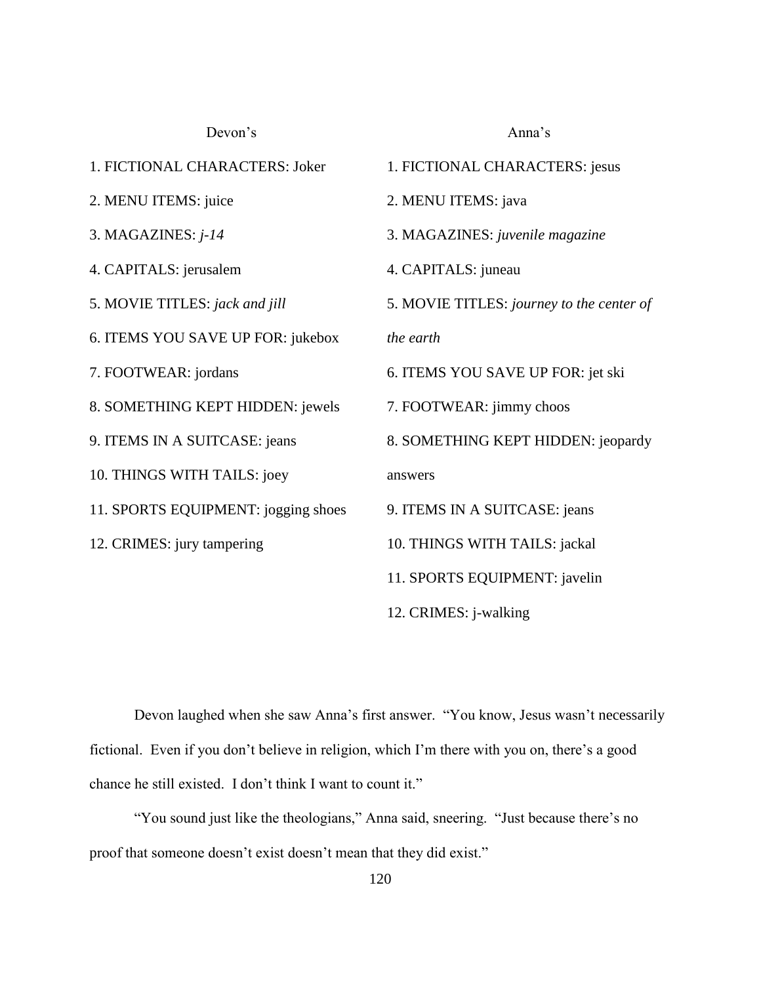Devon's Anna's 1. FICTIONAL CHARACTERS: Joker 2. MENU ITEMS: juice 3. MAGAZINES: *j-14* 4. CAPITALS: jerusalem 5. MOVIE TITLES: *jack and jill* 6. ITEMS YOU SAVE UP FOR: jukebox 7. FOOTWEAR: jordans 8. SOMETHING KEPT HIDDEN: jewels 9. ITEMS IN A SUITCASE: jeans 10. THINGS WITH TAILS: joey 11. SPORTS EQUIPMENT: jogging shoes 12. CRIMES: jury tampering 1. FICTIONAL CHARACTERS: jesus 2. MENU ITEMS: java 3. MAGAZINES: *juvenile magazine* 4. CAPITALS: juneau 5. MOVIE TITLES: *journey to the center of the earth* 6. ITEMS YOU SAVE UP FOR: jet ski 7. FOOTWEAR: jimmy choos 8. SOMETHING KEPT HIDDEN: jeopardy answers 9. ITEMS IN A SUITCASE: jeans 10. THINGS WITH TAILS: jackal 11. SPORTS EQUIPMENT: javelin 12. CRIMES: j-walking

Devon laughed when she saw Anna's first answer. "You know, Jesus wasn't necessarily fictional. Even if you don't believe in religion, which I'm there with you on, there's a good chance he still existed. I don't think I want to count it."

"You sound just like the theologians," Anna said, sneering. "Just because there's no proof that someone doesn't exist doesn't mean that they did exist."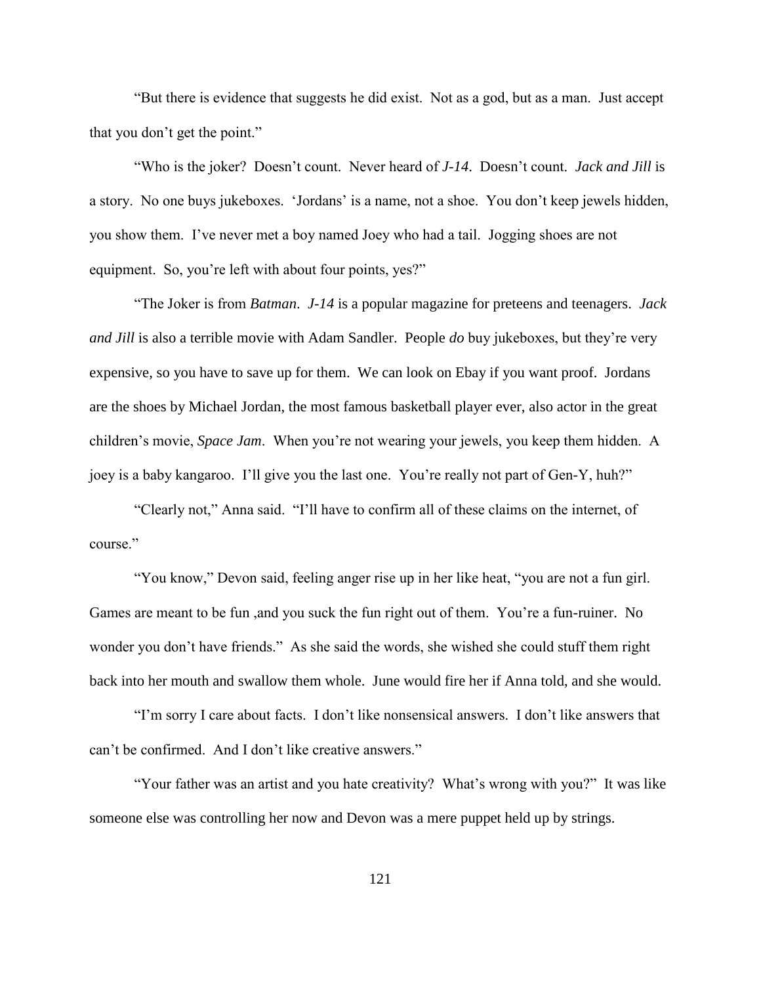"But there is evidence that suggests he did exist. Not as a god, but as a man. Just accept that you don't get the point."

"Who is the joker? Doesn't count. Never heard of *J-14*. Doesn't count. *Jack and Jill* is a story. No one buys jukeboxes. 'Jordans' is a name, not a shoe. You don't keep jewels hidden, you show them. I've never met a boy named Joey who had a tail. Jogging shoes are not equipment. So, you're left with about four points, yes?"

"The Joker is from *Batman*. *J-14* is a popular magazine for preteens and teenagers. *Jack and Jill* is also a terrible movie with Adam Sandler. People *do* buy jukeboxes, but they're very expensive, so you have to save up for them. We can look on Ebay if you want proof. Jordans are the shoes by Michael Jordan, the most famous basketball player ever, also actor in the great children's movie, *Space Jam*. When you're not wearing your jewels, you keep them hidden. A joey is a baby kangaroo. I'll give you the last one. You're really not part of Gen-Y, huh?"

"Clearly not," Anna said. "I'll have to confirm all of these claims on the internet, of course."

"You know," Devon said, feeling anger rise up in her like heat, "you are not a fun girl. Games are meant to be fun ,and you suck the fun right out of them. You're a fun-ruiner. No wonder you don't have friends." As she said the words, she wished she could stuff them right back into her mouth and swallow them whole. June would fire her if Anna told, and she would.

"I'm sorry I care about facts. I don't like nonsensical answers. I don't like answers that can't be confirmed. And I don't like creative answers."

"Your father was an artist and you hate creativity? What's wrong with you?" It was like someone else was controlling her now and Devon was a mere puppet held up by strings.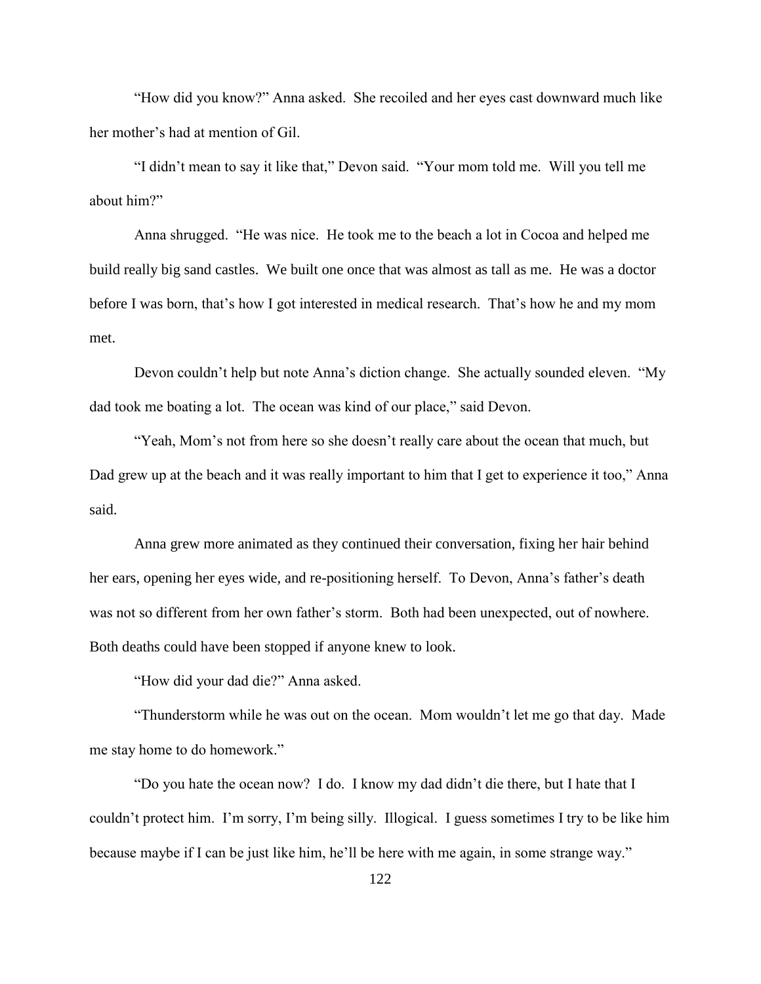"How did you know?" Anna asked. She recoiled and her eyes cast downward much like her mother's had at mention of Gil.

"I didn't mean to say it like that," Devon said. "Your mom told me. Will you tell me about him?"

Anna shrugged. "He was nice. He took me to the beach a lot in Cocoa and helped me build really big sand castles. We built one once that was almost as tall as me. He was a doctor before I was born, that's how I got interested in medical research. That's how he and my mom met.

Devon couldn't help but note Anna's diction change. She actually sounded eleven. "My dad took me boating a lot. The ocean was kind of our place," said Devon.

"Yeah, Mom's not from here so she doesn't really care about the ocean that much, but Dad grew up at the beach and it was really important to him that I get to experience it too," Anna said.

Anna grew more animated as they continued their conversation, fixing her hair behind her ears, opening her eyes wide, and re-positioning herself. To Devon, Anna's father's death was not so different from her own father's storm. Both had been unexpected, out of nowhere. Both deaths could have been stopped if anyone knew to look.

"How did your dad die?" Anna asked.

"Thunderstorm while he was out on the ocean. Mom wouldn't let me go that day. Made me stay home to do homework."

"Do you hate the ocean now? I do. I know my dad didn't die there, but I hate that I couldn't protect him. I'm sorry, I'm being silly. Illogical. I guess sometimes I try to be like him because maybe if I can be just like him, he'll be here with me again, in some strange way."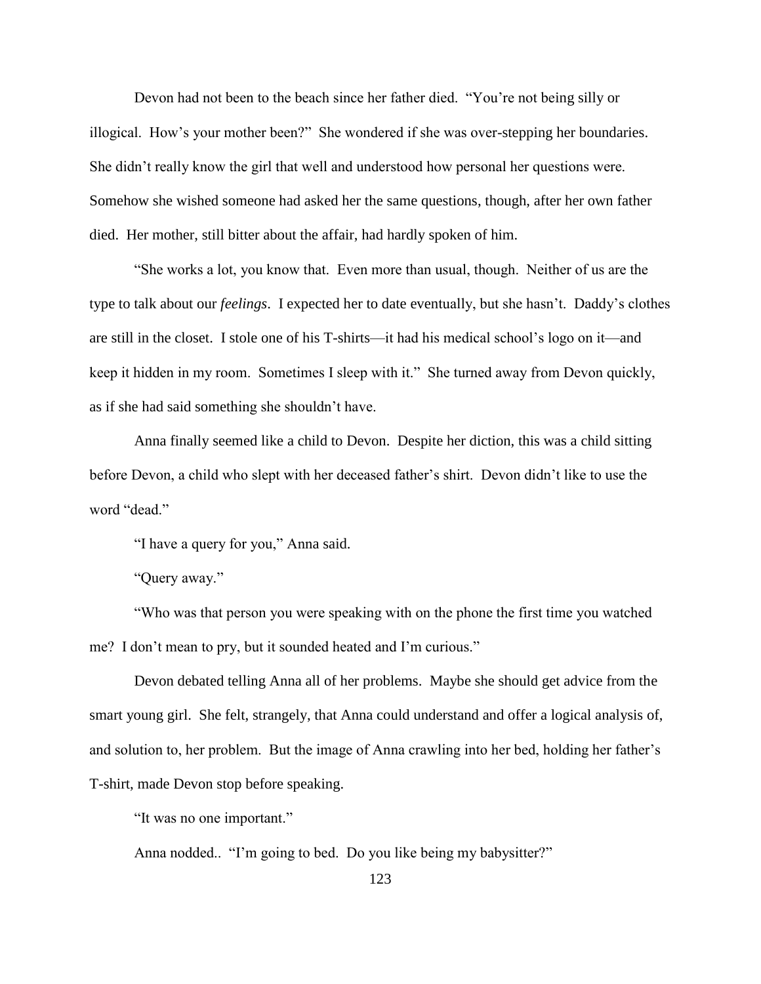Devon had not been to the beach since her father died. "You're not being silly or illogical. How's your mother been?" She wondered if she was over-stepping her boundaries. She didn't really know the girl that well and understood how personal her questions were. Somehow she wished someone had asked her the same questions, though, after her own father died. Her mother, still bitter about the affair, had hardly spoken of him.

"She works a lot, you know that. Even more than usual, though. Neither of us are the type to talk about our *feelings*. I expected her to date eventually, but she hasn't. Daddy's clothes are still in the closet. I stole one of his T-shirts—it had his medical school's logo on it—and keep it hidden in my room. Sometimes I sleep with it." She turned away from Devon quickly, as if she had said something she shouldn't have.

Anna finally seemed like a child to Devon. Despite her diction, this was a child sitting before Devon, a child who slept with her deceased father's shirt. Devon didn't like to use the word "dead."

"I have a query for you," Anna said.

"Query away."

"Who was that person you were speaking with on the phone the first time you watched me? I don't mean to pry, but it sounded heated and I'm curious."

Devon debated telling Anna all of her problems. Maybe she should get advice from the smart young girl. She felt, strangely, that Anna could understand and offer a logical analysis of, and solution to, her problem. But the image of Anna crawling into her bed, holding her father's T-shirt, made Devon stop before speaking.

"It was no one important."

Anna nodded.. "I'm going to bed. Do you like being my babysitter?"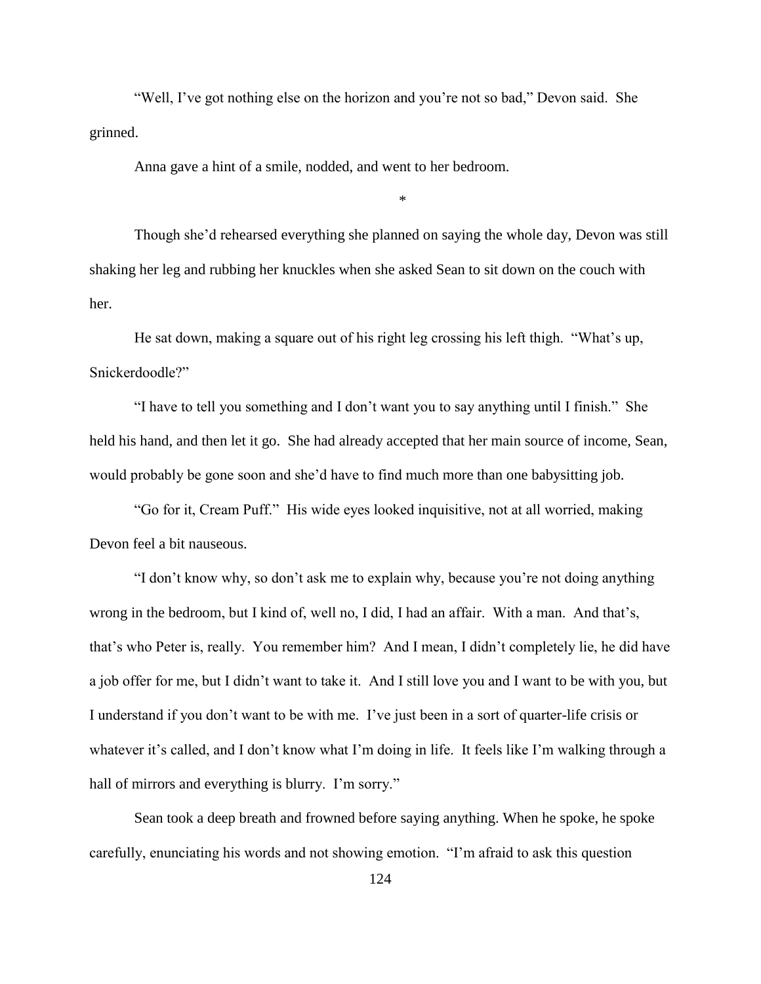"Well, I've got nothing else on the horizon and you're not so bad," Devon said. She grinned.

Anna gave a hint of a smile, nodded, and went to her bedroom.

Though she'd rehearsed everything she planned on saying the whole day, Devon was still shaking her leg and rubbing her knuckles when she asked Sean to sit down on the couch with her.

\*

He sat down, making a square out of his right leg crossing his left thigh. "What's up, Snickerdoodle?"

"I have to tell you something and I don't want you to say anything until I finish." She held his hand, and then let it go. She had already accepted that her main source of income, Sean, would probably be gone soon and she'd have to find much more than one babysitting job.

"Go for it, Cream Puff." His wide eyes looked inquisitive, not at all worried, making Devon feel a bit nauseous.

"I don't know why, so don't ask me to explain why, because you're not doing anything wrong in the bedroom, but I kind of, well no, I did, I had an affair. With a man. And that's, that's who Peter is, really. You remember him? And I mean, I didn't completely lie, he did have a job offer for me, but I didn't want to take it. And I still love you and I want to be with you, but I understand if you don't want to be with me. I've just been in a sort of quarter-life crisis or whatever it's called, and I don't know what I'm doing in life. It feels like I'm walking through a hall of mirrors and everything is blurry. I'm sorry."

Sean took a deep breath and frowned before saying anything. When he spoke, he spoke carefully, enunciating his words and not showing emotion. "I'm afraid to ask this question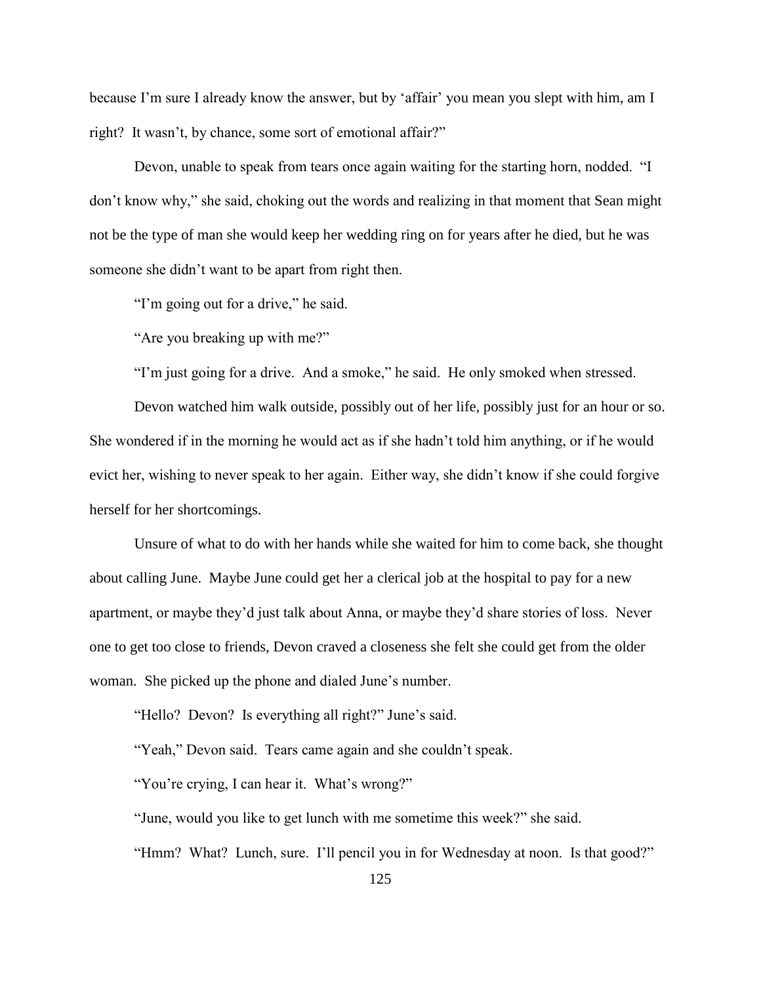because I'm sure I already know the answer, but by 'affair' you mean you slept with him, am I right? It wasn't, by chance, some sort of emotional affair?"

Devon, unable to speak from tears once again waiting for the starting horn, nodded. "I don't know why," she said, choking out the words and realizing in that moment that Sean might not be the type of man she would keep her wedding ring on for years after he died, but he was someone she didn't want to be apart from right then.

"I'm going out for a drive," he said.

"Are you breaking up with me?"

"I'm just going for a drive. And a smoke," he said. He only smoked when stressed.

Devon watched him walk outside, possibly out of her life, possibly just for an hour or so. She wondered if in the morning he would act as if she hadn't told him anything, or if he would evict her, wishing to never speak to her again. Either way, she didn't know if she could forgive herself for her shortcomings.

Unsure of what to do with her hands while she waited for him to come back, she thought about calling June. Maybe June could get her a clerical job at the hospital to pay for a new apartment, or maybe they'd just talk about Anna, or maybe they'd share stories of loss. Never one to get too close to friends, Devon craved a closeness she felt she could get from the older woman. She picked up the phone and dialed June's number.

"Hello? Devon? Is everything all right?" June's said.

"Yeah," Devon said. Tears came again and she couldn't speak.

"You're crying, I can hear it. What's wrong?"

"June, would you like to get lunch with me sometime this week?" she said.

"Hmm? What? Lunch, sure. I'll pencil you in for Wednesday at noon. Is that good?"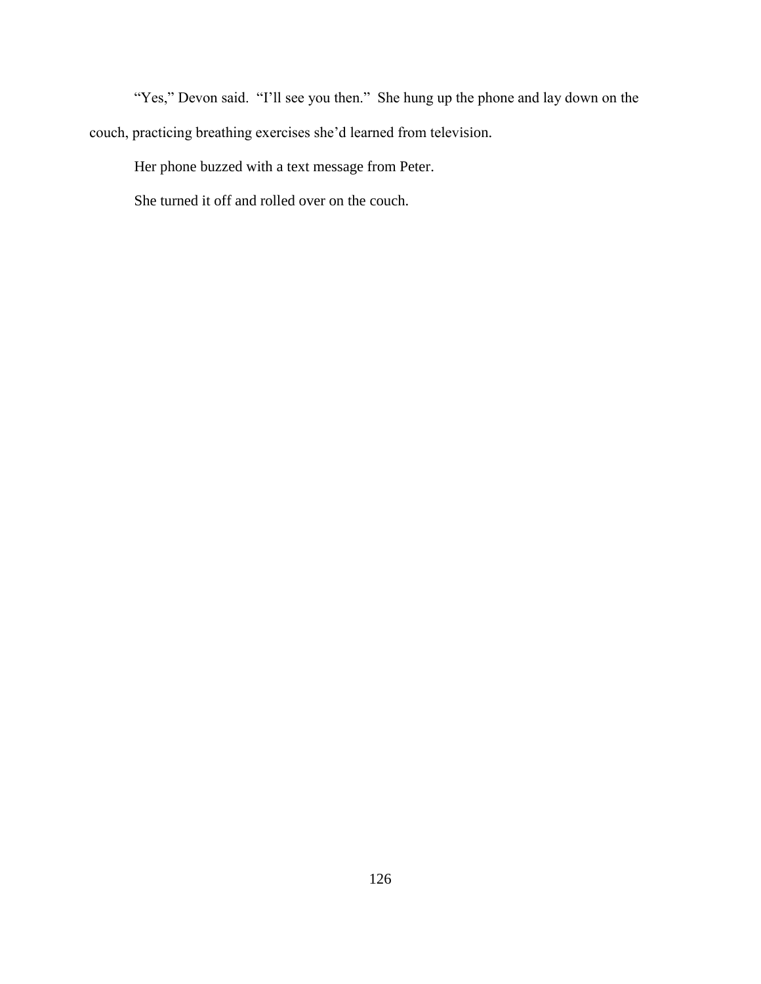"Yes," Devon said. "I'll see you then." She hung up the phone and lay down on the couch, practicing breathing exercises she'd learned from television.

Her phone buzzed with a text message from Peter.

She turned it off and rolled over on the couch.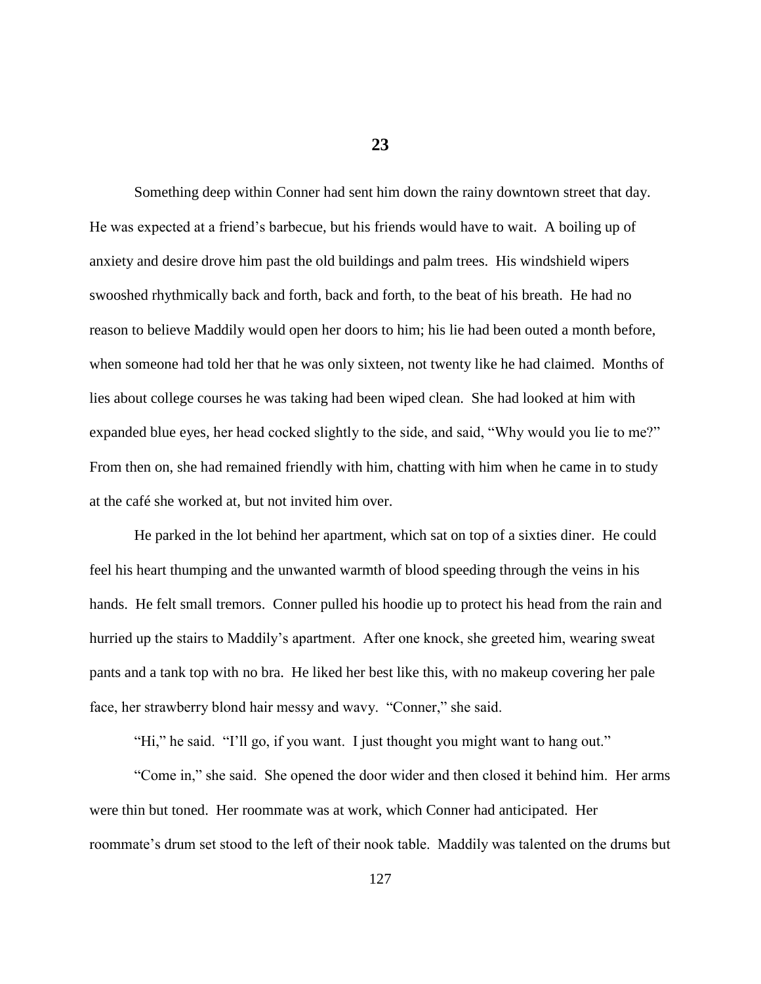**23**

Something deep within Conner had sent him down the rainy downtown street that day. He was expected at a friend's barbecue, but his friends would have to wait. A boiling up of anxiety and desire drove him past the old buildings and palm trees. His windshield wipers swooshed rhythmically back and forth, back and forth, to the beat of his breath. He had no reason to believe Maddily would open her doors to him; his lie had been outed a month before, when someone had told her that he was only sixteen, not twenty like he had claimed. Months of lies about college courses he was taking had been wiped clean. She had looked at him with expanded blue eyes, her head cocked slightly to the side, and said, "Why would you lie to me?" From then on, she had remained friendly with him, chatting with him when he came in to study at the café she worked at, but not invited him over.

He parked in the lot behind her apartment, which sat on top of a sixties diner. He could feel his heart thumping and the unwanted warmth of blood speeding through the veins in his hands. He felt small tremors. Conner pulled his hoodie up to protect his head from the rain and hurried up the stairs to Maddily's apartment. After one knock, she greeted him, wearing sweat pants and a tank top with no bra. He liked her best like this, with no makeup covering her pale face, her strawberry blond hair messy and wavy. "Conner," she said.

"Hi," he said. "I'll go, if you want. I just thought you might want to hang out."

"Come in," she said. She opened the door wider and then closed it behind him. Her arms were thin but toned. Her roommate was at work, which Conner had anticipated. Her roommate's drum set stood to the left of their nook table. Maddily was talented on the drums but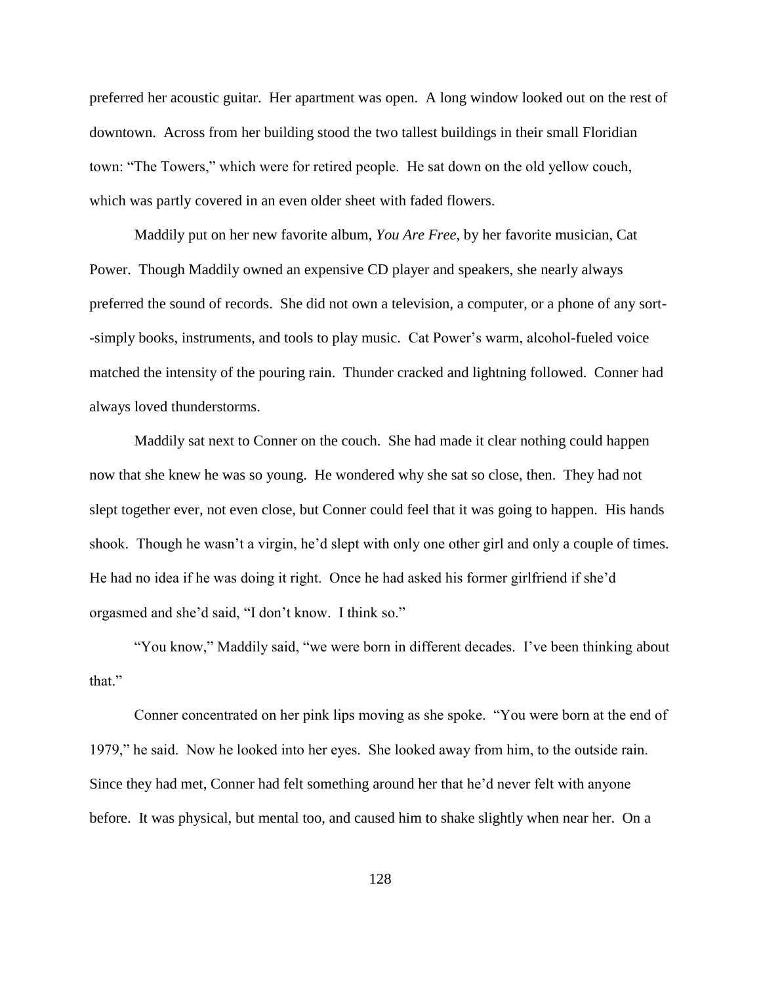preferred her acoustic guitar. Her apartment was open. A long window looked out on the rest of downtown. Across from her building stood the two tallest buildings in their small Floridian town: "The Towers," which were for retired people. He sat down on the old yellow couch, which was partly covered in an even older sheet with faded flowers.

Maddily put on her new favorite album, *You Are Free*, by her favorite musician, Cat Power. Though Maddily owned an expensive CD player and speakers, she nearly always preferred the sound of records. She did not own a television, a computer, or a phone of any sort- -simply books, instruments, and tools to play music. Cat Power's warm, alcohol-fueled voice matched the intensity of the pouring rain. Thunder cracked and lightning followed. Conner had always loved thunderstorms.

Maddily sat next to Conner on the couch. She had made it clear nothing could happen now that she knew he was so young. He wondered why she sat so close, then. They had not slept together ever, not even close, but Conner could feel that it was going to happen. His hands shook. Though he wasn't a virgin, he'd slept with only one other girl and only a couple of times. He had no idea if he was doing it right. Once he had asked his former girlfriend if she'd orgasmed and she'd said, "I don't know. I think so."

"You know," Maddily said, "we were born in different decades. I've been thinking about that."

Conner concentrated on her pink lips moving as she spoke. "You were born at the end of 1979," he said. Now he looked into her eyes. She looked away from him, to the outside rain. Since they had met, Conner had felt something around her that he'd never felt with anyone before. It was physical, but mental too, and caused him to shake slightly when near her. On a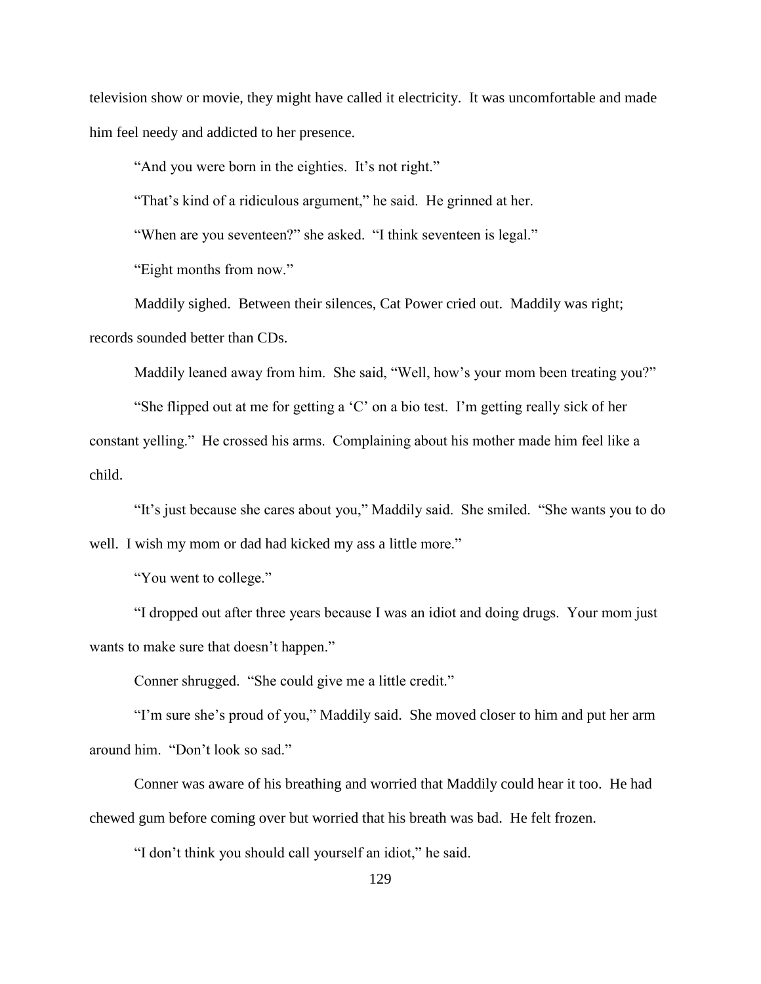television show or movie, they might have called it electricity. It was uncomfortable and made him feel needy and addicted to her presence.

"And you were born in the eighties. It's not right."

"That's kind of a ridiculous argument," he said. He grinned at her.

"When are you seventeen?" she asked. "I think seventeen is legal."

"Eight months from now."

Maddily sighed. Between their silences, Cat Power cried out. Maddily was right; records sounded better than CDs.

Maddily leaned away from him. She said, "Well, how's your mom been treating you?"

"She flipped out at me for getting a 'C' on a bio test. I'm getting really sick of her constant yelling." He crossed his arms. Complaining about his mother made him feel like a child.

"It's just because she cares about you," Maddily said. She smiled. "She wants you to do well. I wish my mom or dad had kicked my ass a little more."

"You went to college."

"I dropped out after three years because I was an idiot and doing drugs. Your mom just wants to make sure that doesn't happen."

Conner shrugged. "She could give me a little credit."

"I'm sure she's proud of you," Maddily said. She moved closer to him and put her arm around him. "Don't look so sad."

Conner was aware of his breathing and worried that Maddily could hear it too. He had chewed gum before coming over but worried that his breath was bad. He felt frozen.

"I don't think you should call yourself an idiot," he said.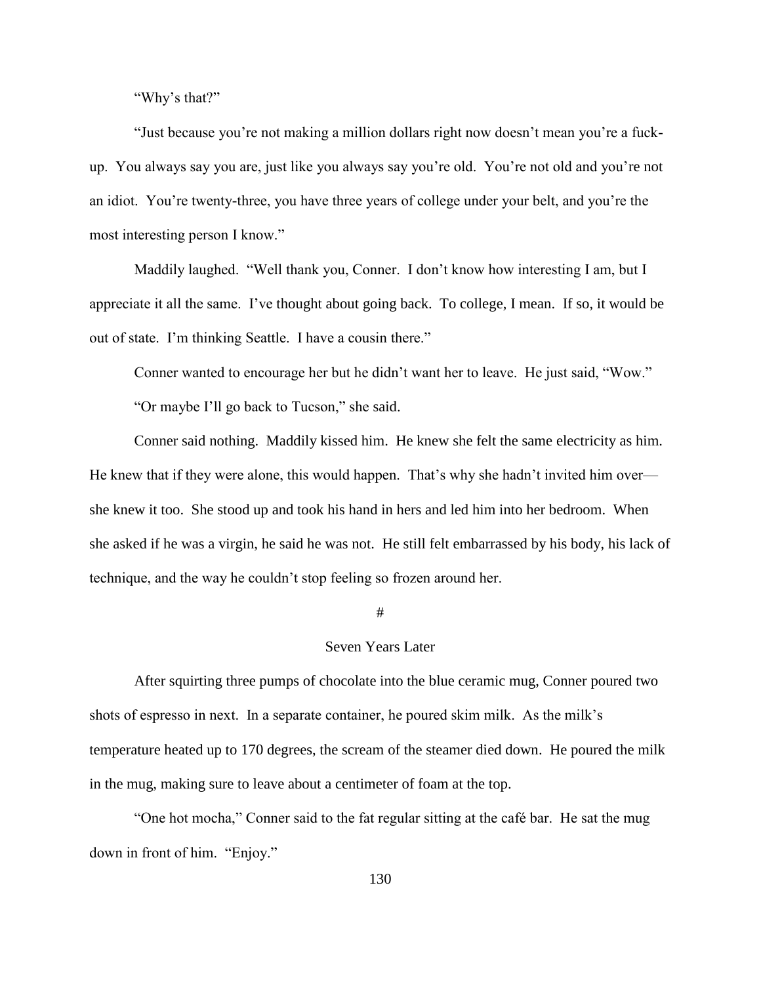"Why's that?"

"Just because you're not making a million dollars right now doesn't mean you're a fuckup. You always say you are, just like you always say you're old. You're not old and you're not an idiot. You're twenty-three, you have three years of college under your belt, and you're the most interesting person I know."

Maddily laughed. "Well thank you, Conner. I don't know how interesting I am, but I appreciate it all the same. I've thought about going back. To college, I mean. If so, it would be out of state. I'm thinking Seattle. I have a cousin there."

Conner wanted to encourage her but he didn't want her to leave. He just said, "Wow."

"Or maybe I'll go back to Tucson," she said.

Conner said nothing. Maddily kissed him. He knew she felt the same electricity as him. He knew that if they were alone, this would happen. That's why she hadn't invited him over she knew it too. She stood up and took his hand in hers and led him into her bedroom. When she asked if he was a virgin, he said he was not. He still felt embarrassed by his body, his lack of technique, and the way he couldn't stop feeling so frozen around her.

## #

## Seven Years Later

After squirting three pumps of chocolate into the blue ceramic mug, Conner poured two shots of espresso in next. In a separate container, he poured skim milk. As the milk's temperature heated up to 170 degrees, the scream of the steamer died down. He poured the milk in the mug, making sure to leave about a centimeter of foam at the top.

"One hot mocha," Conner said to the fat regular sitting at the café bar. He sat the mug down in front of him. "Enjoy."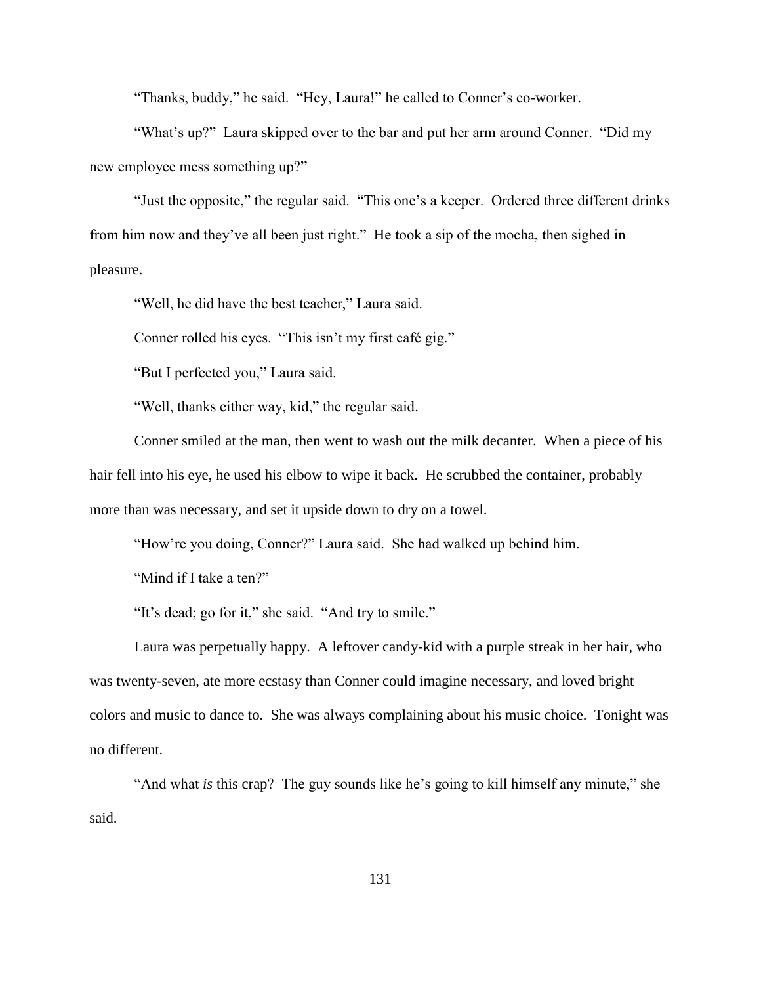"Thanks, buddy," he said. "Hey, Laura!" he called to Conner's co-worker.

"What's up?" Laura skipped over to the bar and put her arm around Conner. "Did my new employee mess something up?"

"Just the opposite," the regular said. "This one's a keeper. Ordered three different drinks from him now and they've all been just right." He took a sip of the mocha, then sighed in pleasure.

"Well, he did have the best teacher," Laura said.

Conner rolled his eyes. "This isn't my first café gig."

"But I perfected you," Laura said.

"Well, thanks either way, kid," the regular said.

Conner smiled at the man, then went to wash out the milk decanter. When a piece of his hair fell into his eye, he used his elbow to wipe it back. He scrubbed the container, probably more than was necessary, and set it upside down to dry on a towel.

"How're you doing, Conner?" Laura said. She had walked up behind him.

"Mind if I take a ten?"

"It's dead; go for it," she said. "And try to smile."

Laura was perpetually happy. A leftover candy-kid with a purple streak in her hair, who was twenty-seven, ate more ecstasy than Conner could imagine necessary, and loved bright colors and music to dance to. She was always complaining about his music choice. Tonight was no different.

"And what *is* this crap? The guy sounds like he's going to kill himself any minute," she said.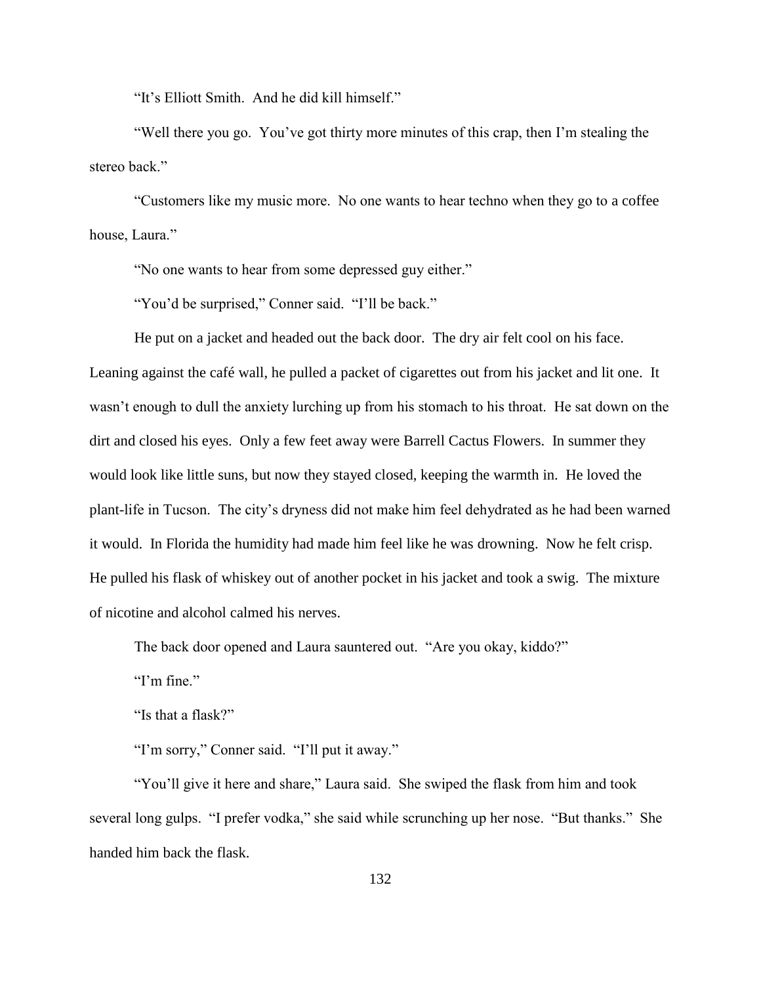"It's Elliott Smith. And he did kill himself."

"Well there you go. You've got thirty more minutes of this crap, then I'm stealing the stereo back."

"Customers like my music more. No one wants to hear techno when they go to a coffee house, Laura."

"No one wants to hear from some depressed guy either."

"You'd be surprised," Conner said. "I'll be back."

He put on a jacket and headed out the back door. The dry air felt cool on his face. Leaning against the café wall, he pulled a packet of cigarettes out from his jacket and lit one. It wasn't enough to dull the anxiety lurching up from his stomach to his throat. He sat down on the dirt and closed his eyes. Only a few feet away were Barrell Cactus Flowers. In summer they would look like little suns, but now they stayed closed, keeping the warmth in. He loved the plant-life in Tucson. The city's dryness did not make him feel dehydrated as he had been warned it would. In Florida the humidity had made him feel like he was drowning. Now he felt crisp. He pulled his flask of whiskey out of another pocket in his jacket and took a swig. The mixture of nicotine and alcohol calmed his nerves.

The back door opened and Laura sauntered out. "Are you okay, kiddo?"

"I'm fine" $\cdot$ "

"Is that a flask?"

"I'm sorry," Conner said. "I'll put it away."

"You'll give it here and share," Laura said. She swiped the flask from him and took several long gulps. "I prefer vodka," she said while scrunching up her nose. "But thanks." She handed him back the flask.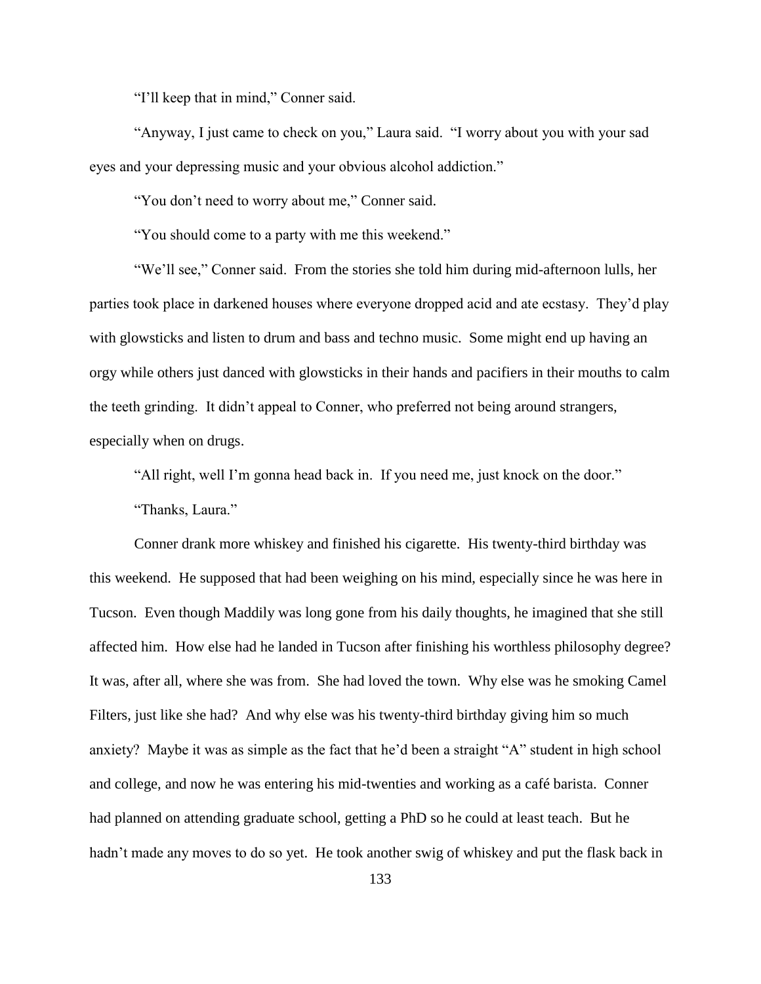"I'll keep that in mind," Conner said.

"Anyway, I just came to check on you," Laura said. "I worry about you with your sad eyes and your depressing music and your obvious alcohol addiction."

"You don't need to worry about me," Conner said.

"You should come to a party with me this weekend."

"We'll see," Conner said. From the stories she told him during mid-afternoon lulls, her parties took place in darkened houses where everyone dropped acid and ate ecstasy. They'd play with glowsticks and listen to drum and bass and techno music. Some might end up having an orgy while others just danced with glowsticks in their hands and pacifiers in their mouths to calm the teeth grinding. It didn't appeal to Conner, who preferred not being around strangers, especially when on drugs.

"All right, well I'm gonna head back in. If you need me, just knock on the door."

"Thanks, Laura."

Conner drank more whiskey and finished his cigarette. His twenty-third birthday was this weekend. He supposed that had been weighing on his mind, especially since he was here in Tucson. Even though Maddily was long gone from his daily thoughts, he imagined that she still affected him. How else had he landed in Tucson after finishing his worthless philosophy degree? It was, after all, where she was from. She had loved the town. Why else was he smoking Camel Filters, just like she had? And why else was his twenty-third birthday giving him so much anxiety? Maybe it was as simple as the fact that he'd been a straight "A" student in high school and college, and now he was entering his mid-twenties and working as a café barista. Conner had planned on attending graduate school, getting a PhD so he could at least teach. But he hadn't made any moves to do so yet. He took another swig of whiskey and put the flask back in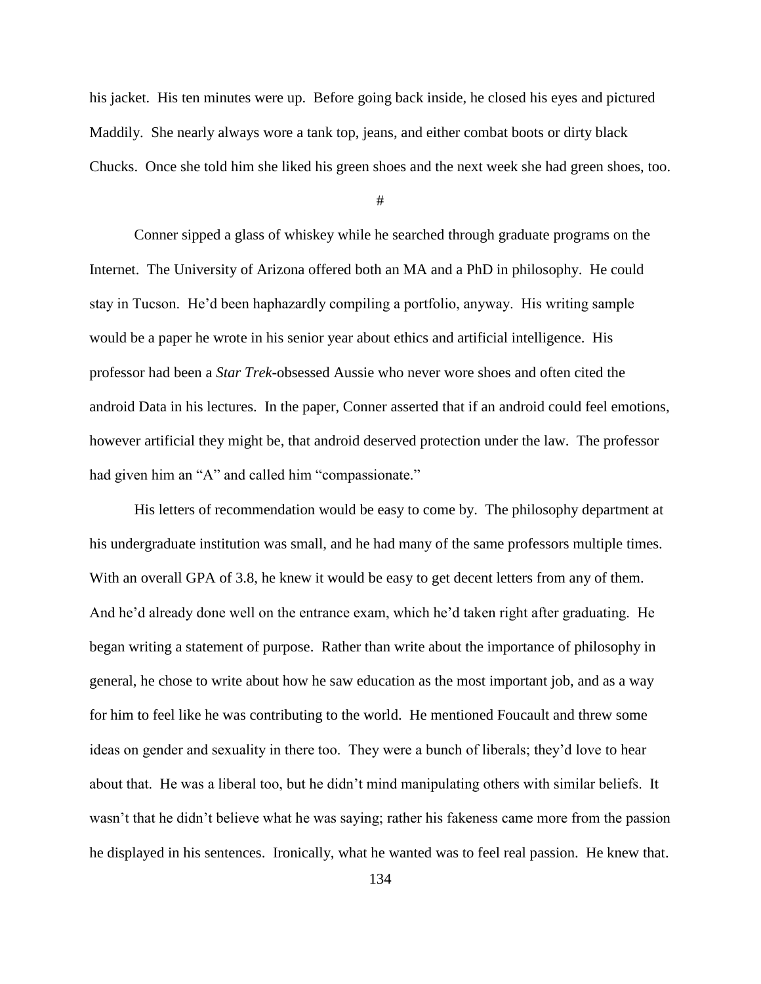his jacket. His ten minutes were up. Before going back inside, he closed his eyes and pictured Maddily. She nearly always wore a tank top, jeans, and either combat boots or dirty black Chucks. Once she told him she liked his green shoes and the next week she had green shoes, too.

#

Conner sipped a glass of whiskey while he searched through graduate programs on the Internet. The University of Arizona offered both an MA and a PhD in philosophy. He could stay in Tucson. He'd been haphazardly compiling a portfolio, anyway. His writing sample would be a paper he wrote in his senior year about ethics and artificial intelligence. His professor had been a *Star Trek*-obsessed Aussie who never wore shoes and often cited the android Data in his lectures. In the paper, Conner asserted that if an android could feel emotions, however artificial they might be, that android deserved protection under the law. The professor had given him an "A" and called him "compassionate."

His letters of recommendation would be easy to come by. The philosophy department at his undergraduate institution was small, and he had many of the same professors multiple times. With an overall GPA of 3.8, he knew it would be easy to get decent letters from any of them. And he'd already done well on the entrance exam, which he'd taken right after graduating. He began writing a statement of purpose. Rather than write about the importance of philosophy in general, he chose to write about how he saw education as the most important job, and as a way for him to feel like he was contributing to the world. He mentioned Foucault and threw some ideas on gender and sexuality in there too. They were a bunch of liberals; they'd love to hear about that. He was a liberal too, but he didn't mind manipulating others with similar beliefs. It wasn't that he didn't believe what he was saying; rather his fakeness came more from the passion he displayed in his sentences. Ironically, what he wanted was to feel real passion. He knew that.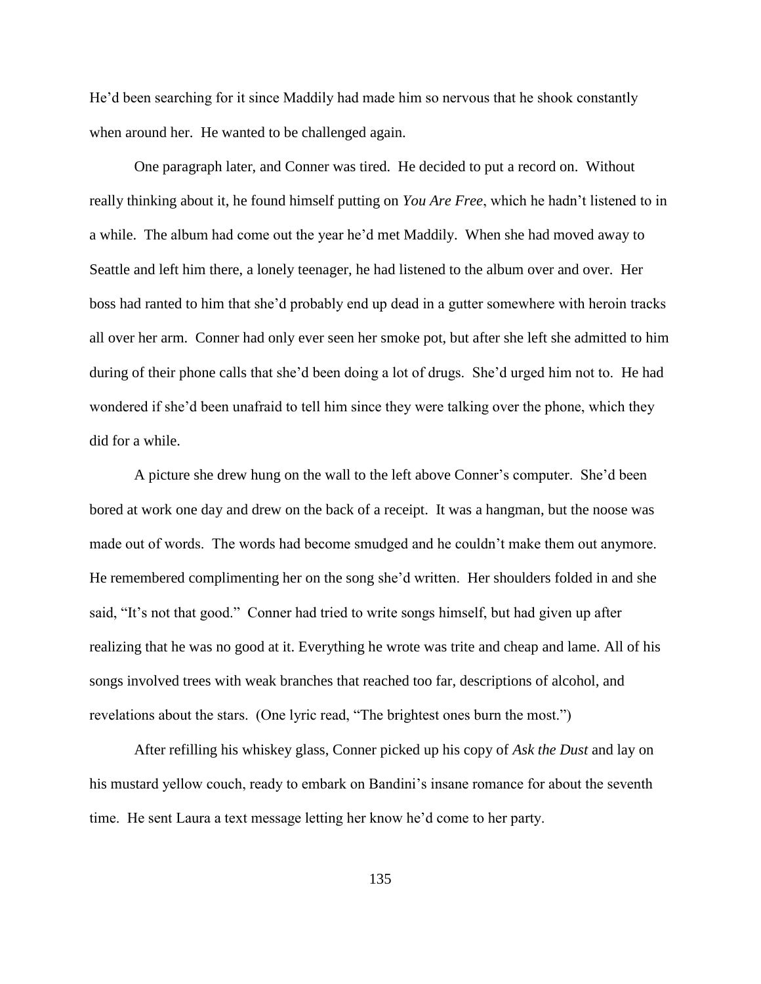He'd been searching for it since Maddily had made him so nervous that he shook constantly when around her. He wanted to be challenged again.

One paragraph later, and Conner was tired. He decided to put a record on. Without really thinking about it, he found himself putting on *You Are Free*, which he hadn't listened to in a while. The album had come out the year he'd met Maddily. When she had moved away to Seattle and left him there, a lonely teenager, he had listened to the album over and over. Her boss had ranted to him that she'd probably end up dead in a gutter somewhere with heroin tracks all over her arm. Conner had only ever seen her smoke pot, but after she left she admitted to him during of their phone calls that she'd been doing a lot of drugs. She'd urged him not to. He had wondered if she'd been unafraid to tell him since they were talking over the phone, which they did for a while.

A picture she drew hung on the wall to the left above Conner's computer. She'd been bored at work one day and drew on the back of a receipt. It was a hangman, but the noose was made out of words. The words had become smudged and he couldn't make them out anymore. He remembered complimenting her on the song she'd written. Her shoulders folded in and she said, "It's not that good." Conner had tried to write songs himself, but had given up after realizing that he was no good at it. Everything he wrote was trite and cheap and lame. All of his songs involved trees with weak branches that reached too far, descriptions of alcohol, and revelations about the stars. (One lyric read, "The brightest ones burn the most.")

After refilling his whiskey glass, Conner picked up his copy of *Ask the Dust* and lay on his mustard yellow couch, ready to embark on Bandini's insane romance for about the seventh time. He sent Laura a text message letting her know he'd come to her party.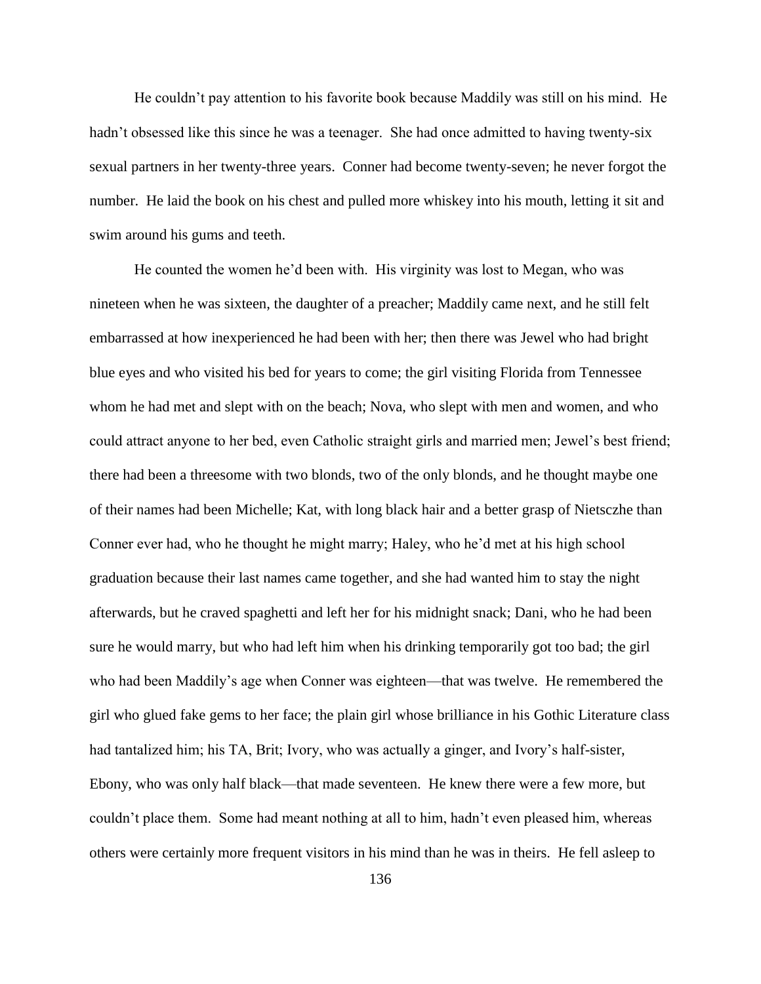He couldn't pay attention to his favorite book because Maddily was still on his mind. He hadn't obsessed like this since he was a teenager. She had once admitted to having twenty-six sexual partners in her twenty-three years. Conner had become twenty-seven; he never forgot the number. He laid the book on his chest and pulled more whiskey into his mouth, letting it sit and swim around his gums and teeth.

He counted the women he'd been with. His virginity was lost to Megan, who was nineteen when he was sixteen, the daughter of a preacher; Maddily came next, and he still felt embarrassed at how inexperienced he had been with her; then there was Jewel who had bright blue eyes and who visited his bed for years to come; the girl visiting Florida from Tennessee whom he had met and slept with on the beach; Nova, who slept with men and women, and who could attract anyone to her bed, even Catholic straight girls and married men; Jewel's best friend; there had been a threesome with two blonds, two of the only blonds, and he thought maybe one of their names had been Michelle; Kat, with long black hair and a better grasp of Nietsczhe than Conner ever had, who he thought he might marry; Haley, who he'd met at his high school graduation because their last names came together, and she had wanted him to stay the night afterwards, but he craved spaghetti and left her for his midnight snack; Dani, who he had been sure he would marry, but who had left him when his drinking temporarily got too bad; the girl who had been Maddily's age when Conner was eighteen—that was twelve. He remembered the girl who glued fake gems to her face; the plain girl whose brilliance in his Gothic Literature class had tantalized him; his TA, Brit; Ivory, who was actually a ginger, and Ivory's half-sister, Ebony, who was only half black—that made seventeen. He knew there were a few more, but couldn't place them. Some had meant nothing at all to him, hadn't even pleased him, whereas others were certainly more frequent visitors in his mind than he was in theirs. He fell asleep to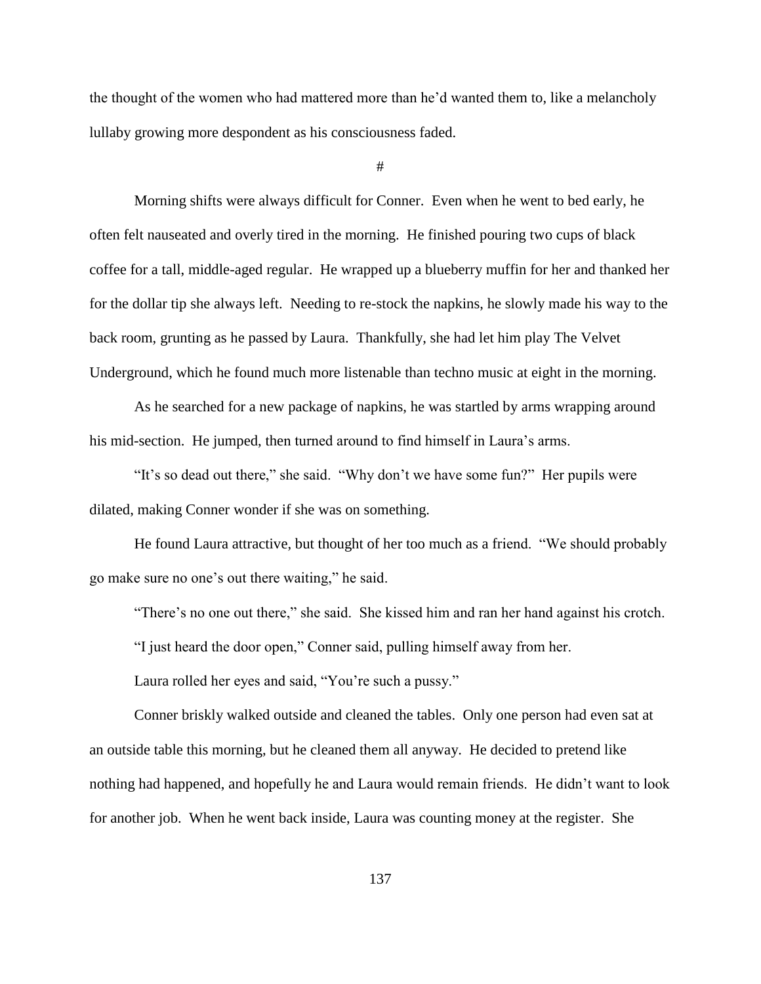the thought of the women who had mattered more than he'd wanted them to, like a melancholy lullaby growing more despondent as his consciousness faded.

#

Morning shifts were always difficult for Conner. Even when he went to bed early, he often felt nauseated and overly tired in the morning. He finished pouring two cups of black coffee for a tall, middle-aged regular. He wrapped up a blueberry muffin for her and thanked her for the dollar tip she always left. Needing to re-stock the napkins, he slowly made his way to the back room, grunting as he passed by Laura. Thankfully, she had let him play The Velvet Underground, which he found much more listenable than techno music at eight in the morning.

As he searched for a new package of napkins, he was startled by arms wrapping around his mid-section. He jumped, then turned around to find himself in Laura's arms.

"It's so dead out there," she said. "Why don't we have some fun?" Her pupils were dilated, making Conner wonder if she was on something.

He found Laura attractive, but thought of her too much as a friend. "We should probably go make sure no one's out there waiting," he said.

"There's no one out there," she said. She kissed him and ran her hand against his crotch.

"I just heard the door open," Conner said, pulling himself away from her.

Laura rolled her eyes and said, "You're such a pussy."

Conner briskly walked outside and cleaned the tables. Only one person had even sat at an outside table this morning, but he cleaned them all anyway. He decided to pretend like nothing had happened, and hopefully he and Laura would remain friends. He didn't want to look for another job. When he went back inside, Laura was counting money at the register. She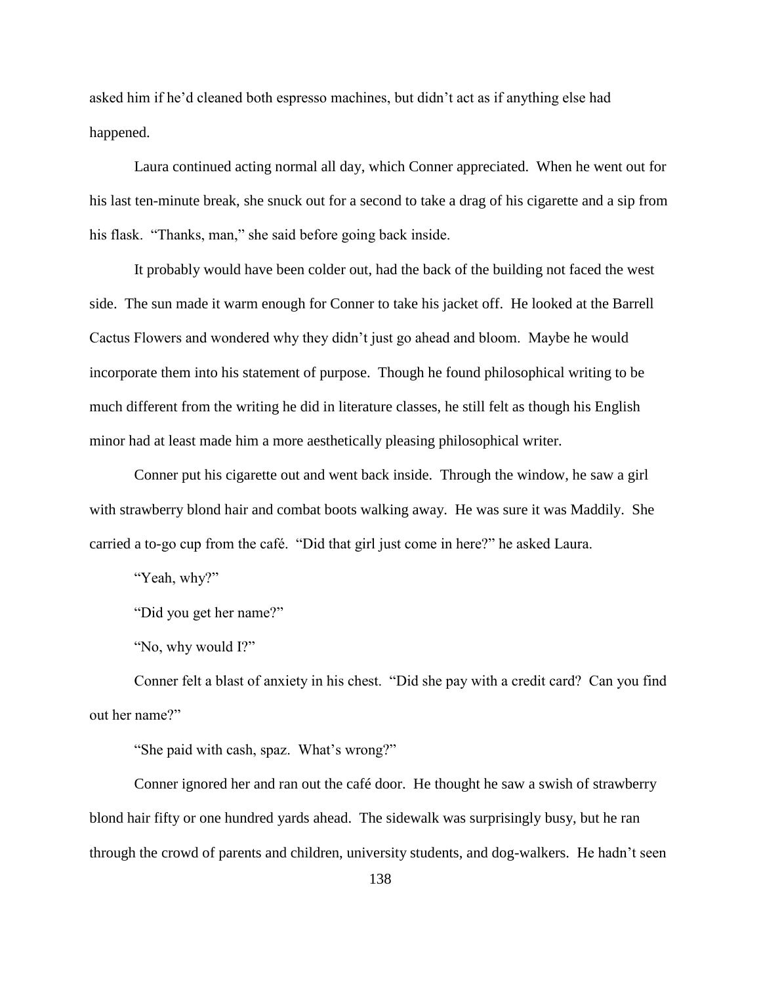asked him if he'd cleaned both espresso machines, but didn't act as if anything else had happened.

Laura continued acting normal all day, which Conner appreciated. When he went out for his last ten-minute break, she snuck out for a second to take a drag of his cigarette and a sip from his flask. "Thanks, man," she said before going back inside.

It probably would have been colder out, had the back of the building not faced the west side. The sun made it warm enough for Conner to take his jacket off. He looked at the Barrell Cactus Flowers and wondered why they didn't just go ahead and bloom. Maybe he would incorporate them into his statement of purpose. Though he found philosophical writing to be much different from the writing he did in literature classes, he still felt as though his English minor had at least made him a more aesthetically pleasing philosophical writer.

Conner put his cigarette out and went back inside. Through the window, he saw a girl with strawberry blond hair and combat boots walking away. He was sure it was Maddily. She carried a to-go cup from the café. "Did that girl just come in here?" he asked Laura.

"Yeah, why?"

"Did you get her name?"

"No, why would I?"

Conner felt a blast of anxiety in his chest. "Did she pay with a credit card? Can you find out her name?"

"She paid with cash, spaz. What's wrong?"

Conner ignored her and ran out the café door. He thought he saw a swish of strawberry blond hair fifty or one hundred yards ahead. The sidewalk was surprisingly busy, but he ran through the crowd of parents and children, university students, and dog-walkers. He hadn't seen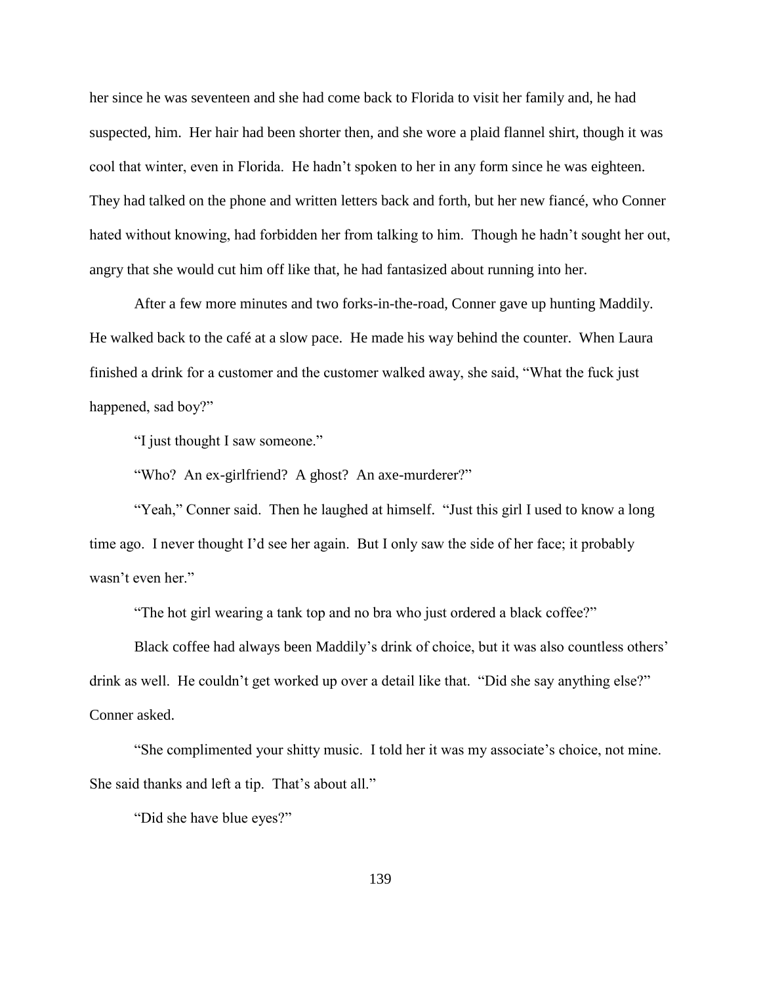her since he was seventeen and she had come back to Florida to visit her family and, he had suspected, him. Her hair had been shorter then, and she wore a plaid flannel shirt, though it was cool that winter, even in Florida. He hadn't spoken to her in any form since he was eighteen. They had talked on the phone and written letters back and forth, but her new fiancé, who Conner hated without knowing, had forbidden her from talking to him. Though he hadn't sought her out, angry that she would cut him off like that, he had fantasized about running into her.

After a few more minutes and two forks-in-the-road, Conner gave up hunting Maddily. He walked back to the café at a slow pace. He made his way behind the counter. When Laura finished a drink for a customer and the customer walked away, she said, "What the fuck just happened, sad boy?"

"I just thought I saw someone."

"Who? An ex-girlfriend? A ghost? An axe-murderer?"

"Yeah," Conner said. Then he laughed at himself. "Just this girl I used to know a long time ago. I never thought I'd see her again. But I only saw the side of her face; it probably wasn't even her."

"The hot girl wearing a tank top and no bra who just ordered a black coffee?"

Black coffee had always been Maddily's drink of choice, but it was also countless others' drink as well. He couldn't get worked up over a detail like that. "Did she say anything else?" Conner asked.

"She complimented your shitty music. I told her it was my associate's choice, not mine. She said thanks and left a tip. That's about all."

"Did she have blue eyes?"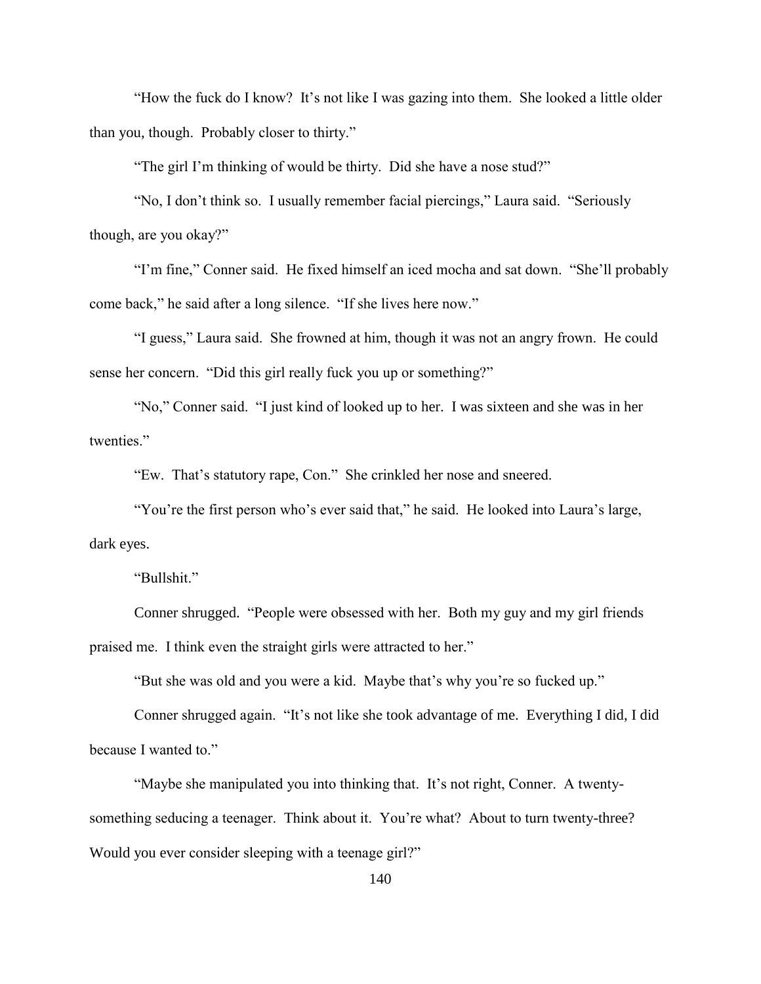"How the fuck do I know? It's not like I was gazing into them. She looked a little older than you, though. Probably closer to thirty."

"The girl I'm thinking of would be thirty. Did she have a nose stud?"

"No, I don't think so. I usually remember facial piercings," Laura said. "Seriously though, are you okay?"

"I'm fine," Conner said. He fixed himself an iced mocha and sat down. "She'll probably come back," he said after a long silence. "If she lives here now."

"I guess," Laura said. She frowned at him, though it was not an angry frown. He could sense her concern. "Did this girl really fuck you up or something?"

"No," Conner said. "I just kind of looked up to her. I was sixteen and she was in her twenties."

"Ew. That's statutory rape, Con." She crinkled her nose and sneered.

"You're the first person who's ever said that," he said. He looked into Laura's large, dark eyes.

"Bullshit."

Conner shrugged. "People were obsessed with her. Both my guy and my girl friends praised me. I think even the straight girls were attracted to her."

"But she was old and you were a kid. Maybe that's why you're so fucked up."

Conner shrugged again. "It's not like she took advantage of me. Everything I did, I did because I wanted to."

"Maybe she manipulated you into thinking that. It's not right, Conner. A twentysomething seducing a teenager. Think about it. You're what? About to turn twenty-three? Would you ever consider sleeping with a teenage girl?"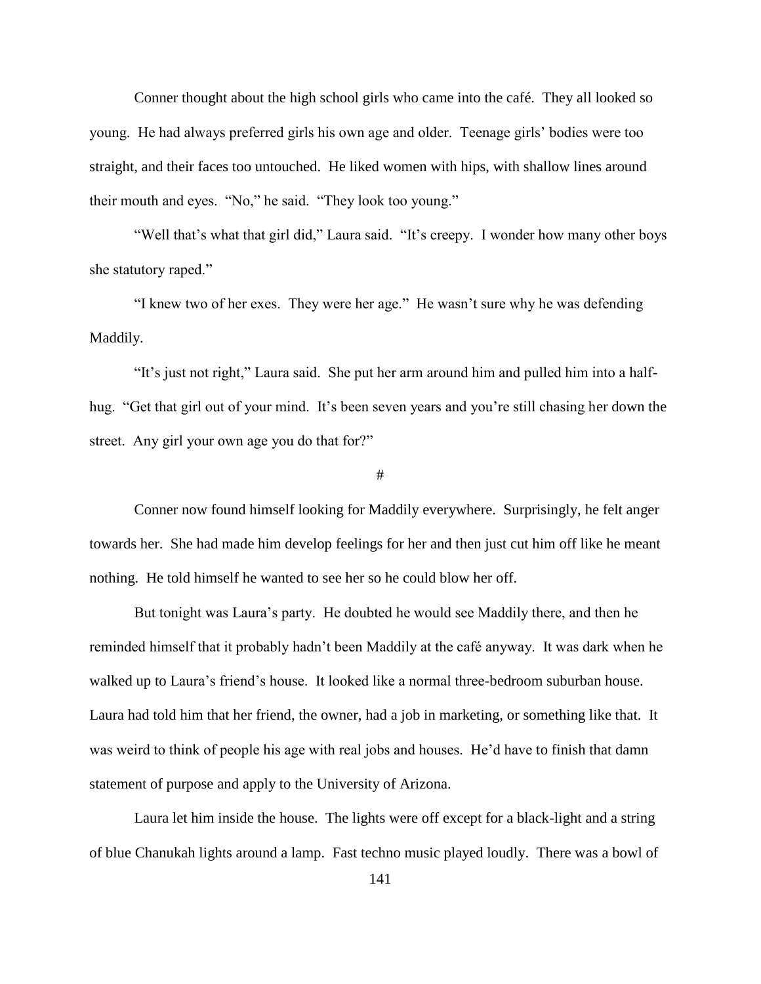Conner thought about the high school girls who came into the café. They all looked so young. He had always preferred girls his own age and older. Teenage girls' bodies were too straight, and their faces too untouched. He liked women with hips, with shallow lines around their mouth and eyes. "No," he said. "They look too young."

"Well that's what that girl did," Laura said. "It's creepy. I wonder how many other boys she statutory raped."

"I knew two of her exes. They were her age." He wasn't sure why he was defending Maddily.

"It's just not right," Laura said. She put her arm around him and pulled him into a halfhug. "Get that girl out of your mind. It's been seven years and you're still chasing her down the street. Any girl your own age you do that for?"

#

Conner now found himself looking for Maddily everywhere. Surprisingly, he felt anger towards her. She had made him develop feelings for her and then just cut him off like he meant nothing. He told himself he wanted to see her so he could blow her off.

But tonight was Laura's party. He doubted he would see Maddily there, and then he reminded himself that it probably hadn't been Maddily at the café anyway. It was dark when he walked up to Laura's friend's house. It looked like a normal three-bedroom suburban house. Laura had told him that her friend, the owner, had a job in marketing, or something like that. It was weird to think of people his age with real jobs and houses. He'd have to finish that damn statement of purpose and apply to the University of Arizona.

Laura let him inside the house. The lights were off except for a black-light and a string of blue Chanukah lights around a lamp. Fast techno music played loudly. There was a bowl of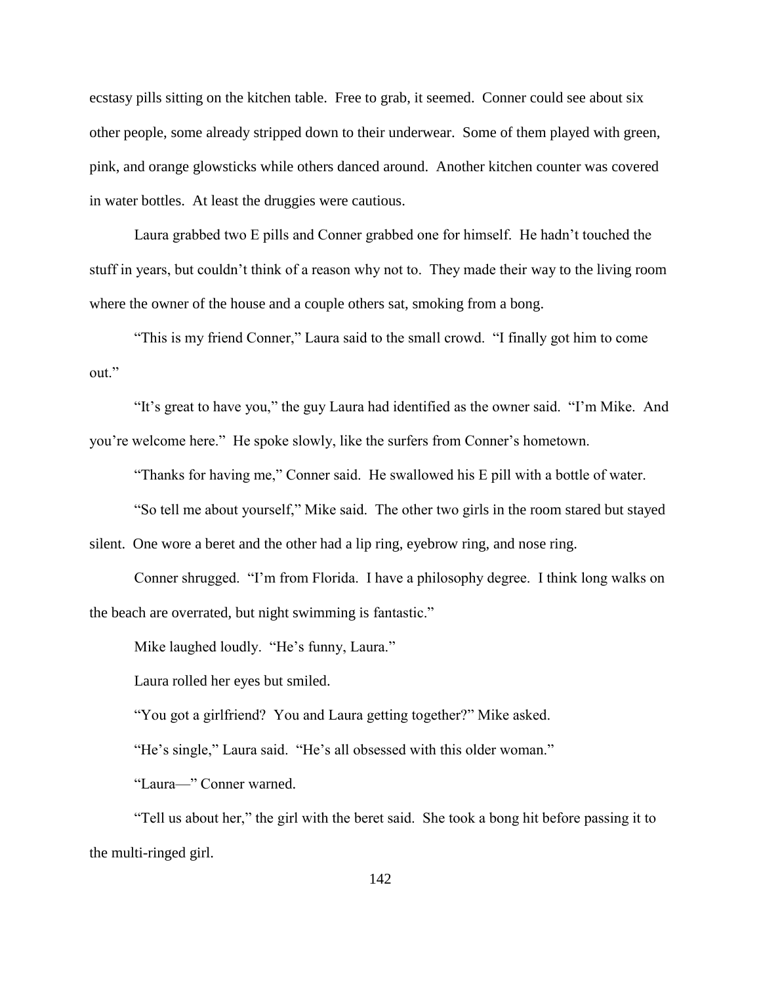ecstasy pills sitting on the kitchen table. Free to grab, it seemed. Conner could see about six other people, some already stripped down to their underwear. Some of them played with green, pink, and orange glowsticks while others danced around. Another kitchen counter was covered in water bottles. At least the druggies were cautious.

Laura grabbed two E pills and Conner grabbed one for himself. He hadn't touched the stuff in years, but couldn't think of a reason why not to. They made their way to the living room where the owner of the house and a couple others sat, smoking from a bong.

"This is my friend Conner," Laura said to the small crowd. "I finally got him to come out."

"It's great to have you," the guy Laura had identified as the owner said. "I'm Mike. And you're welcome here." He spoke slowly, like the surfers from Conner's hometown.

"Thanks for having me," Conner said. He swallowed his E pill with a bottle of water.

"So tell me about yourself," Mike said. The other two girls in the room stared but stayed silent. One wore a beret and the other had a lip ring, eyebrow ring, and nose ring.

Conner shrugged. "I'm from Florida. I have a philosophy degree. I think long walks on the beach are overrated, but night swimming is fantastic."

Mike laughed loudly. "He's funny, Laura."

Laura rolled her eyes but smiled.

"You got a girlfriend? You and Laura getting together?" Mike asked.

"He's single," Laura said. "He's all obsessed with this older woman."

"Laura—" Conner warned.

"Tell us about her," the girl with the beret said. She took a bong hit before passing it to the multi-ringed girl.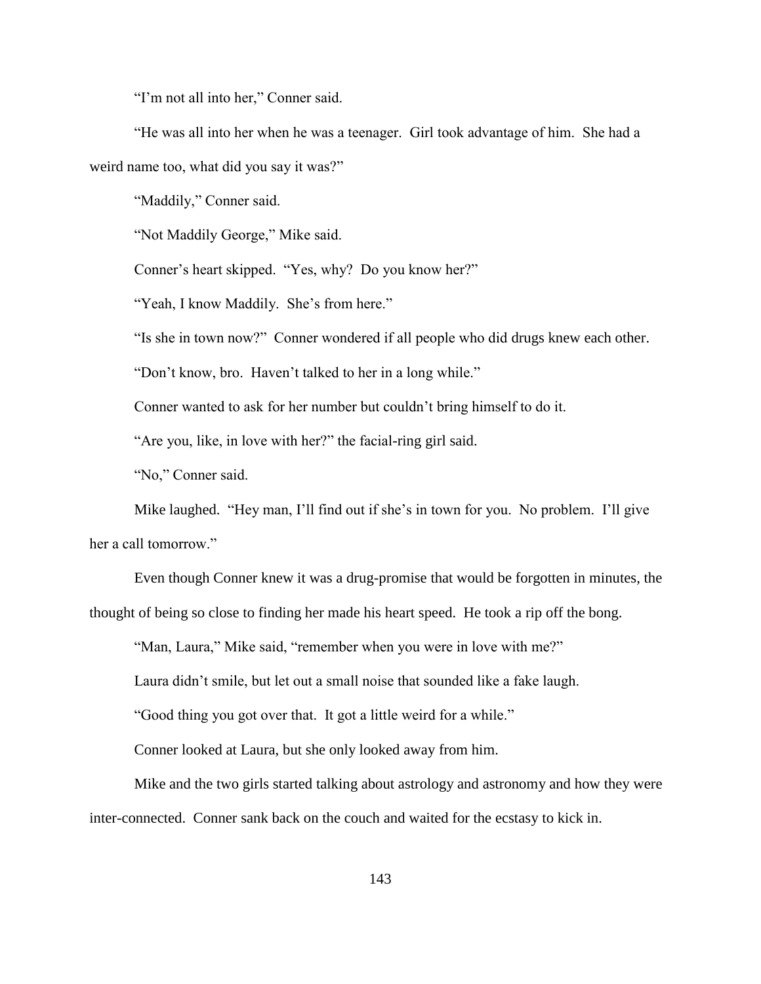"I'm not all into her," Conner said.

"He was all into her when he was a teenager. Girl took advantage of him. She had a weird name too, what did you say it was?"

"Maddily," Conner said.

"Not Maddily George," Mike said.

Conner's heart skipped. "Yes, why? Do you know her?"

"Yeah, I know Maddily. She's from here."

"Is she in town now?" Conner wondered if all people who did drugs knew each other.

"Don't know, bro. Haven't talked to her in a long while."

Conner wanted to ask for her number but couldn't bring himself to do it.

"Are you, like, in love with her?" the facial-ring girl said.

"No," Conner said.

Mike laughed. "Hey man, I'll find out if she's in town for you. No problem. I'll give her a call tomorrow."

Even though Conner knew it was a drug-promise that would be forgotten in minutes, the thought of being so close to finding her made his heart speed. He took a rip off the bong.

"Man, Laura," Mike said, "remember when you were in love with me?"

Laura didn't smile, but let out a small noise that sounded like a fake laugh.

"Good thing you got over that. It got a little weird for a while."

Conner looked at Laura, but she only looked away from him.

Mike and the two girls started talking about astrology and astronomy and how they were inter-connected. Conner sank back on the couch and waited for the ecstasy to kick in.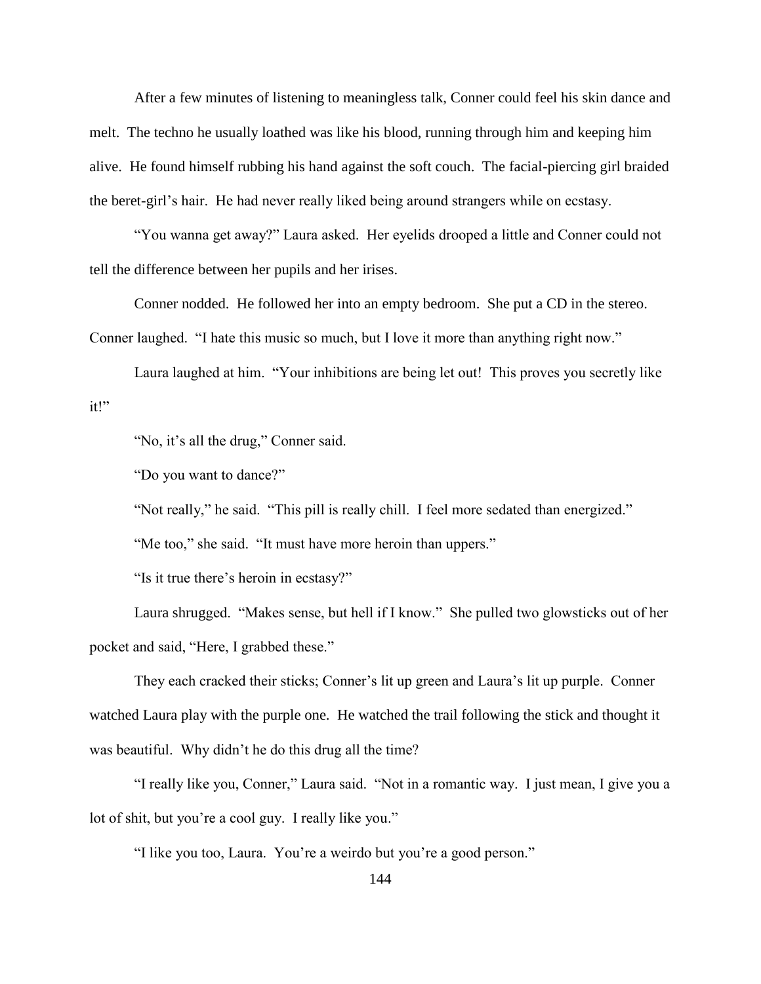After a few minutes of listening to meaningless talk, Conner could feel his skin dance and melt. The techno he usually loathed was like his blood, running through him and keeping him alive. He found himself rubbing his hand against the soft couch. The facial-piercing girl braided the beret-girl's hair. He had never really liked being around strangers while on ecstasy.

"You wanna get away?" Laura asked. Her eyelids drooped a little and Conner could not tell the difference between her pupils and her irises.

Conner nodded. He followed her into an empty bedroom. She put a CD in the stereo. Conner laughed. "I hate this music so much, but I love it more than anything right now."

Laura laughed at him. "Your inhibitions are being let out! This proves you secretly like it!"

"No, it's all the drug," Conner said.

"Do you want to dance?"

"Not really," he said. "This pill is really chill. I feel more sedated than energized."

"Me too," she said. "It must have more heroin than uppers."

"Is it true there's heroin in ecstasy?"

Laura shrugged. "Makes sense, but hell if I know." She pulled two glowsticks out of her pocket and said, "Here, I grabbed these."

They each cracked their sticks; Conner's lit up green and Laura's lit up purple. Conner watched Laura play with the purple one. He watched the trail following the stick and thought it was beautiful. Why didn't he do this drug all the time?

"I really like you, Conner," Laura said. "Not in a romantic way. I just mean, I give you a lot of shit, but you're a cool guy. I really like you."

"I like you too, Laura. You're a weirdo but you're a good person."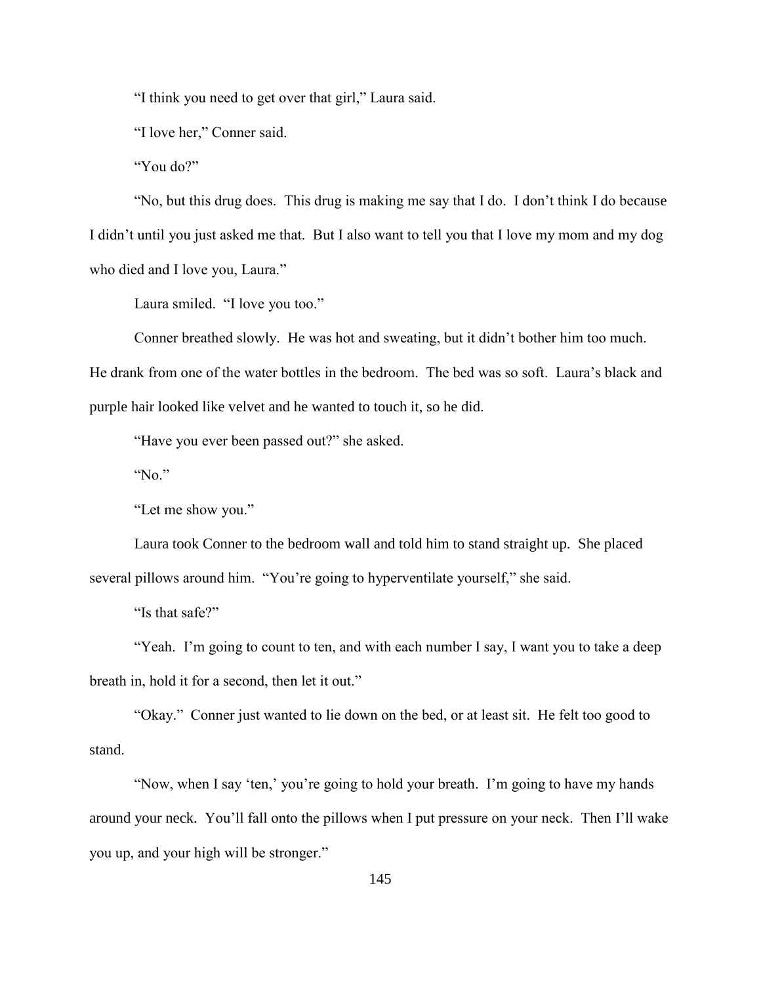"I think you need to get over that girl," Laura said.

"I love her," Conner said.

"You do?"

"No, but this drug does. This drug is making me say that I do. I don't think I do because I didn't until you just asked me that. But I also want to tell you that I love my mom and my dog who died and I love you, Laura."

Laura smiled. "I love you too."

Conner breathed slowly. He was hot and sweating, but it didn't bother him too much.

He drank from one of the water bottles in the bedroom. The bed was so soft. Laura's black and purple hair looked like velvet and he wanted to touch it, so he did.

"Have you ever been passed out?" she asked.

"No."

"Let me show you."

Laura took Conner to the bedroom wall and told him to stand straight up. She placed several pillows around him. "You're going to hyperventilate yourself," she said.

"Is that safe?"

"Yeah. I'm going to count to ten, and with each number I say, I want you to take a deep breath in, hold it for a second, then let it out."

"Okay." Conner just wanted to lie down on the bed, or at least sit. He felt too good to stand.

"Now, when I say 'ten,' you're going to hold your breath. I'm going to have my hands around your neck. You'll fall onto the pillows when I put pressure on your neck. Then I'll wake you up, and your high will be stronger."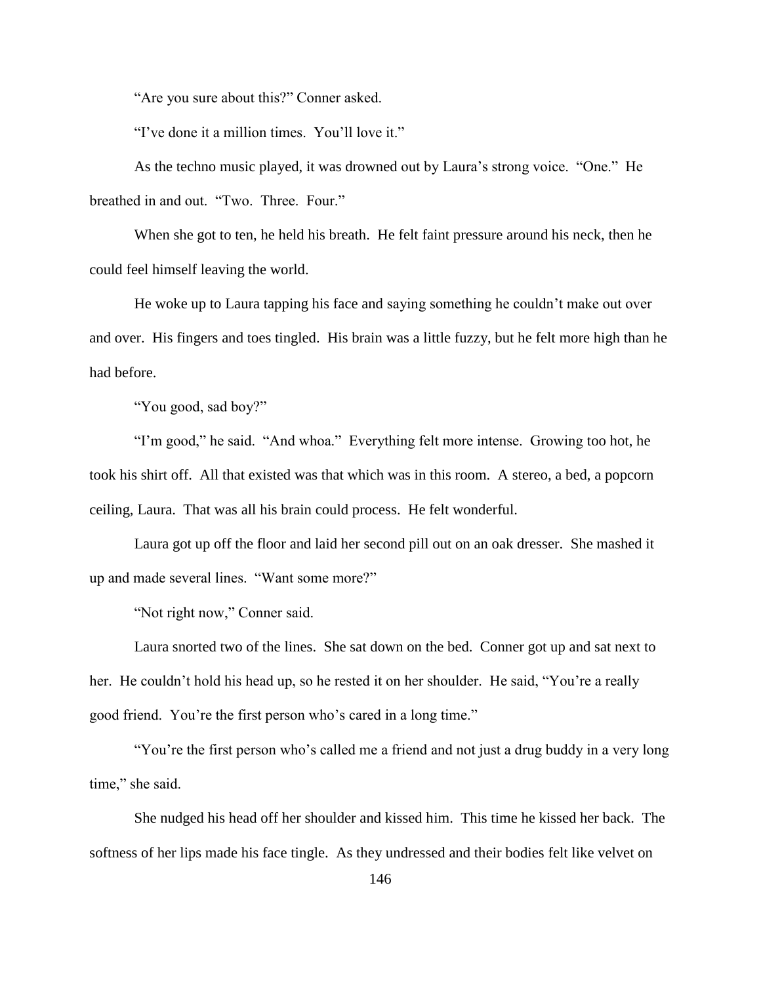"Are you sure about this?" Conner asked.

"I've done it a million times. You'll love it."

As the techno music played, it was drowned out by Laura's strong voice. "One." He breathed in and out. "Two. Three. Four."

When she got to ten, he held his breath. He felt faint pressure around his neck, then he could feel himself leaving the world.

He woke up to Laura tapping his face and saying something he couldn't make out over and over. His fingers and toes tingled. His brain was a little fuzzy, but he felt more high than he had before.

"You good, sad boy?"

"I'm good," he said. "And whoa." Everything felt more intense. Growing too hot, he took his shirt off. All that existed was that which was in this room. A stereo, a bed, a popcorn ceiling, Laura. That was all his brain could process. He felt wonderful.

Laura got up off the floor and laid her second pill out on an oak dresser. She mashed it up and made several lines. "Want some more?"

"Not right now," Conner said.

Laura snorted two of the lines. She sat down on the bed. Conner got up and sat next to her. He couldn't hold his head up, so he rested it on her shoulder. He said, "You're a really good friend. You're the first person who's cared in a long time."

"You're the first person who's called me a friend and not just a drug buddy in a very long time," she said.

She nudged his head off her shoulder and kissed him. This time he kissed her back. The softness of her lips made his face tingle. As they undressed and their bodies felt like velvet on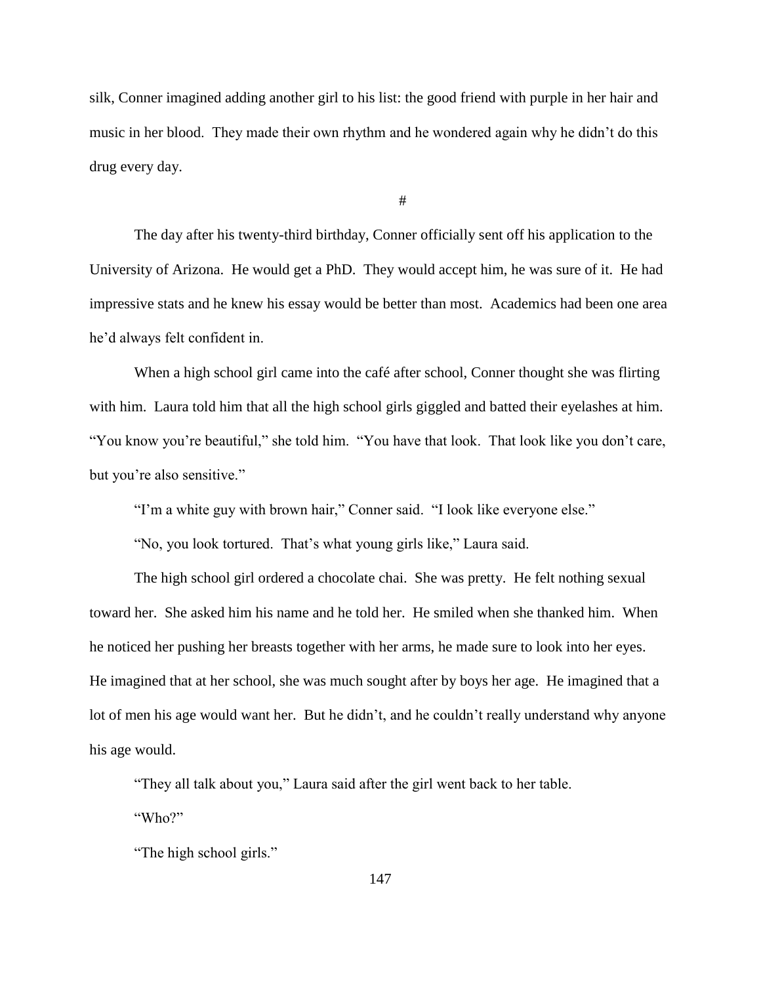silk, Conner imagined adding another girl to his list: the good friend with purple in her hair and music in her blood. They made their own rhythm and he wondered again why he didn't do this drug every day.

#

The day after his twenty-third birthday, Conner officially sent off his application to the University of Arizona. He would get a PhD. They would accept him, he was sure of it. He had impressive stats and he knew his essay would be better than most. Academics had been one area he'd always felt confident in.

When a high school girl came into the café after school, Conner thought she was flirting with him. Laura told him that all the high school girls giggled and batted their eyelashes at him. "You know you're beautiful," she told him. "You have that look. That look like you don't care, but you're also sensitive."

"I'm a white guy with brown hair," Conner said. "I look like everyone else."

"No, you look tortured. That's what young girls like," Laura said.

The high school girl ordered a chocolate chai. She was pretty. He felt nothing sexual toward her. She asked him his name and he told her. He smiled when she thanked him. When he noticed her pushing her breasts together with her arms, he made sure to look into her eyes. He imagined that at her school, she was much sought after by boys her age. He imagined that a lot of men his age would want her. But he didn't, and he couldn't really understand why anyone his age would.

"They all talk about you," Laura said after the girl went back to her table.

"Who?"

"The high school girls."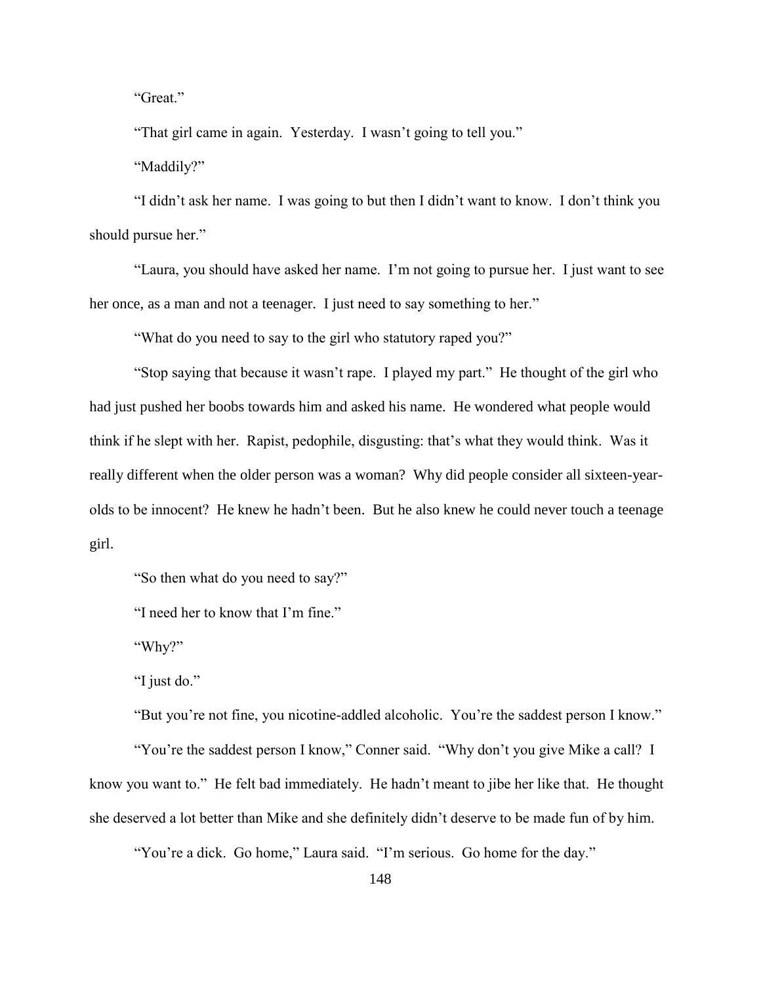"Great."

"That girl came in again. Yesterday. I wasn't going to tell you."

"Maddily?"

"I didn't ask her name. I was going to but then I didn't want to know. I don't think you should pursue her."

"Laura, you should have asked her name. I'm not going to pursue her. I just want to see her once, as a man and not a teenager. I just need to say something to her."

"What do you need to say to the girl who statutory raped you?"

"Stop saying that because it wasn't rape. I played my part." He thought of the girl who had just pushed her boobs towards him and asked his name. He wondered what people would think if he slept with her. Rapist, pedophile, disgusting: that's what they would think. Was it really different when the older person was a woman? Why did people consider all sixteen-yearolds to be innocent? He knew he hadn't been. But he also knew he could never touch a teenage girl.

"So then what do you need to say?"

"I need her to know that I'm fine."

"Why?"

"I just do."

"But you're not fine, you nicotine-addled alcoholic. You're the saddest person I know."

"You're the saddest person I know," Conner said. "Why don't you give Mike a call? I know you want to." He felt bad immediately. He hadn't meant to jibe her like that. He thought she deserved a lot better than Mike and she definitely didn't deserve to be made fun of by him.

"You're a dick. Go home," Laura said. "I'm serious. Go home for the day."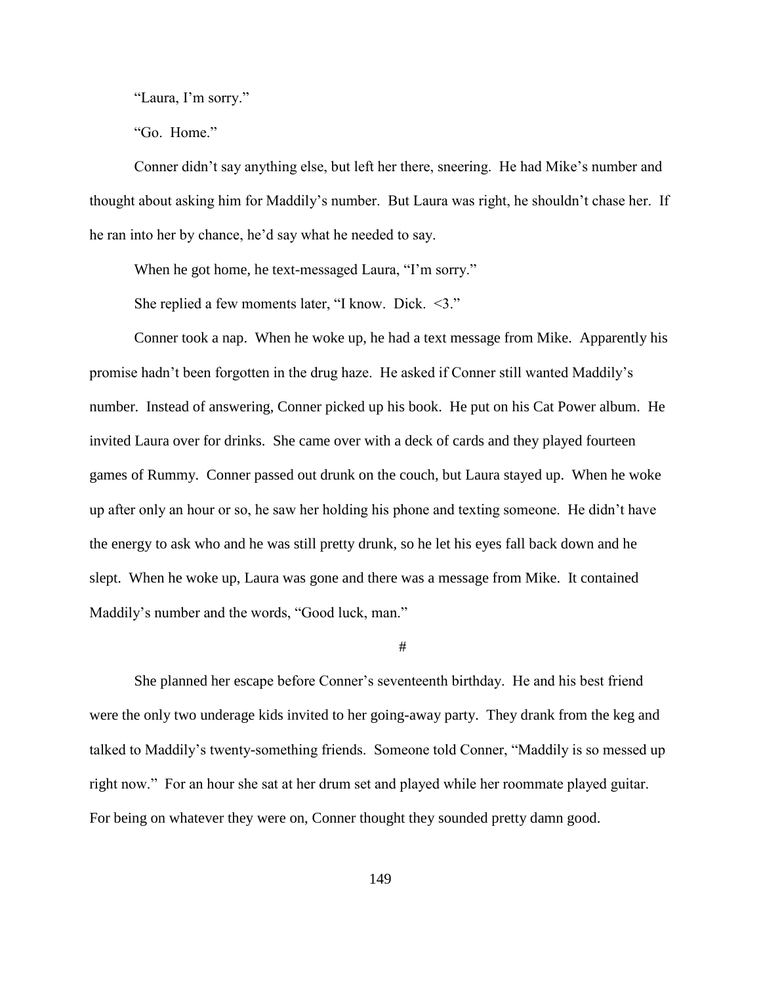"Laura, I'm sorry."

"Go. Home."

Conner didn't say anything else, but left her there, sneering. He had Mike's number and thought about asking him for Maddily's number. But Laura was right, he shouldn't chase her. If he ran into her by chance, he'd say what he needed to say.

When he got home, he text-messaged Laura, "I'm sorry."

She replied a few moments later, "I know. Dick. <3."

Conner took a nap. When he woke up, he had a text message from Mike. Apparently his promise hadn't been forgotten in the drug haze. He asked if Conner still wanted Maddily's number. Instead of answering, Conner picked up his book. He put on his Cat Power album. He invited Laura over for drinks. She came over with a deck of cards and they played fourteen games of Rummy. Conner passed out drunk on the couch, but Laura stayed up. When he woke up after only an hour or so, he saw her holding his phone and texting someone. He didn't have the energy to ask who and he was still pretty drunk, so he let his eyes fall back down and he slept. When he woke up, Laura was gone and there was a message from Mike. It contained Maddily's number and the words, "Good luck, man."

#

She planned her escape before Conner's seventeenth birthday. He and his best friend were the only two underage kids invited to her going-away party. They drank from the keg and talked to Maddily's twenty-something friends. Someone told Conner, "Maddily is so messed up right now." For an hour she sat at her drum set and played while her roommate played guitar. For being on whatever they were on, Conner thought they sounded pretty damn good.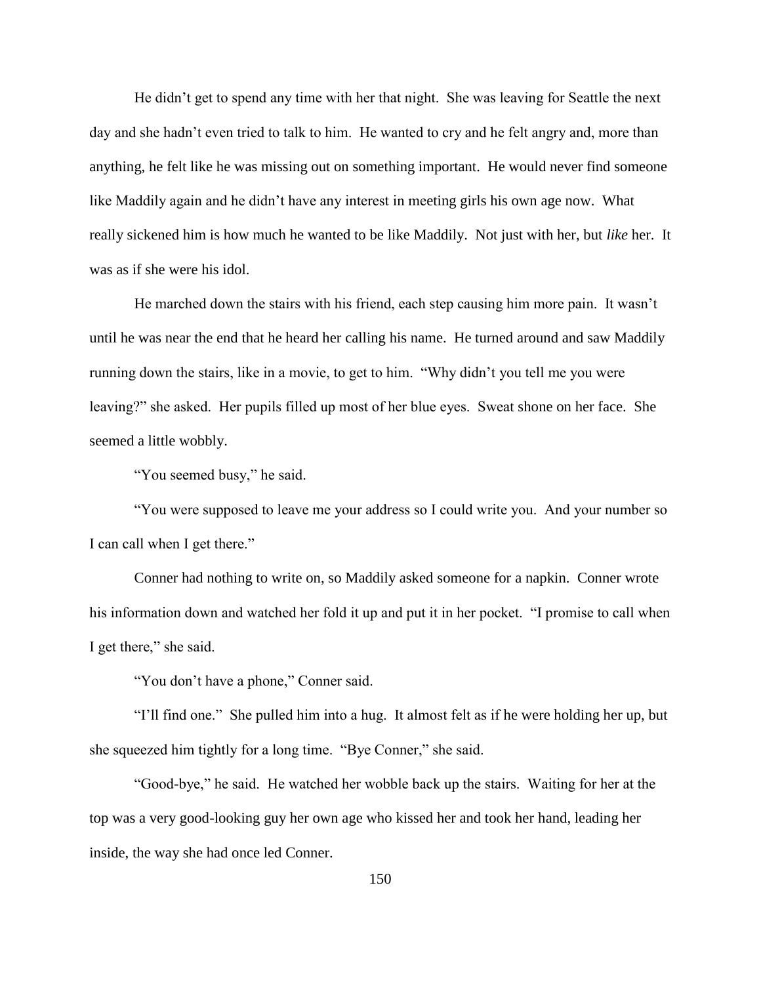He didn't get to spend any time with her that night. She was leaving for Seattle the next day and she hadn't even tried to talk to him. He wanted to cry and he felt angry and, more than anything, he felt like he was missing out on something important. He would never find someone like Maddily again and he didn't have any interest in meeting girls his own age now. What really sickened him is how much he wanted to be like Maddily. Not just with her, but *like* her. It was as if she were his idol.

He marched down the stairs with his friend, each step causing him more pain. It wasn't until he was near the end that he heard her calling his name. He turned around and saw Maddily running down the stairs, like in a movie, to get to him. "Why didn't you tell me you were leaving?" she asked. Her pupils filled up most of her blue eyes. Sweat shone on her face. She seemed a little wobbly.

"You seemed busy," he said.

"You were supposed to leave me your address so I could write you. And your number so I can call when I get there."

Conner had nothing to write on, so Maddily asked someone for a napkin. Conner wrote his information down and watched her fold it up and put it in her pocket. "I promise to call when I get there," she said.

"You don't have a phone," Conner said.

"I'll find one." She pulled him into a hug. It almost felt as if he were holding her up, but she squeezed him tightly for a long time. "Bye Conner," she said.

"Good-bye," he said. He watched her wobble back up the stairs. Waiting for her at the top was a very good-looking guy her own age who kissed her and took her hand, leading her inside, the way she had once led Conner.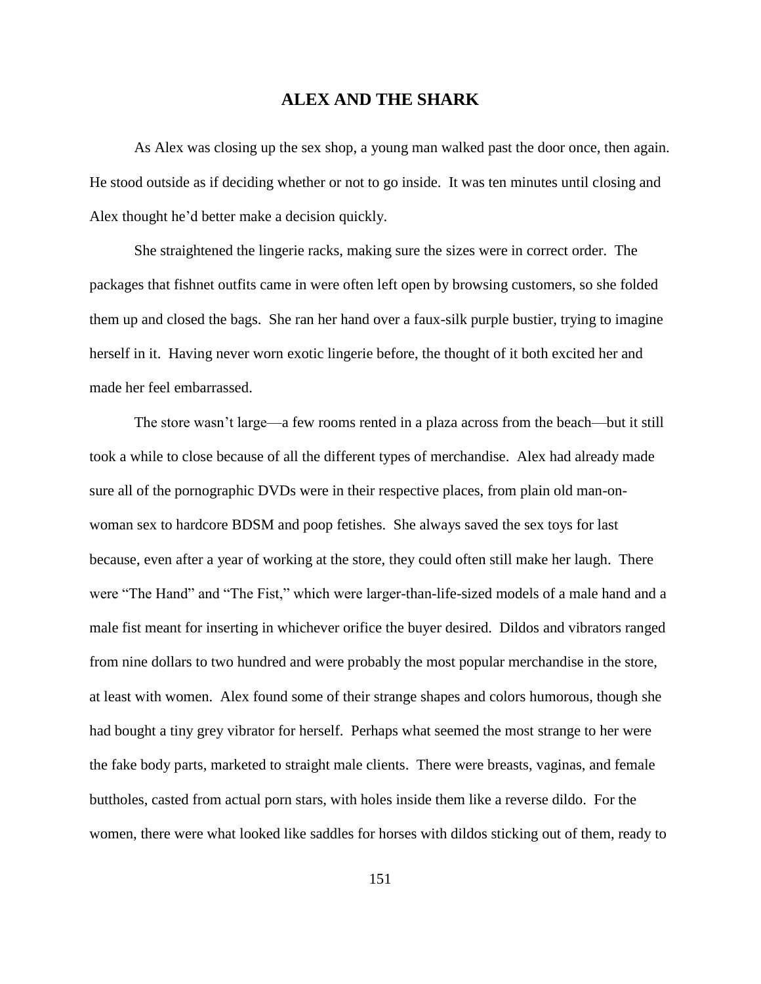## **ALEX AND THE SHARK**

As Alex was closing up the sex shop, a young man walked past the door once, then again. He stood outside as if deciding whether or not to go inside. It was ten minutes until closing and Alex thought he'd better make a decision quickly.

She straightened the lingerie racks, making sure the sizes were in correct order. The packages that fishnet outfits came in were often left open by browsing customers, so she folded them up and closed the bags. She ran her hand over a faux-silk purple bustier, trying to imagine herself in it. Having never worn exotic lingerie before, the thought of it both excited her and made her feel embarrassed.

The store wasn't large—a few rooms rented in a plaza across from the beach—but it still took a while to close because of all the different types of merchandise. Alex had already made sure all of the pornographic DVDs were in their respective places, from plain old man-onwoman sex to hardcore BDSM and poop fetishes. She always saved the sex toys for last because, even after a year of working at the store, they could often still make her laugh. There were "The Hand" and "The Fist," which were larger-than-life-sized models of a male hand and a male fist meant for inserting in whichever orifice the buyer desired. Dildos and vibrators ranged from nine dollars to two hundred and were probably the most popular merchandise in the store, at least with women. Alex found some of their strange shapes and colors humorous, though she had bought a tiny grey vibrator for herself. Perhaps what seemed the most strange to her were the fake body parts, marketed to straight male clients. There were breasts, vaginas, and female buttholes, casted from actual porn stars, with holes inside them like a reverse dildo. For the women, there were what looked like saddles for horses with dildos sticking out of them, ready to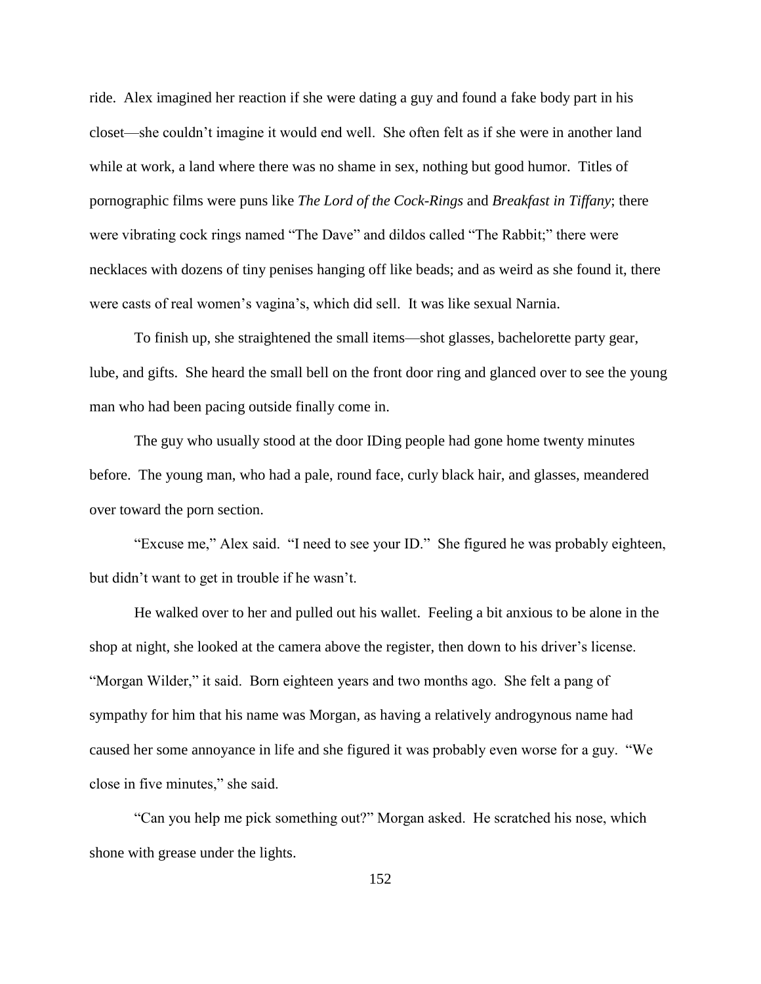ride. Alex imagined her reaction if she were dating a guy and found a fake body part in his closet—she couldn't imagine it would end well. She often felt as if she were in another land while at work, a land where there was no shame in sex, nothing but good humor. Titles of pornographic films were puns like *The Lord of the Cock-Rings* and *Breakfast in Tiffany*; there were vibrating cock rings named "The Dave" and dildos called "The Rabbit;" there were necklaces with dozens of tiny penises hanging off like beads; and as weird as she found it, there were casts of real women's vagina's, which did sell. It was like sexual Narnia.

To finish up, she straightened the small items—shot glasses, bachelorette party gear, lube, and gifts. She heard the small bell on the front door ring and glanced over to see the young man who had been pacing outside finally come in.

The guy who usually stood at the door IDing people had gone home twenty minutes before. The young man, who had a pale, round face, curly black hair, and glasses, meandered over toward the porn section.

"Excuse me," Alex said. "I need to see your ID." She figured he was probably eighteen, but didn't want to get in trouble if he wasn't.

He walked over to her and pulled out his wallet. Feeling a bit anxious to be alone in the shop at night, she looked at the camera above the register, then down to his driver's license. "Morgan Wilder," it said. Born eighteen years and two months ago. She felt a pang of sympathy for him that his name was Morgan, as having a relatively androgynous name had caused her some annoyance in life and she figured it was probably even worse for a guy. "We close in five minutes," she said.

"Can you help me pick something out?" Morgan asked. He scratched his nose, which shone with grease under the lights.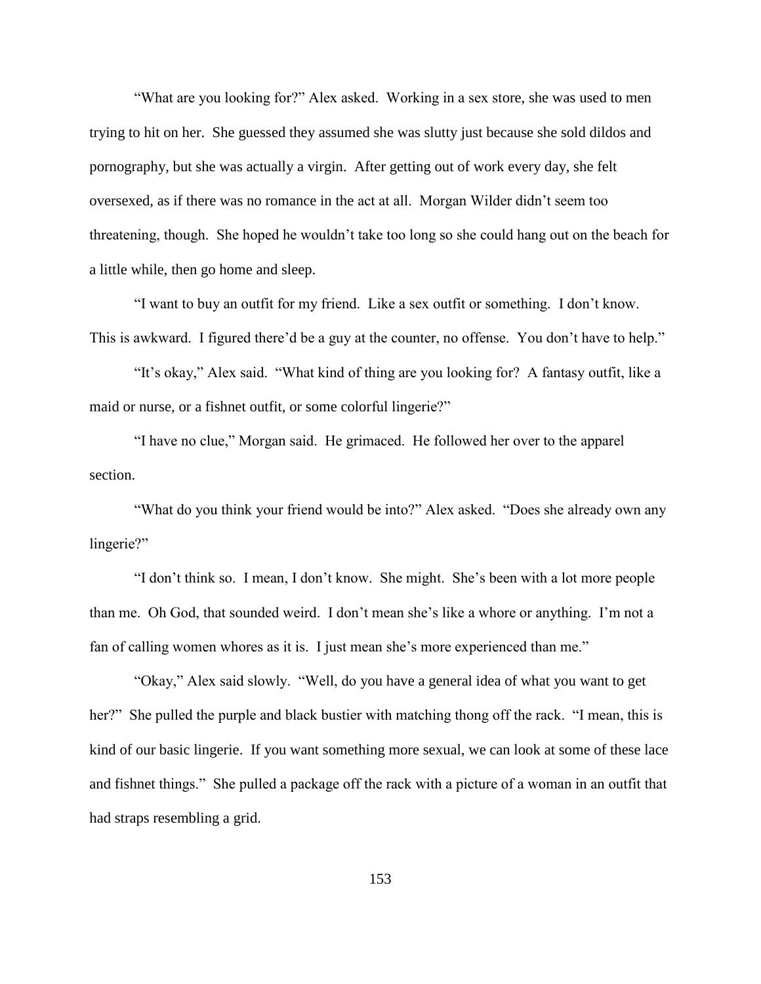"What are you looking for?" Alex asked. Working in a sex store, she was used to men trying to hit on her. She guessed they assumed she was slutty just because she sold dildos and pornography, but she was actually a virgin. After getting out of work every day, she felt oversexed, as if there was no romance in the act at all. Morgan Wilder didn't seem too threatening, though. She hoped he wouldn't take too long so she could hang out on the beach for a little while, then go home and sleep.

"I want to buy an outfit for my friend. Like a sex outfit or something. I don't know. This is awkward. I figured there'd be a guy at the counter, no offense. You don't have to help."

"It's okay," Alex said. "What kind of thing are you looking for? A fantasy outfit, like a maid or nurse, or a fishnet outfit, or some colorful lingerie?"

"I have no clue," Morgan said. He grimaced. He followed her over to the apparel section.

"What do you think your friend would be into?" Alex asked. "Does she already own any lingerie?"

"I don't think so. I mean, I don't know. She might. She's been with a lot more people than me. Oh God, that sounded weird. I don't mean she's like a whore or anything. I'm not a fan of calling women whores as it is. I just mean she's more experienced than me."

"Okay," Alex said slowly. "Well, do you have a general idea of what you want to get her?" She pulled the purple and black bustier with matching thong off the rack. "I mean, this is kind of our basic lingerie. If you want something more sexual, we can look at some of these lace and fishnet things." She pulled a package off the rack with a picture of a woman in an outfit that had straps resembling a grid.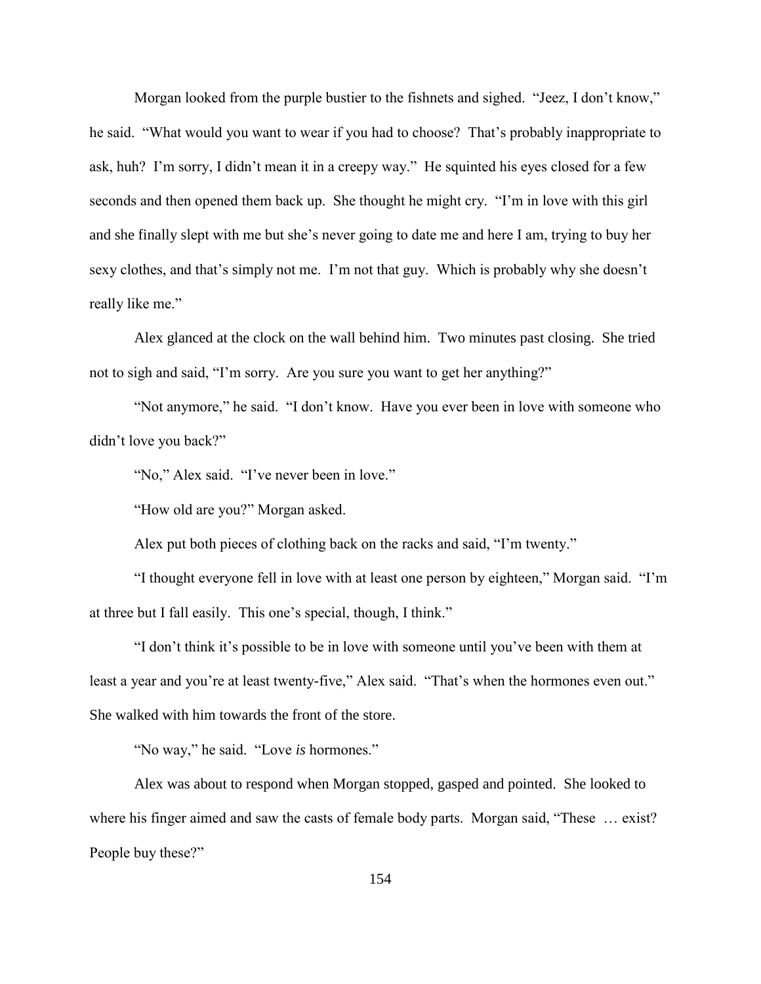Morgan looked from the purple bustier to the fishnets and sighed. "Jeez, I don't know," he said. "What would you want to wear if you had to choose? That's probably inappropriate to ask, huh? I'm sorry, I didn't mean it in a creepy way." He squinted his eyes closed for a few seconds and then opened them back up. She thought he might cry. "I'm in love with this girl and she finally slept with me but she's never going to date me and here I am, trying to buy her sexy clothes, and that's simply not me. I'm not that guy. Which is probably why she doesn't really like me."

Alex glanced at the clock on the wall behind him. Two minutes past closing. She tried not to sigh and said, "I'm sorry. Are you sure you want to get her anything?"

"Not anymore," he said. "I don't know. Have you ever been in love with someone who didn't love you back?"

"No," Alex said. "I've never been in love."

"How old are you?" Morgan asked.

Alex put both pieces of clothing back on the racks and said, "I'm twenty."

"I thought everyone fell in love with at least one person by eighteen," Morgan said. "I'm at three but I fall easily. This one's special, though, I think."

"I don't think it's possible to be in love with someone until you've been with them at least a year and you're at least twenty-five," Alex said. "That's when the hormones even out." She walked with him towards the front of the store.

"No way," he said. "Love *is* hormones."

Alex was about to respond when Morgan stopped, gasped and pointed. She looked to where his finger aimed and saw the casts of female body parts. Morgan said, "These ... exist? People buy these?"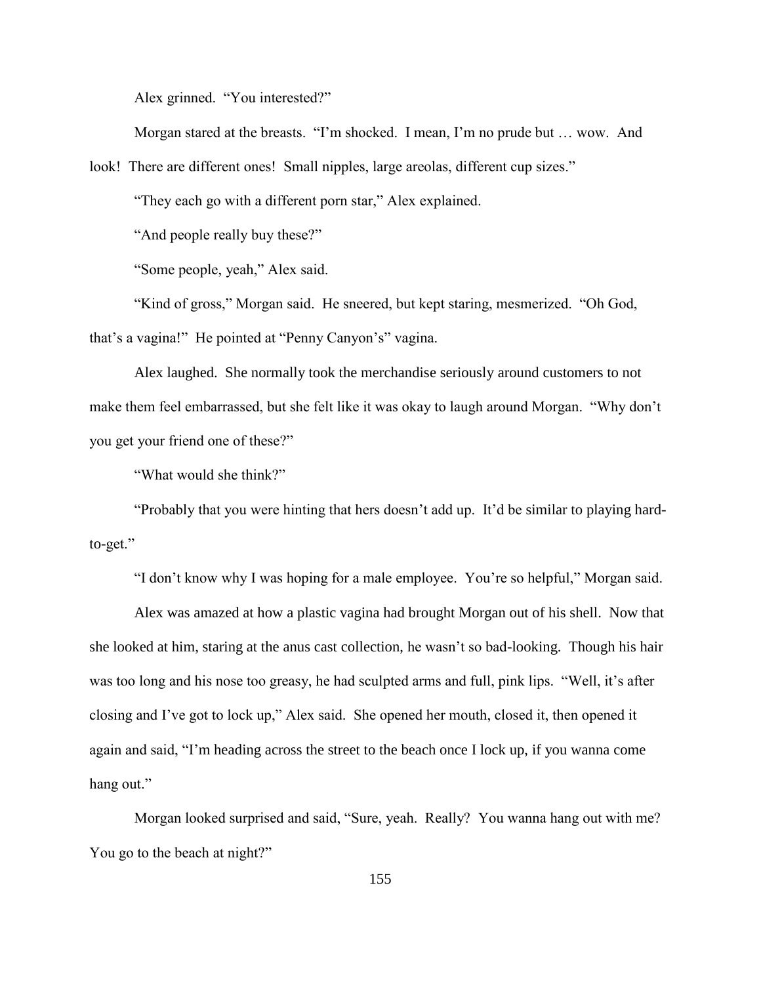Alex grinned. "You interested?"

Morgan stared at the breasts. "I'm shocked. I mean, I'm no prude but … wow. And

look! There are different ones! Small nipples, large areolas, different cup sizes."

"They each go with a different porn star," Alex explained.

"And people really buy these?"

"Some people, yeah," Alex said.

"Kind of gross," Morgan said. He sneered, but kept staring, mesmerized. "Oh God, that's a vagina!" He pointed at "Penny Canyon's" vagina.

Alex laughed. She normally took the merchandise seriously around customers to not make them feel embarrassed, but she felt like it was okay to laugh around Morgan. "Why don't you get your friend one of these?"

"What would she think?"

"Probably that you were hinting that hers doesn't add up. It'd be similar to playing hardto-get."

"I don't know why I was hoping for a male employee. You're so helpful," Morgan said.

Alex was amazed at how a plastic vagina had brought Morgan out of his shell. Now that she looked at him, staring at the anus cast collection, he wasn't so bad-looking. Though his hair was too long and his nose too greasy, he had sculpted arms and full, pink lips. "Well, it's after closing and I've got to lock up," Alex said. She opened her mouth, closed it, then opened it again and said, "I'm heading across the street to the beach once I lock up, if you wanna come hang out."

Morgan looked surprised and said, "Sure, yeah. Really? You wanna hang out with me? You go to the beach at night?"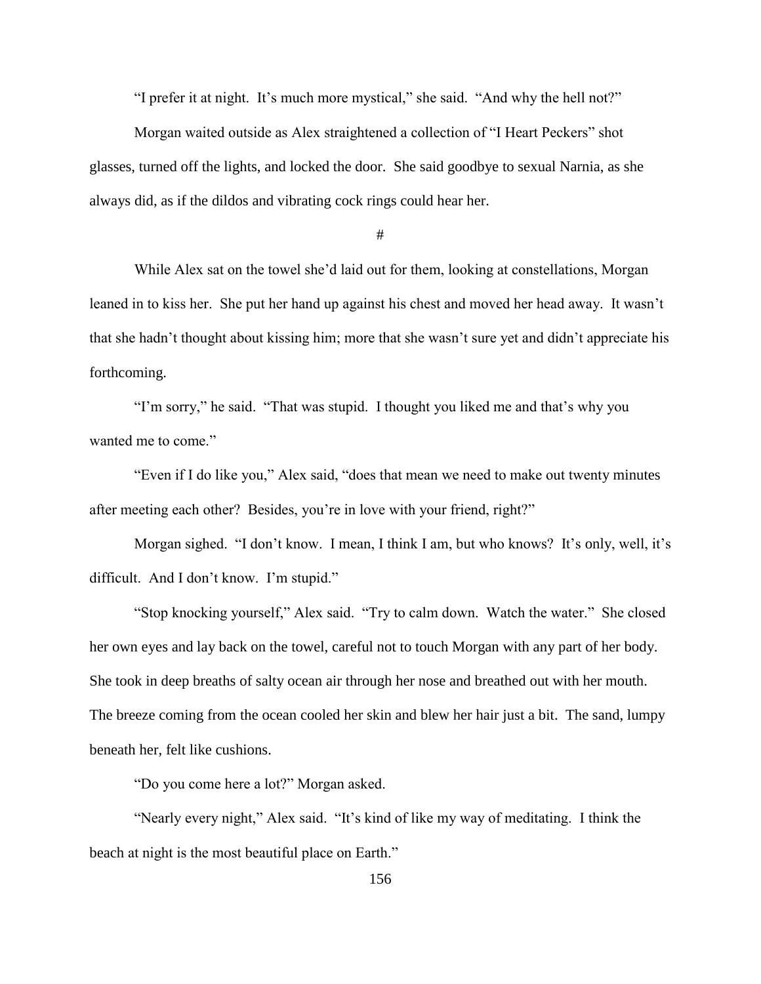"I prefer it at night. It's much more mystical," she said. "And why the hell not?"

Morgan waited outside as Alex straightened a collection of "I Heart Peckers" shot glasses, turned off the lights, and locked the door. She said goodbye to sexual Narnia, as she always did, as if the dildos and vibrating cock rings could hear her.

#

While Alex sat on the towel she'd laid out for them, looking at constellations, Morgan leaned in to kiss her. She put her hand up against his chest and moved her head away. It wasn't that she hadn't thought about kissing him; more that she wasn't sure yet and didn't appreciate his forthcoming.

"I'm sorry," he said. "That was stupid. I thought you liked me and that's why you wanted me to come."

"Even if I do like you," Alex said, "does that mean we need to make out twenty minutes after meeting each other? Besides, you're in love with your friend, right?"

Morgan sighed. "I don't know. I mean, I think I am, but who knows? It's only, well, it's difficult. And I don't know. I'm stupid."

"Stop knocking yourself," Alex said. "Try to calm down. Watch the water." She closed her own eyes and lay back on the towel, careful not to touch Morgan with any part of her body. She took in deep breaths of salty ocean air through her nose and breathed out with her mouth. The breeze coming from the ocean cooled her skin and blew her hair just a bit. The sand, lumpy beneath her, felt like cushions.

"Do you come here a lot?" Morgan asked.

"Nearly every night," Alex said. "It's kind of like my way of meditating. I think the beach at night is the most beautiful place on Earth."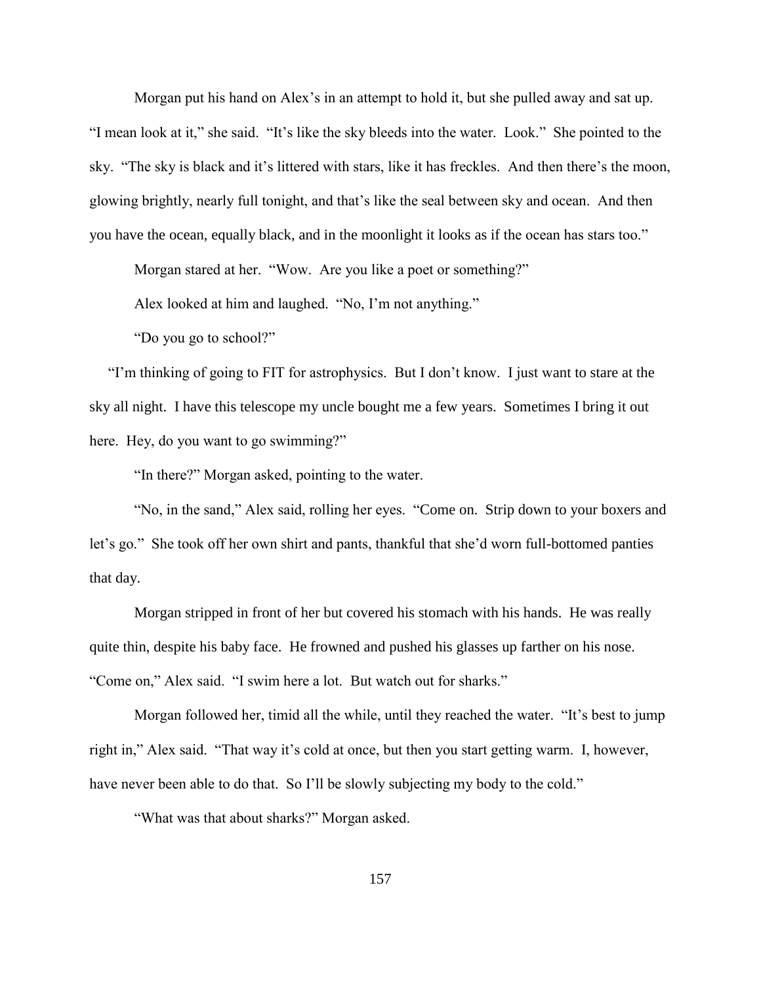Morgan put his hand on Alex's in an attempt to hold it, but she pulled away and sat up. "I mean look at it," she said. "It's like the sky bleeds into the water. Look." She pointed to the sky. "The sky is black and it's littered with stars, like it has freckles. And then there's the moon, glowing brightly, nearly full tonight, and that's like the seal between sky and ocean. And then you have the ocean, equally black, and in the moonlight it looks as if the ocean has stars too."

Morgan stared at her. "Wow. Are you like a poet or something?"

Alex looked at him and laughed. "No, I'm not anything."

"Do you go to school?"

 "I'm thinking of going to FIT for astrophysics. But I don't know. I just want to stare at the sky all night. I have this telescope my uncle bought me a few years. Sometimes I bring it out here. Hey, do you want to go swimming?"

"In there?" Morgan asked, pointing to the water.

"No, in the sand," Alex said, rolling her eyes. "Come on. Strip down to your boxers and let's go." She took off her own shirt and pants, thankful that she'd worn full-bottomed panties that day.

Morgan stripped in front of her but covered his stomach with his hands. He was really quite thin, despite his baby face. He frowned and pushed his glasses up farther on his nose. "Come on," Alex said. "I swim here a lot. But watch out for sharks."

Morgan followed her, timid all the while, until they reached the water. "It's best to jump right in," Alex said. "That way it's cold at once, but then you start getting warm. I, however, have never been able to do that. So I'll be slowly subjecting my body to the cold."

"What was that about sharks?" Morgan asked.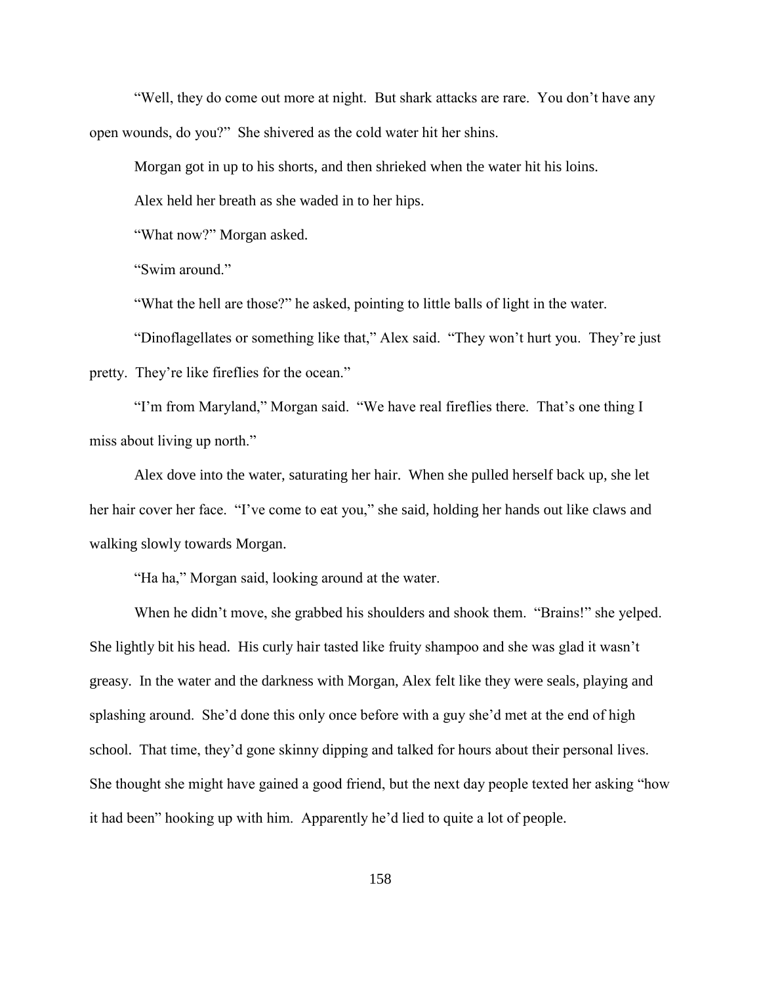"Well, they do come out more at night. But shark attacks are rare. You don't have any open wounds, do you?" She shivered as the cold water hit her shins.

Morgan got in up to his shorts, and then shrieked when the water hit his loins.

Alex held her breath as she waded in to her hips.

"What now?" Morgan asked.

"Swim around."

"What the hell are those?" he asked, pointing to little balls of light in the water.

"Dinoflagellates or something like that," Alex said. "They won't hurt you. They're just pretty. They're like fireflies for the ocean."

"I'm from Maryland," Morgan said. "We have real fireflies there. That's one thing I miss about living up north."

Alex dove into the water, saturating her hair. When she pulled herself back up, she let her hair cover her face. "I've come to eat you," she said, holding her hands out like claws and walking slowly towards Morgan.

"Ha ha," Morgan said, looking around at the water.

When he didn't move, she grabbed his shoulders and shook them. "Brains!" she yelped. She lightly bit his head. His curly hair tasted like fruity shampoo and she was glad it wasn't greasy. In the water and the darkness with Morgan, Alex felt like they were seals, playing and splashing around. She'd done this only once before with a guy she'd met at the end of high school. That time, they'd gone skinny dipping and talked for hours about their personal lives. She thought she might have gained a good friend, but the next day people texted her asking "how it had been" hooking up with him. Apparently he'd lied to quite a lot of people.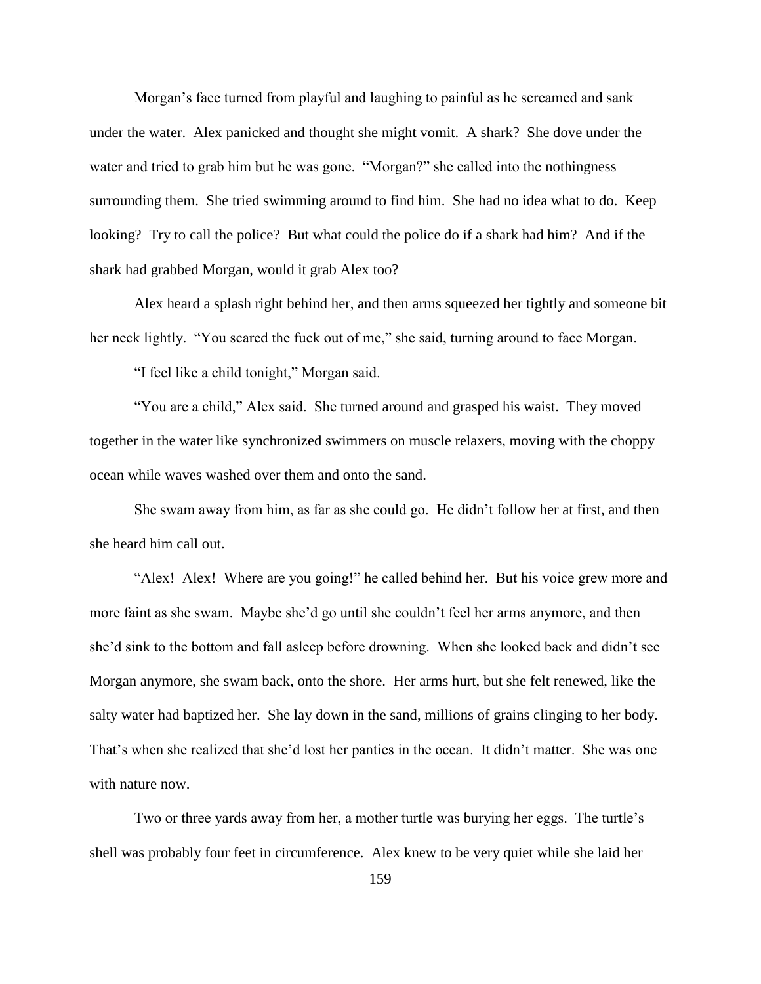Morgan's face turned from playful and laughing to painful as he screamed and sank under the water. Alex panicked and thought she might vomit. A shark? She dove under the water and tried to grab him but he was gone. "Morgan?" she called into the nothingness surrounding them. She tried swimming around to find him. She had no idea what to do. Keep looking? Try to call the police? But what could the police do if a shark had him? And if the shark had grabbed Morgan, would it grab Alex too?

Alex heard a splash right behind her, and then arms squeezed her tightly and someone bit her neck lightly. "You scared the fuck out of me," she said, turning around to face Morgan.

"I feel like a child tonight," Morgan said.

"You are a child," Alex said. She turned around and grasped his waist. They moved together in the water like synchronized swimmers on muscle relaxers, moving with the choppy ocean while waves washed over them and onto the sand.

She swam away from him, as far as she could go. He didn't follow her at first, and then she heard him call out.

"Alex! Alex! Where are you going!" he called behind her. But his voice grew more and more faint as she swam. Maybe she'd go until she couldn't feel her arms anymore, and then she'd sink to the bottom and fall asleep before drowning. When she looked back and didn't see Morgan anymore, she swam back, onto the shore. Her arms hurt, but she felt renewed, like the salty water had baptized her. She lay down in the sand, millions of grains clinging to her body. That's when she realized that she'd lost her panties in the ocean. It didn't matter. She was one with nature now.

Two or three yards away from her, a mother turtle was burying her eggs. The turtle's shell was probably four feet in circumference. Alex knew to be very quiet while she laid her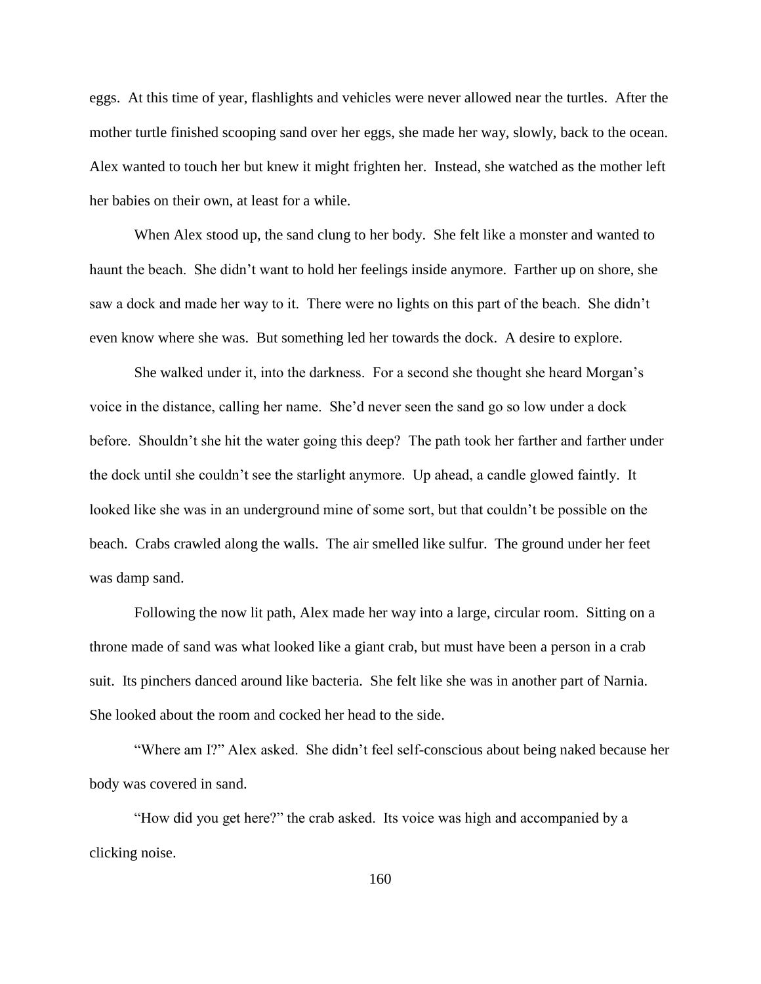eggs. At this time of year, flashlights and vehicles were never allowed near the turtles. After the mother turtle finished scooping sand over her eggs, she made her way, slowly, back to the ocean. Alex wanted to touch her but knew it might frighten her. Instead, she watched as the mother left her babies on their own, at least for a while.

When Alex stood up, the sand clung to her body. She felt like a monster and wanted to haunt the beach. She didn't want to hold her feelings inside anymore. Farther up on shore, she saw a dock and made her way to it. There were no lights on this part of the beach. She didn't even know where she was. But something led her towards the dock. A desire to explore.

She walked under it, into the darkness. For a second she thought she heard Morgan's voice in the distance, calling her name. She'd never seen the sand go so low under a dock before. Shouldn't she hit the water going this deep? The path took her farther and farther under the dock until she couldn't see the starlight anymore. Up ahead, a candle glowed faintly. It looked like she was in an underground mine of some sort, but that couldn't be possible on the beach. Crabs crawled along the walls. The air smelled like sulfur. The ground under her feet was damp sand.

Following the now lit path, Alex made her way into a large, circular room. Sitting on a throne made of sand was what looked like a giant crab, but must have been a person in a crab suit. Its pinchers danced around like bacteria. She felt like she was in another part of Narnia. She looked about the room and cocked her head to the side.

"Where am I?" Alex asked. She didn't feel self-conscious about being naked because her body was covered in sand.

"How did you get here?" the crab asked. Its voice was high and accompanied by a clicking noise.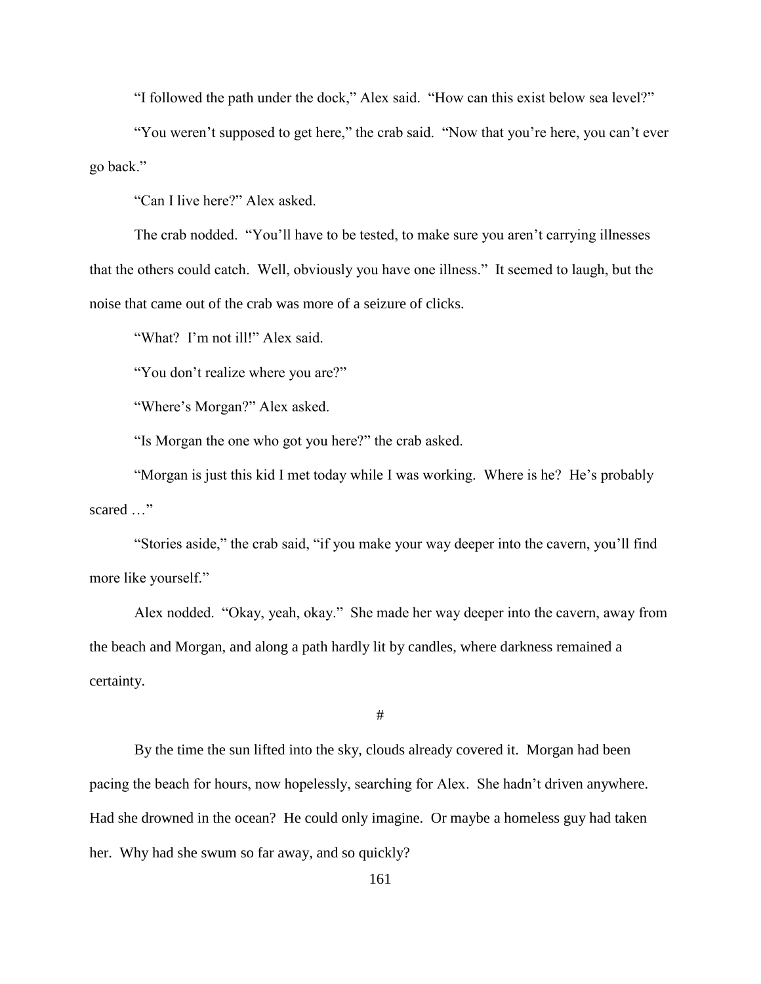"I followed the path under the dock," Alex said. "How can this exist below sea level?"

"You weren't supposed to get here," the crab said. "Now that you're here, you can't ever go back."

"Can I live here?" Alex asked.

The crab nodded. "You'll have to be tested, to make sure you aren't carrying illnesses that the others could catch. Well, obviously you have one illness." It seemed to laugh, but the noise that came out of the crab was more of a seizure of clicks.

"What? I'm not ill!" Alex said.

"You don't realize where you are?"

"Where's Morgan?" Alex asked.

"Is Morgan the one who got you here?" the crab asked.

"Morgan is just this kid I met today while I was working. Where is he? He's probably scared …"

"Stories aside," the crab said, "if you make your way deeper into the cavern, you'll find more like yourself."

Alex nodded. "Okay, yeah, okay." She made her way deeper into the cavern, away from the beach and Morgan, and along a path hardly lit by candles, where darkness remained a certainty.

#

By the time the sun lifted into the sky, clouds already covered it. Morgan had been pacing the beach for hours, now hopelessly, searching for Alex. She hadn't driven anywhere. Had she drowned in the ocean? He could only imagine. Or maybe a homeless guy had taken her. Why had she swum so far away, and so quickly?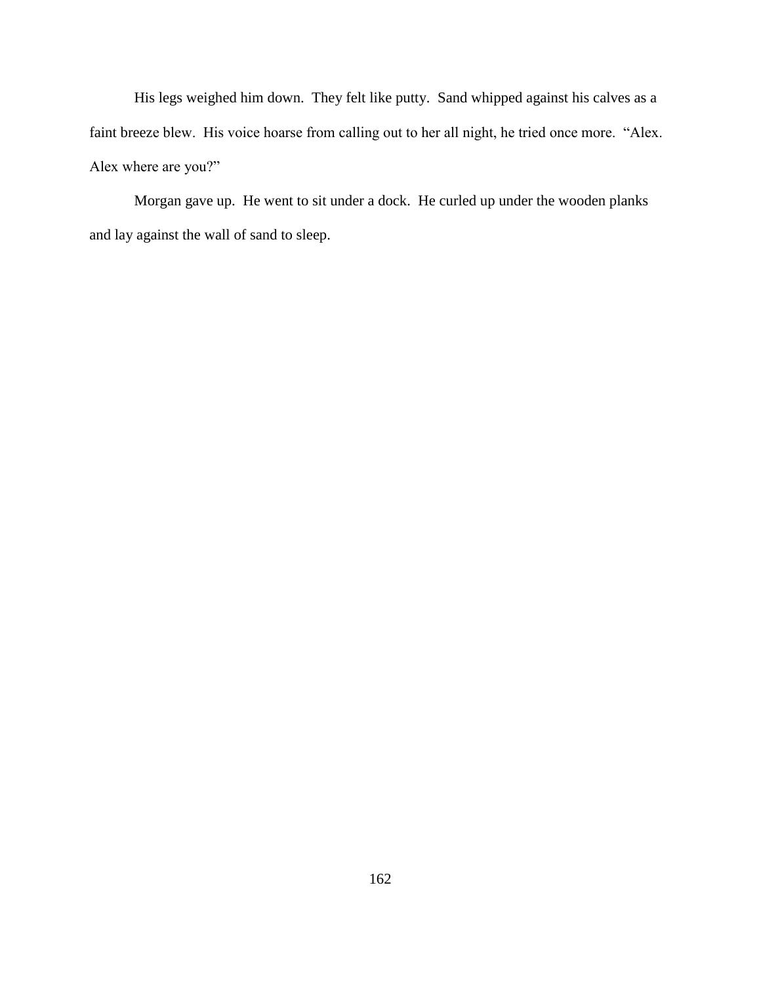His legs weighed him down. They felt like putty. Sand whipped against his calves as a faint breeze blew. His voice hoarse from calling out to her all night, he tried once more. "Alex. Alex where are you?"

Morgan gave up. He went to sit under a dock. He curled up under the wooden planks and lay against the wall of sand to sleep.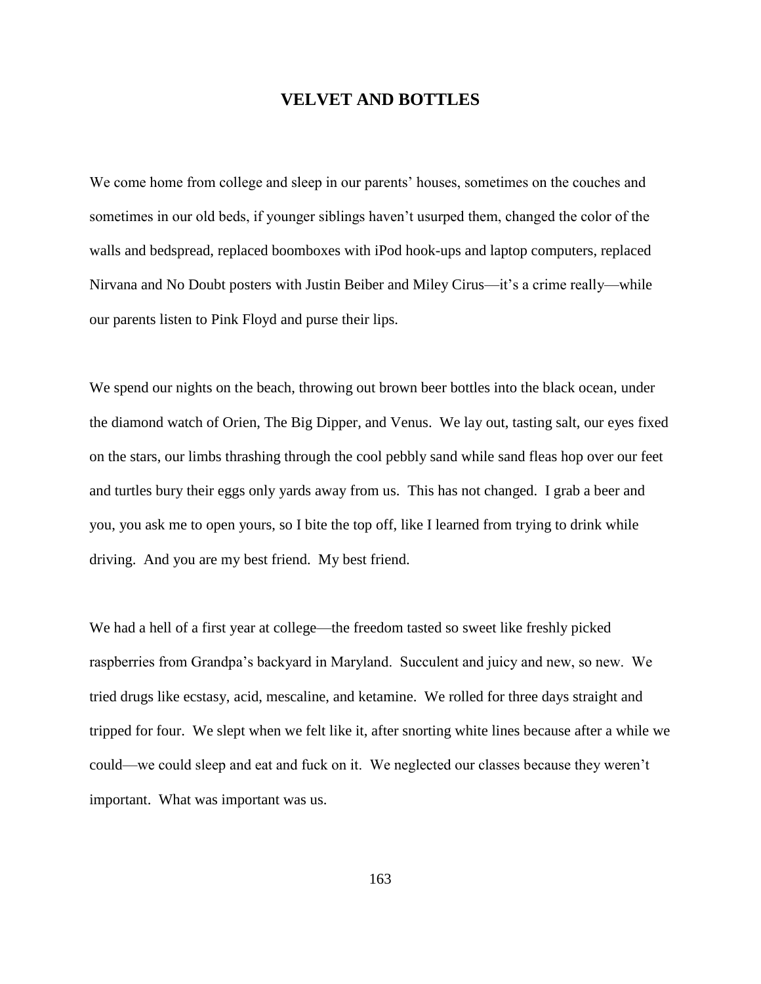## **VELVET AND BOTTLES**

We come home from college and sleep in our parents' houses, sometimes on the couches and sometimes in our old beds, if younger siblings haven't usurped them, changed the color of the walls and bedspread, replaced boomboxes with iPod hook-ups and laptop computers, replaced Nirvana and No Doubt posters with Justin Beiber and Miley Cirus—it's a crime really—while our parents listen to Pink Floyd and purse their lips.

We spend our nights on the beach, throwing out brown beer bottles into the black ocean, under the diamond watch of Orien, The Big Dipper, and Venus. We lay out, tasting salt, our eyes fixed on the stars, our limbs thrashing through the cool pebbly sand while sand fleas hop over our feet and turtles bury their eggs only yards away from us. This has not changed. I grab a beer and you, you ask me to open yours, so I bite the top off, like I learned from trying to drink while driving. And you are my best friend. My best friend.

We had a hell of a first year at college—the freedom tasted so sweet like freshly picked raspberries from Grandpa's backyard in Maryland. Succulent and juicy and new, so new. We tried drugs like ecstasy, acid, mescaline, and ketamine. We rolled for three days straight and tripped for four. We slept when we felt like it, after snorting white lines because after a while we could—we could sleep and eat and fuck on it. We neglected our classes because they weren't important. What was important was us.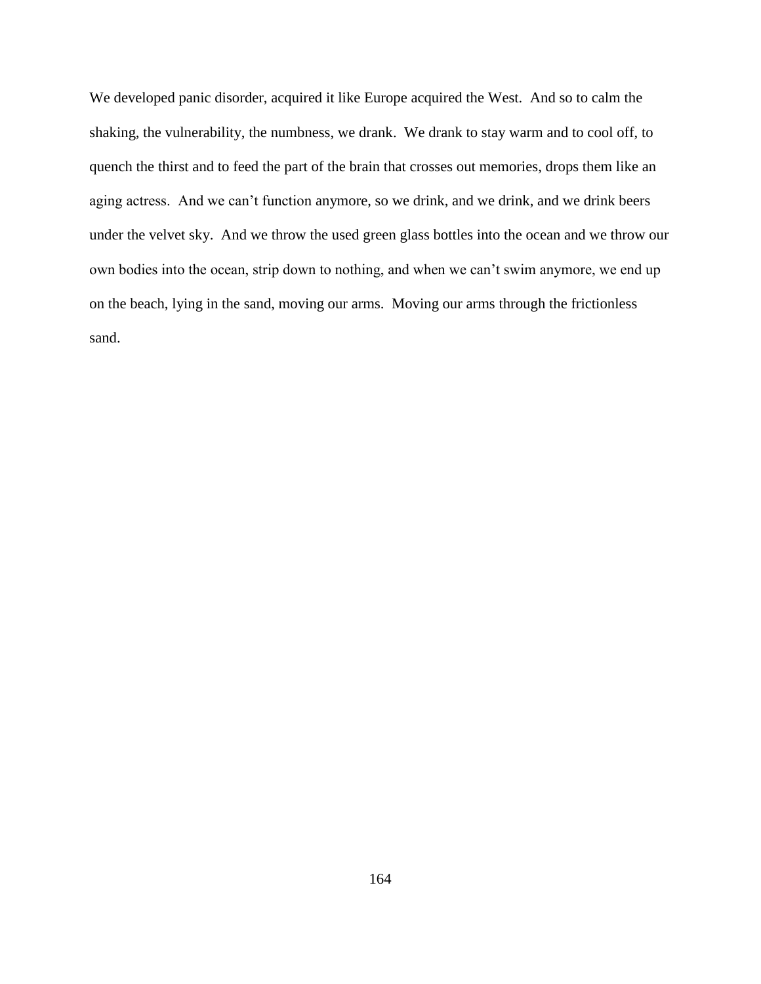We developed panic disorder, acquired it like Europe acquired the West. And so to calm the shaking, the vulnerability, the numbness, we drank. We drank to stay warm and to cool off, to quench the thirst and to feed the part of the brain that crosses out memories, drops them like an aging actress. And we can't function anymore, so we drink, and we drink, and we drink beers under the velvet sky. And we throw the used green glass bottles into the ocean and we throw our own bodies into the ocean, strip down to nothing, and when we can't swim anymore, we end up on the beach, lying in the sand, moving our arms. Moving our arms through the frictionless sand.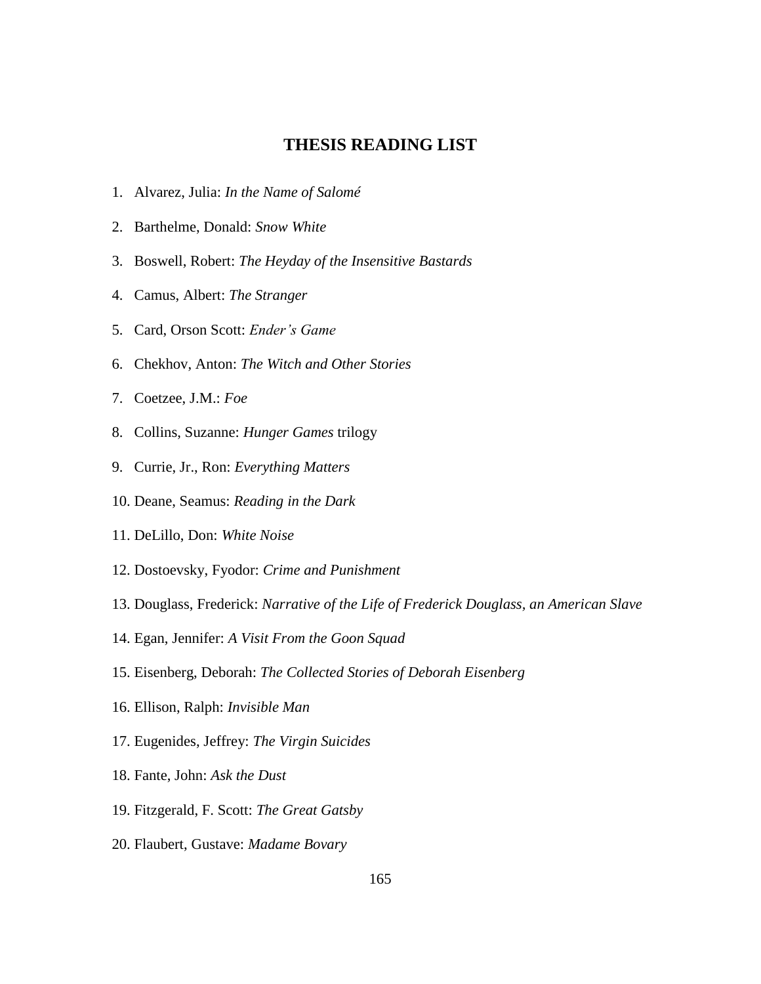## **THESIS READING LIST**

- 1. Alvarez, Julia: *In the Name of Salomé*
- 2. Barthelme, Donald: *Snow White*
- 3. Boswell, Robert: *The Heyday of the Insensitive Bastards*
- 4. Camus, Albert: *The Stranger*
- 5. Card, Orson Scott: *Ender's Game*
- 6. Chekhov, Anton: *The Witch and Other Stories*
- 7. Coetzee, J.M.: *Foe*
- 8. Collins, Suzanne: *Hunger Games* trilogy
- 9. Currie, Jr., Ron: *Everything Matters*
- 10. Deane, Seamus: *Reading in the Dark*
- 11. DeLillo, Don: *White Noise*
- 12. Dostoevsky, Fyodor: *Crime and Punishment*
- 13. Douglass, Frederick: *Narrative of the Life of Frederick Douglass, an American Slave*
- 14. Egan, Jennifer: *A Visit From the Goon Squad*
- 15. Eisenberg, Deborah: *The Collected Stories of Deborah Eisenberg*
- 16. Ellison, Ralph: *Invisible Man*
- 17. Eugenides, Jeffrey: *The Virgin Suicides*
- 18. Fante, John: *Ask the Dust*
- 19. Fitzgerald, F. Scott: *The Great Gatsby*
- 20. Flaubert, Gustave: *Madame Bovary*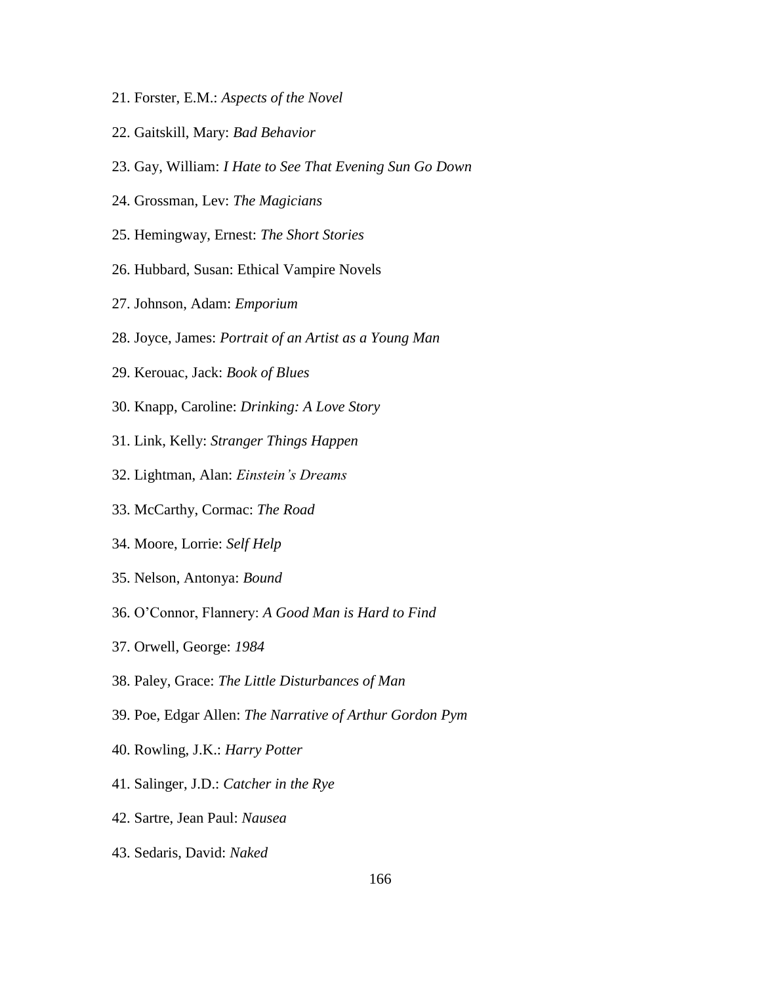- 21. Forster, E.M.: *Aspects of the Novel*
- 22. Gaitskill, Mary: *Bad Behavior*
- 23. Gay, William: *I Hate to See That Evening Sun Go Down*
- 24. Grossman, Lev: *The Magicians*
- 25. Hemingway, Ernest: *The Short Stories*
- 26. Hubbard, Susan: Ethical Vampire Novels
- 27. Johnson, Adam: *Emporium*
- 28. Joyce, James: *Portrait of an Artist as a Young Man*
- 29. Kerouac, Jack: *Book of Blues*
- 30. Knapp, Caroline: *Drinking: A Love Story*
- 31. Link, Kelly: *Stranger Things Happen*
- 32. Lightman, Alan: *Einstein's Dreams*
- 33. McCarthy, Cormac: *The Road*
- 34. Moore, Lorrie: *Self Help*
- 35. Nelson, Antonya: *Bound*
- 36. O'Connor, Flannery: *A Good Man is Hard to Find*
- 37. Orwell, George: *1984*
- 38. Paley, Grace: *The Little Disturbances of Man*
- 39. Poe, Edgar Allen: *The Narrative of Arthur Gordon Pym*
- 40. Rowling, J.K.: *Harry Potter*
- 41. Salinger, J.D.: *Catcher in the Rye*
- 42. Sartre, Jean Paul: *Nausea*
- 43. Sedaris, David: *Naked*